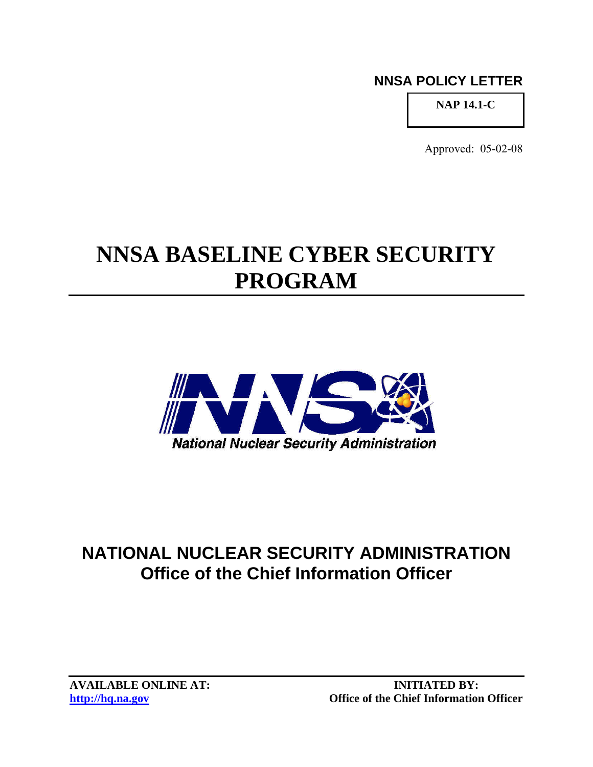### **NNSA POLICY LETTER**

**NAP 14.1-C** 

Approved: 05-02-08

# **NNSA BASELINE CYBER SECURITY PROGRAM**



## **NATIONAL NUCLEAR SECURITY ADMINISTRATION Office of the Chief Information Officer**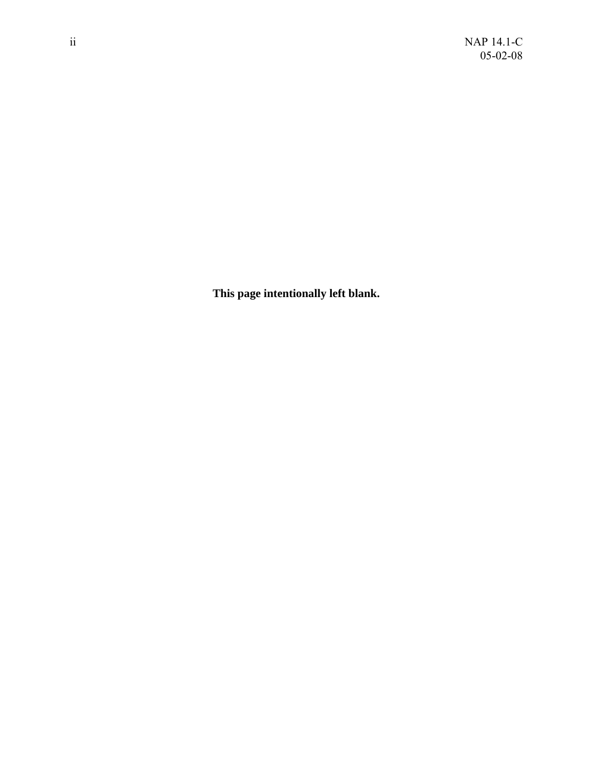**This page intentionally left blank.**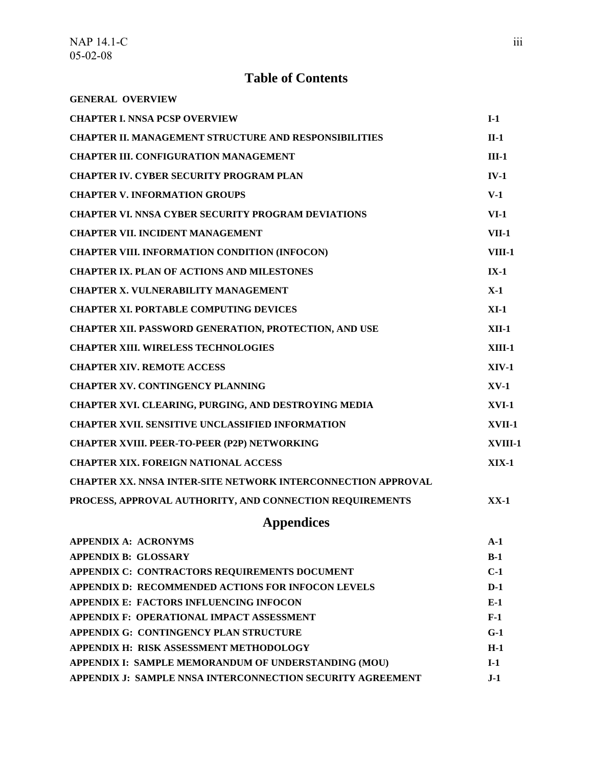## **Table of Contents**

| <b>GENERAL OVERVIEW</b>                                             |          |
|---------------------------------------------------------------------|----------|
| <b>CHAPTER I. NNSA PCSP OVERVIEW</b>                                | $I-1$    |
| <b>CHAPTER II. MANAGEMENT STRUCTURE AND RESPONSIBILITIES</b>        | $II-1$   |
| <b>CHAPTER III. CONFIGURATION MANAGEMENT</b>                        | $III-1$  |
| <b>CHAPTER IV. CYBER SECURITY PROGRAM PLAN</b>                      | $IV-1$   |
| <b>CHAPTER V. INFORMATION GROUPS</b>                                | $V-1$    |
| <b>CHAPTER VI. NNSA CYBER SECURITY PROGRAM DEVIATIONS</b>           | $VI-1$   |
| <b>CHAPTER VII. INCIDENT MANAGEMENT</b>                             | $VII-1$  |
| <b>CHAPTER VIII. INFORMATION CONDITION (INFOCON)</b>                | VIII-1   |
| <b>CHAPTER IX. PLAN OF ACTIONS AND MILESTONES</b>                   | $IX-1$   |
| <b>CHAPTER X. VULNERABILITY MANAGEMENT</b>                          | $X-1$    |
| <b>CHAPTER XI. PORTABLE COMPUTING DEVICES</b>                       | $XI-1$   |
| <b>CHAPTER XII. PASSWORD GENERATION, PROTECTION, AND USE</b>        | $XII-1$  |
| <b>CHAPTER XIII. WIRELESS TECHNOLOGIES</b>                          | $XIII-1$ |
| <b>CHAPTER XIV. REMOTE ACCESS</b>                                   | $XIV-1$  |
| <b>CHAPTER XV. CONTINGENCY PLANNING</b>                             | $XV-1$   |
| CHAPTER XVI. CLEARING, PURGING, AND DESTROYING MEDIA                | $XVI-1$  |
| <b>CHAPTER XVII. SENSITIVE UNCLASSIFIED INFORMATION</b>             | $XVII-1$ |
| <b>CHAPTER XVIII. PEER-TO-PEER (P2P) NETWORKING</b>                 | XVIII-1  |
| <b>CHAPTER XIX. FOREIGN NATIONAL ACCESS</b>                         | $XIX-1$  |
| <b>CHAPTER XX. NNSA INTER-SITE NETWORK INTERCONNECTION APPROVAL</b> |          |
| PROCESS, APPROVAL AUTHORITY, AND CONNECTION REQUIREMENTS            | $XX-1$   |
| <b>Appendices</b>                                                   |          |
| <b>APPENDIX A: ACRONYMS</b>                                         | $A-1$    |
| <b>APPENDIX B: GLOSSARY</b>                                         | $B-1$    |
| APPENDIX C: CONTRACTORS REQUIREMENTS DOCUMENT                       | $C-1$    |
| APPENDIX D: RECOMMENDED ACTIONS FOR INFOCON LEVELS                  | $D-1$    |
| APPENDIX E: FACTORS INFLUENCING INFOCON                             | $E-1$    |
| APPENDIX F: OPERATIONAL IMPACT ASSESSMENT                           | $F-1$    |
| APPENDIX G: CONTINGENCY PLAN STRUCTURE                              | $G-1$    |
| APPENDIX H: RISK ASSESSMENT METHODOLOGY                             | $H-1$    |
| APPENDIX I: SAMPLE MEMORANDUM OF UNDERSTANDING (MOU)                | $I-1$    |
| APPENDIX J: SAMPLE NNSA INTERCONNECTION SECURITY AGREEMENT          | $J-1$    |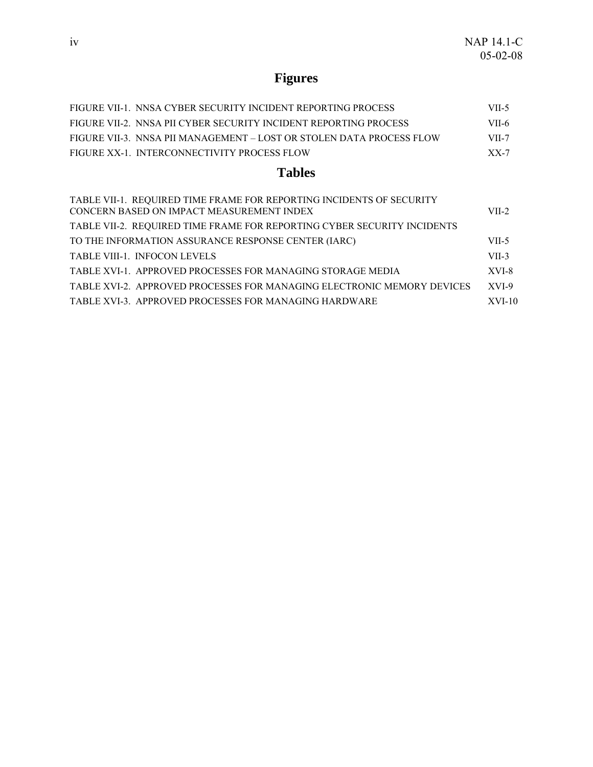## **Figures**

| FIGURE VII-1. NNSA CYBER SECURITY INCIDENT REPORTING PROCESS         | VII-5  |
|----------------------------------------------------------------------|--------|
| FIGURE VII-2. NNSA PII CYBER SECURITY INCIDENT REPORTING PROCESS     | VII-6  |
| FIGURE VII-3. NNSA PII MANAGEMENT – LOST OR STOLEN DATA PROCESS FLOW | VII-7  |
| FIGURE XX-1. INTERCONNECTIVITY PROCESS FLOW                          | $XX-7$ |

## **Tables**

| TABLE VII-1. REQUIRED TIME FRAME FOR REPORTING INCIDENTS OF SECURITY<br>CONCERN BASED ON IMPACT MEASUREMENT INDEX | $VII-2$  |
|-------------------------------------------------------------------------------------------------------------------|----------|
| TABLE VII-2. REQUIRED TIME FRAME FOR REPORTING CYBER SECURITY INCIDENTS                                           |          |
| TO THE INFORMATION ASSURANCE RESPONSE CENTER (IARC)                                                               | VII-5    |
| TABLE VIII-1. INFOCON LEVELS                                                                                      | $VII-3$  |
| TABLE XVI-1. APPROVED PROCESSES FOR MANAGING STORAGE MEDIA                                                        | XVI-8    |
| TABLE XVI-2. APPROVED PROCESSES FOR MANAGING ELECTRONIC MEMORY DEVICES                                            | $XVI-9$  |
| TABLE XVI-3. APPROVED PROCESSES FOR MANAGING HARDWARE                                                             | $XVI-10$ |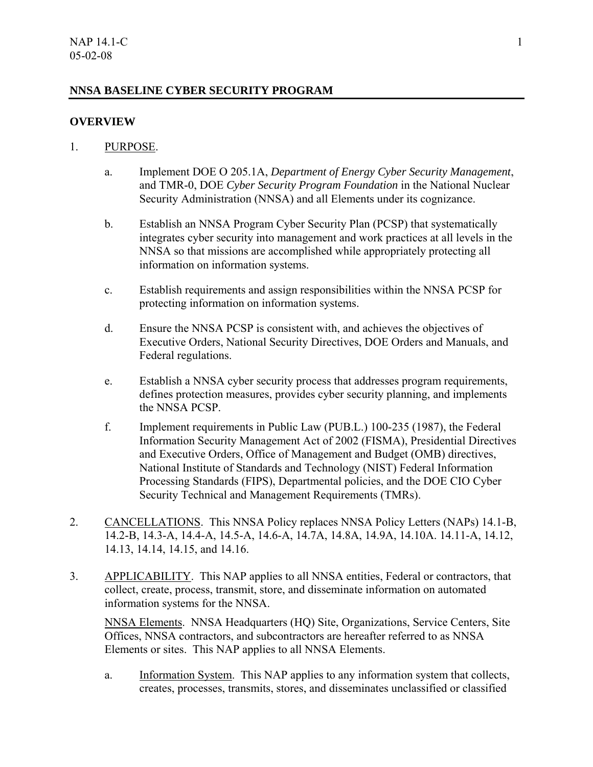#### **NNSA BASELINE CYBER SECURITY PROGRAM**

#### **OVERVIEW**

#### 1. PURPOSE.

- a. Implement DOE O 205.1A, *Department of Energy Cyber Security Management*, and TMR-0, DOE *Cyber Security Program Foundation* in the National Nuclear Security Administration (NNSA) and all Elements under its cognizance.
- b. Establish an NNSA Program Cyber Security Plan (PCSP) that systematically integrates cyber security into management and work practices at all levels in the NNSA so that missions are accomplished while appropriately protecting all information on information systems.
- c. Establish requirements and assign responsibilities within the NNSA PCSP for protecting information on information systems.
- d. Ensure the NNSA PCSP is consistent with, and achieves the objectives of Executive Orders, National Security Directives, DOE Orders and Manuals, and Federal regulations.
- e. Establish a NNSA cyber security process that addresses program requirements, defines protection measures, provides cyber security planning, and implements the NNSA PCSP.
- f. Implement requirements in Public Law (PUB.L.) 100-235 (1987), the Federal Information Security Management Act of 2002 (FISMA), Presidential Directives and Executive Orders, Office of Management and Budget (OMB) directives, National Institute of Standards and Technology (NIST) Federal Information Processing Standards (FIPS), Departmental policies, and the DOE CIO Cyber Security Technical and Management Requirements (TMRs).
- 2. CANCELLATIONS. This NNSA Policy replaces NNSA Policy Letters (NAPs) 14.1-B, 14.2-B, 14.3-A, 14.4-A, 14.5-A, 14.6-A, 14.7A, 14.8A, 14.9A, 14.10A. 14.11-A, 14.12, 14.13, 14.14, 14.15, and 14.16.
- 3. APPLICABILITY. This NAP applies to all NNSA entities, Federal or contractors, that collect, create, process, transmit, store, and disseminate information on automated information systems for the NNSA.

NNSA Elements. NNSA Headquarters (HQ) Site, Organizations, Service Centers, Site Offices, NNSA contractors, and subcontractors are hereafter referred to as NNSA Elements or sites. This NAP applies to all NNSA Elements.

a. Information System. This NAP applies to any information system that collects, creates, processes, transmits, stores, and disseminates unclassified or classified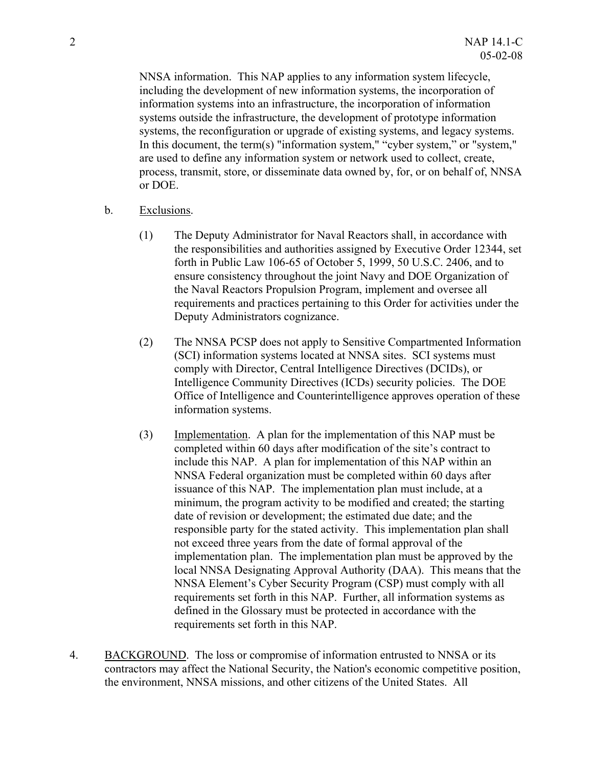NNSA information. This NAP applies to any information system lifecycle, including the development of new information systems, the incorporation of information systems into an infrastructure, the incorporation of information systems outside the infrastructure, the development of prototype information systems, the reconfiguration or upgrade of existing systems, and legacy systems. In this document, the term(s) "information system," "cyber system," or "system," are used to define any information system or network used to collect, create, process, transmit, store, or disseminate data owned by, for, or on behalf of, NNSA or DOE.

- b. Exclusions.
	- (1) The Deputy Administrator for Naval Reactors shall, in accordance with the responsibilities and authorities assigned by Executive Order 12344, set forth in Public Law 106-65 of October 5, 1999, 50 U.S.C. 2406, and to ensure consistency throughout the joint Navy and DOE Organization of the Naval Reactors Propulsion Program, implement and oversee all requirements and practices pertaining to this Order for activities under the Deputy Administrators cognizance.
	- (2) The NNSA PCSP does not apply to Sensitive Compartmented Information (SCI) information systems located at NNSA sites. SCI systems must comply with Director, Central Intelligence Directives (DCIDs), or Intelligence Community Directives (ICDs) security policies. The DOE Office of Intelligence and Counterintelligence approves operation of these information systems.
	- (3) Implementation. A plan for the implementation of this NAP must be completed within 60 days after modification of the site's contract to include this NAP. A plan for implementation of this NAP within an NNSA Federal organization must be completed within 60 days after issuance of this NAP. The implementation plan must include, at a minimum, the program activity to be modified and created; the starting date of revision or development; the estimated due date; and the responsible party for the stated activity. This implementation plan shall not exceed three years from the date of formal approval of the implementation plan. The implementation plan must be approved by the local NNSA Designating Approval Authority (DAA). This means that the NNSA Element's Cyber Security Program (CSP) must comply with all requirements set forth in this NAP. Further, all information systems as defined in the Glossary must be protected in accordance with the requirements set forth in this NAP.
- 4. BACKGROUND. The loss or compromise of information entrusted to NNSA or its contractors may affect the National Security, the Nation's economic competitive position, the environment, NNSA missions, and other citizens of the United States. All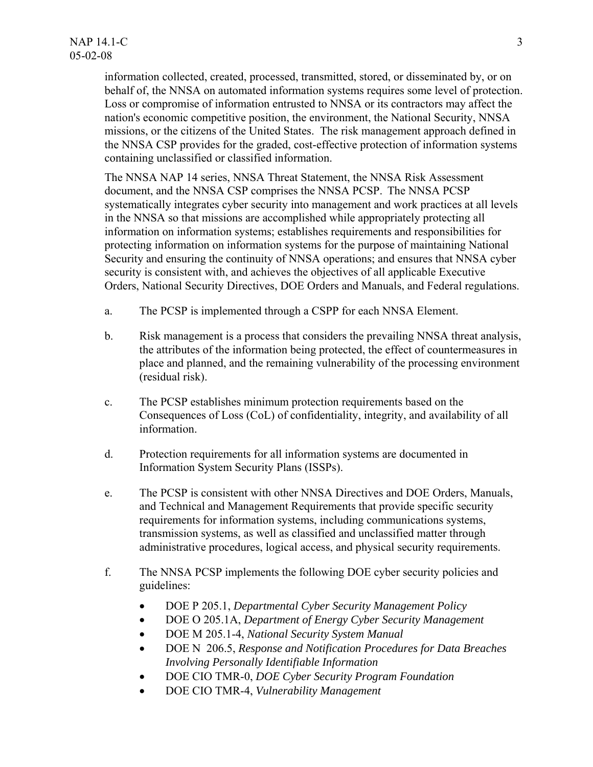information collected, created, processed, transmitted, stored, or disseminated by, or on behalf of, the NNSA on automated information systems requires some level of protection. Loss or compromise of information entrusted to NNSA or its contractors may affect the nation's economic competitive position, the environment, the National Security, NNSA missions, or the citizens of the United States. The risk management approach defined in the NNSA CSP provides for the graded, cost-effective protection of information systems containing unclassified or classified information.

The NNSA NAP 14 series, NNSA Threat Statement, the NNSA Risk Assessment document, and the NNSA CSP comprises the NNSA PCSP. The NNSA PCSP systematically integrates cyber security into management and work practices at all levels in the NNSA so that missions are accomplished while appropriately protecting all information on information systems; establishes requirements and responsibilities for protecting information on information systems for the purpose of maintaining National Security and ensuring the continuity of NNSA operations; and ensures that NNSA cyber security is consistent with, and achieves the objectives of all applicable Executive Orders, National Security Directives, DOE Orders and Manuals, and Federal regulations.

- a. The PCSP is implemented through a CSPP for each NNSA Element.
- b. Risk management is a process that considers the prevailing NNSA threat analysis, the attributes of the information being protected, the effect of countermeasures in place and planned, and the remaining vulnerability of the processing environment (residual risk).
- c. The PCSP establishes minimum protection requirements based on the Consequences of Loss (CoL) of confidentiality, integrity, and availability of all information.
- d. Protection requirements for all information systems are documented in Information System Security Plans (ISSPs).
- e. The PCSP is consistent with other NNSA Directives and DOE Orders, Manuals, and Technical and Management Requirements that provide specific security requirements for information systems, including communications systems, transmission systems, as well as classified and unclassified matter through administrative procedures, logical access, and physical security requirements.
- f. The NNSA PCSP implements the following DOE cyber security policies and guidelines:
	- DOE P 205.1, *Departmental Cyber Security Management Policy*
	- DOE O 205.1A, *Department of Energy Cyber Security Management*
	- DOE M 205.1-4, *National Security System Manual*
	- DOE N 206.5, *Response and Notification Procedures for Data Breaches Involving Personally Identifiable Information*
	- DOE CIO TMR-0, *DOE Cyber Security Program Foundation*
	- DOE CIO TMR-4, *Vulnerability Management*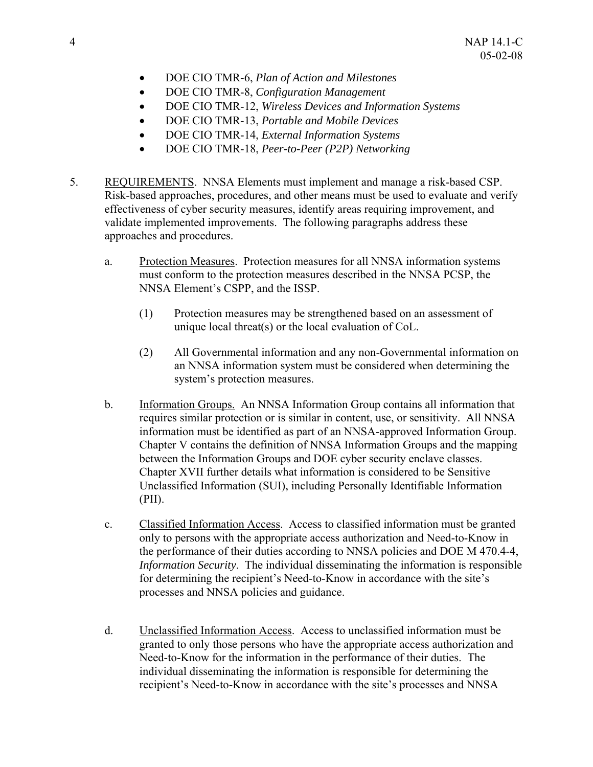- DOE CIO TMR-6, *Plan of Action and Milestones*
- DOE CIO TMR-8, *Configuration Management*
- DOE CIO TMR-12, *Wireless Devices and Information Systems*
- DOE CIO TMR-13, *Portable and Mobile Devices*
- DOE CIO TMR-14, *External Information Systems*
- DOE CIO TMR-18, *Peer-to-Peer (P2P) Networking*
- 5. REQUIREMENTS. NNSA Elements must implement and manage a risk-based CSP. Risk-based approaches, procedures, and other means must be used to evaluate and verify effectiveness of cyber security measures, identify areas requiring improvement, and validate implemented improvements. The following paragraphs address these approaches and procedures.
	- a. Protection Measures. Protection measures for all NNSA information systems must conform to the protection measures described in the NNSA PCSP, the NNSA Element's CSPP, and the ISSP.
		- (1) Protection measures may be strengthened based on an assessment of unique local threat(s) or the local evaluation of CoL.
		- (2) All Governmental information and any non-Governmental information on an NNSA information system must be considered when determining the system's protection measures.
	- b. Information Groups. An NNSA Information Group contains all information that requires similar protection or is similar in content, use, or sensitivity. All NNSA information must be identified as part of an NNSA-approved Information Group. Chapter V contains the definition of NNSA Information Groups and the mapping between the Information Groups and DOE cyber security enclave classes. Chapter XVII further details what information is considered to be Sensitive Unclassified Information (SUI), including Personally Identifiable Information  $(PII).$
	- c. Classified Information Access. Access to classified information must be granted only to persons with the appropriate access authorization and Need-to-Know in the performance of their duties according to NNSA policies and DOE M 470.4-4, *Information Security*. The individual disseminating the information is responsible for determining the recipient's Need-to-Know in accordance with the site's processes and NNSA policies and guidance.
	- d. Unclassified Information Access. Access to unclassified information must be granted to only those persons who have the appropriate access authorization and Need-to-Know for the information in the performance of their duties. The individual disseminating the information is responsible for determining the recipient's Need-to-Know in accordance with the site's processes and NNSA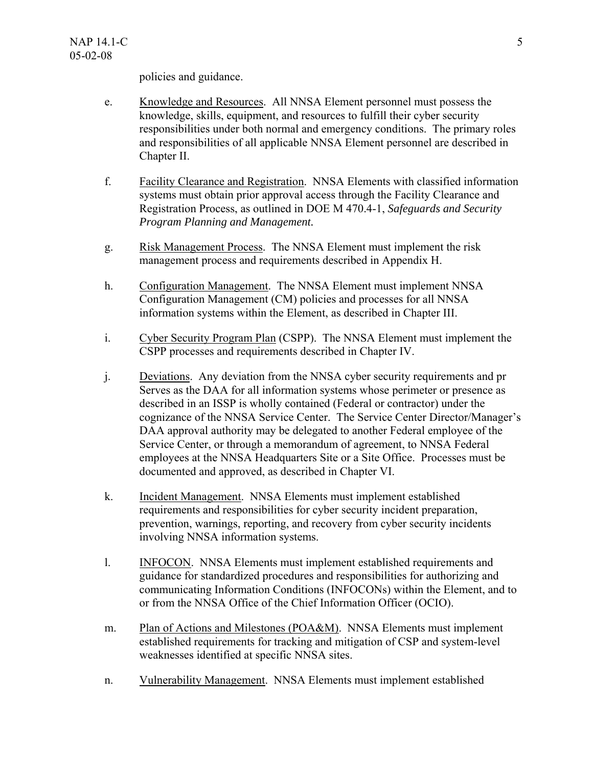policies and guidance.

- e. Knowledge and Resources. All NNSA Element personnel must possess the knowledge, skills, equipment, and resources to fulfill their cyber security responsibilities under both normal and emergency conditions. The primary roles and responsibilities of all applicable NNSA Element personnel are described in Chapter II.
- f. Facility Clearance and Registration. NNSA Elements with classified information systems must obtain prior approval access through the Facility Clearance and Registration Process, as outlined in DOE M 470.4-1, *Safeguards and Security Program Planning and Management.*
- g. Risk Management Process. The NNSA Element must implement the risk management process and requirements described in Appendix H.
- h. Configuration Management. The NNSA Element must implement NNSA Configuration Management (CM) policies and processes for all NNSA information systems within the Element, as described in Chapter III.
- i. Cyber Security Program Plan (CSPP). The NNSA Element must implement the CSPP processes and requirements described in Chapter IV.
- j. Deviations. Any deviation from the NNSA cyber security requirements and pr Serves as the DAA for all information systems whose perimeter or presence as described in an ISSP is wholly contained (Federal or contractor) under the cognizance of the NNSA Service Center. The Service Center Director/Manager's DAA approval authority may be delegated to another Federal employee of the Service Center, or through a memorandum of agreement, to NNSA Federal employees at the NNSA Headquarters Site or a Site Office. Processes must be documented and approved, as described in Chapter VI.
- k. Incident Management. NNSA Elements must implement established requirements and responsibilities for cyber security incident preparation, prevention, warnings, reporting, and recovery from cyber security incidents involving NNSA information systems.
- l. INFOCON. NNSA Elements must implement established requirements and guidance for standardized procedures and responsibilities for authorizing and communicating Information Conditions (INFOCONs) within the Element, and to or from the NNSA Office of the Chief Information Officer (OCIO).
- m. Plan of Actions and Milestones (POA&M). NNSA Elements must implement established requirements for tracking and mitigation of CSP and system-level weaknesses identified at specific NNSA sites.
- n. Vulnerability Management. NNSA Elements must implement established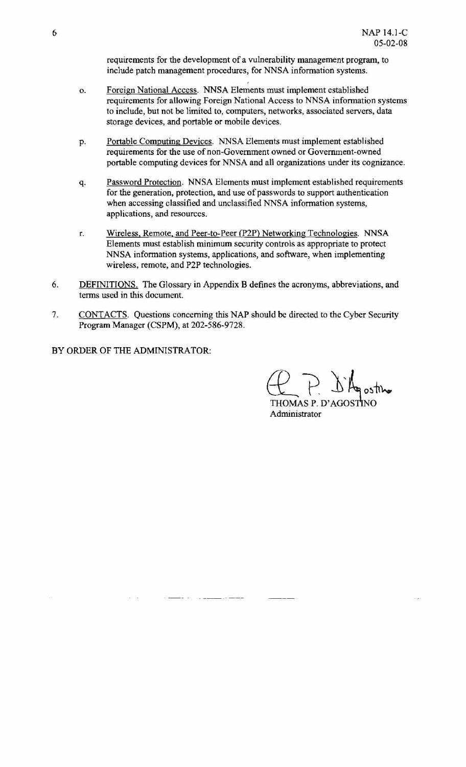requirements for the development of a vulnerability management program, to include patch management procedures, for NNSA information systems.

- o. Foreign National Access. NNSA Elements must implement established requirements for allowing Foreign National Access to NNSA information systems to include, but not be limited to, computers, networks, associated servers, data storage devices, and portable or mobile devices.
- p. Portable Computing Devices. NNSA Elements must implement established requirements for the use of non-Government owned or Government-owned portable computing devices for NNSA and all organizations under its cognizance.
- q. Password Protection. NNSA Elements must implement established requirements for the generation, protection, and use of passwords to support authentication when accessing classified and unclassified NNSA information systems, applications, and resources.
- r. Wireless, Remote. and Peer-to-Peer (P2P) Networking Technolopies. NNSA Elements must establish minimum security controls as appropriate to protect NNSA information systems, applications, and software, when implementing wireless, remote, and P2P technologies.
- **6.** DEFINITIONS. The Glossary in Appendix B defines the acronyms, abbreviations, and terms used in this document.
- 7. CONTACTS. Questions concerning this NAP should be directed to the Cyber Security Program Manager (CSPM), at 202-586-9728.

BY ORDER OF THE ADMINISTRATOR:

 $P \Delta A$ 

THOMAS P. D'AGOST Administrator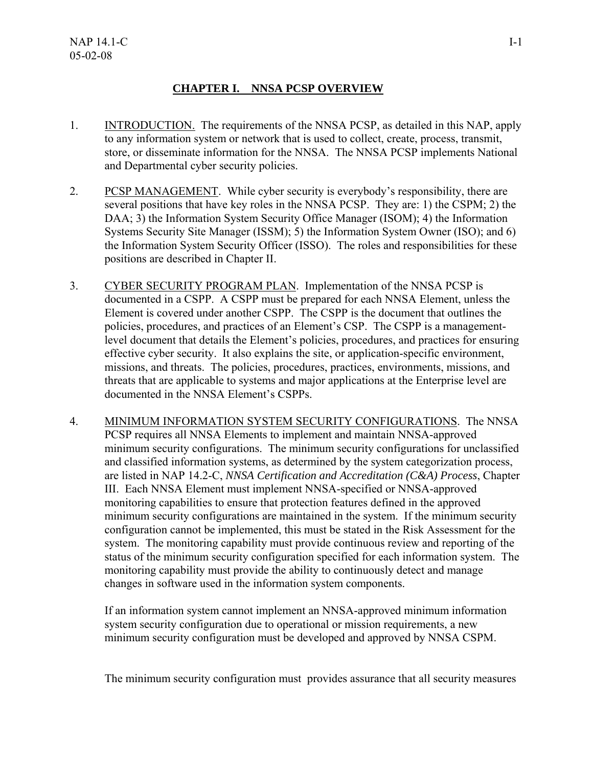#### **CHAPTER I. NNSA PCSP OVERVIEW**

- 1. INTRODUCTION. The requirements of the NNSA PCSP, as detailed in this NAP, apply to any information system or network that is used to collect, create, process, transmit, store, or disseminate information for the NNSA. The NNSA PCSP implements National and Departmental cyber security policies.
- 2. PCSP MANAGEMENT. While cyber security is everybody's responsibility, there are several positions that have key roles in the NNSA PCSP. They are: 1) the CSPM; 2) the DAA; 3) the Information System Security Office Manager (ISOM); 4) the Information Systems Security Site Manager (ISSM); 5) the Information System Owner (ISO); and 6) the Information System Security Officer (ISSO). The roles and responsibilities for these positions are described in Chapter II.
- 3. CYBER SECURITY PROGRAM PLAN. Implementation of the NNSA PCSP is documented in a CSPP. A CSPP must be prepared for each NNSA Element, unless the Element is covered under another CSPP. The CSPP is the document that outlines the policies, procedures, and practices of an Element's CSP. The CSPP is a managementlevel document that details the Element's policies, procedures, and practices for ensuring effective cyber security. It also explains the site, or application-specific environment, missions, and threats. The policies, procedures, practices, environments, missions, and threats that are applicable to systems and major applications at the Enterprise level are documented in the NNSA Element's CSPPs.
- 4. MINIMUM INFORMATION SYSTEM SECURITY CONFIGURATIONS. The NNSA PCSP requires all NNSA Elements to implement and maintain NNSA-approved minimum security configurations. The minimum security configurations for unclassified and classified information systems, as determined by the system categorization process, are listed in NAP 14.2-C, *NNSA Certification and Accreditation (C&A) Process*, Chapter III. Each NNSA Element must implement NNSA-specified or NNSA-approved monitoring capabilities to ensure that protection features defined in the approved minimum security configurations are maintained in the system. If the minimum security configuration cannot be implemented, this must be stated in the Risk Assessment for the system. The monitoring capability must provide continuous review and reporting of the status of the minimum security configuration specified for each information system. The monitoring capability must provide the ability to continuously detect and manage changes in software used in the information system components.

If an information system cannot implement an NNSA-approved minimum information system security configuration due to operational or mission requirements, a new minimum security configuration must be developed and approved by NNSA CSPM.

The minimum security configuration must provides assurance that all security measures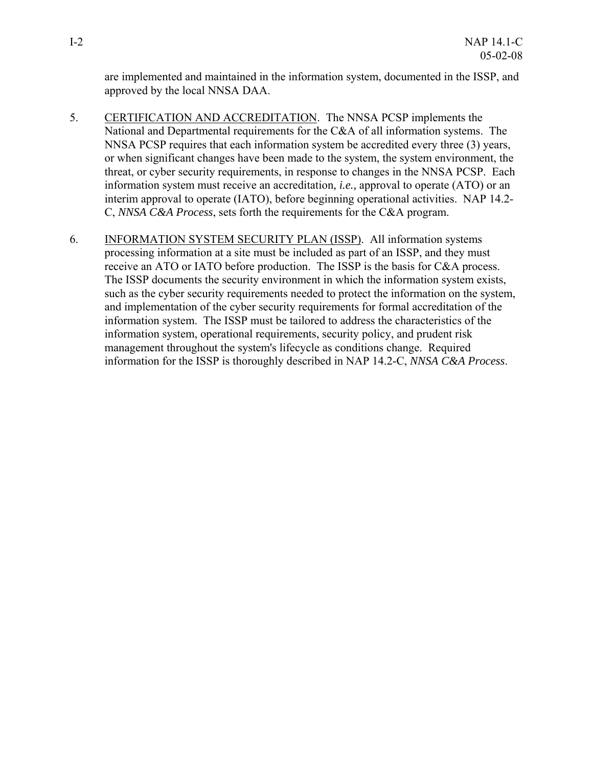are implemented and maintained in the information system, documented in the ISSP, and approved by the local NNSA DAA.

- 5. CERTIFICATION AND ACCREDITATION. The NNSA PCSP implements the National and Departmental requirements for the C&A of all information systems. The NNSA PCSP requires that each information system be accredited every three (3) years, or when significant changes have been made to the system, the system environment, the threat, or cyber security requirements, in response to changes in the NNSA PCSP. Each information system must receive an accreditation*, i.e.,* approval to operate (ATO) or an interim approval to operate (IATO), before beginning operational activities. NAP 14.2- C, *NNSA C&A Process*, sets forth the requirements for the C&A program.
- 6. INFORMATION SYSTEM SECURITY PLAN (ISSP). All information systems processing information at a site must be included as part of an ISSP, and they must receive an ATO or IATO before production. The ISSP is the basis for C&A process. The ISSP documents the security environment in which the information system exists, such as the cyber security requirements needed to protect the information on the system, and implementation of the cyber security requirements for formal accreditation of the information system. The ISSP must be tailored to address the characteristics of the information system, operational requirements, security policy, and prudent risk management throughout the system's lifecycle as conditions change. Required information for the ISSP is thoroughly described in NAP 14.2-C, *NNSA C&A Process*.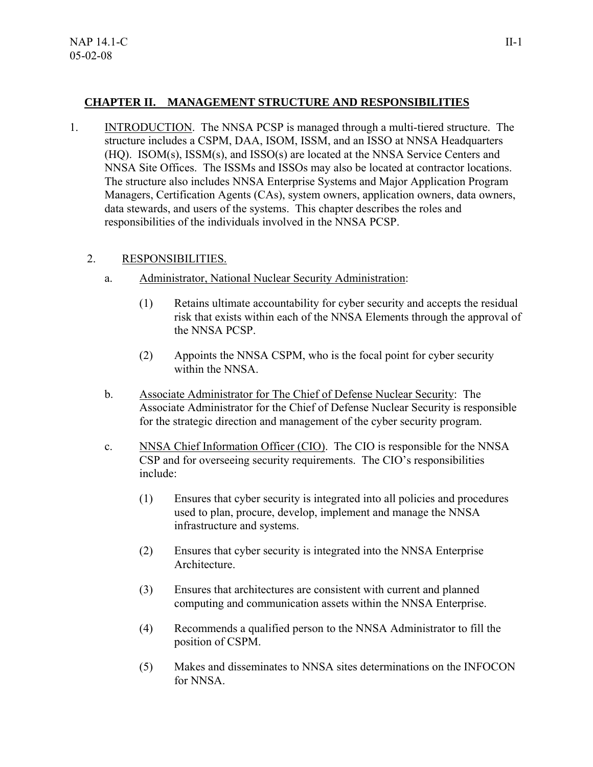#### **CHAPTER II. MANAGEMENT STRUCTURE AND RESPONSIBILITIES**

1. INTRODUCTION. The NNSA PCSP is managed through a multi-tiered structure. The structure includes a CSPM, DAA, ISOM, ISSM, and an ISSO at NNSA Headquarters (HQ). ISOM(s), ISSM(s), and ISSO(s) are located at the NNSA Service Centers and NNSA Site Offices. The ISSMs and ISSOs may also be located at contractor locations. The structure also includes NNSA Enterprise Systems and Major Application Program Managers, Certification Agents (CAs), system owners, application owners, data owners, data stewards, and users of the systems. This chapter describes the roles and responsibilities of the individuals involved in the NNSA PCSP.

#### 2. RESPONSIBILITIES.

- a. Administrator, National Nuclear Security Administration:
	- (1) Retains ultimate accountability for cyber security and accepts the residual risk that exists within each of the NNSA Elements through the approval of the NNSA PCSP.
	- (2) Appoints the NNSA CSPM, who is the focal point for cyber security within the NNSA.
- b. Associate Administrator for The Chief of Defense Nuclear Security: The Associate Administrator for the Chief of Defense Nuclear Security is responsible for the strategic direction and management of the cyber security program.
- c. NNSA Chief Information Officer (CIO). The CIO is responsible for the NNSA CSP and for overseeing security requirements. The CIO's responsibilities include:
	- (1) Ensures that cyber security is integrated into all policies and procedures used to plan, procure, develop, implement and manage the NNSA infrastructure and systems.
	- (2) Ensures that cyber security is integrated into the NNSA Enterprise Architecture.
	- (3) Ensures that architectures are consistent with current and planned computing and communication assets within the NNSA Enterprise.
	- (4) Recommends a qualified person to the NNSA Administrator to fill the position of CSPM.
	- (5) Makes and disseminates to NNSA sites determinations on the INFOCON for NNSA.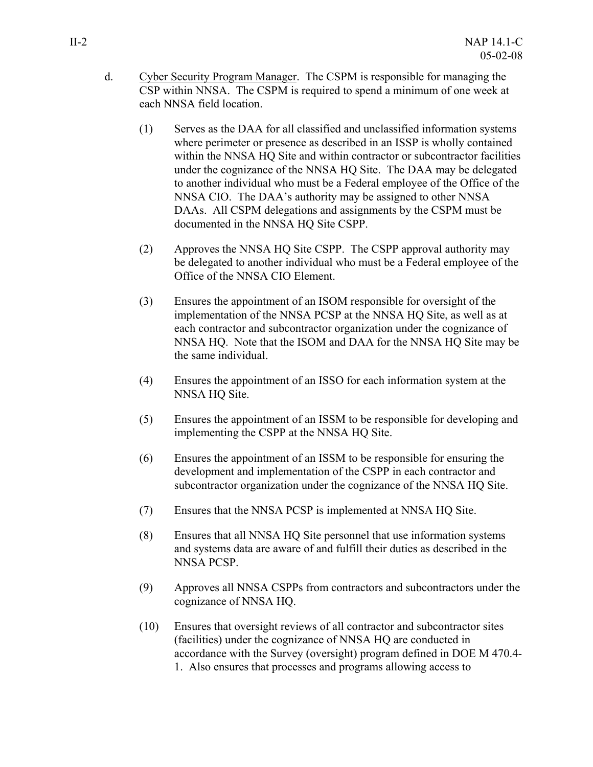- d. Cyber Security Program Manager. The CSPM is responsible for managing the CSP within NNSA. The CSPM is required to spend a minimum of one week at each NNSA field location.
	- (1) Serves as the DAA for all classified and unclassified information systems where perimeter or presence as described in an ISSP is wholly contained within the NNSA HQ Site and within contractor or subcontractor facilities under the cognizance of the NNSA HQ Site. The DAA may be delegated to another individual who must be a Federal employee of the Office of the NNSA CIO. The DAA's authority may be assigned to other NNSA DAAs. All CSPM delegations and assignments by the CSPM must be documented in the NNSA HQ Site CSPP.
	- (2) Approves the NNSA HQ Site CSPP. The CSPP approval authority may be delegated to another individual who must be a Federal employee of the Office of the NNSA CIO Element.
	- (3) Ensures the appointment of an ISOM responsible for oversight of the implementation of the NNSA PCSP at the NNSA HQ Site, as well as at each contractor and subcontractor organization under the cognizance of NNSA HQ. Note that the ISOM and DAA for the NNSA HQ Site may be the same individual.
	- (4) Ensures the appointment of an ISSO for each information system at the NNSA HQ Site.
	- (5) Ensures the appointment of an ISSM to be responsible for developing and implementing the CSPP at the NNSA HQ Site.
	- (6) Ensures the appointment of an ISSM to be responsible for ensuring the development and implementation of the CSPP in each contractor and subcontractor organization under the cognizance of the NNSA HQ Site.
	- (7) Ensures that the NNSA PCSP is implemented at NNSA HQ Site.
	- (8) Ensures that all NNSA HQ Site personnel that use information systems and systems data are aware of and fulfill their duties as described in the NNSA PCSP.
	- (9) Approves all NNSA CSPPs from contractors and subcontractors under the cognizance of NNSA HQ.
	- (10) Ensures that oversight reviews of all contractor and subcontractor sites (facilities) under the cognizance of NNSA HQ are conducted in accordance with the Survey (oversight) program defined in DOE M 470.4- 1. Also ensures that processes and programs allowing access to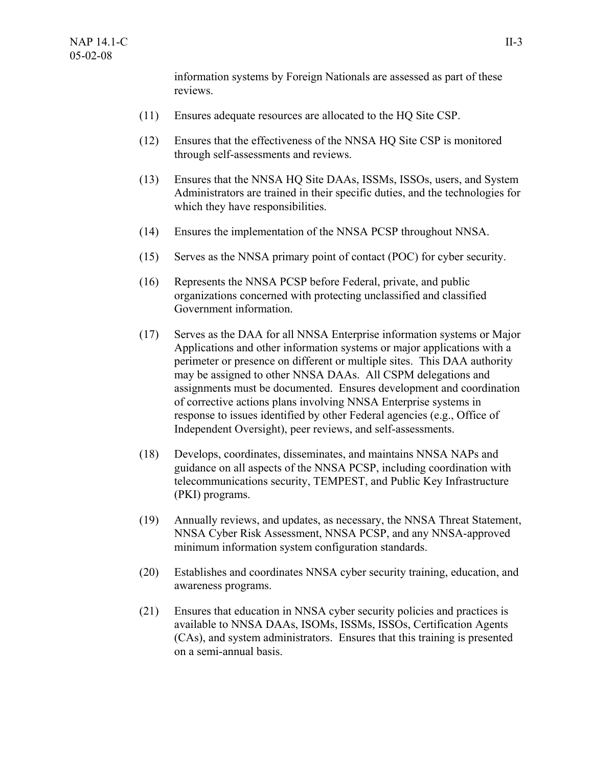information systems by Foreign Nationals are assessed as part of these reviews.

- (11) Ensures adequate resources are allocated to the HQ Site CSP.
- (12) Ensures that the effectiveness of the NNSA HQ Site CSP is monitored through self-assessments and reviews.
- (13) Ensures that the NNSA HQ Site DAAs, ISSMs, ISSOs, users, and System Administrators are trained in their specific duties, and the technologies for which they have responsibilities.
- (14) Ensures the implementation of the NNSA PCSP throughout NNSA.
- (15) Serves as the NNSA primary point of contact (POC) for cyber security.
- (16) Represents the NNSA PCSP before Federal, private, and public organizations concerned with protecting unclassified and classified Government information.
- (17) Serves as the DAA for all NNSA Enterprise information systems or Major Applications and other information systems or major applications with a perimeter or presence on different or multiple sites. This DAA authority may be assigned to other NNSA DAAs. All CSPM delegations and assignments must be documented. Ensures development and coordination of corrective actions plans involving NNSA Enterprise systems in response to issues identified by other Federal agencies (e.g., Office of Independent Oversight), peer reviews, and self-assessments.
- (18) Develops, coordinates, disseminates, and maintains NNSA NAPs and guidance on all aspects of the NNSA PCSP, including coordination with telecommunications security, TEMPEST, and Public Key Infrastructure (PKI) programs.
- (19) Annually reviews, and updates, as necessary, the NNSA Threat Statement, NNSA Cyber Risk Assessment, NNSA PCSP, and any NNSA-approved minimum information system configuration standards.
- (20) Establishes and coordinates NNSA cyber security training, education, and awareness programs.
- (21) Ensures that education in NNSA cyber security policies and practices is available to NNSA DAAs, ISOMs, ISSMs, ISSOs, Certification Agents (CAs), and system administrators. Ensures that this training is presented on a semi-annual basis.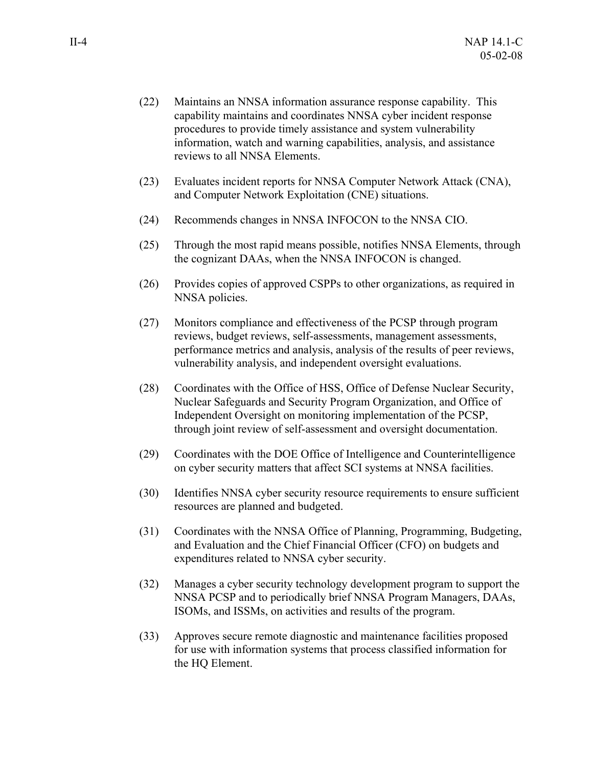- (22) Maintains an NNSA information assurance response capability. This capability maintains and coordinates NNSA cyber incident response procedures to provide timely assistance and system vulnerability information, watch and warning capabilities, analysis, and assistance reviews to all NNSA Elements.
- (23) Evaluates incident reports for NNSA Computer Network Attack (CNA), and Computer Network Exploitation (CNE) situations.
- (24) Recommends changes in NNSA INFOCON to the NNSA CIO.
- (25) Through the most rapid means possible, notifies NNSA Elements, through the cognizant DAAs, when the NNSA INFOCON is changed.
- (26) Provides copies of approved CSPPs to other organizations, as required in NNSA policies.
- (27) Monitors compliance and effectiveness of the PCSP through program reviews, budget reviews, self-assessments, management assessments, performance metrics and analysis, analysis of the results of peer reviews, vulnerability analysis, and independent oversight evaluations.
- (28) Coordinates with the Office of HSS, Office of Defense Nuclear Security, Nuclear Safeguards and Security Program Organization, and Office of Independent Oversight on monitoring implementation of the PCSP, through joint review of self-assessment and oversight documentation.
- (29) Coordinates with the DOE Office of Intelligence and Counterintelligence on cyber security matters that affect SCI systems at NNSA facilities.
- (30) Identifies NNSA cyber security resource requirements to ensure sufficient resources are planned and budgeted.
- (31) Coordinates with the NNSA Office of Planning, Programming, Budgeting, and Evaluation and the Chief Financial Officer (CFO) on budgets and expenditures related to NNSA cyber security.
- (32) Manages a cyber security technology development program to support the NNSA PCSP and to periodically brief NNSA Program Managers, DAAs, ISOMs, and ISSMs, on activities and results of the program.
- (33) Approves secure remote diagnostic and maintenance facilities proposed for use with information systems that process classified information for the HQ Element.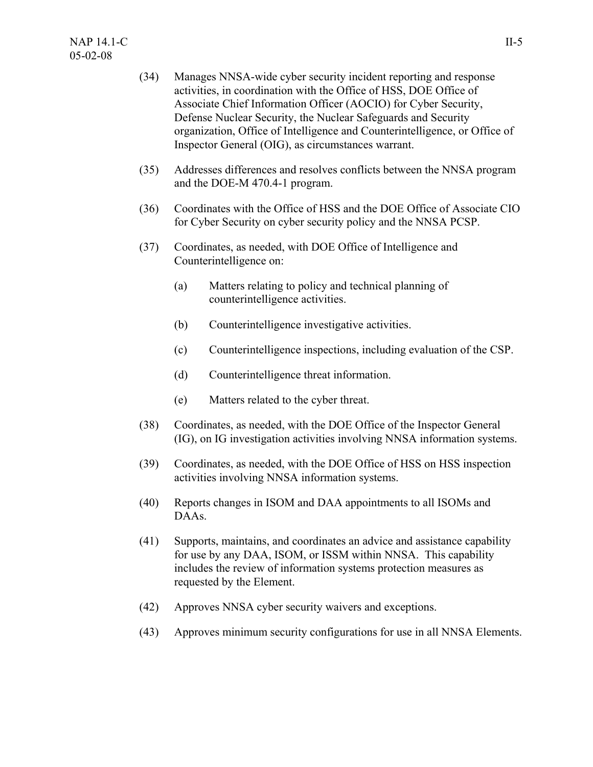- (34) Manages NNSA-wide cyber security incident reporting and response activities, in coordination with the Office of HSS, DOE Office of Associate Chief Information Officer (AOCIO) for Cyber Security, Defense Nuclear Security, the Nuclear Safeguards and Security organization, Office of Intelligence and Counterintelligence, or Office of Inspector General (OIG), as circumstances warrant.
- (35) Addresses differences and resolves conflicts between the NNSA program and the DOE-M 470.4-1 program.
- (36) Coordinates with the Office of HSS and the DOE Office of Associate CIO for Cyber Security on cyber security policy and the NNSA PCSP.
- (37) Coordinates, as needed, with DOE Office of Intelligence and Counterintelligence on:
	- (a) Matters relating to policy and technical planning of counterintelligence activities.
	- (b) Counterintelligence investigative activities.
	- (c) Counterintelligence inspections, including evaluation of the CSP.
	- (d) Counterintelligence threat information.
	- (e) Matters related to the cyber threat.
- (38) Coordinates, as needed, with the DOE Office of the Inspector General (IG), on IG investigation activities involving NNSA information systems.
- (39) Coordinates, as needed, with the DOE Office of HSS on HSS inspection activities involving NNSA information systems.
- (40) Reports changes in ISOM and DAA appointments to all ISOMs and DAAs.
- (41) Supports, maintains, and coordinates an advice and assistance capability for use by any DAA, ISOM, or ISSM within NNSA. This capability includes the review of information systems protection measures as requested by the Element.
- (42) Approves NNSA cyber security waivers and exceptions.
- (43) Approves minimum security configurations for use in all NNSA Elements.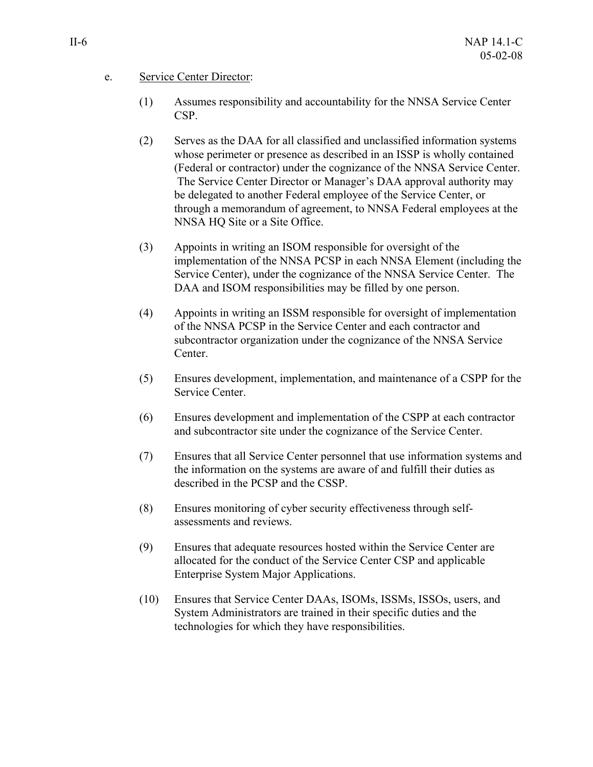#### e. Service Center Director:

- (1) Assumes responsibility and accountability for the NNSA Service Center CSP.
- (2) Serves as the DAA for all classified and unclassified information systems whose perimeter or presence as described in an ISSP is wholly contained (Federal or contractor) under the cognizance of the NNSA Service Center. The Service Center Director or Manager's DAA approval authority may be delegated to another Federal employee of the Service Center, or through a memorandum of agreement, to NNSA Federal employees at the NNSA HQ Site or a Site Office.
- (3) Appoints in writing an ISOM responsible for oversight of the implementation of the NNSA PCSP in each NNSA Element (including the Service Center), under the cognizance of the NNSA Service Center. The DAA and ISOM responsibilities may be filled by one person.
- (4) Appoints in writing an ISSM responsible for oversight of implementation of the NNSA PCSP in the Service Center and each contractor and subcontractor organization under the cognizance of the NNSA Service Center.
- (5) Ensures development, implementation, and maintenance of a CSPP for the Service Center.
- (6) Ensures development and implementation of the CSPP at each contractor and subcontractor site under the cognizance of the Service Center.
- (7) Ensures that all Service Center personnel that use information systems and the information on the systems are aware of and fulfill their duties as described in the PCSP and the CSSP.
- (8) Ensures monitoring of cyber security effectiveness through selfassessments and reviews.
- (9) Ensures that adequate resources hosted within the Service Center are allocated for the conduct of the Service Center CSP and applicable Enterprise System Major Applications.
- (10) Ensures that Service Center DAAs, ISOMs, ISSMs, ISSOs, users, and System Administrators are trained in their specific duties and the technologies for which they have responsibilities.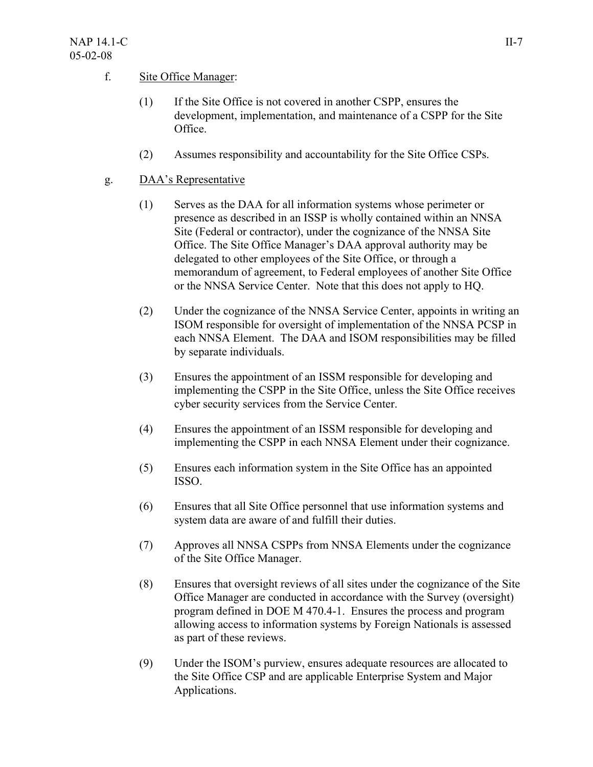#### f. Site Office Manager:

- (1) If the Site Office is not covered in another CSPP, ensures the development, implementation, and maintenance of a CSPP for the Site Office.
- (2) Assumes responsibility and accountability for the Site Office CSPs.

#### g. DAA's Representative

- (1) Serves as the DAA for all information systems whose perimeter or presence as described in an ISSP is wholly contained within an NNSA Site (Federal or contractor), under the cognizance of the NNSA Site Office. The Site Office Manager's DAA approval authority may be delegated to other employees of the Site Office, or through a memorandum of agreement, to Federal employees of another Site Office or the NNSA Service Center. Note that this does not apply to HQ.
- (2) Under the cognizance of the NNSA Service Center, appoints in writing an ISOM responsible for oversight of implementation of the NNSA PCSP in each NNSA Element. The DAA and ISOM responsibilities may be filled by separate individuals.
- (3) Ensures the appointment of an ISSM responsible for developing and implementing the CSPP in the Site Office, unless the Site Office receives cyber security services from the Service Center.
- (4) Ensures the appointment of an ISSM responsible for developing and implementing the CSPP in each NNSA Element under their cognizance.
- (5) Ensures each information system in the Site Office has an appointed ISSO.
- (6) Ensures that all Site Office personnel that use information systems and system data are aware of and fulfill their duties.
- (7) Approves all NNSA CSPPs from NNSA Elements under the cognizance of the Site Office Manager.
- (8) Ensures that oversight reviews of all sites under the cognizance of the Site Office Manager are conducted in accordance with the Survey (oversight) program defined in DOE M 470.4-1. Ensures the process and program allowing access to information systems by Foreign Nationals is assessed as part of these reviews.
- (9) Under the ISOM's purview, ensures adequate resources are allocated to the Site Office CSP and are applicable Enterprise System and Major Applications.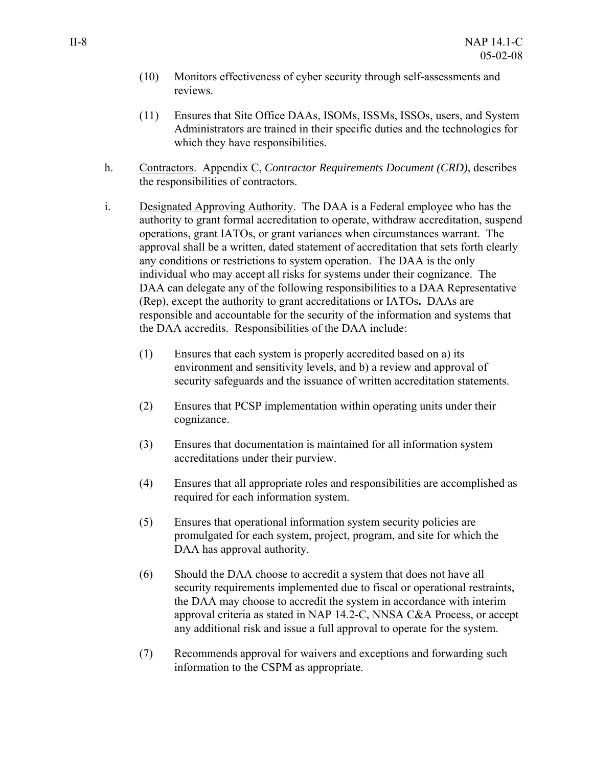- (10) Monitors effectiveness of cyber security through self-assessments and reviews.
- (11) Ensures that Site Office DAAs, ISOMs, ISSMs, ISSOs, users, and System Administrators are trained in their specific duties and the technologies for which they have responsibilities.
- h. Contractors. Appendix C, *Contractor Requirements Document (CRD)*, describes the responsibilities of contractors.
- i. Designated Approving Authority. The DAA is a Federal employee who has the authority to grant formal accreditation to operate, withdraw accreditation, suspend operations, grant IATOs, or grant variances when circumstances warrant. The approval shall be a written, dated statement of accreditation that sets forth clearly any conditions or restrictions to system operation. The DAA is the only individual who may accept all risks for systems under their cognizance. The DAA can delegate any of the following responsibilities to a DAA Representative (Rep), except the authority to grant accreditations or IATOs**.** DAAs are responsible and accountable for the security of the information and systems that the DAA accredits*.* Responsibilities of the DAA include:
	- (1) Ensures that each system is properly accredited based on a) its environment and sensitivity levels, and b) a review and approval of security safeguards and the issuance of written accreditation statements.
	- (2) Ensures that PCSP implementation within operating units under their cognizance.
	- (3) Ensures that documentation is maintained for all information system accreditations under their purview.
	- (4) Ensures that all appropriate roles and responsibilities are accomplished as required for each information system.
	- (5) Ensures that operational information system security policies are promulgated for each system, project, program, and site for which the DAA has approval authority.
	- (6) Should the DAA choose to accredit a system that does not have all security requirements implemented due to fiscal or operational restraints, the DAA may choose to accredit the system in accordance with interim approval criteria as stated in NAP 14.2-C, NNSA C&A Process, or accept any additional risk and issue a full approval to operate for the system.
	- (7) Recommends approval for waivers and exceptions and forwarding such information to the CSPM as appropriate.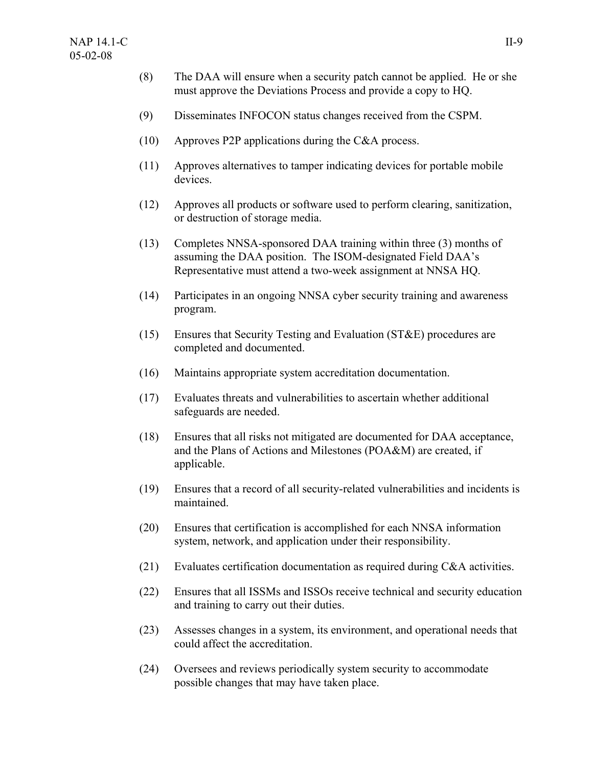- (9) Disseminates INFOCON status changes received from the CSPM.
- (10) Approves P2P applications during the C&A process.
- (11) Approves alternatives to tamper indicating devices for portable mobile devices.
- (12) Approves all products or software used to perform clearing, sanitization, or destruction of storage media.
- (13) Completes NNSA-sponsored DAA training within three (3) months of assuming the DAA position. The ISOM-designated Field DAA's Representative must attend a two-week assignment at NNSA HQ.
- (14) Participates in an ongoing NNSA cyber security training and awareness program.
- (15) Ensures that Security Testing and Evaluation (ST&E) procedures are completed and documented.
- (16) Maintains appropriate system accreditation documentation.
- (17) Evaluates threats and vulnerabilities to ascertain whether additional safeguards are needed.
- (18) Ensures that all risks not mitigated are documented for DAA acceptance, and the Plans of Actions and Milestones (POA&M) are created, if applicable.
- (19) Ensures that a record of all security-related vulnerabilities and incidents is maintained.
- (20) Ensures that certification is accomplished for each NNSA information system, network, and application under their responsibility.
- (21) Evaluates certification documentation as required during C&A activities.
- (22) Ensures that all ISSMs and ISSOs receive technical and security education and training to carry out their duties.
- (23) Assesses changes in a system, its environment, and operational needs that could affect the accreditation.
- (24) Oversees and reviews periodically system security to accommodate possible changes that may have taken place.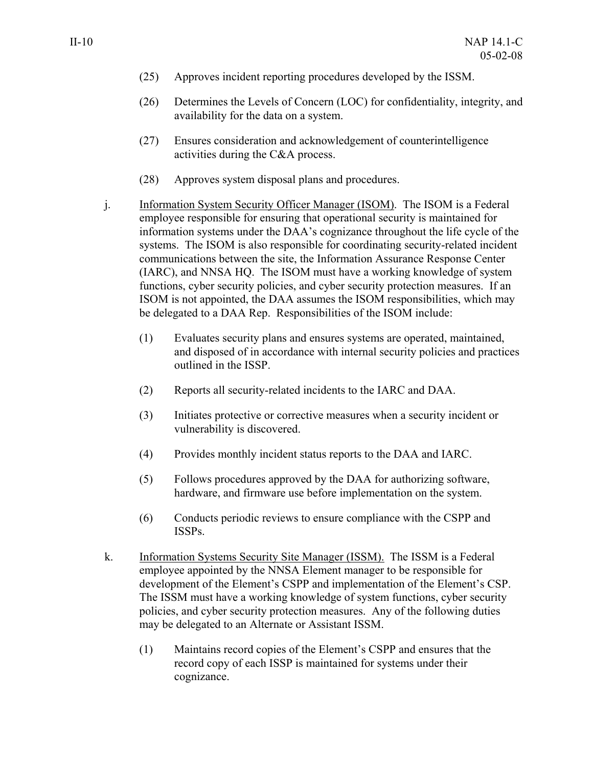- (25) Approves incident reporting procedures developed by the ISSM.
- (26) Determines the Levels of Concern (LOC) for confidentiality, integrity, and availability for the data on a system.
- (27) Ensures consideration and acknowledgement of counterintelligence activities during the C&A process.
- (28) Approves system disposal plans and procedures.
- j. Information System Security Officer Manager (ISOM). The ISOM is a Federal employee responsible for ensuring that operational security is maintained for information systems under the DAA's cognizance throughout the life cycle of the systems. The ISOM is also responsible for coordinating security-related incident communications between the site, the Information Assurance Response Center (IARC), and NNSA HQ. The ISOM must have a working knowledge of system functions, cyber security policies, and cyber security protection measures. If an ISOM is not appointed, the DAA assumes the ISOM responsibilities, which may be delegated to a DAA Rep. Responsibilities of the ISOM include:
	- (1) Evaluates security plans and ensures systems are operated, maintained, and disposed of in accordance with internal security policies and practices outlined in the ISSP.
	- (2) Reports all security-related incidents to the IARC and DAA.
	- (3) Initiates protective or corrective measures when a security incident or vulnerability is discovered.
	- (4) Provides monthly incident status reports to the DAA and IARC.
	- (5) Follows procedures approved by the DAA for authorizing software, hardware, and firmware use before implementation on the system.
	- (6) Conducts periodic reviews to ensure compliance with the CSPP and ISSPs.
- k. Information Systems Security Site Manager (ISSM). The ISSM is a Federal employee appointed by the NNSA Element manager to be responsible for development of the Element's CSPP and implementation of the Element's CSP. The ISSM must have a working knowledge of system functions, cyber security policies, and cyber security protection measures. Any of the following duties may be delegated to an Alternate or Assistant ISSM.
	- (1) Maintains record copies of the Element's CSPP and ensures that the record copy of each ISSP is maintained for systems under their cognizance.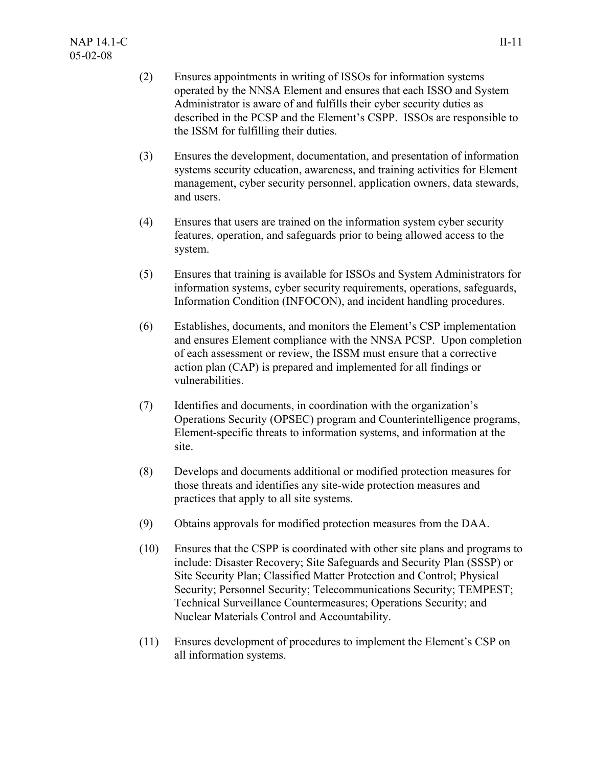- (2) Ensures appointments in writing of ISSOs for information systems operated by the NNSA Element and ensures that each ISSO and System Administrator is aware of and fulfills their cyber security duties as described in the PCSP and the Element's CSPP. ISSOs are responsible to the ISSM for fulfilling their duties.
- (3) Ensures the development, documentation, and presentation of information systems security education, awareness, and training activities for Element management, cyber security personnel, application owners, data stewards, and users.
- (4) Ensures that users are trained on the information system cyber security features, operation, and safeguards prior to being allowed access to the system.
- (5) Ensures that training is available for ISSOs and System Administrators for information systems, cyber security requirements, operations, safeguards, Information Condition (INFOCON), and incident handling procedures.
- (6) Establishes, documents, and monitors the Element's CSP implementation and ensures Element compliance with the NNSA PCSP. Upon completion of each assessment or review, the ISSM must ensure that a corrective action plan (CAP) is prepared and implemented for all findings or vulnerabilities.
- (7) Identifies and documents, in coordination with the organization's Operations Security (OPSEC) program and Counterintelligence programs, Element-specific threats to information systems, and information at the site.
- (8) Develops and documents additional or modified protection measures for those threats and identifies any site-wide protection measures and practices that apply to all site systems.
- (9) Obtains approvals for modified protection measures from the DAA.
- (10) Ensures that the CSPP is coordinated with other site plans and programs to include: Disaster Recovery; Site Safeguards and Security Plan (SSSP) or Site Security Plan; Classified Matter Protection and Control; Physical Security; Personnel Security; Telecommunications Security; TEMPEST; Technical Surveillance Countermeasures; Operations Security; and Nuclear Materials Control and Accountability.
- (11) Ensures development of procedures to implement the Element's CSP on all information systems.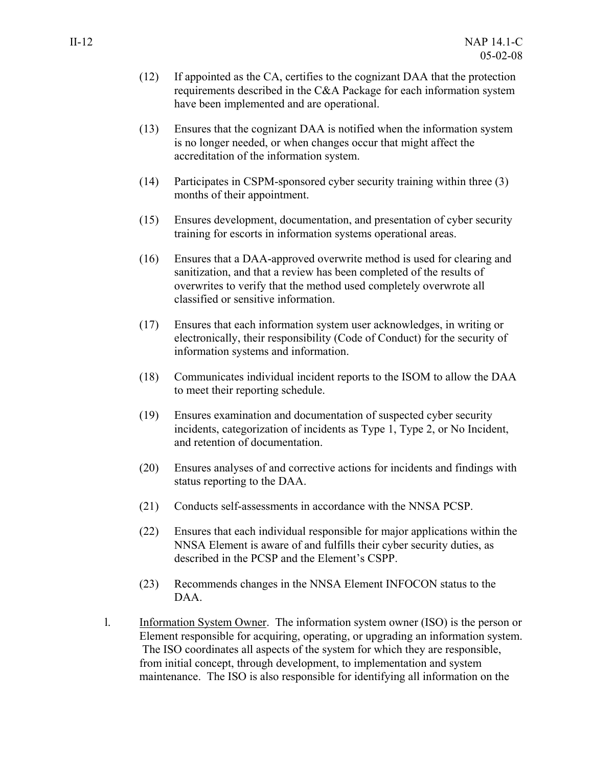- (12) If appointed as the CA, certifies to the cognizant DAA that the protection requirements described in the C&A Package for each information system have been implemented and are operational.
- (13) Ensures that the cognizant DAA is notified when the information system is no longer needed, or when changes occur that might affect the accreditation of the information system.
- (14) Participates in CSPM-sponsored cyber security training within three (3) months of their appointment.
- (15) Ensures development, documentation, and presentation of cyber security training for escorts in information systems operational areas.
- (16) Ensures that a DAA-approved overwrite method is used for clearing and sanitization, and that a review has been completed of the results of overwrites to verify that the method used completely overwrote all classified or sensitive information.
- (17) Ensures that each information system user acknowledges, in writing or electronically, their responsibility (Code of Conduct) for the security of information systems and information.
- (18) Communicates individual incident reports to the ISOM to allow the DAA to meet their reporting schedule.
- (19) Ensures examination and documentation of suspected cyber security incidents, categorization of incidents as Type 1, Type 2, or No Incident, and retention of documentation.
- (20) Ensures analyses of and corrective actions for incidents and findings with status reporting to the DAA.
- (21) Conducts self-assessments in accordance with the NNSA PCSP.
- (22) Ensures that each individual responsible for major applications within the NNSA Element is aware of and fulfills their cyber security duties, as described in the PCSP and the Element's CSPP.
- (23) Recommends changes in the NNSA Element INFOCON status to the DAA.
- l. Information System Owner. The information system owner (ISO) is the person or Element responsible for acquiring, operating, or upgrading an information system. The ISO coordinates all aspects of the system for which they are responsible, from initial concept, through development, to implementation and system maintenance. The ISO is also responsible for identifying all information on the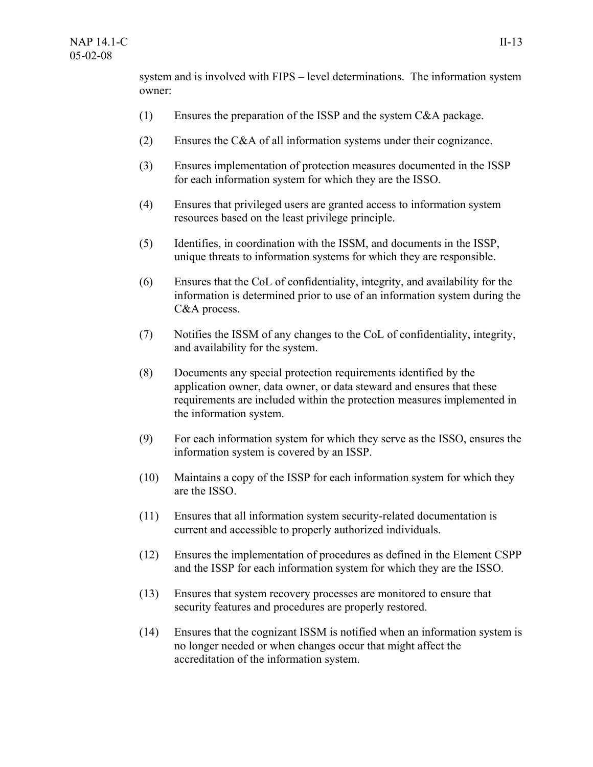system and is involved with FIPS – level determinations. The information system owner:

- (1) Ensures the preparation of the ISSP and the system C&A package.
- (2) Ensures the C&A of all information systems under their cognizance.
- (3) Ensures implementation of protection measures documented in the ISSP for each information system for which they are the ISSO.
- (4) Ensures that privileged users are granted access to information system resources based on the least privilege principle.
- (5) Identifies, in coordination with the ISSM, and documents in the ISSP, unique threats to information systems for which they are responsible.
- (6) Ensures that the CoL of confidentiality, integrity, and availability for the information is determined prior to use of an information system during the C&A process.
- (7) Notifies the ISSM of any changes to the CoL of confidentiality, integrity, and availability for the system.
- (8) Documents any special protection requirements identified by the application owner, data owner, or data steward and ensures that these requirements are included within the protection measures implemented in the information system.
- (9) For each information system for which they serve as the ISSO, ensures the information system is covered by an ISSP.
- (10) Maintains a copy of the ISSP for each information system for which they are the ISSO.
- (11) Ensures that all information system security-related documentation is current and accessible to properly authorized individuals.
- (12) Ensures the implementation of procedures as defined in the Element CSPP and the ISSP for each information system for which they are the ISSO.
- (13) Ensures that system recovery processes are monitored to ensure that security features and procedures are properly restored.
- (14) Ensures that the cognizant ISSM is notified when an information system is no longer needed or when changes occur that might affect the accreditation of the information system.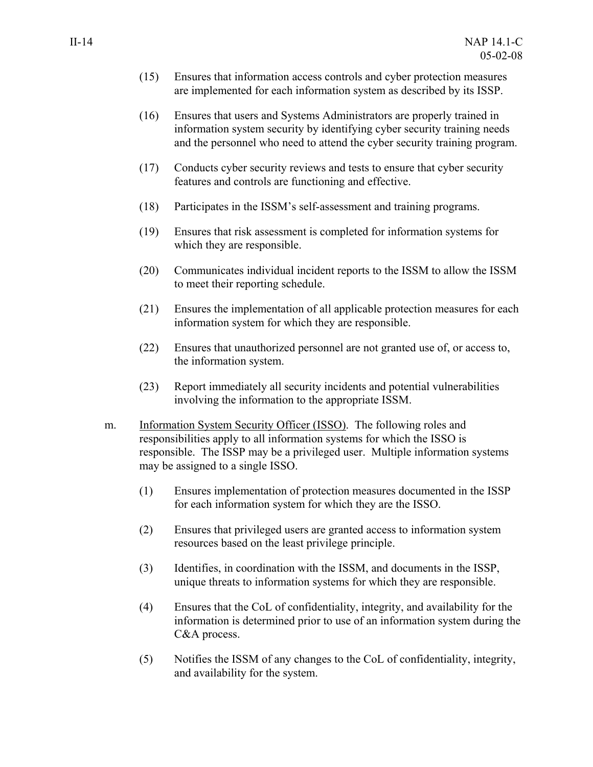- (15) Ensures that information access controls and cyber protection measures are implemented for each information system as described by its ISSP.
- (16) Ensures that users and Systems Administrators are properly trained in information system security by identifying cyber security training needs and the personnel who need to attend the cyber security training program.
- (17) Conducts cyber security reviews and tests to ensure that cyber security features and controls are functioning and effective.
- (18) Participates in the ISSM's self-assessment and training programs.
- (19) Ensures that risk assessment is completed for information systems for which they are responsible.
- (20) Communicates individual incident reports to the ISSM to allow the ISSM to meet their reporting schedule.
- (21) Ensures the implementation of all applicable protection measures for each information system for which they are responsible.
- (22) Ensures that unauthorized personnel are not granted use of, or access to, the information system.
- (23) Report immediately all security incidents and potential vulnerabilities involving the information to the appropriate ISSM.
- m. Information System Security Officer (ISSO). The following roles and responsibilities apply to all information systems for which the ISSO is responsible. The ISSP may be a privileged user. Multiple information systems may be assigned to a single ISSO.
	- (1) Ensures implementation of protection measures documented in the ISSP for each information system for which they are the ISSO.
	- (2) Ensures that privileged users are granted access to information system resources based on the least privilege principle.
	- (3) Identifies, in coordination with the ISSM, and documents in the ISSP, unique threats to information systems for which they are responsible.
	- (4) Ensures that the CoL of confidentiality, integrity, and availability for the information is determined prior to use of an information system during the C&A process.
	- (5) Notifies the ISSM of any changes to the CoL of confidentiality, integrity, and availability for the system.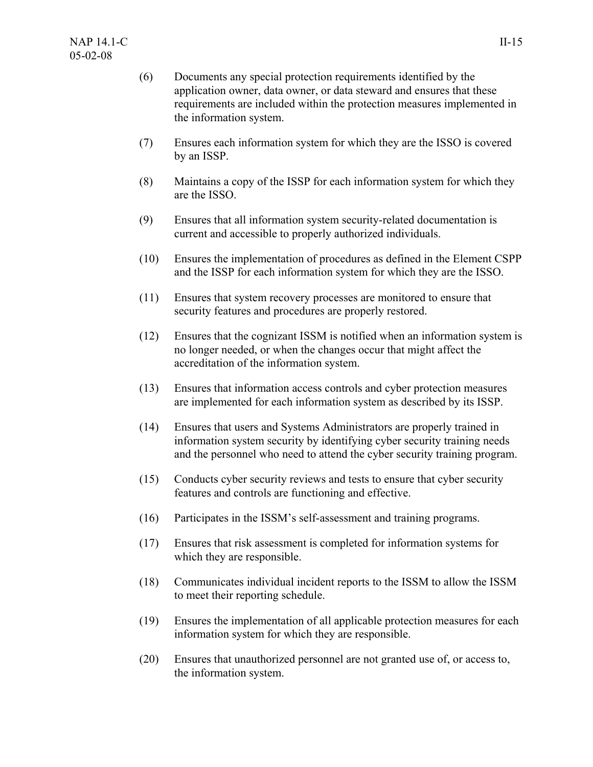- (6) Documents any special protection requirements identified by the application owner, data owner, or data steward and ensures that these requirements are included within the protection measures implemented in the information system.
- (7) Ensures each information system for which they are the ISSO is covered by an ISSP.
- (8) Maintains a copy of the ISSP for each information system for which they are the ISSO.
- (9) Ensures that all information system security-related documentation is current and accessible to properly authorized individuals.
- (10) Ensures the implementation of procedures as defined in the Element CSPP and the ISSP for each information system for which they are the ISSO.
- (11) Ensures that system recovery processes are monitored to ensure that security features and procedures are properly restored.
- (12) Ensures that the cognizant ISSM is notified when an information system is no longer needed, or when the changes occur that might affect the accreditation of the information system.
- (13) Ensures that information access controls and cyber protection measures are implemented for each information system as described by its ISSP.
- (14) Ensures that users and Systems Administrators are properly trained in information system security by identifying cyber security training needs and the personnel who need to attend the cyber security training program.
- (15) Conducts cyber security reviews and tests to ensure that cyber security features and controls are functioning and effective.
- (16) Participates in the ISSM's self-assessment and training programs.
- (17) Ensures that risk assessment is completed for information systems for which they are responsible.
- (18) Communicates individual incident reports to the ISSM to allow the ISSM to meet their reporting schedule.
- (19) Ensures the implementation of all applicable protection measures for each information system for which they are responsible.
- (20) Ensures that unauthorized personnel are not granted use of, or access to, the information system.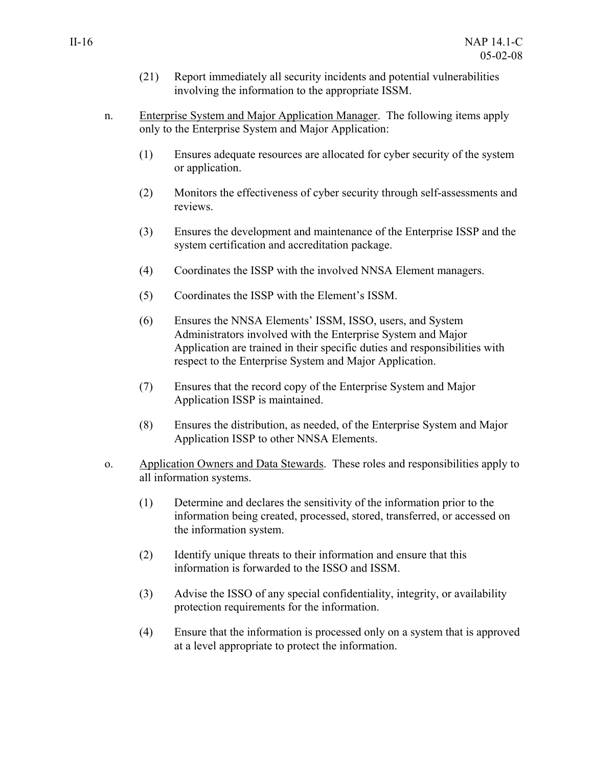- (21) Report immediately all security incidents and potential vulnerabilities involving the information to the appropriate ISSM.
- n. Enterprise System and Major Application Manager. The following items apply only to the Enterprise System and Major Application:
	- (1) Ensures adequate resources are allocated for cyber security of the system or application.
	- (2) Monitors the effectiveness of cyber security through self-assessments and reviews.
	- (3) Ensures the development and maintenance of the Enterprise ISSP and the system certification and accreditation package.
	- (4) Coordinates the ISSP with the involved NNSA Element managers.
	- (5) Coordinates the ISSP with the Element's ISSM.
	- (6) Ensures the NNSA Elements' ISSM, ISSO, users, and System Administrators involved with the Enterprise System and Major Application are trained in their specific duties and responsibilities with respect to the Enterprise System and Major Application.
	- (7) Ensures that the record copy of the Enterprise System and Major Application ISSP is maintained.
	- (8) Ensures the distribution, as needed, of the Enterprise System and Major Application ISSP to other NNSA Elements.
- o. Application Owners and Data Stewards. These roles and responsibilities apply to all information systems.
	- (1) Determine and declares the sensitivity of the information prior to the information being created, processed, stored, transferred, or accessed on the information system.
	- (2) Identify unique threats to their information and ensure that this information is forwarded to the ISSO and ISSM.
	- (3) Advise the ISSO of any special confidentiality, integrity, or availability protection requirements for the information.
	- (4) Ensure that the information is processed only on a system that is approved at a level appropriate to protect the information.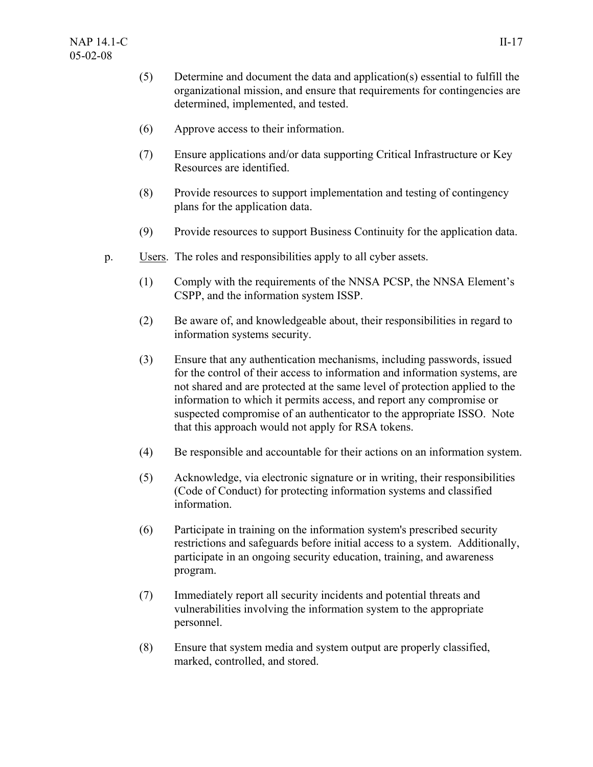- (5) Determine and document the data and application(s) essential to fulfill the organizational mission, and ensure that requirements for contingencies are determined, implemented, and tested.
- (6) Approve access to their information.
- (7) Ensure applications and/or data supporting Critical Infrastructure or Key Resources are identified.
- (8) Provide resources to support implementation and testing of contingency plans for the application data.
- (9) Provide resources to support Business Continuity for the application data.
- p. Users. The roles and responsibilities apply to all cyber assets.
	- (1) Comply with the requirements of the NNSA PCSP, the NNSA Element's CSPP, and the information system ISSP.
	- (2) Be aware of, and knowledgeable about, their responsibilities in regard to information systems security.
	- (3) Ensure that any authentication mechanisms, including passwords, issued for the control of their access to information and information systems, are not shared and are protected at the same level of protection applied to the information to which it permits access, and report any compromise or suspected compromise of an authenticator to the appropriate ISSO. Note that this approach would not apply for RSA tokens.
	- (4) Be responsible and accountable for their actions on an information system.
	- (5) Acknowledge, via electronic signature or in writing, their responsibilities (Code of Conduct) for protecting information systems and classified information.
	- (6) Participate in training on the information system's prescribed security restrictions and safeguards before initial access to a system. Additionally, participate in an ongoing security education, training, and awareness program.
	- (7) Immediately report all security incidents and potential threats and vulnerabilities involving the information system to the appropriate personnel.
	- (8) Ensure that system media and system output are properly classified, marked, controlled, and stored.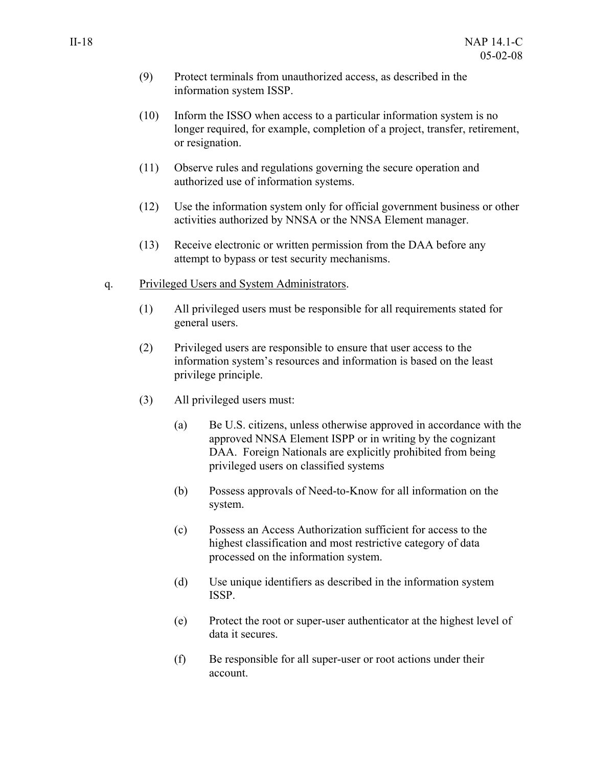- (9) Protect terminals from unauthorized access, as described in the information system ISSP.
- (10) Inform the ISSO when access to a particular information system is no longer required, for example, completion of a project, transfer, retirement, or resignation.
- (11) Observe rules and regulations governing the secure operation and authorized use of information systems.
- (12) Use the information system only for official government business or other activities authorized by NNSA or the NNSA Element manager.
- (13) Receive electronic or written permission from the DAA before any attempt to bypass or test security mechanisms.
- q. Privileged Users and System Administrators.
	- (1) All privileged users must be responsible for all requirements stated for general users.
	- (2) Privileged users are responsible to ensure that user access to the information system's resources and information is based on the least privilege principle.
	- (3) All privileged users must:
		- (a) Be U.S. citizens, unless otherwise approved in accordance with the approved NNSA Element ISPP or in writing by the cognizant DAA. Foreign Nationals are explicitly prohibited from being privileged users on classified systems
		- (b) Possess approvals of Need-to-Know for all information on the system.
		- (c) Possess an Access Authorization sufficient for access to the highest classification and most restrictive category of data processed on the information system.
		- (d) Use unique identifiers as described in the information system ISSP.
		- (e) Protect the root or super-user authenticator at the highest level of data it secures.
		- (f) Be responsible for all super-user or root actions under their account.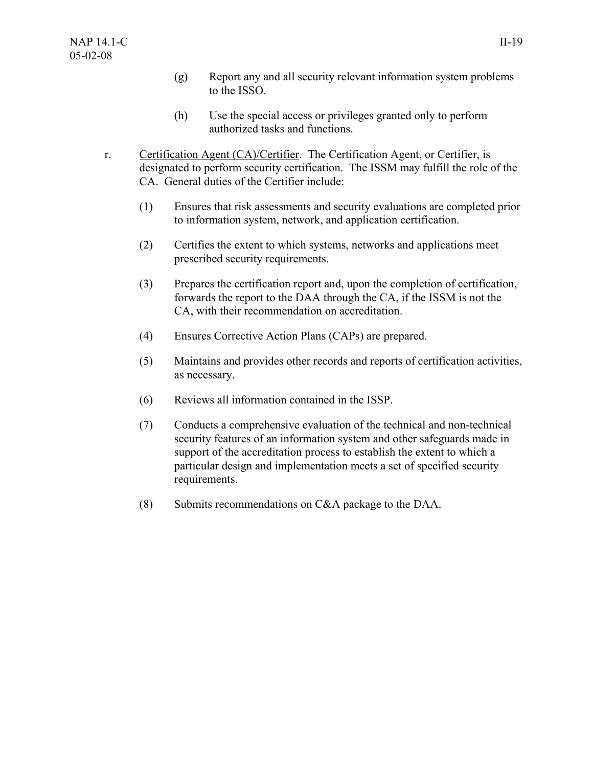- (h) Use the special access or privileges granted only to perform authorized tasks and functions.
- r. Certification Agent (CA)/Certifier. The Certification Agent, or Certifier, is designated to perform security certification. The ISSM may fulfill the role of the CA. General duties of the Certifier include:
	- (1) Ensures that risk assessments and security evaluations are completed prior to information system, network, and application certification.
	- (2) Certifies the extent to which systems, networks and applications meet prescribed security requirements.
	- (3) Prepares the certification report and, upon the completion of certification, forwards the report to the DAA through the CA, if the ISSM is not the CA, with their recommendation on accreditation.
	- (4) Ensures Corrective Action Plans (CAPs) are prepared.
	- (5) Maintains and provides other records and reports of certification activities, as necessary.
	- (6) Reviews all information contained in the ISSP.
	- (7) Conducts a comprehensive evaluation of the technical and non-technical security features of an information system and other safeguards made in support of the accreditation process to establish the extent to which a particular design and implementation meets a set of specified security requirements.
	- (8) Submits recommendations on C&A package to the DAA.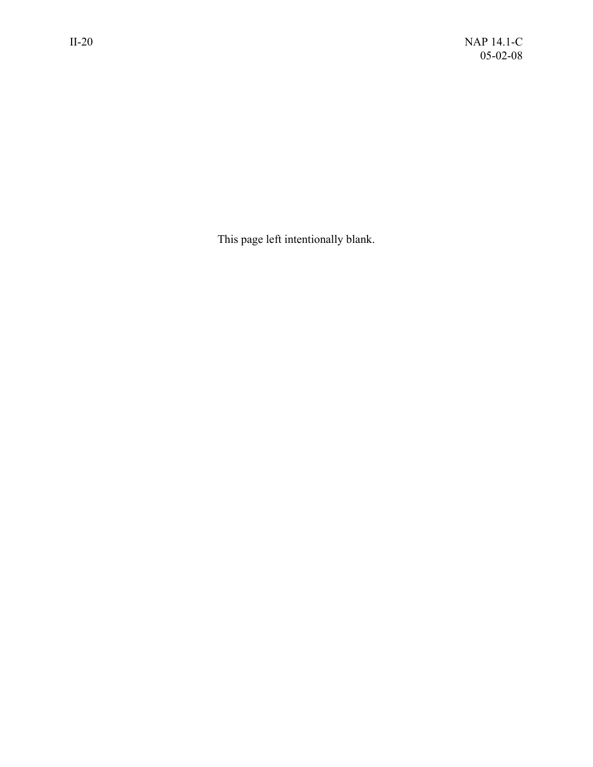This page left intentionally blank.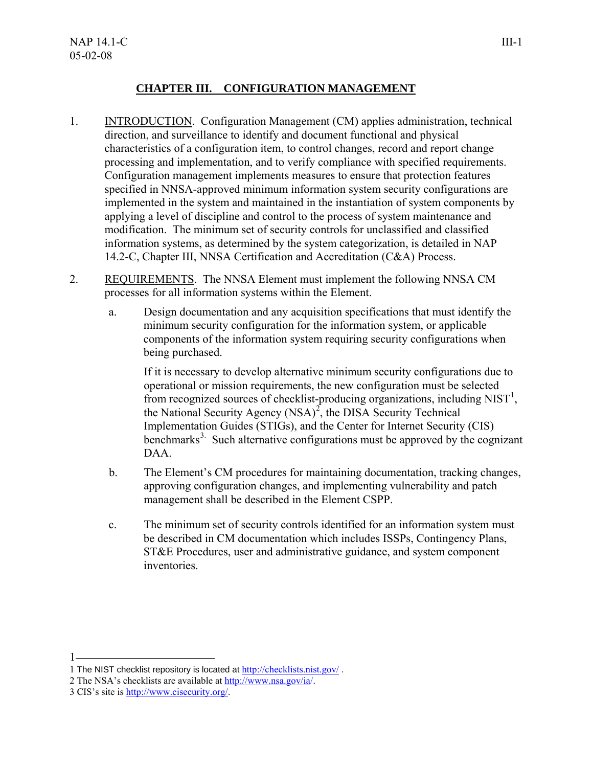#### **CHAPTER III. CONFIGURATION MANAGEMENT**

- 1. INTRODUCTION. Configuration Management (CM) applies administration, technical direction, and surveillance to identify and document functional and physical characteristics of a configuration item, to control changes, record and report change processing and implementation, and to verify compliance with specified requirements. Configuration management implements measures to ensure that protection features specified in NNSA-approved minimum information system security configurations are implemented in the system and maintained in the instantiation of system components by applying a level of discipline and control to the process of system maintenance and modification. The minimum set of security controls for unclassified and classified information systems, as determined by the system categorization, is detailed in NAP 14.2-C, Chapter III, NNSA Certification and Accreditation (C&A) Process.
- 2. REQUIREMENTS. The NNSA Element must implement the following NNSA CM processes for all information systems within the Element.
	- a. Design documentation and any acquisition specifications that must identify the minimum security configuration for the information system, or applicable components of the information system requiring security configurations when being purchased.

If it is necessary to develop alternative minimum security configurations due to operational or mission requirements, the new configuration must be selected from recognized sources of checklist-producing organizations, including  $NIST<sup>1</sup>$  $NIST<sup>1</sup>$  $NIST<sup>1</sup>$ , the National Security Agency  $(NSA)^2$  $(NSA)^2$ , the DISA Security Technical Implementation Guides (STIGs), and the Center for Internet Security (CIS)  $b$ enchmarks<sup>[3.](#page-32-2)</sup> Such alternative configurations must be approved by the cognizant DAA.

- b. The Element's CM procedures for maintaining documentation, tracking changes, approving configuration changes, and implementing vulnerability and patch management shall be described in the Element CSPP.
- c. The minimum set of security controls identified for an information system must be described in CM documentation which includes ISSPs, Contingency Plans, ST&E Procedures, user and administrative guidance, and system component inventories.

 $1 -$ 

<span id="page-32-0"></span><sup>1</sup> The NIST checklist repository is located at http://checklists.nist.gov/ .

<span id="page-32-1"></span><sup>2</sup> The NSA's checklists are available at http://www.nsa.gov/ia/.

<span id="page-32-2"></span><sup>3</sup> CIS's site is http://www.cisecurity.org/.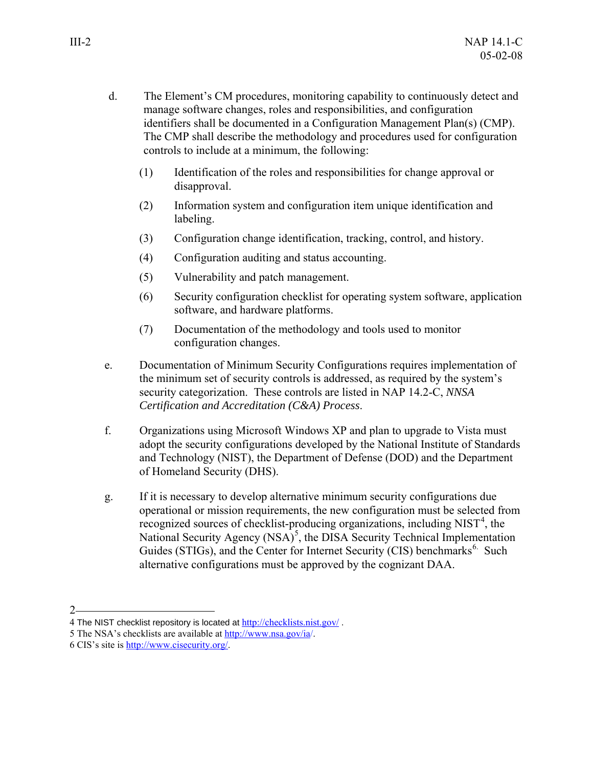- d. The Element's CM procedures, monitoring capability to continuously detect and manage software changes, roles and responsibilities, and configuration identifiers shall be documented in a Configuration Management Plan(s) (CMP). The CMP shall describe the methodology and procedures used for configuration controls to include at a minimum, the following:
	- (1) Identification of the roles and responsibilities for change approval or disapproval.
	- (2) Information system and configuration item unique identification and labeling.
	- (3) Configuration change identification, tracking, control, and history.
	- (4) Configuration auditing and status accounting.
	- (5) Vulnerability and patch management.
	- (6) Security configuration checklist for operating system software, application software, and hardware platforms.
	- (7) Documentation of the methodology and tools used to monitor configuration changes.
- e. Documentation of Minimum Security Configurations requires implementation of the minimum set of security controls is addressed, as required by the system's security categorization. These controls are listed in NAP 14.2-C, *NNSA Certification and Accreditation (C&A) Process*.
- f. Organizations using Microsoft Windows XP and plan to upgrade to Vista must adopt the security configurations developed by the National Institute of Standards and Technology (NIST), the Department of Defense (DOD) and the Department of Homeland Security (DHS).
- g. If it is necessary to develop alternative minimum security configurations due operational or mission requirements, the new configuration must be selected from recognized sources of checklist-producing organizations, including  $NIST<sup>4</sup>$  $NIST<sup>4</sup>$  $NIST<sup>4</sup>$ , the National Security Agency  $(NSA)^5$  $(NSA)^5$ , the DISA Security Technical Implementation Guides (STIGs), and the Center for Internet Security (CIS) benchmarks<sup>[6](#page-33-2).</sup> Such alternative configurations must be approved by the cognizant DAA.

2

<span id="page-33-0"></span><sup>4</sup> The NIST checklist repository is located at http://checklists.nist.gov/ .

<span id="page-33-1"></span><sup>5</sup> The NSA's checklists are available at http://www.nsa.gov/ia/.

<span id="page-33-2"></span><sup>6</sup> CIS's site is http://www.cisecurity.org/.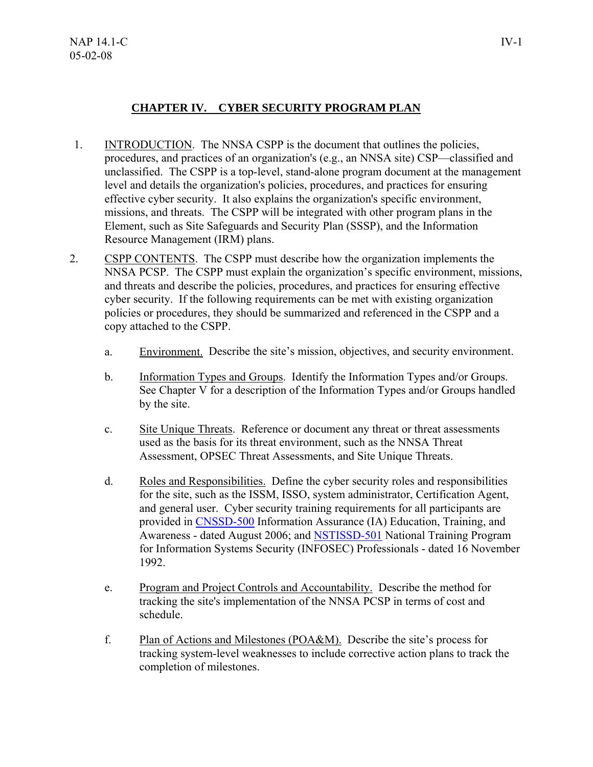#### **CHAPTER IV. CYBER SECURITY PROGRAM PLAN**

- 1. INTRODUCTION. The NNSA CSPP is the document that outlines the policies, procedures, and practices of an organization's (e.g., an NNSA site) CSP—classified and unclassified. The CSPP is a top-level, stand-alone program document at the management level and details the organization's policies, procedures, and practices for ensuring effective cyber security. It also explains the organization's specific environment, missions, and threats. The CSPP will be integrated with other program plans in the Element, such as Site Safeguards and Security Plan (SSSP), and the Information Resource Management (IRM) plans.
- 2. CSPP CONTENTS. The CSPP must describe how the organization implements the NNSA PCSP. The CSPP must explain the organization's specific environment, missions, and threats and describe the policies, procedures, and practices for ensuring effective cyber security. If the following requirements can be met with existing organization policies or procedures, they should be summarized and referenced in the CSPP and a copy attached to the CSPP.
	- a. Environment. Describe the site's mission, objectives, and security environment.
	- b. Information Types and Groups. Identify the Information Types and/or Groups. See Chapter V for a description of the Information Types and/or Groups handled by the site.
	- c. Site Unique Threats. Reference or document any threat or threat assessments used as the basis for its threat environment, such as the NNSA Threat Assessment, OPSEC Threat Assessments, and Site Unique Threats.
	- d. Roles and Responsibilities. Define the cyber security roles and responsibilities for the site, such as the ISSM, ISSO, system administrator, Certification Agent, and general user. Cyber security training requirements for all participants are provided in [CNSSD-500](http://www.cnss.gov/Assets/pdf/CNSSD_500.pdf) Information Assurance (IA) Education, Training, and Awareness - dated August 2006; and [NSTISSD-501](http://www.cnss.gov/Assets/pdf/nstissd_501.pdf) National Training Program for Information Systems Security (INFOSEC) Professionals - dated 16 November 1992.
	- e. Program and Project Controls and Accountability. Describe the method for tracking the site's implementation of the NNSA PCSP in terms of cost and schedule.
	- f. Plan of Actions and Milestones (POA&M). Describe the site's process for tracking system-level weaknesses to include corrective action plans to track the completion of milestones.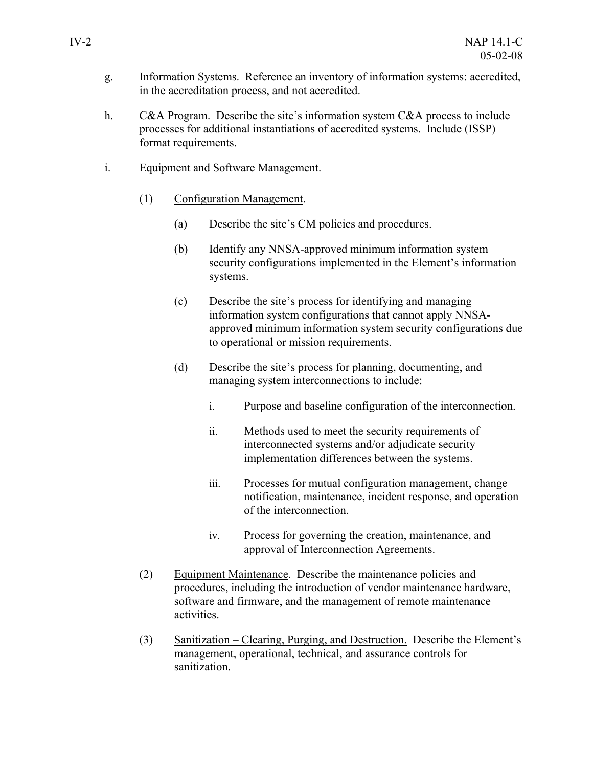- g. Information Systems. Reference an inventory of information systems: accredited, in the accreditation process, and not accredited.
- h. C&A Program. Describe the site's information system C&A process to include processes for additional instantiations of accredited systems. Include (ISSP) format requirements.
- i. Equipment and Software Management.
	- (1) Configuration Management.
		- (a) Describe the site's CM policies and procedures.
		- (b) Identify any NNSA-approved minimum information system security configurations implemented in the Element's information systems.
		- (c) Describe the site's process for identifying and managing information system configurations that cannot apply NNSAapproved minimum information system security configurations due to operational or mission requirements.
		- (d) Describe the site's process for planning, documenting, and managing system interconnections to include:
			- i. Purpose and baseline configuration of the interconnection.
			- ii. Methods used to meet the security requirements of interconnected systems and/or adjudicate security implementation differences between the systems.
			- iii. Processes for mutual configuration management, change notification, maintenance, incident response, and operation of the interconnection.
			- iv. Process for governing the creation, maintenance, and approval of Interconnection Agreements.
	- (2) Equipment Maintenance. Describe the maintenance policies and procedures, including the introduction of vendor maintenance hardware, software and firmware, and the management of remote maintenance activities.
	- (3) Sanitization Clearing, Purging, and Destruction. Describe the Element's management, operational, technical, and assurance controls for sanitization.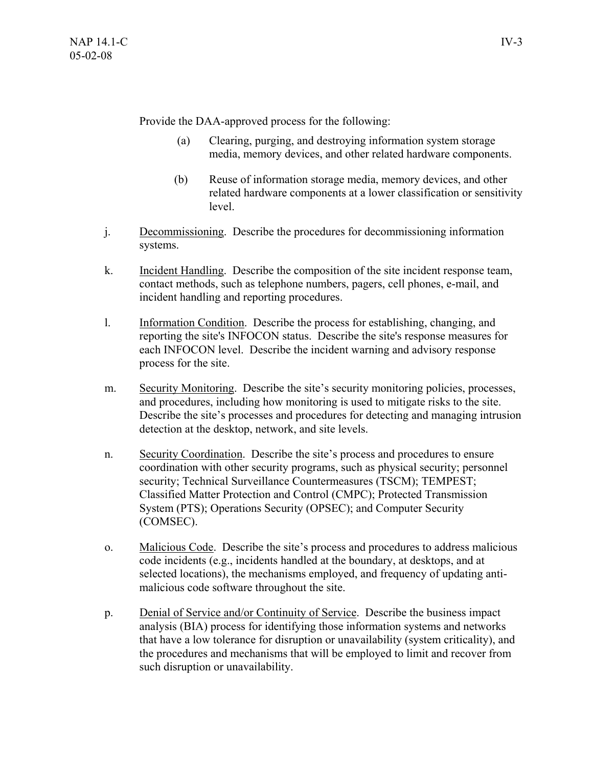Provide the DAA-approved process for the following:

- (a) Clearing, purging, and destroying information system storage media, memory devices, and other related hardware components.
- (b) Reuse of information storage media, memory devices, and other related hardware components at a lower classification or sensitivity level.
- j. Decommissioning. Describe the procedures for decommissioning information systems.
- k. Incident Handling. Describe the composition of the site incident response team, contact methods, such as telephone numbers, pagers, cell phones, e-mail, and incident handling and reporting procedures.
- l. Information Condition. Describe the process for establishing, changing, and reporting the site's INFOCON status. Describe the site's response measures for each INFOCON level. Describe the incident warning and advisory response process for the site.
- m. Security Monitoring. Describe the site's security monitoring policies, processes, and procedures, including how monitoring is used to mitigate risks to the site. Describe the site's processes and procedures for detecting and managing intrusion detection at the desktop, network, and site levels.
- n. Security Coordination. Describe the site's process and procedures to ensure coordination with other security programs, such as physical security; personnel security; Technical Surveillance Countermeasures (TSCM); TEMPEST; Classified Matter Protection and Control (CMPC); Protected Transmission System (PTS); Operations Security (OPSEC); and Computer Security (COMSEC).
- o. Malicious Code. Describe the site's process and procedures to address malicious code incidents (e.g., incidents handled at the boundary, at desktops, and at selected locations), the mechanisms employed, and frequency of updating antimalicious code software throughout the site.
- p. Denial of Service and/or Continuity of Service. Describe the business impact analysis (BIA) process for identifying those information systems and networks that have a low tolerance for disruption or unavailability (system criticality), and the procedures and mechanisms that will be employed to limit and recover from such disruption or unavailability.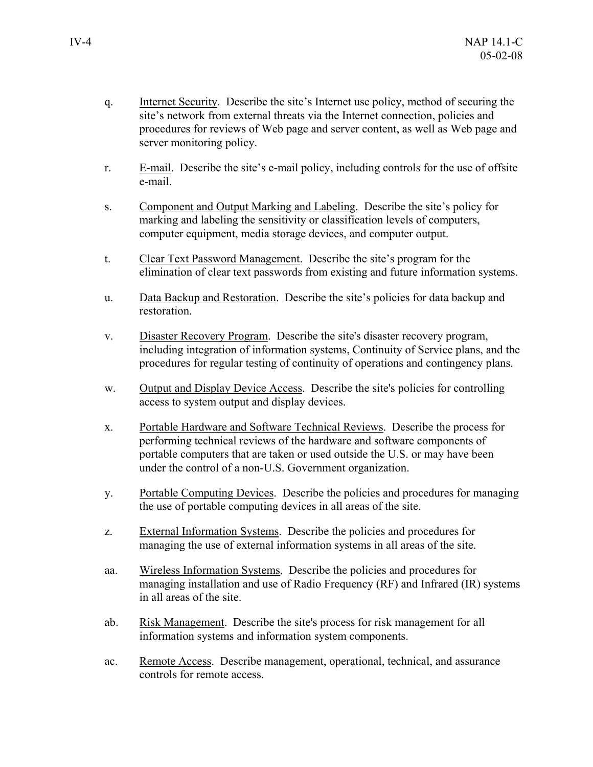- q. Internet Security. Describe the site's Internet use policy, method of securing the site's network from external threats via the Internet connection, policies and procedures for reviews of Web page and server content, as well as Web page and server monitoring policy.
- r. E-mail. Describe the site's e-mail policy, including controls for the use of offsite e-mail.
- s. Component and Output Marking and Labeling. Describe the site's policy for marking and labeling the sensitivity or classification levels of computers, computer equipment, media storage devices, and computer output.
- t. Clear Text Password Management. Describe the site's program for the elimination of clear text passwords from existing and future information systems.
- u. Data Backup and Restoration. Describe the site's policies for data backup and restoration.
- v. Disaster Recovery Program. Describe the site's disaster recovery program, including integration of information systems, Continuity of Service plans, and the procedures for regular testing of continuity of operations and contingency plans.
- w. Output and Display Device Access. Describe the site's policies for controlling access to system output and display devices.
- x. Portable Hardware and Software Technical Reviews. Describe the process for performing technical reviews of the hardware and software components of portable computers that are taken or used outside the U.S. or may have been under the control of a non-U.S. Government organization.
- y. Portable Computing Devices. Describe the policies and procedures for managing the use of portable computing devices in all areas of the site.
- z. External Information Systems. Describe the policies and procedures for managing the use of external information systems in all areas of the site.
- aa. Wireless Information Systems. Describe the policies and procedures for managing installation and use of Radio Frequency (RF) and Infrared (IR) systems in all areas of the site.
- ab. Risk Management. Describe the site's process for risk management for all information systems and information system components.
- ac. Remote Access. Describe management, operational, technical, and assurance controls for remote access.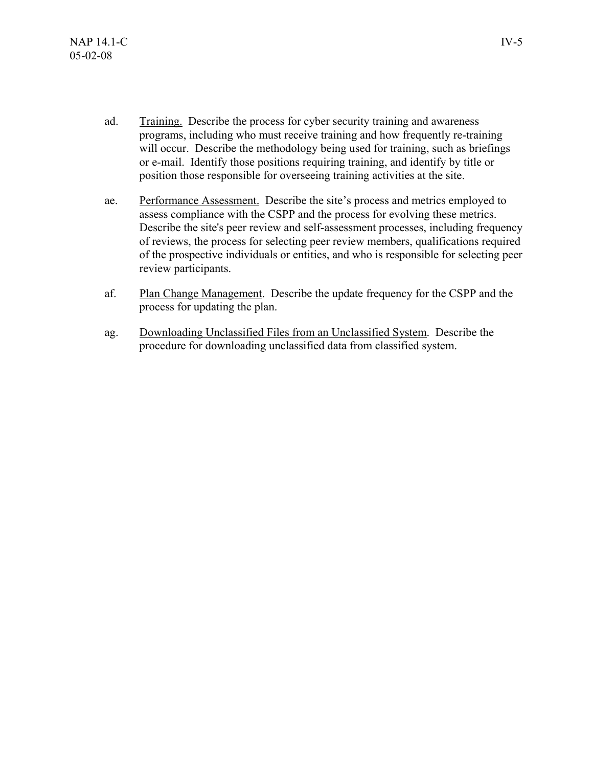- ad. Training. Describe the process for cyber security training and awareness programs, including who must receive training and how frequently re-training will occur. Describe the methodology being used for training, such as briefings or e-mail. Identify those positions requiring training, and identify by title or position those responsible for overseeing training activities at the site.
- ae. Performance Assessment. Describe the site's process and metrics employed to assess compliance with the CSPP and the process for evolving these metrics. Describe the site's peer review and self-assessment processes, including frequency of reviews, the process for selecting peer review members, qualifications required of the prospective individuals or entities, and who is responsible for selecting peer review participants.
- af. Plan Change Management. Describe the update frequency for the CSPP and the process for updating the plan.
- ag. Downloading Unclassified Files from an Unclassified System. Describe the procedure for downloading unclassified data from classified system.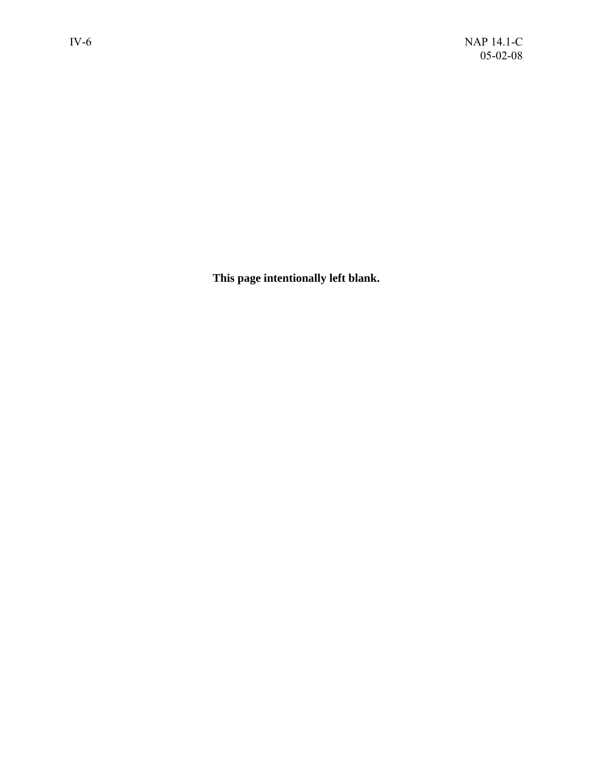**This page intentionally left blank.**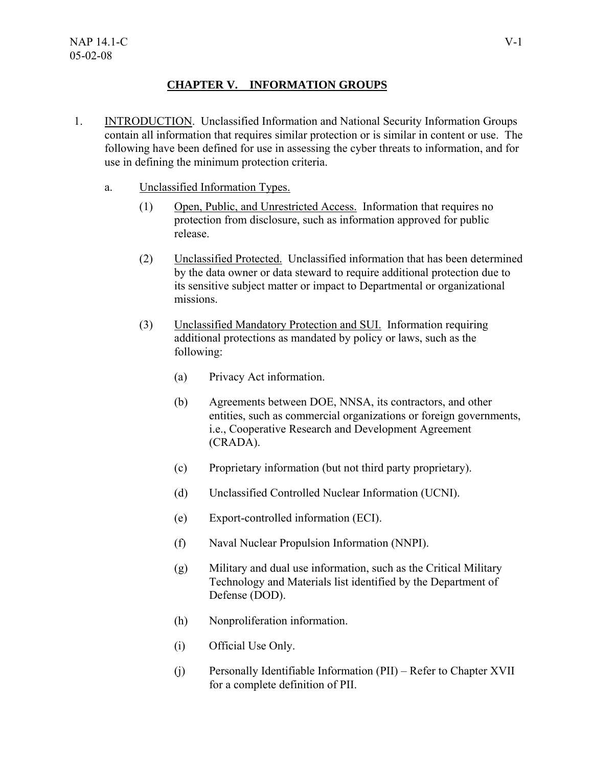### **CHAPTER V. INFORMATION GROUPS**

- 1. INTRODUCTION. Unclassified Information and National Security Information Groups contain all information that requires similar protection or is similar in content or use. The following have been defined for use in assessing the cyber threats to information, and for use in defining the minimum protection criteria.
	- a. Unclassified Information Types.
		- (1) Open, Public, and Unrestricted Access. Information that requires no protection from disclosure, such as information approved for public release.
		- (2) Unclassified Protected. Unclassified information that has been determined by the data owner or data steward to require additional protection due to its sensitive subject matter or impact to Departmental or organizational missions.
		- (3) Unclassified Mandatory Protection and SUI. Information requiring additional protections as mandated by policy or laws, such as the following:
			- (a) Privacy Act information.
			- (b) Agreements between DOE, NNSA, its contractors, and other entities, such as commercial organizations or foreign governments, i.e., Cooperative Research and Development Agreement (CRADA).
			- (c) Proprietary information (but not third party proprietary).
			- (d) Unclassified Controlled Nuclear Information (UCNI).
			- (e) Export-controlled information (ECI).
			- (f) Naval Nuclear Propulsion Information (NNPI).
			- (g) Military and dual use information, such as the Critical Military Technology and Materials list identified by the Department of Defense (DOD).
			- (h) Nonproliferation information.
			- (i) Official Use Only.
			- (j) Personally Identifiable Information (PII) Refer to Chapter XVII for a complete definition of PII.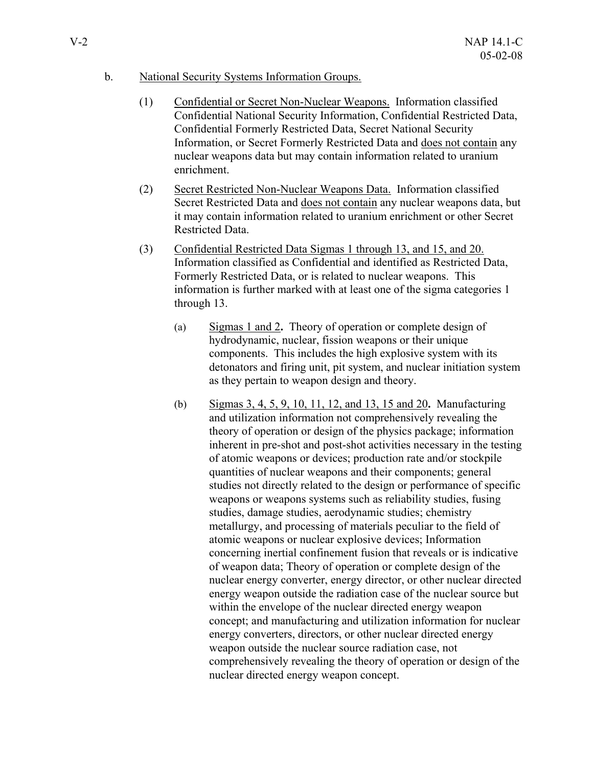#### b. National Security Systems Information Groups.

- (1) Confidential or Secret Non-Nuclear Weapons. Information classified Confidential National Security Information, Confidential Restricted Data, Confidential Formerly Restricted Data, Secret National Security Information, or Secret Formerly Restricted Data and does not contain any nuclear weapons data but may contain information related to uranium enrichment.
- (2) Secret Restricted Non-Nuclear Weapons Data. Information classified Secret Restricted Data and does not contain any nuclear weapons data, but it may contain information related to uranium enrichment or other Secret Restricted Data.
- (3) Confidential Restricted Data Sigmas 1 through 13, and 15, and 20. Information classified as Confidential and identified as Restricted Data, Formerly Restricted Data, or is related to nuclear weapons. This information is further marked with at least one of the sigma categories 1 through 13.
	- (a) Sigmas 1 and 2**.** Theory of operation or complete design of hydrodynamic, nuclear, fission weapons or their unique components. This includes the high explosive system with its detonators and firing unit, pit system, and nuclear initiation system as they pertain to weapon design and theory.
	- (b) Sigmas 3, 4, 5, 9, 10, 11, 12, and 13, 15 and 20**.** Manufacturing and utilization information not comprehensively revealing the theory of operation or design of the physics package; information inherent in pre-shot and post-shot activities necessary in the testing of atomic weapons or devices; production rate and/or stockpile quantities of nuclear weapons and their components; general studies not directly related to the design or performance of specific weapons or weapons systems such as reliability studies, fusing studies, damage studies, aerodynamic studies; chemistry metallurgy, and processing of materials peculiar to the field of atomic weapons or nuclear explosive devices; Information concerning inertial confinement fusion that reveals or is indicative of weapon data; Theory of operation or complete design of the nuclear energy converter, energy director, or other nuclear directed energy weapon outside the radiation case of the nuclear source but within the envelope of the nuclear directed energy weapon concept; and manufacturing and utilization information for nuclear energy converters, directors, or other nuclear directed energy weapon outside the nuclear source radiation case, not comprehensively revealing the theory of operation or design of the nuclear directed energy weapon concept.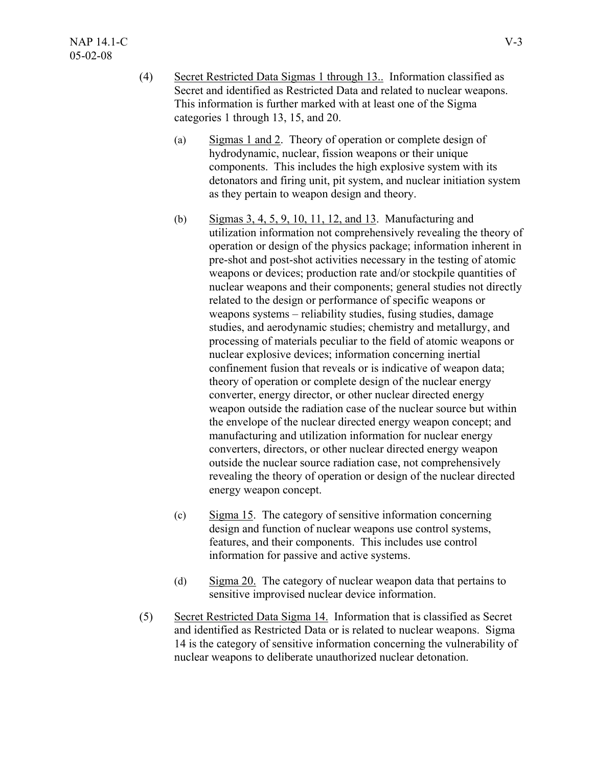- (4) Secret Restricted Data Sigmas 1 through 13.. Information classified as Secret and identified as Restricted Data and related to nuclear weapons. This information is further marked with at least one of the Sigma categories 1 through 13, 15, and 20.
	- (a) Sigmas 1 and 2. Theory of operation or complete design of hydrodynamic, nuclear, fission weapons or their unique components. This includes the high explosive system with its detonators and firing unit, pit system, and nuclear initiation system as they pertain to weapon design and theory.
	- (b) Sigmas 3, 4, 5, 9, 10, 11, 12, and 13. Manufacturing and utilization information not comprehensively revealing the theory of operation or design of the physics package; information inherent in pre-shot and post-shot activities necessary in the testing of atomic weapons or devices; production rate and/or stockpile quantities of nuclear weapons and their components; general studies not directly related to the design or performance of specific weapons or weapons systems – reliability studies, fusing studies, damage studies, and aerodynamic studies; chemistry and metallurgy, and processing of materials peculiar to the field of atomic weapons or nuclear explosive devices; information concerning inertial confinement fusion that reveals or is indicative of weapon data; theory of operation or complete design of the nuclear energy converter, energy director, or other nuclear directed energy weapon outside the radiation case of the nuclear source but within the envelope of the nuclear directed energy weapon concept; and manufacturing and utilization information for nuclear energy converters, directors, or other nuclear directed energy weapon outside the nuclear source radiation case, not comprehensively revealing the theory of operation or design of the nuclear directed energy weapon concept.
	- (c) Sigma 15. The category of sensitive information concerning design and function of nuclear weapons use control systems, features, and their components. This includes use control information for passive and active systems.
	- (d) Sigma 20. The category of nuclear weapon data that pertains to sensitive improvised nuclear device information.
- (5) Secret Restricted Data Sigma 14. Information that is classified as Secret and identified as Restricted Data or is related to nuclear weapons. Sigma 14 is the category of sensitive information concerning the vulnerability of nuclear weapons to deliberate unauthorized nuclear detonation.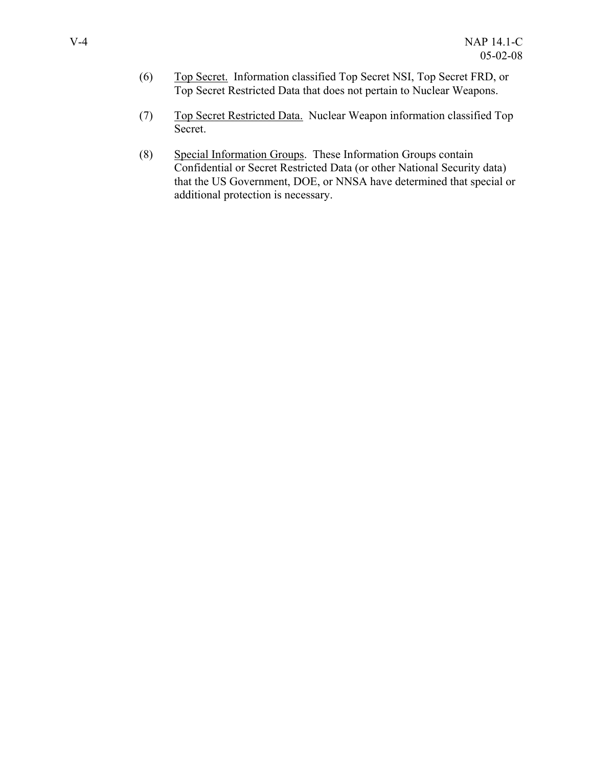- (6) Top Secret. Information classified Top Secret NSI, Top Secret FRD, or Top Secret Restricted Data that does not pertain to Nuclear Weapons.
- (7) Top Secret Restricted Data. Nuclear Weapon information classified Top Secret.
- (8) Special Information Groups. These Information Groups contain Confidential or Secret Restricted Data (or other National Security data) that the US Government, DOE, or NNSA have determined that special or additional protection is necessary.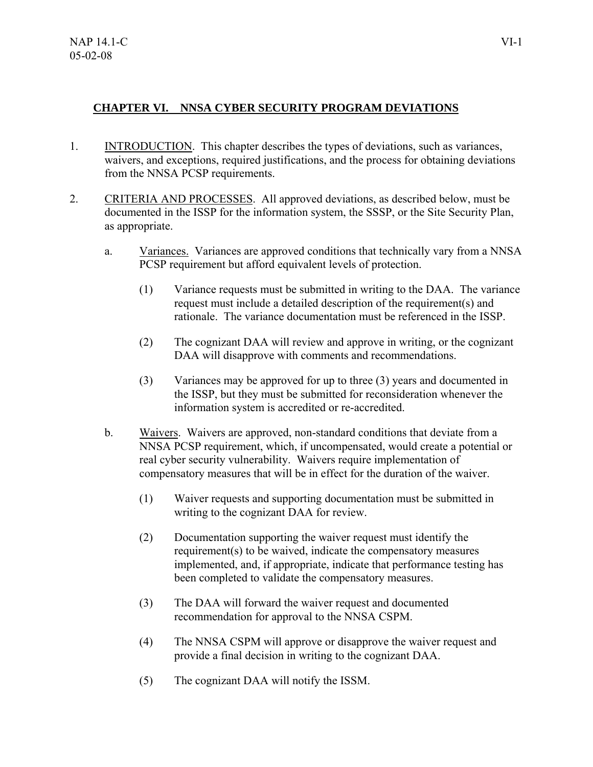### **CHAPTER VI. NNSA CYBER SECURITY PROGRAM DEVIATIONS**

- 1. INTRODUCTION. This chapter describes the types of deviations, such as variances, waivers, and exceptions, required justifications, and the process for obtaining deviations from the NNSA PCSP requirements.
- 2. CRITERIA AND PROCESSES. All approved deviations, as described below, must be documented in the ISSP for the information system, the SSSP, or the Site Security Plan, as appropriate.
	- a. Variances. Variances are approved conditions that technically vary from a NNSA PCSP requirement but afford equivalent levels of protection.
		- (1) Variance requests must be submitted in writing to the DAA. The variance request must include a detailed description of the requirement(s) and rationale. The variance documentation must be referenced in the ISSP.
		- (2) The cognizant DAA will review and approve in writing, or the cognizant DAA will disapprove with comments and recommendations.
		- (3) Variances may be approved for up to three (3) years and documented in the ISSP, but they must be submitted for reconsideration whenever the information system is accredited or re-accredited.
	- b. Waivers. Waivers are approved, non-standard conditions that deviate from a NNSA PCSP requirement, which, if uncompensated, would create a potential or real cyber security vulnerability. Waivers require implementation of compensatory measures that will be in effect for the duration of the waiver.
		- (1) Waiver requests and supporting documentation must be submitted in writing to the cognizant DAA for review.
		- (2) Documentation supporting the waiver request must identify the requirement(s) to be waived, indicate the compensatory measures implemented, and, if appropriate, indicate that performance testing has been completed to validate the compensatory measures.
		- (3) The DAA will forward the waiver request and documented recommendation for approval to the NNSA CSPM.
		- (4) The NNSA CSPM will approve or disapprove the waiver request and provide a final decision in writing to the cognizant DAA.
		- (5) The cognizant DAA will notify the ISSM.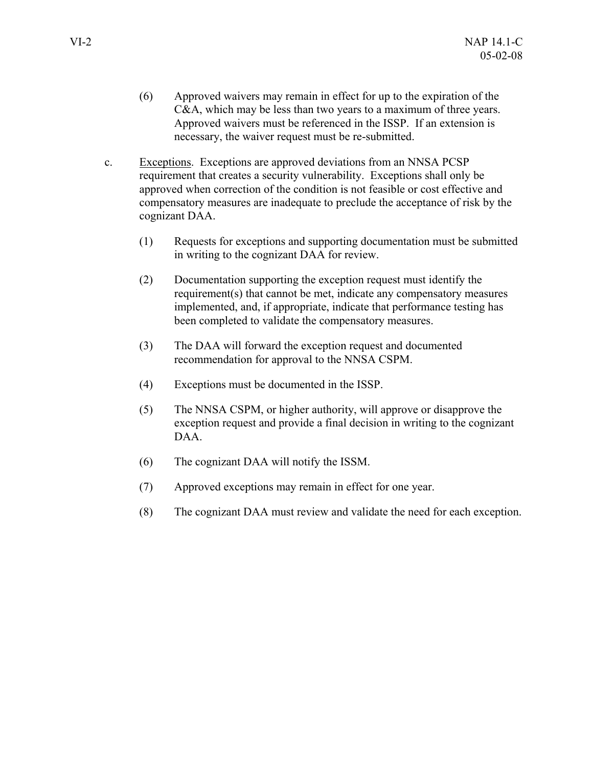- (6) Approved waivers may remain in effect for up to the expiration of the C&A, which may be less than two years to a maximum of three years. Approved waivers must be referenced in the ISSP. If an extension is necessary, the waiver request must be re-submitted.
- c. Exceptions. Exceptions are approved deviations from an NNSA PCSP requirement that creates a security vulnerability. Exceptions shall only be approved when correction of the condition is not feasible or cost effective and compensatory measures are inadequate to preclude the acceptance of risk by the cognizant DAA.
	- (1) Requests for exceptions and supporting documentation must be submitted in writing to the cognizant DAA for review.
	- (2) Documentation supporting the exception request must identify the requirement(s) that cannot be met, indicate any compensatory measures implemented, and, if appropriate, indicate that performance testing has been completed to validate the compensatory measures.
	- (3) The DAA will forward the exception request and documented recommendation for approval to the NNSA CSPM.
	- (4) Exceptions must be documented in the ISSP.
	- (5) The NNSA CSPM, or higher authority, will approve or disapprove the exception request and provide a final decision in writing to the cognizant DAA.
	- (6) The cognizant DAA will notify the ISSM.
	- (7) Approved exceptions may remain in effect for one year.
	- (8) The cognizant DAA must review and validate the need for each exception.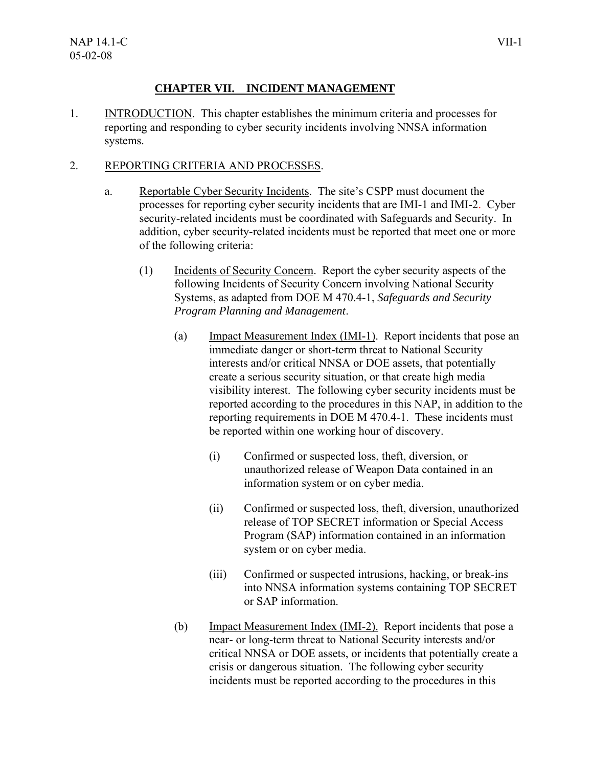# **CHAPTER VII. INCIDENT MANAGEMENT**

1. INTRODUCTION. This chapter establishes the minimum criteria and processes for reporting and responding to cyber security incidents involving NNSA information systems.

#### 2. REPORTING CRITERIA AND PROCESSES.

- a. Reportable Cyber Security Incidents. The site's CSPP must document the processes for reporting cyber security incidents that are IMI-1 and IMI-2. Cyber security-related incidents must be coordinated with Safeguards and Security. In addition, cyber security-related incidents must be reported that meet one or more of the following criteria:
	- (1) Incidents of Security Concern. Report the cyber security aspects of the following Incidents of Security Concern involving National Security Systems, as adapted from DOE M 470.4-1, *Safeguards and Security Program Planning and Management*.
		- (a) Impact Measurement Index (IMI-1). Report incidents that pose an immediate danger or short-term threat to National Security interests and/or critical NNSA or DOE assets, that potentially create a serious security situation, or that create high media visibility interest. The following cyber security incidents must be reported according to the procedures in this NAP, in addition to the reporting requirements in DOE M 470.4-1. These incidents must be reported within one working hour of discovery.
			- (i) Confirmed or suspected loss, theft, diversion, or unauthorized release of Weapon Data contained in an information system or on cyber media.
			- (ii) Confirmed or suspected loss, theft, diversion, unauthorized release of TOP SECRET information or Special Access Program (SAP) information contained in an information system or on cyber media.
			- (iii) Confirmed or suspected intrusions, hacking, or break-ins into NNSA information systems containing TOP SECRET or SAP information.
		- (b) Impact Measurement Index (IMI-2). Report incidents that pose a near- or long-term threat to National Security interests and/or critical NNSA or DOE assets, or incidents that potentially create a crisis or dangerous situation. The following cyber security incidents must be reported according to the procedures in this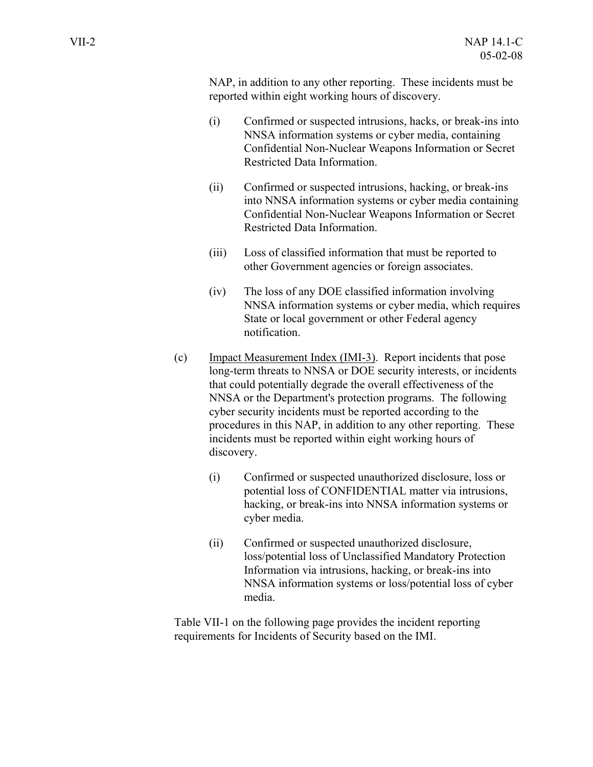NAP, in addition to any other reporting. These incidents must be reported within eight working hours of discovery.

- (i) Confirmed or suspected intrusions, hacks, or break-ins into NNSA information systems or cyber media, containing Confidential Non-Nuclear Weapons Information or Secret Restricted Data Information.
- (ii) Confirmed or suspected intrusions, hacking, or break-ins into NNSA information systems or cyber media containing Confidential Non-Nuclear Weapons Information or Secret Restricted Data Information.
- (iii) Loss of classified information that must be reported to other Government agencies or foreign associates.
- (iv) The loss of any DOE classified information involving NNSA information systems or cyber media, which requires State or local government or other Federal agency notification.
- (c) Impact Measurement Index (IMI-3). Report incidents that pose long-term threats to NNSA or DOE security interests, or incidents that could potentially degrade the overall effectiveness of the NNSA or the Department's protection programs. The following cyber security incidents must be reported according to the procedures in this NAP, in addition to any other reporting. These incidents must be reported within eight working hours of discovery.
	- (i) Confirmed or suspected unauthorized disclosure, loss or potential loss of CONFIDENTIAL matter via intrusions, hacking, or break-ins into NNSA information systems or cyber media.
	- (ii) Confirmed or suspected unauthorized disclosure, loss/potential loss of Unclassified Mandatory Protection Information via intrusions, hacking, or break-ins into NNSA information systems or loss/potential loss of cyber media.

 Table VII-1 on the following page provides the incident reporting requirements for Incidents of Security based on the IMI.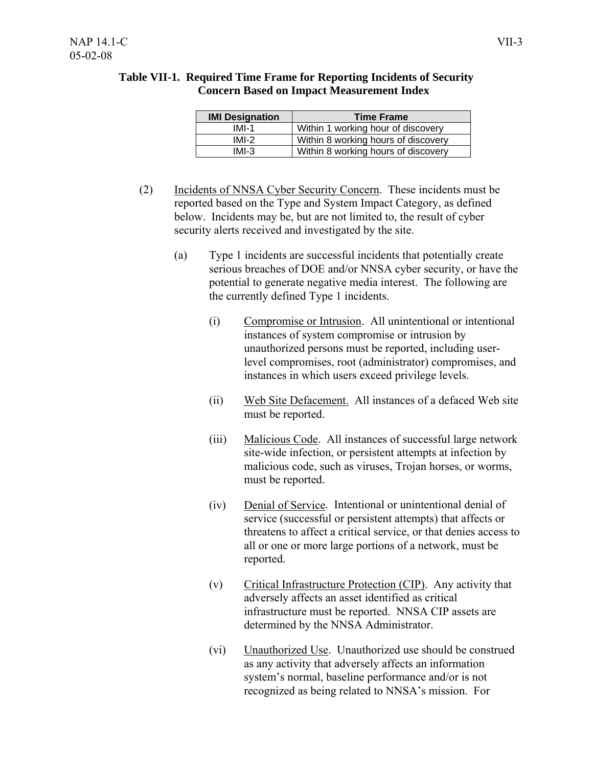| <b>IMI Designation</b> | <b>Time Frame</b>                   |
|------------------------|-------------------------------------|
| IMI-1                  | Within 1 working hour of discovery  |
| $IMI-2$                | Within 8 working hours of discovery |
| $IMI-3$                | Within 8 working hours of discovery |

### **Table VII-1. Required Time Frame for Reporting Incidents of Security Concern Based on Impact Measurement Index**

- (2) Incidents of NNSA Cyber Security Concern. These incidents must be reported based on the Type and System Impact Category, as defined below. Incidents may be, but are not limited to, the result of cyber security alerts received and investigated by the site.
	- (a) Type 1 incidents are successful incidents that potentially create serious breaches of DOE and/or NNSA cyber security, or have the potential to generate negative media interest. The following are the currently defined Type 1 incidents.
		- (i) Compromise or Intrusion. All unintentional or intentional instances of system compromise or intrusion by unauthorized persons must be reported, including userlevel compromises, root (administrator) compromises, and instances in which users exceed privilege levels.
		- (ii) Web Site Defacement. All instances of a defaced Web site must be reported.
		- (iii) Malicious Code. All instances of successful large network site-wide infection, or persistent attempts at infection by malicious code, such as viruses, Trojan horses, or worms, must be reported.
		- (iv) Denial of Service. Intentional or unintentional denial of service (successful or persistent attempts) that affects or threatens to affect a critical service, or that denies access to all or one or more large portions of a network, must be reported.
		- (v) Critical Infrastructure Protection (CIP). Any activity that adversely affects an asset identified as critical infrastructure must be reported. NNSA CIP assets are determined by the NNSA Administrator.
		- (vi) Unauthorized Use. Unauthorized use should be construed as any activity that adversely affects an information system's normal, baseline performance and/or is not recognized as being related to NNSA's mission. For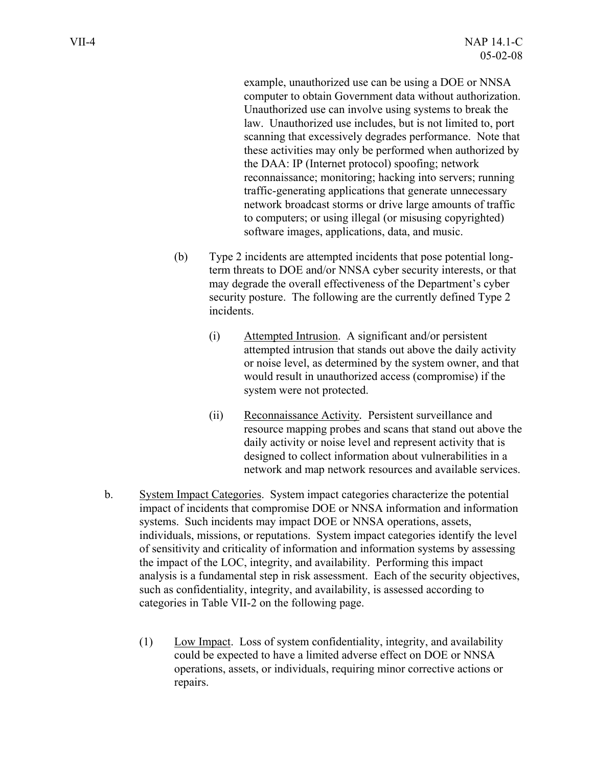example, unauthorized use can be using a DOE or NNSA computer to obtain Government data without authorization. Unauthorized use can involve using systems to break the law. Unauthorized use includes, but is not limited to, port scanning that excessively degrades performance. Note that these activities may only be performed when authorized by the DAA: IP (Internet protocol) spoofing; network reconnaissance; monitoring; hacking into servers; running traffic-generating applications that generate unnecessary network broadcast storms or drive large amounts of traffic to computers; or using illegal (or misusing copyrighted) software images, applications, data, and music.

- (b) Type 2 incidents are attempted incidents that pose potential longterm threats to DOE and/or NNSA cyber security interests, or that may degrade the overall effectiveness of the Department's cyber security posture. The following are the currently defined Type 2 incidents.
	- (i) Attempted Intrusion. A significant and/or persistent attempted intrusion that stands out above the daily activity or noise level, as determined by the system owner, and that would result in unauthorized access (compromise) if the system were not protected.
	- (ii) Reconnaissance Activity*.* Persistent surveillance and resource mapping probes and scans that stand out above the daily activity or noise level and represent activity that is designed to collect information about vulnerabilities in a network and map network resources and available services.
- b. System Impact Categories. System impact categories characterize the potential impact of incidents that compromise DOE or NNSA information and information systems. Such incidents may impact DOE or NNSA operations, assets, individuals, missions, or reputations. System impact categories identify the level of sensitivity and criticality of information and information systems by assessing the impact of the LOC, integrity, and availability. Performing this impact analysis is a fundamental step in risk assessment. Each of the security objectives, such as confidentiality, integrity, and availability, is assessed according to categories in Table VII-2 on the following page.
	- (1) Low Impact. Loss of system confidentiality, integrity, and availability could be expected to have a limited adverse effect on DOE or NNSA operations, assets, or individuals, requiring minor corrective actions or repairs.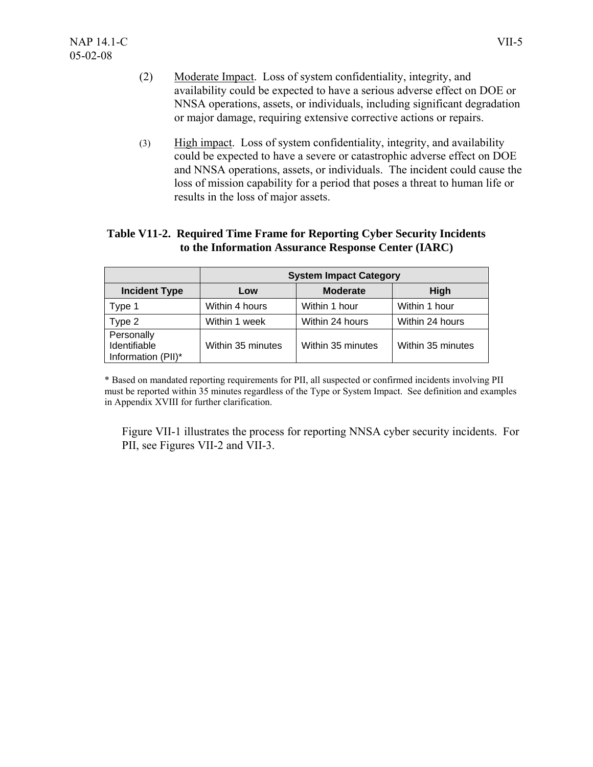- (2) Moderate Impact. Loss of system confidentiality, integrity, and availability could be expected to have a serious adverse effect on DOE or NNSA operations, assets, or individuals, including significant degradation or major damage, requiring extensive corrective actions or repairs.
- (3) High impact. Loss of system confidentiality, integrity, and availability could be expected to have a severe or catastrophic adverse effect on DOE and NNSA operations, assets, or individuals. The incident could cause the loss of mission capability for a period that poses a threat to human life or results in the loss of major assets.

#### **Table V11-2. Required Time Frame for Reporting Cyber Security Incidents to the Information Assurance Response Center (IARC)**

|                                                  | <b>System Impact Category</b> |                   |                   |
|--------------------------------------------------|-------------------------------|-------------------|-------------------|
| <b>Incident Type</b>                             | Low                           | <b>Moderate</b>   | High              |
| Type 1                                           | Within 4 hours                | Within 1 hour     | Within 1 hour     |
| Type 2                                           | Within 1 week                 | Within 24 hours   | Within 24 hours   |
| Personally<br>Identifiable<br>Information (PII)* | Within 35 minutes             | Within 35 minutes | Within 35 minutes |

\* Based on mandated reporting requirements for PII, all suspected or confirmed incidents involving PII must be reported within 35 minutes regardless of the Type or System Impact. See definition and examples in Appendix XVIII for further clarification.

Figure VII-1 illustrates the process for reporting NNSA cyber security incidents. For PII, see Figures VII-2 and VII-3.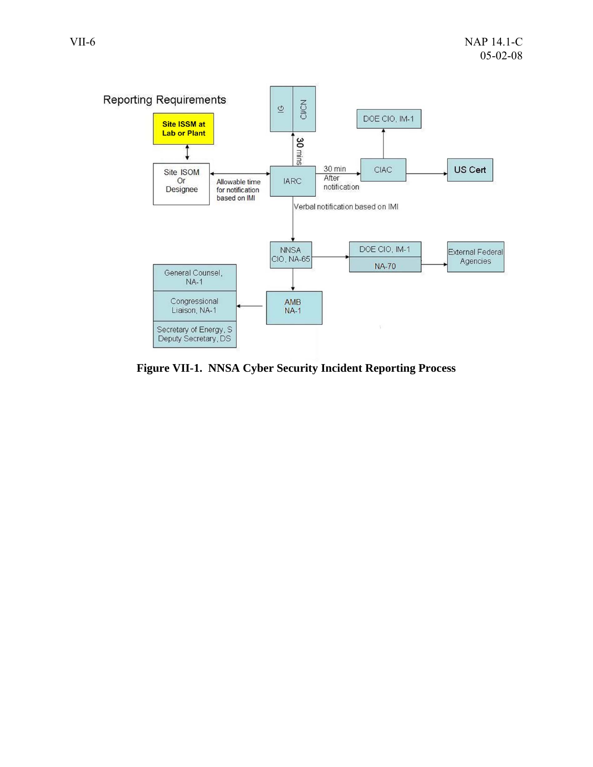

**Figure VII-1. NNSA Cyber Security Incident Reporting Process**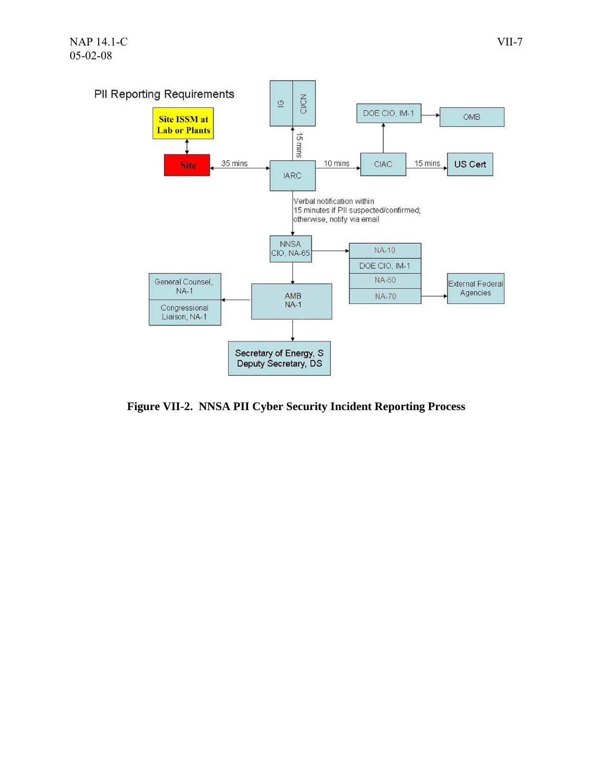

**Figure VII-2. NNSA PII Cyber Security Incident Reporting Process**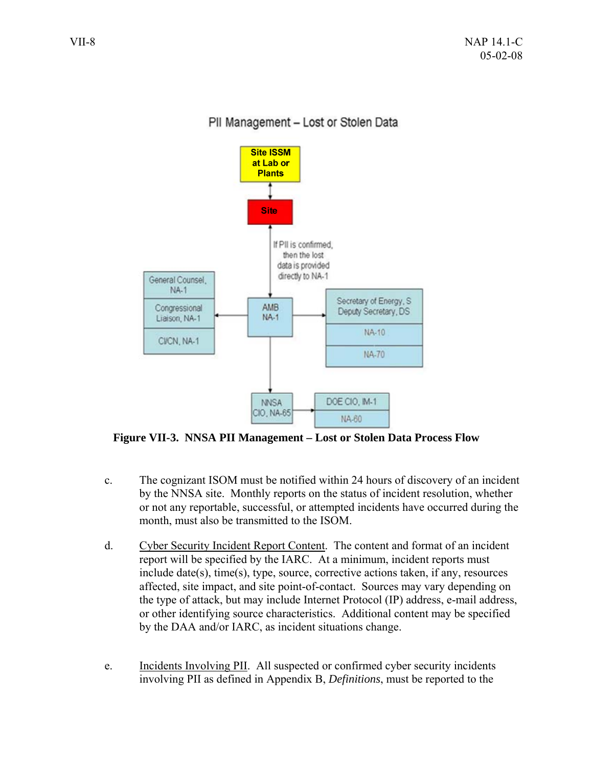

# PII Management - Lost or Stolen Data

**Figure VII-3. NNSA PII Management – Lost or Stolen Data Process Flow** 

- c. The cognizant ISOM must be notified within 24 hours of discovery of an incident by the NNSA site. Monthly reports on the status of incident resolution, whether or not any reportable, successful, or attempted incidents have occurred during the month, must also be transmitted to the ISOM.
- d. Cyber Security Incident Report Content. The content and format of an incident report will be specified by the IARC. At a minimum, incident reports must include date(s), time(s), type, source, corrective actions taken, if any, resources affected, site impact, and site point-of-contact. Sources may vary depending on the type of attack, but may include Internet Protocol (IP) address, e-mail address, or other identifying source characteristics. Additional content may be specified by the DAA and/or IARC, as incident situations change.
- e. Incidents Involving PII. All suspected or confirmed cyber security incidents involving PII as defined in Appendix B, *Definitions*, must be reported to the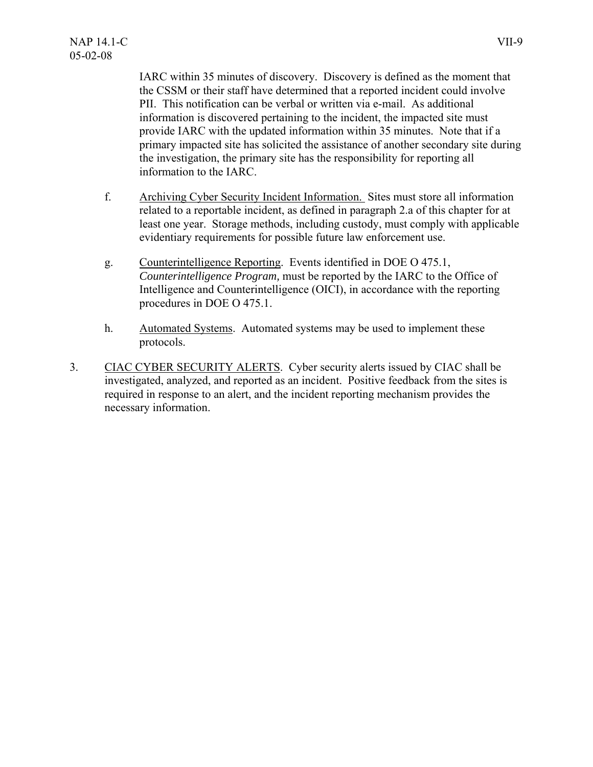IARC within 35 minutes of discovery. Discovery is defined as the moment that the CSSM or their staff have determined that a reported incident could involve PII. This notification can be verbal or written via e-mail. As additional information is discovered pertaining to the incident, the impacted site must provide IARC with the updated information within 35 minutes. Note that if a primary impacted site has solicited the assistance of another secondary site during the investigation, the primary site has the responsibility for reporting all information to the IARC.

- f. Archiving Cyber Security Incident Information. Sites must store all information related to a reportable incident, as defined in paragraph 2.a of this chapter for at least one year. Storage methods, including custody, must comply with applicable evidentiary requirements for possible future law enforcement use.
- g. Counterintelligence Reporting. Events identified in DOE O 475.1, *Counterintelligence Program,* must be reported by the IARC to the Office of Intelligence and Counterintelligence (OICI), in accordance with the reporting procedures in DOE O 475.1.
- h. Automated Systems. Automated systems may be used to implement these protocols.
- 3. CIAC CYBER SECURITY ALERTS. Cyber security alerts issued by CIAC shall be investigated, analyzed, and reported as an incident. Positive feedback from the sites is required in response to an alert, and the incident reporting mechanism provides the necessary information.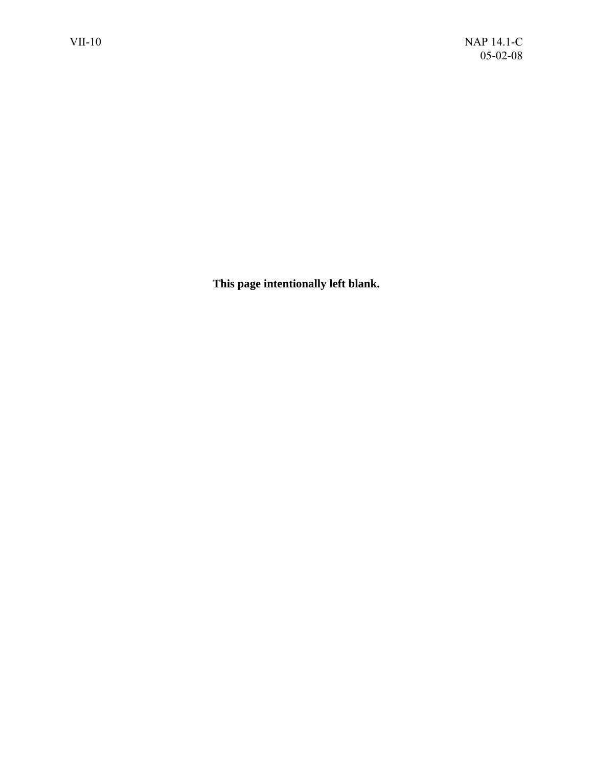**This page intentionally left blank.**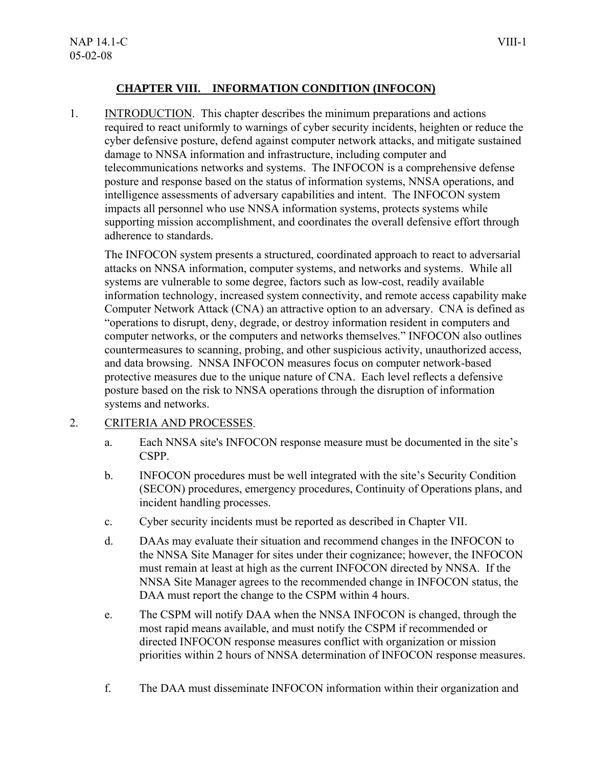### **CHAPTER VIII. INFORMATION CONDITION (INFOCON)**

1. INTRODUCTION. This chapter describes the minimum preparations and actions required to react uniformly to warnings of cyber security incidents, heighten or reduce the cyber defensive posture, defend against computer network attacks, and mitigate sustained damage to NNSA information and infrastructure, including computer and telecommunications networks and systems. The INFOCON is a comprehensive defense posture and response based on the status of information systems, NNSA operations, and intelligence assessments of adversary capabilities and intent. The INFOCON system impacts all personnel who use NNSA information systems, protects systems while supporting mission accomplishment, and coordinates the overall defensive effort through adherence to standards.

The INFOCON system presents a structured, coordinated approach to react to adversarial attacks on NNSA information, computer systems, and networks and systems. While all systems are vulnerable to some degree, factors such as low-cost, readily available information technology, increased system connectivity, and remote access capability make Computer Network Attack (CNA) an attractive option to an adversary. CNA is defined as "operations to disrupt, deny, degrade, or destroy information resident in computers and computer networks, or the computers and networks themselves." INFOCON also outlines countermeasures to scanning, probing, and other suspicious activity, unauthorized access, and data browsing. NNSA INFOCON measures focus on computer network-based protective measures due to the unique nature of CNA. Each level reflects a defensive posture based on the risk to NNSA operations through the disruption of information systems and networks.

#### 2. CRITERIA AND PROCESSES.

- a. Each NNSA site's INFOCON response measure must be documented in the site's CSPP.
- b. INFOCON procedures must be well integrated with the site's Security Condition (SECON) procedures, emergency procedures, Continuity of Operations plans, and incident handling processes.
- c. Cyber security incidents must be reported as described in Chapter VII.
- d. DAAs may evaluate their situation and recommend changes in the INFOCON to the NNSA Site Manager for sites under their cognizance; however, the INFOCON must remain at least at high as the current INFOCON directed by NNSA. If the NNSA Site Manager agrees to the recommended change in INFOCON status, the DAA must report the change to the CSPM within 4 hours.
- e. The CSPM will notify DAA when the NNSA INFOCON is changed, through the most rapid means available, and must notify the CSPM if recommended or directed INFOCON response measures conflict with organization or mission priorities within 2 hours of NNSA determination of INFOCON response measures.
- f. The DAA must disseminate INFOCON information within their organization and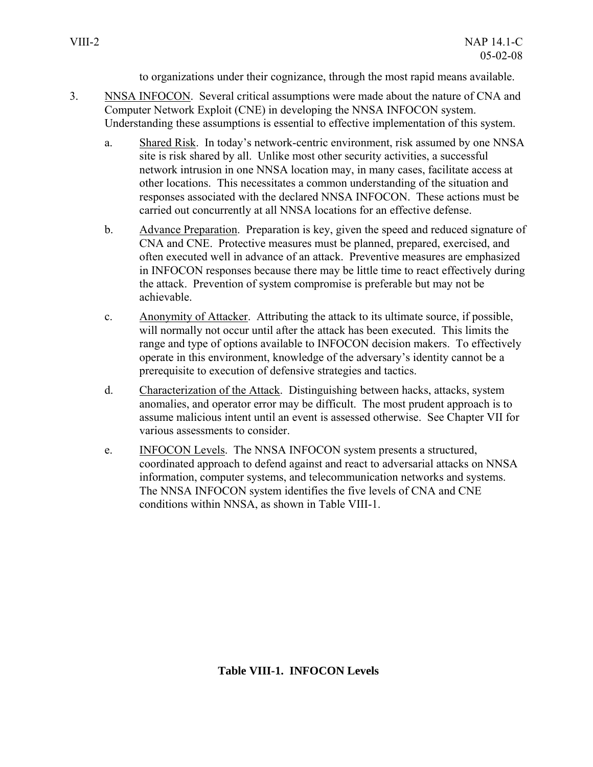to organizations under their cognizance, through the most rapid means available.

- 3. NNSA INFOCON. Several critical assumptions were made about the nature of CNA and Computer Network Exploit (CNE) in developing the NNSA INFOCON system. Understanding these assumptions is essential to effective implementation of this system.
	- a. Shared Risk. In today's network-centric environment, risk assumed by one NNSA site is risk shared by all. Unlike most other security activities, a successful network intrusion in one NNSA location may, in many cases, facilitate access at other locations. This necessitates a common understanding of the situation and responses associated with the declared NNSA INFOCON. These actions must be carried out concurrently at all NNSA locations for an effective defense.
	- b. Advance Preparation. Preparation is key, given the speed and reduced signature of CNA and CNE. Protective measures must be planned, prepared, exercised, and often executed well in advance of an attack. Preventive measures are emphasized in INFOCON responses because there may be little time to react effectively during the attack. Prevention of system compromise is preferable but may not be achievable.
	- c. Anonymity of Attacker. Attributing the attack to its ultimate source, if possible, will normally not occur until after the attack has been executed. This limits the range and type of options available to INFOCON decision makers. To effectively operate in this environment, knowledge of the adversary's identity cannot be a prerequisite to execution of defensive strategies and tactics.
	- d. Characterization of the Attack. Distinguishing between hacks, attacks, system anomalies, and operator error may be difficult. The most prudent approach is to assume malicious intent until an event is assessed otherwise. See Chapter VII for various assessments to consider.
	- e. INFOCON Levels. The NNSA INFOCON system presents a structured, coordinated approach to defend against and react to adversarial attacks on NNSA information, computer systems, and telecommunication networks and systems. The NNSA INFOCON system identifies the five levels of CNA and CNE conditions within NNSA, as shown in Table VIII-1.

#### **Table VIII-1. INFOCON Levels**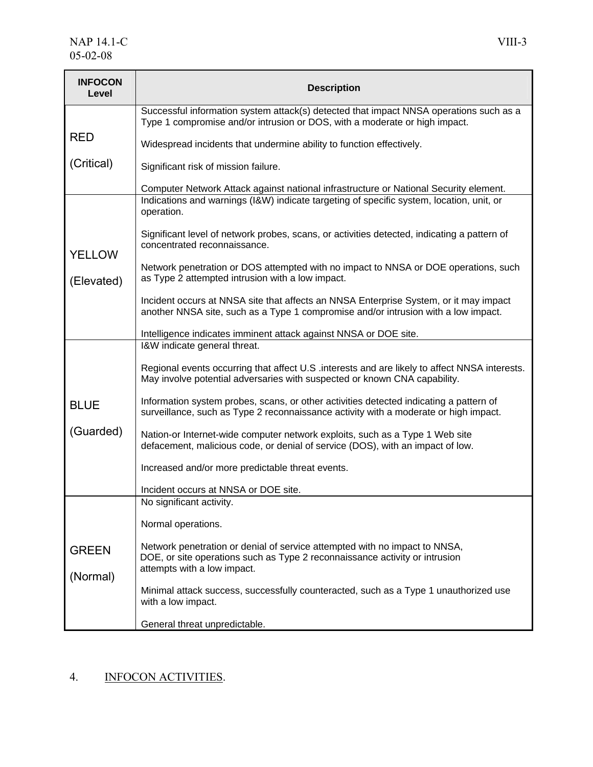| <b>INFOCON</b><br>Level | <b>Description</b>                                                                                                                                                                              |
|-------------------------|-------------------------------------------------------------------------------------------------------------------------------------------------------------------------------------------------|
|                         | Successful information system attack(s) detected that impact NNSA operations such as a<br>Type 1 compromise and/or intrusion or DOS, with a moderate or high impact.                            |
| <b>RED</b>              | Widespread incidents that undermine ability to function effectively.                                                                                                                            |
| (Critical)              | Significant risk of mission failure.                                                                                                                                                            |
|                         | Computer Network Attack against national infrastructure or National Security element.<br>Indications and warnings (I&W) indicate targeting of specific system, location, unit, or<br>operation. |
| <b>YELLOW</b>           | Significant level of network probes, scans, or activities detected, indicating a pattern of<br>concentrated reconnaissance.                                                                     |
| (Elevated)              | Network penetration or DOS attempted with no impact to NNSA or DOE operations, such<br>as Type 2 attempted intrusion with a low impact.                                                         |
|                         | Incident occurs at NNSA site that affects an NNSA Enterprise System, or it may impact<br>another NNSA site, such as a Type 1 compromise and/or intrusion with a low impact.                     |
|                         | Intelligence indicates imminent attack against NNSA or DOE site.<br>I&W indicate general threat.                                                                                                |
|                         | Regional events occurring that affect U.S .interests and are likely to affect NNSA interests.<br>May involve potential adversaries with suspected or known CNA capability.                      |
| <b>BLUE</b>             | Information system probes, scans, or other activities detected indicating a pattern of<br>surveillance, such as Type 2 reconnaissance activity with a moderate or high impact.                  |
| (Guarded)               | Nation-or Internet-wide computer network exploits, such as a Type 1 Web site<br>defacement, malicious code, or denial of service (DOS), with an impact of low.                                  |
|                         | Increased and/or more predictable threat events.                                                                                                                                                |
|                         | Incident occurs at NNSA or DOE site.<br>No significant activity.                                                                                                                                |
|                         | Normal operations.                                                                                                                                                                              |
| <b>GREEN</b>            | Network penetration or denial of service attempted with no impact to NNSA,<br>DOE, or site operations such as Type 2 reconnaissance activity or intrusion<br>attempts with a low impact.        |
| (Normal)                | Minimal attack success, successfully counteracted, such as a Type 1 unauthorized use<br>with a low impact.                                                                                      |
|                         | General threat unpredictable.                                                                                                                                                                   |

# 4. INFOCON ACTIVITIES.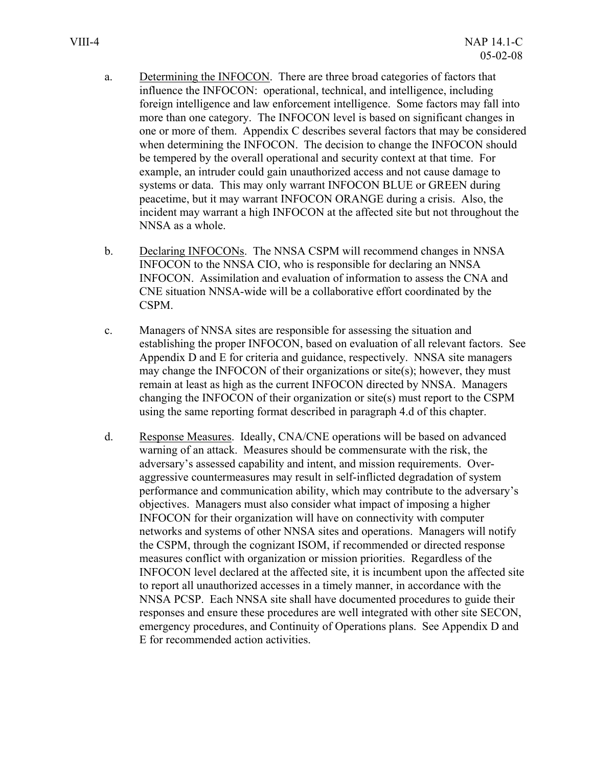- a. Determining the INFOCON. There are three broad categories of factors that influence the INFOCON: operational, technical, and intelligence, including foreign intelligence and law enforcement intelligence. Some factors may fall into more than one category. The INFOCON level is based on significant changes in one or more of them. Appendix C describes several factors that may be considered when determining the INFOCON. The decision to change the INFOCON should be tempered by the overall operational and security context at that time. For example, an intruder could gain unauthorized access and not cause damage to systems or data. This may only warrant INFOCON BLUE or GREEN during peacetime, but it may warrant INFOCON ORANGE during a crisis. Also, the incident may warrant a high INFOCON at the affected site but not throughout the NNSA as a whole.
- b. Declaring INFOCONs. The NNSA CSPM will recommend changes in NNSA INFOCON to the NNSA CIO, who is responsible for declaring an NNSA INFOCON. Assimilation and evaluation of information to assess the CNA and CNE situation NNSA-wide will be a collaborative effort coordinated by the CSPM.
- c. Managers of NNSA sites are responsible for assessing the situation and establishing the proper INFOCON, based on evaluation of all relevant factors. See Appendix D and E for criteria and guidance, respectively. NNSA site managers may change the INFOCON of their organizations or site(s); however, they must remain at least as high as the current INFOCON directed by NNSA. Managers changing the INFOCON of their organization or site(s) must report to the CSPM using the same reporting format described in paragraph 4.d of this chapter.
- d. Response Measures. Ideally, CNA/CNE operations will be based on advanced warning of an attack. Measures should be commensurate with the risk, the adversary's assessed capability and intent, and mission requirements. Overaggressive countermeasures may result in self-inflicted degradation of system performance and communication ability, which may contribute to the adversary's objectives. Managers must also consider what impact of imposing a higher INFOCON for their organization will have on connectivity with computer networks and systems of other NNSA sites and operations. Managers will notify the CSPM, through the cognizant ISOM, if recommended or directed response measures conflict with organization or mission priorities. Regardless of the INFOCON level declared at the affected site, it is incumbent upon the affected site to report all unauthorized accesses in a timely manner, in accordance with the NNSA PCSP. Each NNSA site shall have documented procedures to guide their responses and ensure these procedures are well integrated with other site SECON, emergency procedures, and Continuity of Operations plans. See Appendix D and E for recommended action activities.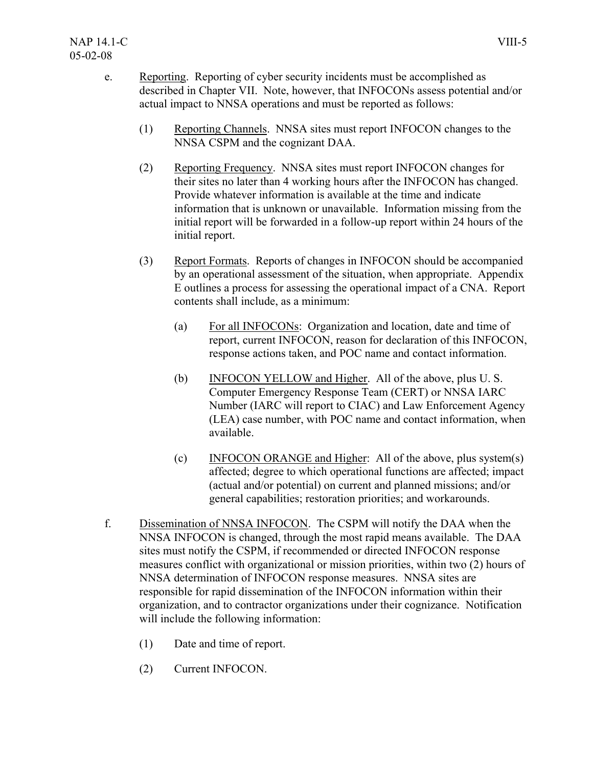- e. Reporting. Reporting of cyber security incidents must be accomplished as described in Chapter VII. Note, however, that INFOCONs assess potential and/or actual impact to NNSA operations and must be reported as follows:
	- (1) Reporting Channels. NNSA sites must report INFOCON changes to the NNSA CSPM and the cognizant DAA.
	- (2) Reporting Frequency. NNSA sites must report INFOCON changes for their sites no later than 4 working hours after the INFOCON has changed. Provide whatever information is available at the time and indicate information that is unknown or unavailable. Information missing from the initial report will be forwarded in a follow-up report within 24 hours of the initial report.
	- (3) Report Formats. Reports of changes in INFOCON should be accompanied by an operational assessment of the situation, when appropriate. Appendix E outlines a process for assessing the operational impact of a CNA. Report contents shall include, as a minimum:
		- (a) For all INFOCONs: Organization and location, date and time of report, current INFOCON, reason for declaration of this INFOCON, response actions taken, and POC name and contact information.
		- (b) INFOCON YELLOW and Higher. All of the above, plus U. S. Computer Emergency Response Team (CERT) or NNSA IARC Number (IARC will report to CIAC) and Law Enforcement Agency (LEA) case number, with POC name and contact information, when available.
		- (c) INFOCON ORANGE and Higher: All of the above, plus system(s) affected; degree to which operational functions are affected; impact (actual and/or potential) on current and planned missions; and/or general capabilities; restoration priorities; and workarounds.
- f. Dissemination of NNSA INFOCON. The CSPM will notify the DAA when the NNSA INFOCON is changed, through the most rapid means available. The DAA sites must notify the CSPM, if recommended or directed INFOCON response measures conflict with organizational or mission priorities, within two (2) hours of NNSA determination of INFOCON response measures. NNSA sites are responsible for rapid dissemination of the INFOCON information within their organization, and to contractor organizations under their cognizance. Notification will include the following information:
	- (1) Date and time of report.
	- (2) Current INFOCON.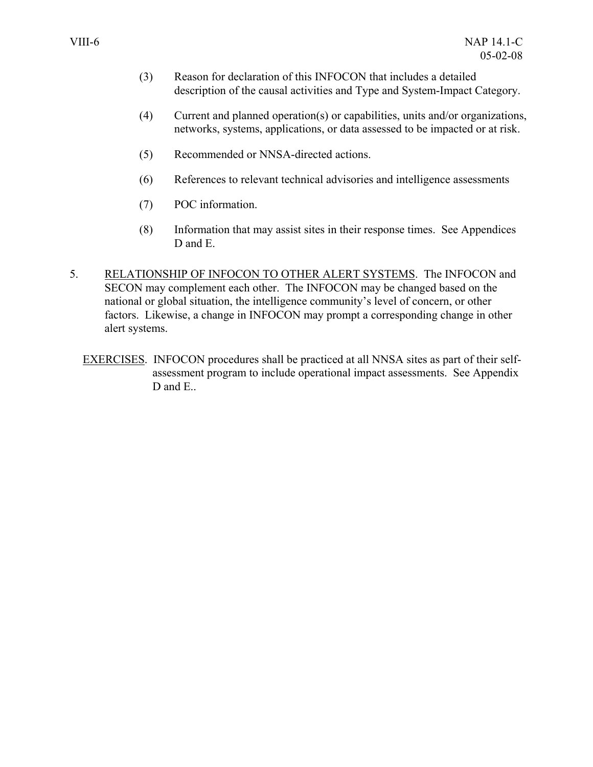- (3) Reason for declaration of this INFOCON that includes a detailed description of the causal activities and Type and System-Impact Category.
- (4) Current and planned operation(s) or capabilities, units and/or organizations, networks, systems, applications, or data assessed to be impacted or at risk.
- (5) Recommended or NNSA-directed actions.
- (6) References to relevant technical advisories and intelligence assessments
- (7) POC information.
- (8) Information that may assist sites in their response times. See Appendices D and E.
- 5. RELATIONSHIP OF INFOCON TO OTHER ALERT SYSTEMS. The INFOCON and SECON may complement each other. The INFOCON may be changed based on the national or global situation, the intelligence community's level of concern, or other factors. Likewise, a change in INFOCON may prompt a corresponding change in other alert systems.
	- EXERCISES. INFOCON procedures shall be practiced at all NNSA sites as part of their selfassessment program to include operational impact assessments. See Appendix D and E.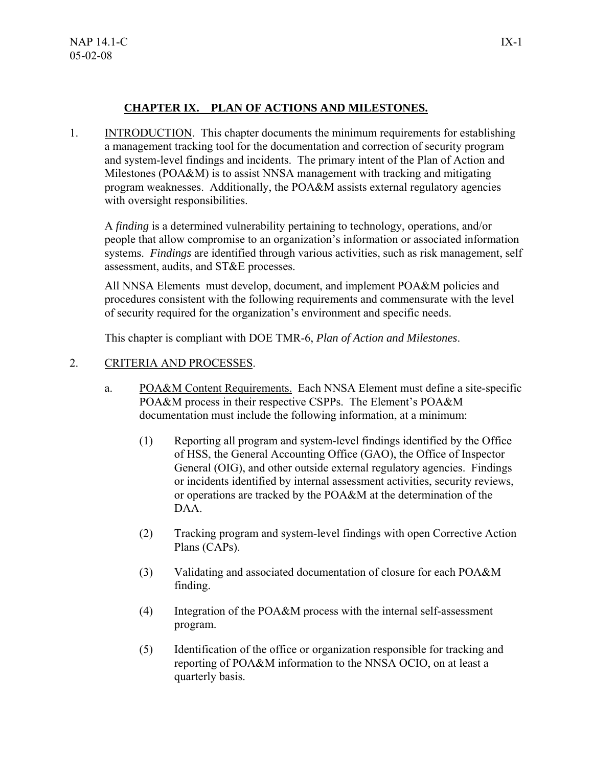### **CHAPTER IX. PLAN OF ACTIONS AND MILESTONES.**

1. INTRODUCTION. This chapter documents the minimum requirements for establishing a management tracking tool for the documentation and correction of security program and system-level findings and incidents. The primary intent of the Plan of Action and Milestones (POA&M) is to assist NNSA management with tracking and mitigating program weaknesses. Additionally, the POA&M assists external regulatory agencies with oversight responsibilities.

A *finding* is a determined vulnerability pertaining to technology, operations, and/or people that allow compromise to an organization's information or associated information systems. *Findings* are identified through various activities, such as risk management, self assessment, audits, and ST&E processes.

All NNSA Elements must develop, document, and implement POA&M policies and procedures consistent with the following requirements and commensurate with the level of security required for the organization's environment and specific needs.

This chapter is compliant with DOE TMR-6, *Plan of Action and Milestones*.

### 2. CRITERIA AND PROCESSES.

- a. POA&M Content Requirements. Each NNSA Element must define a site-specific POA&M process in their respective CSPPs. The Element's POA&M documentation must include the following information, at a minimum:
	- (1) Reporting all program and system-level findings identified by the Office of HSS, the General Accounting Office (GAO), the Office of Inspector General (OIG), and other outside external regulatory agencies. Findings or incidents identified by internal assessment activities, security reviews, or operations are tracked by the POA&M at the determination of the DAA.
	- (2) Tracking program and system-level findings with open Corrective Action Plans (CAPs).
	- (3) Validating and associated documentation of closure for each POA&M finding.
	- (4) Integration of the POA&M process with the internal self-assessment program.
	- (5) Identification of the office or organization responsible for tracking and reporting of POA&M information to the NNSA OCIO, on at least a quarterly basis.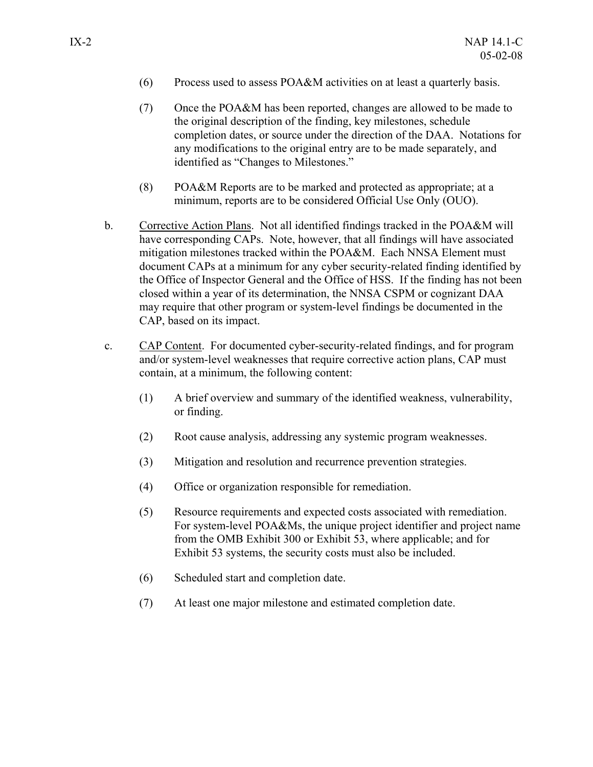- (6) Process used to assess POA&M activities on at least a quarterly basis.
- (7) Once the POA&M has been reported, changes are allowed to be made to the original description of the finding, key milestones, schedule completion dates, or source under the direction of the DAA. Notations for any modifications to the original entry are to be made separately, and identified as "Changes to Milestones."
- (8) POA&M Reports are to be marked and protected as appropriate; at a minimum, reports are to be considered Official Use Only (OUO).
- b. Corrective Action Plans. Not all identified findings tracked in the POA&M will have corresponding CAPs. Note, however, that all findings will have associated mitigation milestones tracked within the POA&M. Each NNSA Element must document CAPs at a minimum for any cyber security-related finding identified by the Office of Inspector General and the Office of HSS. If the finding has not been closed within a year of its determination, the NNSA CSPM or cognizant DAA may require that other program or system-level findings be documented in the CAP, based on its impact.
- c. CAP Content. For documented cyber-security-related findings, and for program and/or system-level weaknesses that require corrective action plans, CAP must contain, at a minimum, the following content:
	- (1) A brief overview and summary of the identified weakness, vulnerability, or finding.
	- (2) Root cause analysis, addressing any systemic program weaknesses.
	- (3) Mitigation and resolution and recurrence prevention strategies.
	- (4) Office or organization responsible for remediation.
	- (5) Resource requirements and expected costs associated with remediation. For system-level POA&Ms, the unique project identifier and project name from the OMB Exhibit 300 or Exhibit 53, where applicable; and for Exhibit 53 systems, the security costs must also be included.
	- (6) Scheduled start and completion date.
	- (7) At least one major milestone and estimated completion date.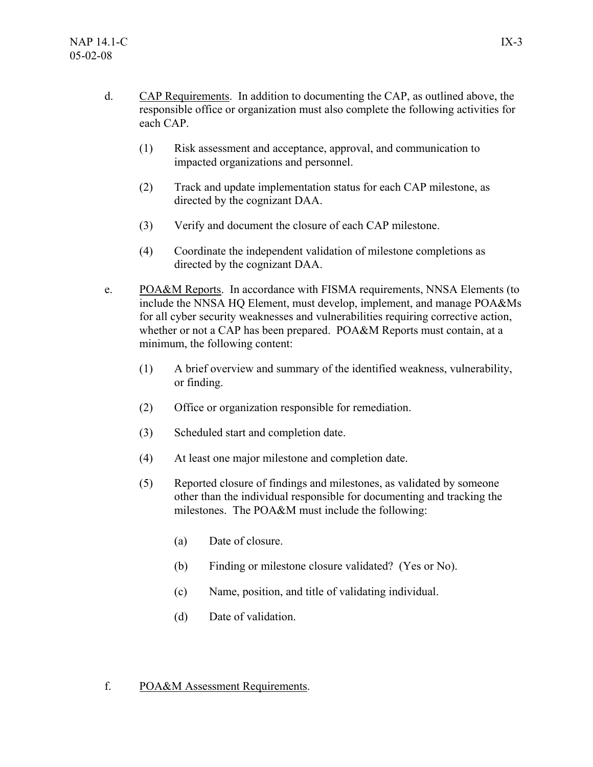- d. CAP Requirements. In addition to documenting the CAP, as outlined above, the responsible office or organization must also complete the following activities for each CAP.
	- (1) Risk assessment and acceptance, approval, and communication to impacted organizations and personnel.
	- (2) Track and update implementation status for each CAP milestone, as directed by the cognizant DAA.
	- (3) Verify and document the closure of each CAP milestone.
	- (4) Coordinate the independent validation of milestone completions as directed by the cognizant DAA.
- e. POA&M Reports. In accordance with FISMA requirements, NNSA Elements (to include the NNSA HQ Element, must develop, implement, and manage POA&Ms for all cyber security weaknesses and vulnerabilities requiring corrective action, whether or not a CAP has been prepared. POA&M Reports must contain, at a minimum, the following content:
	- (1) A brief overview and summary of the identified weakness, vulnerability, or finding.
	- (2) Office or organization responsible for remediation.
	- (3) Scheduled start and completion date.
	- (4) At least one major milestone and completion date.
	- (5) Reported closure of findings and milestones, as validated by someone other than the individual responsible for documenting and tracking the milestones. The POA&M must include the following:
		- (a) Date of closure.
		- (b) Finding or milestone closure validated? (Yes or No).
		- (c) Name, position, and title of validating individual.
		- (d) Date of validation.

### f. POA&M Assessment Requirements.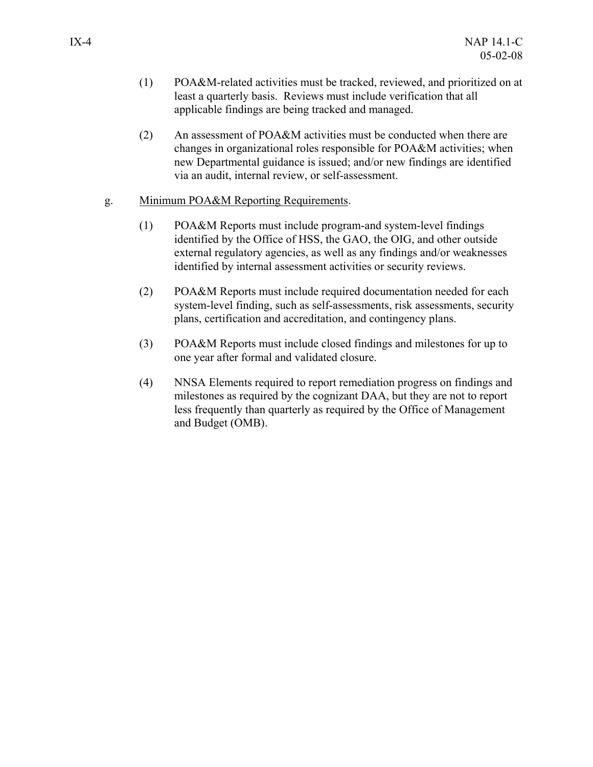- (1) POA&M-related activities must be tracked, reviewed, and prioritized on at least a quarterly basis. Reviews must include verification that all applicable findings are being tracked and managed.
- (2) An assessment of POA&M activities must be conducted when there are changes in organizational roles responsible for POA&M activities; when new Departmental guidance is issued; and/or new findings are identified via an audit, internal review, or self-assessment.
- g. Minimum POA&M Reporting Requirements.
	- (1) POA&M Reports must include program-and system-level findings identified by the Office of HSS, the GAO, the OIG, and other outside external regulatory agencies, as well as any findings and/or weaknesses identified by internal assessment activities or security reviews.
	- (2) POA&M Reports must include required documentation needed for each system-level finding, such as self-assessments, risk assessments, security plans, certification and accreditation, and contingency plans.
	- (3) POA&M Reports must include closed findings and milestones for up to one year after formal and validated closure.
	- (4) NNSA Elements required to report remediation progress on findings and milestones as required by the cognizant DAA, but they are not to report less frequently than quarterly as required by the Office of Management and Budget (OMB).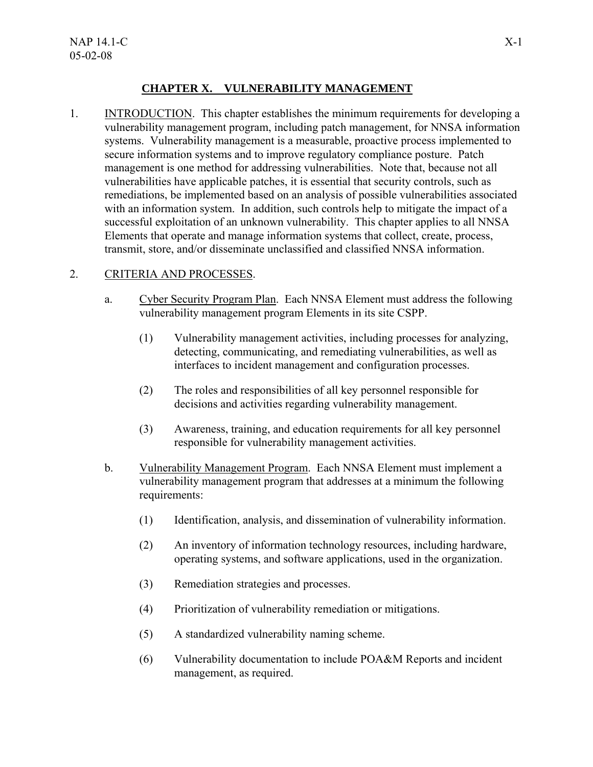# **CHAPTER X. VULNERABILITY MANAGEMENT**

1. INTRODUCTION. This chapter establishes the minimum requirements for developing a vulnerability management program, including patch management, for NNSA information systems. Vulnerability management is a measurable, proactive process implemented to secure information systems and to improve regulatory compliance posture. Patch management is one method for addressing vulnerabilities. Note that, because not all vulnerabilities have applicable patches, it is essential that security controls, such as remediations, be implemented based on an analysis of possible vulnerabilities associated with an information system. In addition, such controls help to mitigate the impact of a successful exploitation of an unknown vulnerability. This chapter applies to all NNSA Elements that operate and manage information systems that collect, create, process, transmit, store, and/or disseminate unclassified and classified NNSA information.

#### 2. CRITERIA AND PROCESSES.

- a. Cyber Security Program Plan. Each NNSA Element must address the following vulnerability management program Elements in its site CSPP.
	- (1) Vulnerability management activities, including processes for analyzing, detecting, communicating, and remediating vulnerabilities, as well as interfaces to incident management and configuration processes.
	- (2) The roles and responsibilities of all key personnel responsible for decisions and activities regarding vulnerability management.
	- (3) Awareness, training, and education requirements for all key personnel responsible for vulnerability management activities.
- b. Vulnerability Management Program. Each NNSA Element must implement a vulnerability management program that addresses at a minimum the following requirements:
	- (1) Identification, analysis, and dissemination of vulnerability information.
	- (2) An inventory of information technology resources, including hardware, operating systems, and software applications, used in the organization.
	- (3) Remediation strategies and processes.
	- (4) Prioritization of vulnerability remediation or mitigations.
	- (5) A standardized vulnerability naming scheme.
	- (6) Vulnerability documentation to include POA&M Reports and incident management, as required.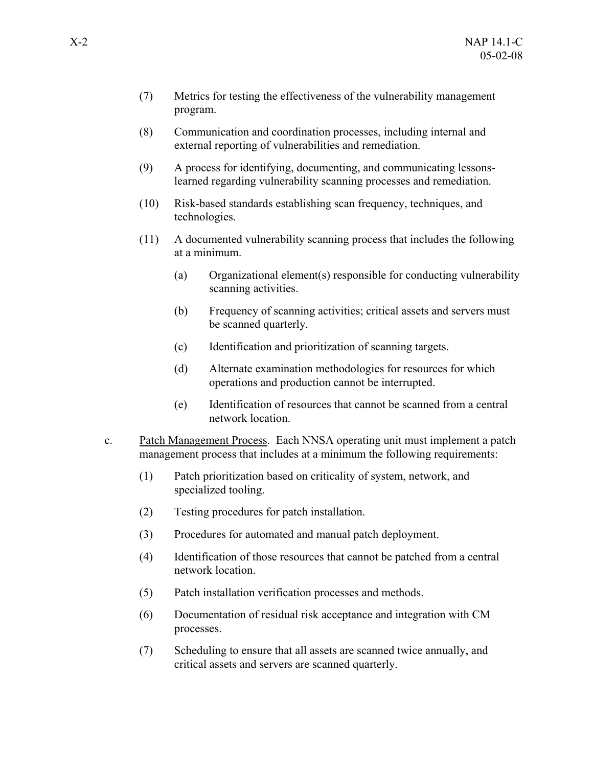- (7) Metrics for testing the effectiveness of the vulnerability management program.
- (8) Communication and coordination processes, including internal and external reporting of vulnerabilities and remediation.
- (9) A process for identifying, documenting, and communicating lessonslearned regarding vulnerability scanning processes and remediation.
- (10) Risk-based standards establishing scan frequency, techniques, and technologies.
- (11) A documented vulnerability scanning process that includes the following at a minimum.
	- (a) Organizational element(s) responsible for conducting vulnerability scanning activities.
	- (b) Frequency of scanning activities; critical assets and servers must be scanned quarterly.
	- (c) Identification and prioritization of scanning targets.
	- (d) Alternate examination methodologies for resources for which operations and production cannot be interrupted.
	- (e) Identification of resources that cannot be scanned from a central network location.
- c. Patch Management Process. Each NNSA operating unit must implement a patch management process that includes at a minimum the following requirements:
	- (1) Patch prioritization based on criticality of system, network, and specialized tooling.
	- (2) Testing procedures for patch installation.
	- (3) Procedures for automated and manual patch deployment.
	- (4) Identification of those resources that cannot be patched from a central network location.
	- (5) Patch installation verification processes and methods.
	- (6) Documentation of residual risk acceptance and integration with CM processes.
	- (7) Scheduling to ensure that all assets are scanned twice annually, and critical assets and servers are scanned quarterly.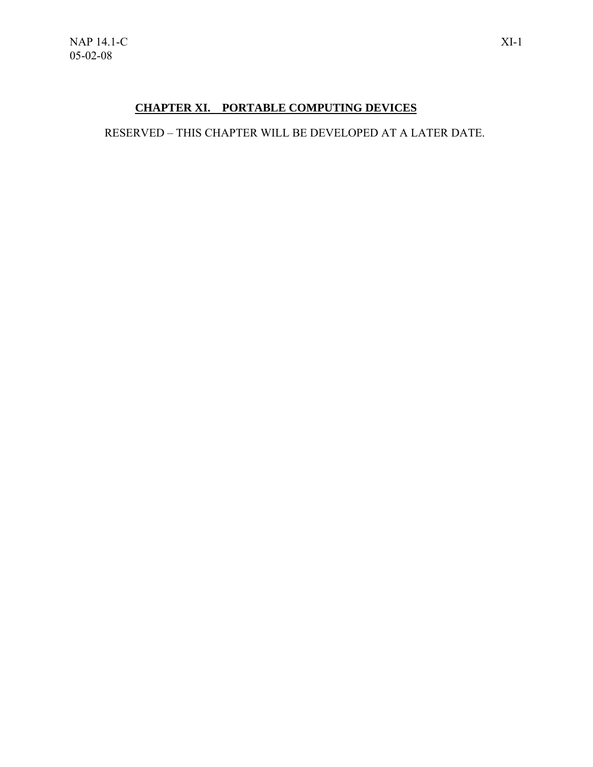# **CHAPTER XI. PORTABLE COMPUTING DEVICES**

RESERVED – THIS CHAPTER WILL BE DEVELOPED AT A LATER DATE.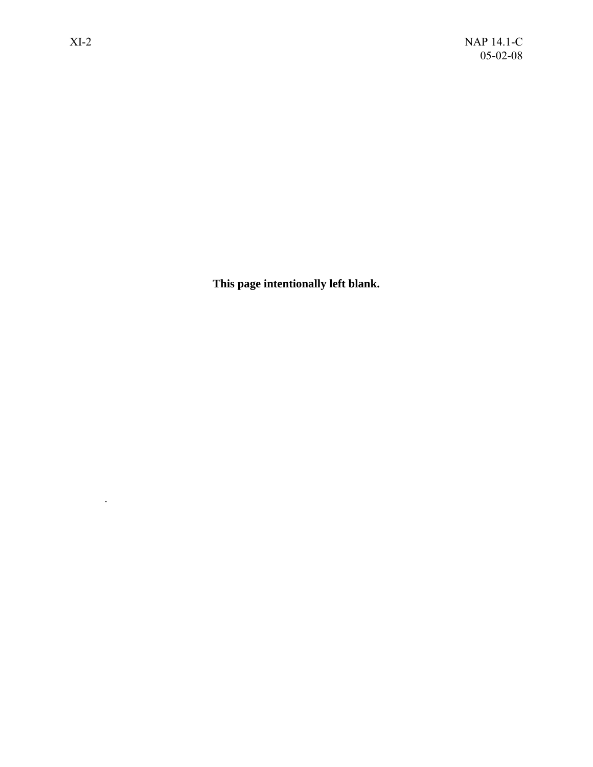**This page intentionally left blank.** 

.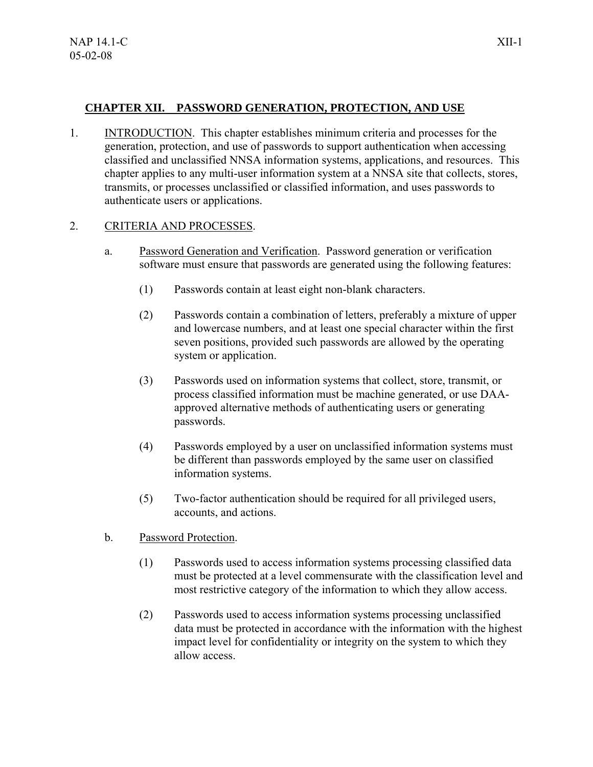### **CHAPTER XII. PASSWORD GENERATION, PROTECTION, AND USE**

1. INTRODUCTION. This chapter establishes minimum criteria and processes for the generation, protection, and use of passwords to support authentication when accessing classified and unclassified NNSA information systems, applications, and resources. This chapter applies to any multi-user information system at a NNSA site that collects, stores, transmits, or processes unclassified or classified information, and uses passwords to authenticate users or applications.

### 2. CRITERIA AND PROCESSES.

- a. Password Generation and Verification. Password generation or verification software must ensure that passwords are generated using the following features:
	- (1) Passwords contain at least eight non-blank characters.
	- (2) Passwords contain a combination of letters, preferably a mixture of upper and lowercase numbers, and at least one special character within the first seven positions, provided such passwords are allowed by the operating system or application.
	- (3) Passwords used on information systems that collect, store, transmit, or process classified information must be machine generated, or use DAAapproved alternative methods of authenticating users or generating passwords.
	- (4) Passwords employed by a user on unclassified information systems must be different than passwords employed by the same user on classified information systems.
	- (5) Two-factor authentication should be required for all privileged users, accounts, and actions.
- b. Password Protection.
	- (1) Passwords used to access information systems processing classified data must be protected at a level commensurate with the classification level and most restrictive category of the information to which they allow access.
	- (2) Passwords used to access information systems processing unclassified data must be protected in accordance with the information with the highest impact level for confidentiality or integrity on the system to which they allow access.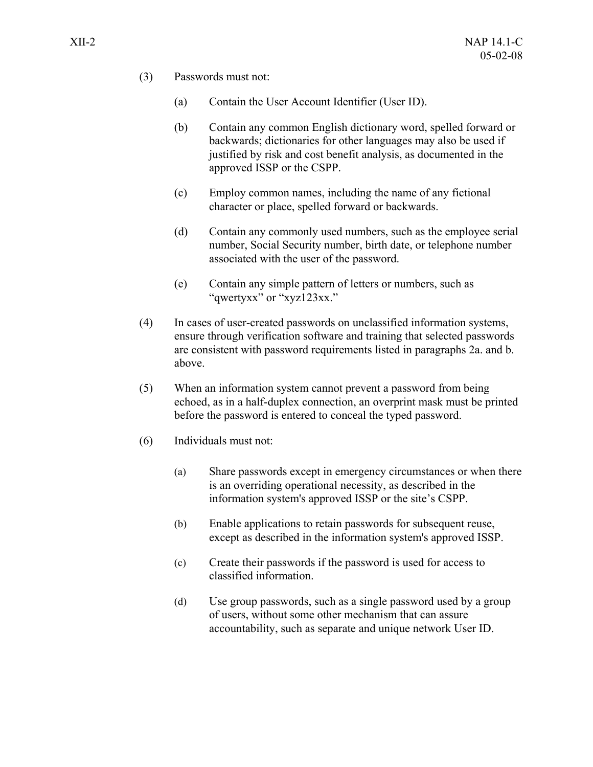- (3) Passwords must not:
	- (a) Contain the User Account Identifier (User ID).
	- (b) Contain any common English dictionary word, spelled forward or backwards; dictionaries for other languages may also be used if justified by risk and cost benefit analysis, as documented in the approved ISSP or the CSPP.
	- (c) Employ common names, including the name of any fictional character or place, spelled forward or backwards.
	- (d) Contain any commonly used numbers, such as the employee serial number, Social Security number, birth date, or telephone number associated with the user of the password.
	- (e) Contain any simple pattern of letters or numbers, such as "qwertyxx" or "xyz123xx."
- (4) In cases of user-created passwords on unclassified information systems, ensure through verification software and training that selected passwords are consistent with password requirements listed in paragraphs 2a. and b. above.
- (5) When an information system cannot prevent a password from being echoed, as in a half-duplex connection, an overprint mask must be printed before the password is entered to conceal the typed password.
- (6) Individuals must not:
	- (a) Share passwords except in emergency circumstances or when there is an overriding operational necessity, as described in the information system's approved ISSP or the site's CSPP.
	- (b) Enable applications to retain passwords for subsequent reuse, except as described in the information system's approved ISSP.
	- (c) Create their passwords if the password is used for access to classified information.
	- (d) Use group passwords, such as a single password used by a group of users, without some other mechanism that can assure accountability, such as separate and unique network User ID.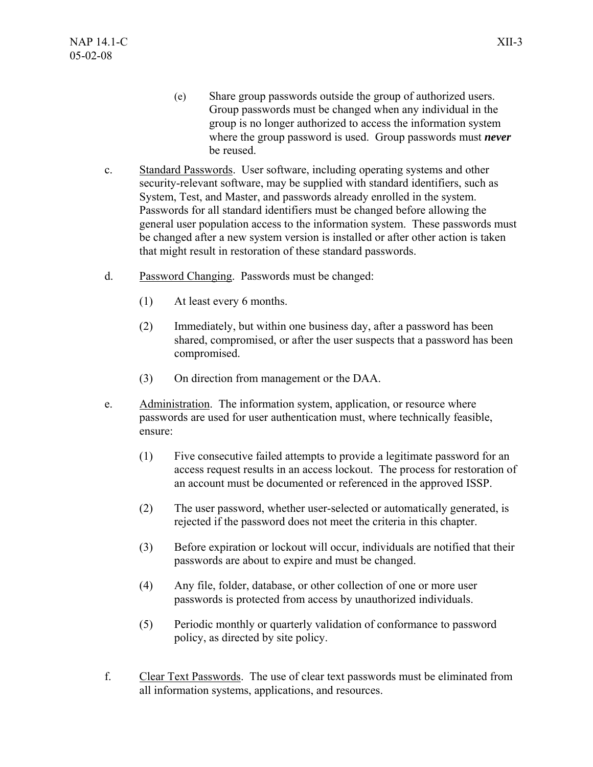- (e) Share group passwords outside the group of authorized users. Group passwords must be changed when any individual in the group is no longer authorized to access the information system where the group password is used. Group passwords must *never* be reused.
- c. Standard Passwords. User software, including operating systems and other security-relevant software, may be supplied with standard identifiers, such as System, Test, and Master, and passwords already enrolled in the system. Passwords for all standard identifiers must be changed before allowing the general user population access to the information system. These passwords must be changed after a new system version is installed or after other action is taken that might result in restoration of these standard passwords.
- d. Password Changing. Passwords must be changed:
	- (1) At least every 6 months.
	- (2) Immediately, but within one business day, after a password has been shared, compromised, or after the user suspects that a password has been compromised.
	- (3) On direction from management or the DAA.
- e. Administration. The information system, application, or resource where passwords are used for user authentication must, where technically feasible, ensure:
	- (1) Five consecutive failed attempts to provide a legitimate password for an access request results in an access lockout. The process for restoration of an account must be documented or referenced in the approved ISSP.
	- (2) The user password, whether user-selected or automatically generated, is rejected if the password does not meet the criteria in this chapter.
	- (3) Before expiration or lockout will occur, individuals are notified that their passwords are about to expire and must be changed.
	- (4) Any file, folder, database, or other collection of one or more user passwords is protected from access by unauthorized individuals.
	- (5) Periodic monthly or quarterly validation of conformance to password policy, as directed by site policy.
- f. Clear Text Passwords. The use of clear text passwords must be eliminated from all information systems, applications, and resources.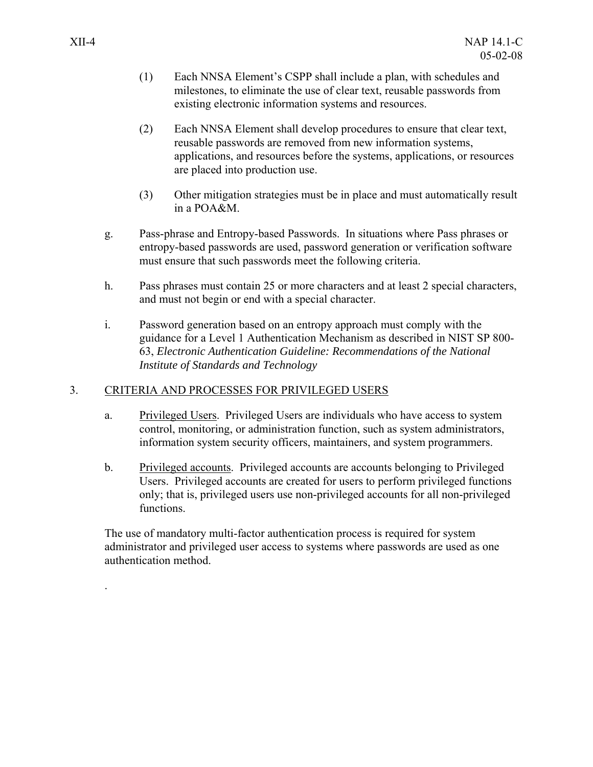- (1) Each NNSA Element's CSPP shall include a plan, with schedules and milestones, to eliminate the use of clear text, reusable passwords from existing electronic information systems and resources.
- (2) Each NNSA Element shall develop procedures to ensure that clear text, reusable passwords are removed from new information systems, applications, and resources before the systems, applications, or resources are placed into production use.
- (3) Other mitigation strategies must be in place and must automatically result in a POA&M.
- g. Pass-phrase and Entropy-based Passwords. In situations where Pass phrases or entropy-based passwords are used, password generation or verification software must ensure that such passwords meet the following criteria.
- h. Pass phrases must contain 25 or more characters and at least 2 special characters, and must not begin or end with a special character.
- i. Password generation based on an entropy approach must comply with the guidance for a Level 1 Authentication Mechanism as described in NIST SP 800- 63, *Electronic Authentication Guideline: Recommendations of the National Institute of Standards and Technology*

### 3. CRITERIA AND PROCESSES FOR PRIVILEGED USERS

- a. Privileged Users. Privileged Users are individuals who have access to system control, monitoring, or administration function, such as system administrators, information system security officers, maintainers, and system programmers.
- b. Privileged accounts. Privileged accounts are accounts belonging to Privileged Users. Privileged accounts are created for users to perform privileged functions only; that is, privileged users use non-privileged accounts for all non-privileged functions.

The use of mandatory multi-factor authentication process is required for system administrator and privileged user access to systems where passwords are used as one authentication method.

.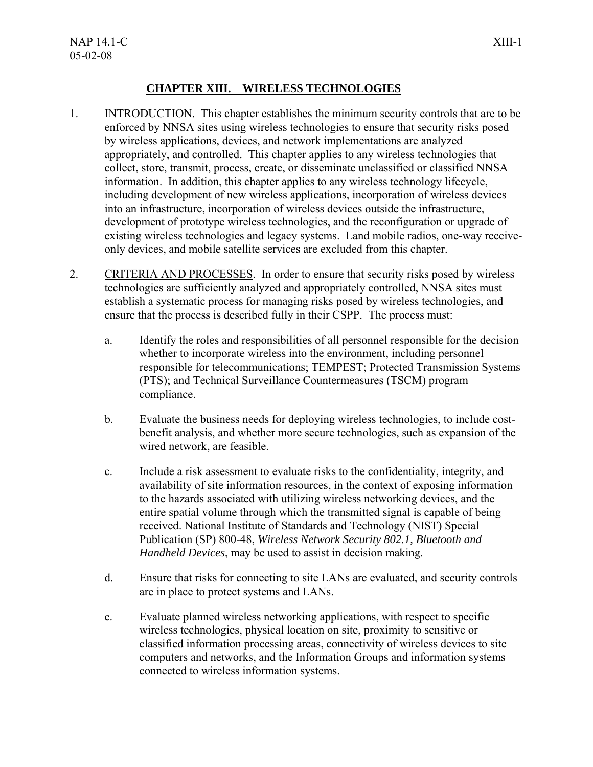# **CHAPTER XIII. WIRELESS TECHNOLOGIES**

- 1. INTRODUCTION. This chapter establishes the minimum security controls that are to be enforced by NNSA sites using wireless technologies to ensure that security risks posed by wireless applications, devices, and network implementations are analyzed appropriately, and controlled. This chapter applies to any wireless technologies that collect, store, transmit, process, create, or disseminate unclassified or classified NNSA information. In addition, this chapter applies to any wireless technology lifecycle, including development of new wireless applications, incorporation of wireless devices into an infrastructure, incorporation of wireless devices outside the infrastructure, development of prototype wireless technologies, and the reconfiguration or upgrade of existing wireless technologies and legacy systems. Land mobile radios, one-way receiveonly devices, and mobile satellite services are excluded from this chapter.
- 2. CRITERIA AND PROCESSES. In order to ensure that security risks posed by wireless technologies are sufficiently analyzed and appropriately controlled, NNSA sites must establish a systematic process for managing risks posed by wireless technologies, and ensure that the process is described fully in their CSPP. The process must:
	- a. Identify the roles and responsibilities of all personnel responsible for the decision whether to incorporate wireless into the environment, including personnel responsible for telecommunications; TEMPEST; Protected Transmission Systems (PTS); and Technical Surveillance Countermeasures (TSCM) program compliance.
	- b. Evaluate the business needs for deploying wireless technologies, to include costbenefit analysis, and whether more secure technologies, such as expansion of the wired network, are feasible.
	- c. Include a risk assessment to evaluate risks to the confidentiality, integrity, and availability of site information resources, in the context of exposing information to the hazards associated with utilizing wireless networking devices, and the entire spatial volume through which the transmitted signal is capable of being received. National Institute of Standards and Technology (NIST) Special Publication (SP) 800-48, *Wireless Network Security 802.1, Bluetooth and Handheld Devices*, may be used to assist in decision making.
	- d. Ensure that risks for connecting to site LANs are evaluated, and security controls are in place to protect systems and LANs.
	- e. Evaluate planned wireless networking applications, with respect to specific wireless technologies, physical location on site, proximity to sensitive or classified information processing areas, connectivity of wireless devices to site computers and networks, and the Information Groups and information systems connected to wireless information systems.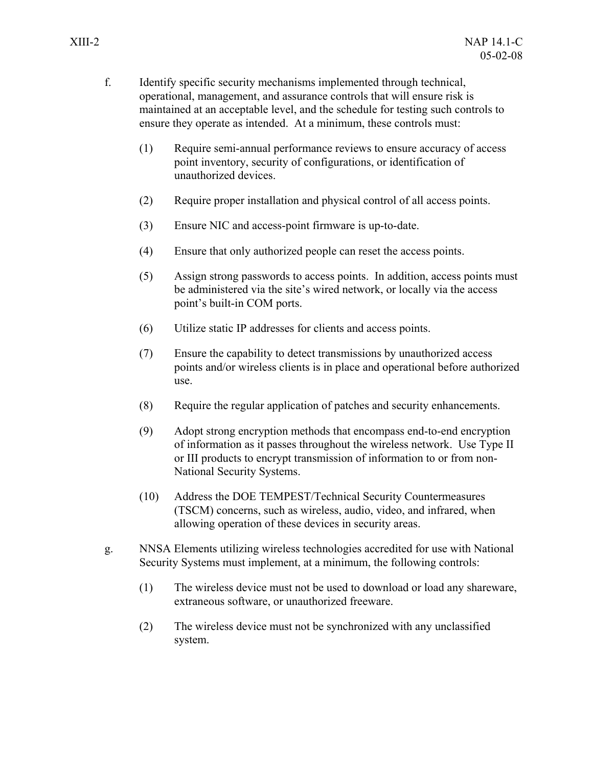- f. Identify specific security mechanisms implemented through technical, operational, management, and assurance controls that will ensure risk is maintained at an acceptable level, and the schedule for testing such controls to ensure they operate as intended. At a minimum, these controls must:
	- (1) Require semi-annual performance reviews to ensure accuracy of access point inventory, security of configurations, or identification of unauthorized devices.
	- (2) Require proper installation and physical control of all access points.
	- (3) Ensure NIC and access-point firmware is up-to-date.
	- (4) Ensure that only authorized people can reset the access points.
	- (5) Assign strong passwords to access points. In addition, access points must be administered via the site's wired network, or locally via the access point's built-in COM ports.
	- (6) Utilize static IP addresses for clients and access points.
	- (7) Ensure the capability to detect transmissions by unauthorized access points and/or wireless clients is in place and operational before authorized use.
	- (8) Require the regular application of patches and security enhancements.
	- (9) Adopt strong encryption methods that encompass end-to-end encryption of information as it passes throughout the wireless network. Use Type II or III products to encrypt transmission of information to or from non-National Security Systems.
	- (10) Address the DOE TEMPEST/Technical Security Countermeasures (TSCM) concerns, such as wireless, audio, video, and infrared, when allowing operation of these devices in security areas.
- g. NNSA Elements utilizing wireless technologies accredited for use with National Security Systems must implement, at a minimum, the following controls:
	- (1) The wireless device must not be used to download or load any shareware, extraneous software, or unauthorized freeware.
	- (2) The wireless device must not be synchronized with any unclassified system.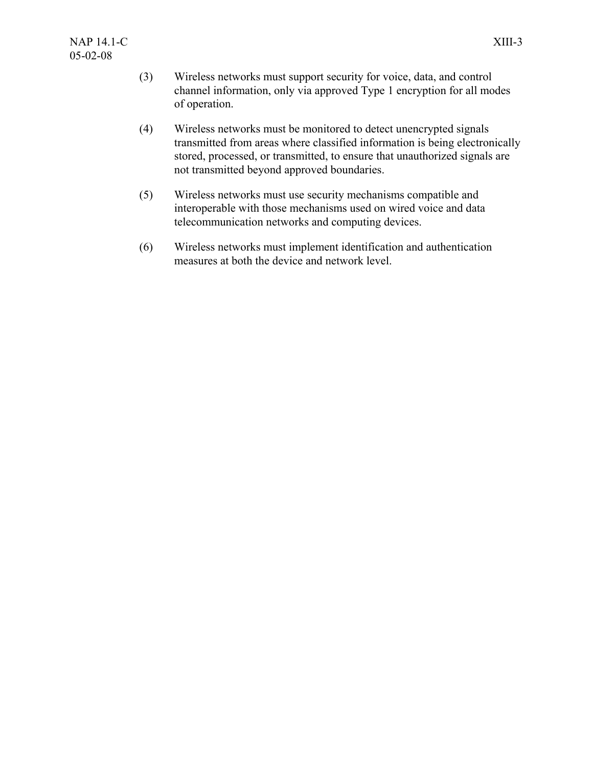- (4) Wireless networks must be monitored to detect unencrypted signals transmitted from areas where classified information is being electronically stored, processed, or transmitted, to ensure that unauthorized signals are not transmitted beyond approved boundaries.
- (5) Wireless networks must use security mechanisms compatible and interoperable with those mechanisms used on wired voice and data telecommunication networks and computing devices.
- (6) Wireless networks must implement identification and authentication measures at both the device and network level.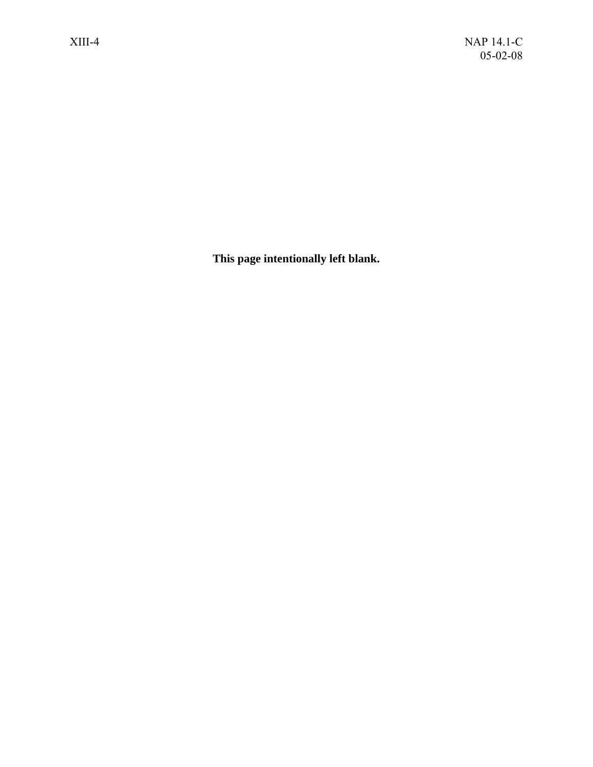**This page intentionally left blank.**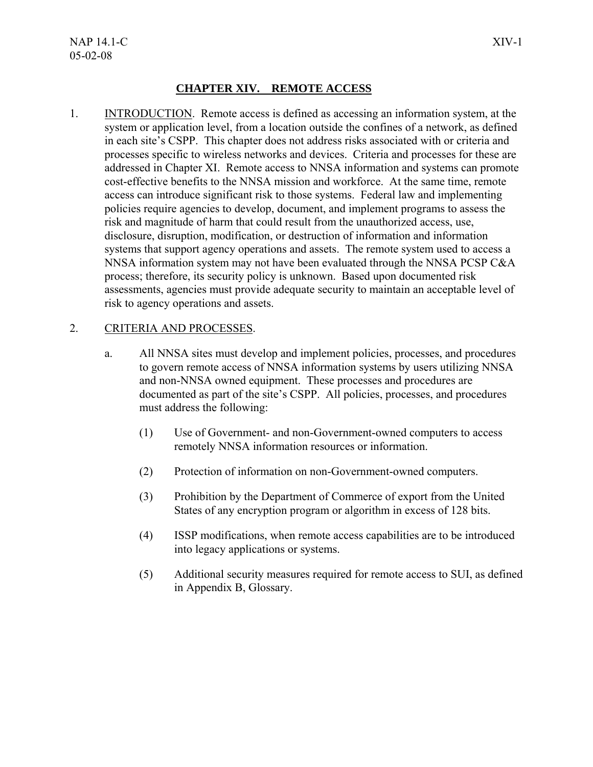### **CHAPTER XIV. REMOTE ACCESS**

1. INTRODUCTION. Remote access is defined as accessing an information system, at the system or application level, from a location outside the confines of a network, as defined in each site's CSPP. This chapter does not address risks associated with or criteria and processes specific to wireless networks and devices. Criteria and processes for these are addressed in Chapter XI. Remote access to NNSA information and systems can promote cost-effective benefits to the NNSA mission and workforce. At the same time, remote access can introduce significant risk to those systems. Federal law and implementing policies require agencies to develop, document, and implement programs to assess the risk and magnitude of harm that could result from the unauthorized access, use, disclosure, disruption, modification, or destruction of information and information systems that support agency operations and assets. The remote system used to access a NNSA information system may not have been evaluated through the NNSA PCSP C&A process; therefore, its security policy is unknown. Based upon documented risk assessments, agencies must provide adequate security to maintain an acceptable level of risk to agency operations and assets.

### 2. CRITERIA AND PROCESSES.

- a. All NNSA sites must develop and implement policies, processes, and procedures to govern remote access of NNSA information systems by users utilizing NNSA and non-NNSA owned equipment. These processes and procedures are documented as part of the site's CSPP. All policies, processes, and procedures must address the following:
	- (1) Use of Government- and non-Government-owned computers to access remotely NNSA information resources or information.
	- (2) Protection of information on non-Government-owned computers.
	- (3) Prohibition by the Department of Commerce of export from the United States of any encryption program or algorithm in excess of 128 bits.
	- (4) ISSP modifications, when remote access capabilities are to be introduced into legacy applications or systems.
	- (5) Additional security measures required for remote access to SUI, as defined in Appendix B, Glossary.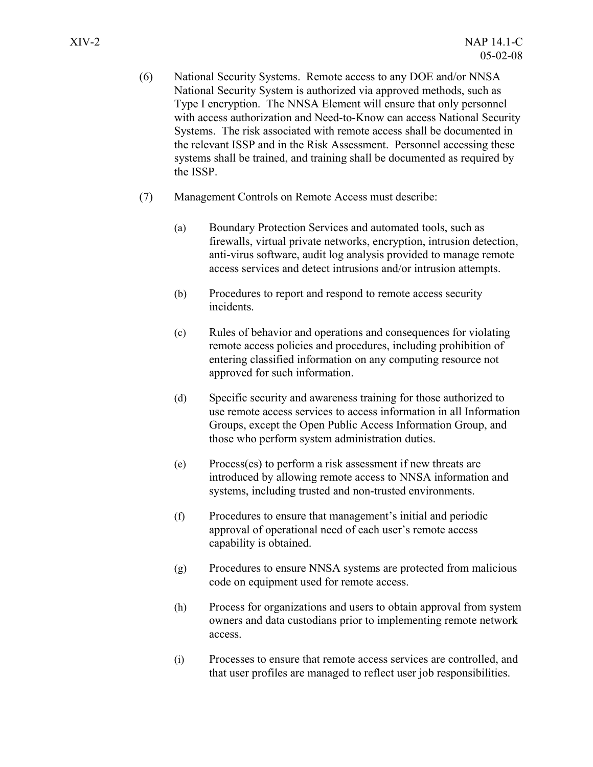- (6) National Security Systems. Remote access to any DOE and/or NNSA National Security System is authorized via approved methods, such as Type I encryption. The NNSA Element will ensure that only personnel with access authorization and Need-to-Know can access National Security Systems. The risk associated with remote access shall be documented in the relevant ISSP and in the Risk Assessment. Personnel accessing these systems shall be trained, and training shall be documented as required by the ISSP.
- (7) Management Controls on Remote Access must describe:
	- (a) Boundary Protection Services and automated tools, such as firewalls, virtual private networks, encryption, intrusion detection, anti-virus software, audit log analysis provided to manage remote access services and detect intrusions and/or intrusion attempts.
	- (b) Procedures to report and respond to remote access security incidents.
	- (c) Rules of behavior and operations and consequences for violating remote access policies and procedures, including prohibition of entering classified information on any computing resource not approved for such information.
	- (d) Specific security and awareness training for those authorized to use remote access services to access information in all Information Groups, except the Open Public Access Information Group, and those who perform system administration duties.
	- (e) Process(es) to perform a risk assessment if new threats are introduced by allowing remote access to NNSA information and systems, including trusted and non-trusted environments.
	- (f) Procedures to ensure that management's initial and periodic approval of operational need of each user's remote access capability is obtained.
	- (g) Procedures to ensure NNSA systems are protected from malicious code on equipment used for remote access.
	- (h) Process for organizations and users to obtain approval from system owners and data custodians prior to implementing remote network access.
	- (i) Processes to ensure that remote access services are controlled, and that user profiles are managed to reflect user job responsibilities.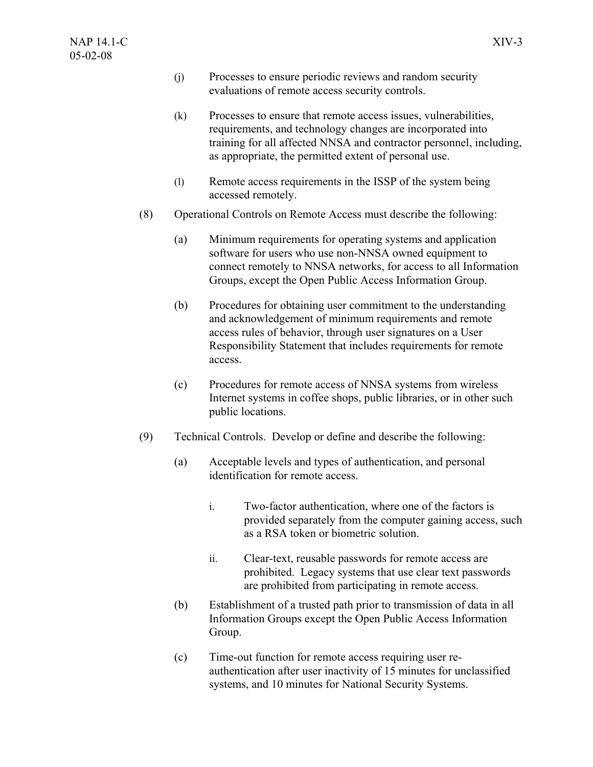- (j) Processes to ensure periodic reviews and random security evaluations of remote access security controls.
- (k) Processes to ensure that remote access issues, vulnerabilities, requirements, and technology changes are incorporated into training for all affected NNSA and contractor personnel, including, as appropriate, the permitted extent of personal use.
- (l) Remote access requirements in the ISSP of the system being accessed remotely.
- (8) Operational Controls on Remote Access must describe the following:
	- (a) Minimum requirements for operating systems and application software for users who use non-NNSA owned equipment to connect remotely to NNSA networks, for access to all Information Groups, except the Open Public Access Information Group.
	- (b) Procedures for obtaining user commitment to the understanding and acknowledgement of minimum requirements and remote access rules of behavior, through user signatures on a User Responsibility Statement that includes requirements for remote access.
	- (c) Procedures for remote access of NNSA systems from wireless Internet systems in coffee shops, public libraries, or in other such public locations.
- (9) Technical Controls. Develop or define and describe the following:
	- (a) Acceptable levels and types of authentication, and personal identification for remote access.
		- i. Two-factor authentication, where one of the factors is provided separately from the computer gaining access, such as a RSA token or biometric solution.
		- ii. Clear-text, reusable passwords for remote access are prohibited. Legacy systems that use clear text passwords are prohibited from participating in remote access.
	- (b) Establishment of a trusted path prior to transmission of data in all Information Groups except the Open Public Access Information Group.
	- (c) Time-out function for remote access requiring user reauthentication after user inactivity of 15 minutes for unclassified systems, and 10 minutes for National Security Systems.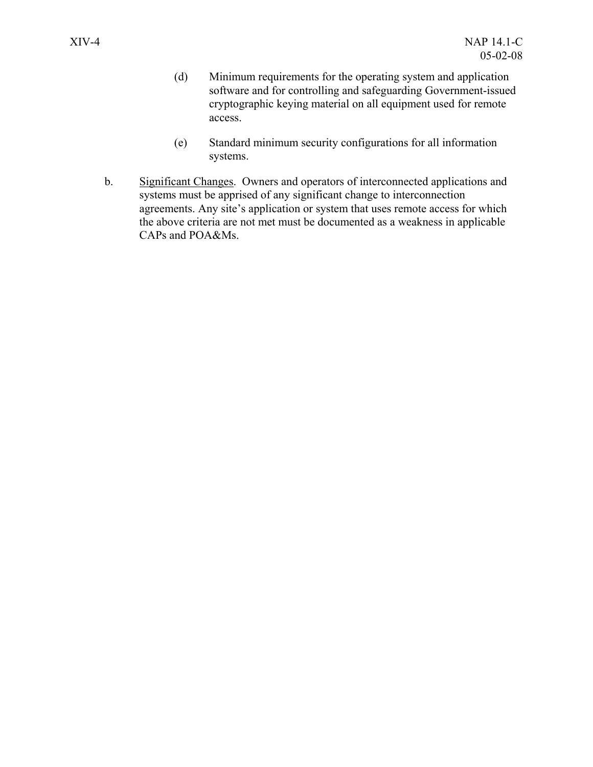- (d) Minimum requirements for the operating system and application software and for controlling and safeguarding Government-issued cryptographic keying material on all equipment used for remote access.
- (e) Standard minimum security configurations for all information systems.
- b. Significant Changes. Owners and operators of interconnected applications and systems must be apprised of any significant change to interconnection agreements. Any site's application or system that uses remote access for which the above criteria are not met must be documented as a weakness in applicable CAPs and POA&Ms.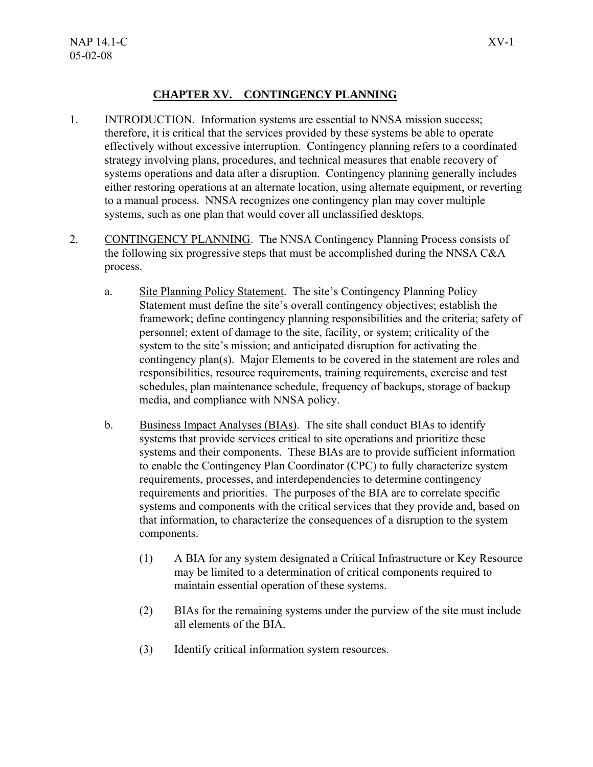## **CHAPTER XV. CONTINGENCY PLANNING**

- 1. INTRODUCTION. Information systems are essential to NNSA mission success; therefore, it is critical that the services provided by these systems be able to operate effectively without excessive interruption. Contingency planning refers to a coordinated strategy involving plans, procedures, and technical measures that enable recovery of systems operations and data after a disruption. Contingency planning generally includes either restoring operations at an alternate location, using alternate equipment, or reverting to a manual process. NNSA recognizes one contingency plan may cover multiple systems, such as one plan that would cover all unclassified desktops.
- 2. CONTINGENCY PLANNING. The NNSA Contingency Planning Process consists of the following six progressive steps that must be accomplished during the NNSA C&A process.
	- a. Site Planning Policy Statement. The site's Contingency Planning Policy Statement must define the site's overall contingency objectives; establish the framework; define contingency planning responsibilities and the criteria; safety of personnel; extent of damage to the site, facility, or system; criticality of the system to the site's mission; and anticipated disruption for activating the contingency plan(s). Major Elements to be covered in the statement are roles and responsibilities, resource requirements, training requirements, exercise and test schedules, plan maintenance schedule, frequency of backups, storage of backup media, and compliance with NNSA policy.
	- b. Business Impact Analyses (BIAs). The site shall conduct BIAs to identify systems that provide services critical to site operations and prioritize these systems and their components. These BIAs are to provide sufficient information to enable the Contingency Plan Coordinator (CPC) to fully characterize system requirements, processes, and interdependencies to determine contingency requirements and priorities. The purposes of the BIA are to correlate specific systems and components with the critical services that they provide and, based on that information, to characterize the consequences of a disruption to the system components.
		- (1) A BIA for any system designated a Critical Infrastructure or Key Resource may be limited to a determination of critical components required to maintain essential operation of these systems.
		- (2) BIAs for the remaining systems under the purview of the site must include all elements of the BIA.
		- (3) Identify critical information system resources.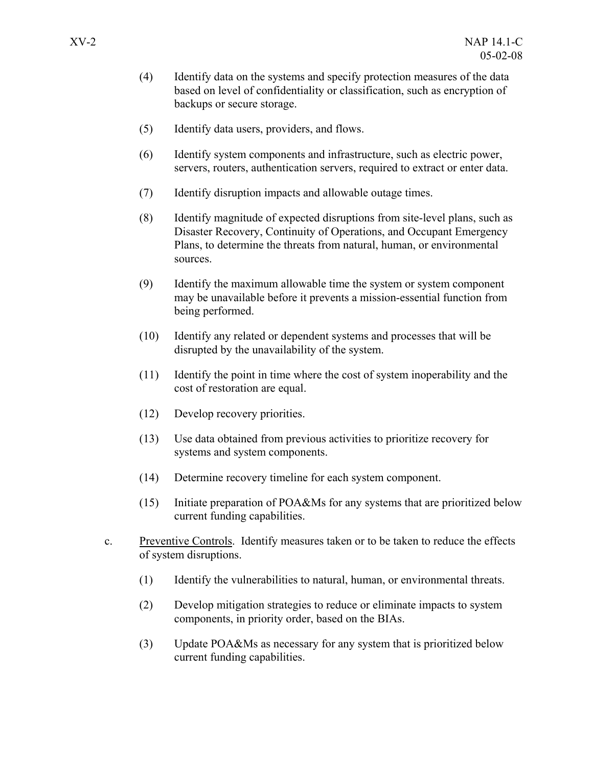- (4) Identify data on the systems and specify protection measures of the data based on level of confidentiality or classification, such as encryption of backups or secure storage.
- (5) Identify data users, providers, and flows.
- (6) Identify system components and infrastructure, such as electric power, servers, routers, authentication servers, required to extract or enter data.
- (7) Identify disruption impacts and allowable outage times.
- (8) Identify magnitude of expected disruptions from site-level plans, such as Disaster Recovery, Continuity of Operations, and Occupant Emergency Plans, to determine the threats from natural, human, or environmental sources.
- (9) Identify the maximum allowable time the system or system component may be unavailable before it prevents a mission-essential function from being performed.
- (10) Identify any related or dependent systems and processes that will be disrupted by the unavailability of the system.
- (11) Identify the point in time where the cost of system inoperability and the cost of restoration are equal.
- (12) Develop recovery priorities.
- (13) Use data obtained from previous activities to prioritize recovery for systems and system components.
- (14) Determine recovery timeline for each system component.
- (15) Initiate preparation of POA&Ms for any systems that are prioritized below current funding capabilities.
- c. Preventive Controls. Identify measures taken or to be taken to reduce the effects of system disruptions.
	- (1) Identify the vulnerabilities to natural, human, or environmental threats.
	- (2) Develop mitigation strategies to reduce or eliminate impacts to system components, in priority order, based on the BIAs.
	- (3) Update POA&Ms as necessary for any system that is prioritized below current funding capabilities.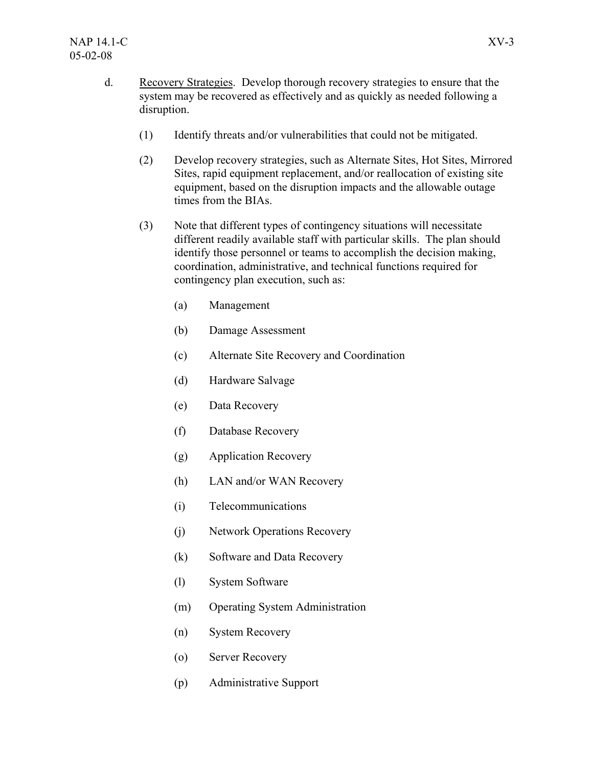- d. Recovery Strategies. Develop thorough recovery strategies to ensure that the system may be recovered as effectively and as quickly as needed following a disruption.
	- (1) Identify threats and/or vulnerabilities that could not be mitigated.
	- (2) Develop recovery strategies, such as Alternate Sites, Hot Sites, Mirrored Sites, rapid equipment replacement, and/or reallocation of existing site equipment, based on the disruption impacts and the allowable outage times from the BIAs.
	- (3) Note that different types of contingency situations will necessitate different readily available staff with particular skills. The plan should identify those personnel or teams to accomplish the decision making, coordination, administrative, and technical functions required for contingency plan execution, such as:
		- (a) Management
		- (b) Damage Assessment
		- (c) Alternate Site Recovery and Coordination
		- (d) Hardware Salvage
		- (e) Data Recovery
		- (f) Database Recovery
		- (g) Application Recovery
		- (h) LAN and/or WAN Recovery
		- (i) Telecommunications
		- (j) Network Operations Recovery
		- (k) Software and Data Recovery
		- (l) System Software
		- (m) Operating System Administration
		- (n) System Recovery
		- (o) Server Recovery
		- (p) Administrative Support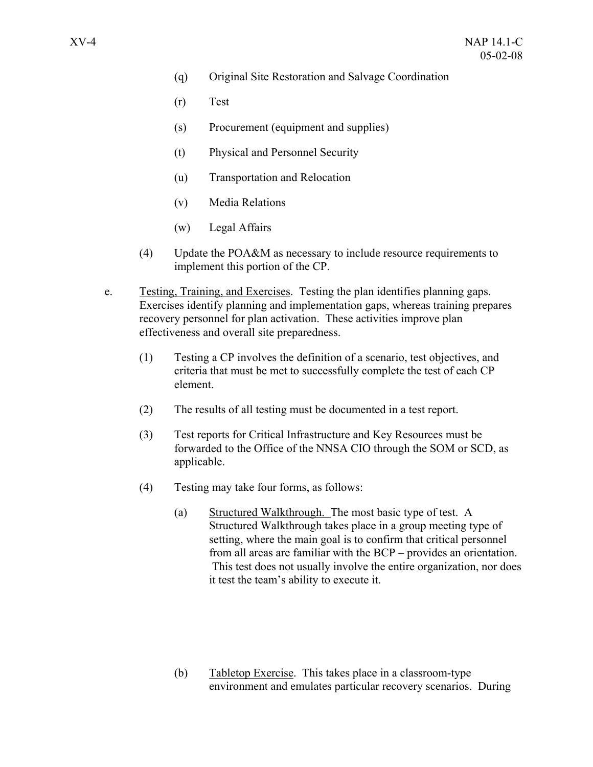- (q) Original Site Restoration and Salvage Coordination
- (r) Test
- (s) Procurement (equipment and supplies)
- (t) Physical and Personnel Security
- (u) Transportation and Relocation
- (v) Media Relations
- (w) Legal Affairs
- (4) Update the POA&M as necessary to include resource requirements to implement this portion of the CP.
- e. Testing, Training, and Exercises. Testing the plan identifies planning gaps. Exercises identify planning and implementation gaps, whereas training prepares recovery personnel for plan activation. These activities improve plan effectiveness and overall site preparedness.
	- (1) Testing a CP involves the definition of a scenario, test objectives, and criteria that must be met to successfully complete the test of each CP element.
	- (2) The results of all testing must be documented in a test report.
	- (3) Test reports for Critical Infrastructure and Key Resources must be forwarded to the Office of the NNSA CIO through the SOM or SCD, as applicable.
	- (4) Testing may take four forms, as follows:
		- (a) Structured Walkthrough. The most basic type of test. A Structured Walkthrough takes place in a group meeting type of setting, where the main goal is to confirm that critical personnel from all areas are familiar with the BCP – provides an orientation. This test does not usually involve the entire organization, nor does it test the team's ability to execute it.

(b) Tabletop Exercise. This takes place in a classroom-type environment and emulates particular recovery scenarios. During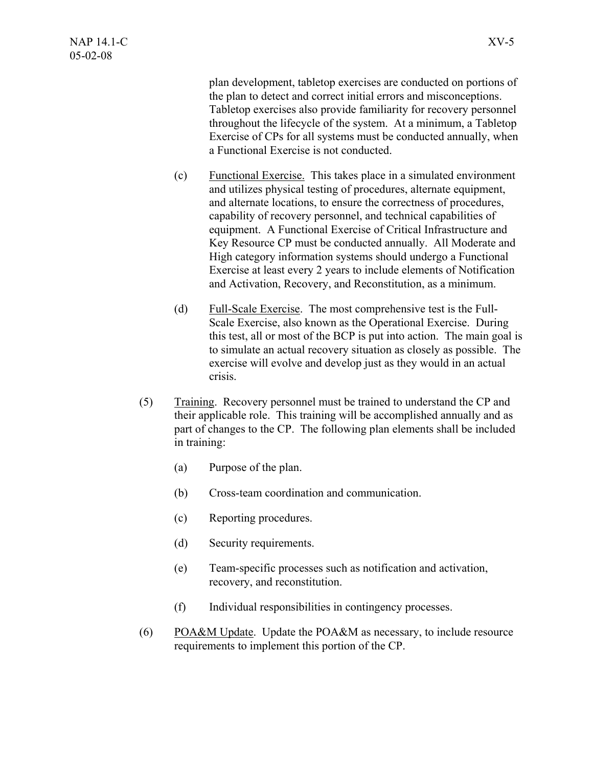plan development, tabletop exercises are conducted on portions of the plan to detect and correct initial errors and misconceptions. Tabletop exercises also provide familiarity for recovery personnel throughout the lifecycle of the system. At a minimum, a Tabletop Exercise of CPs for all systems must be conducted annually, when a Functional Exercise is not conducted.

- (c) Functional Exercise. This takes place in a simulated environment and utilizes physical testing of procedures, alternate equipment, and alternate locations, to ensure the correctness of procedures, capability of recovery personnel, and technical capabilities of equipment. A Functional Exercise of Critical Infrastructure and Key Resource CP must be conducted annually. All Moderate and High category information systems should undergo a Functional Exercise at least every 2 years to include elements of Notification and Activation, Recovery, and Reconstitution, as a minimum.
- (d) Full-Scale Exercise. The most comprehensive test is the Full-Scale Exercise, also known as the Operational Exercise. During this test, all or most of the BCP is put into action. The main goal is to simulate an actual recovery situation as closely as possible. The exercise will evolve and develop just as they would in an actual crisis.
- (5) Training. Recovery personnel must be trained to understand the CP and their applicable role. This training will be accomplished annually and as part of changes to the CP. The following plan elements shall be included in training:
	- (a) Purpose of the plan.
	- (b) Cross-team coordination and communication.
	- (c) Reporting procedures.
	- (d) Security requirements.
	- (e) Team-specific processes such as notification and activation, recovery, and reconstitution.
	- (f) Individual responsibilities in contingency processes.
- (6) POA&M Update. Update the POA&M as necessary, to include resource requirements to implement this portion of the CP.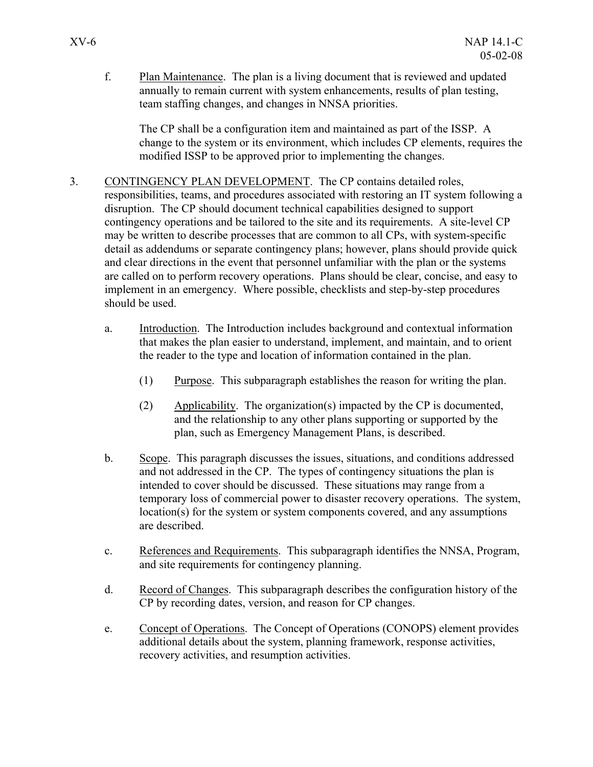f. Plan Maintenance. The plan is a living document that is reviewed and updated annually to remain current with system enhancements, results of plan testing, team staffing changes, and changes in NNSA priorities.

The CP shall be a configuration item and maintained as part of the ISSP. A change to the system or its environment, which includes CP elements, requires the modified ISSP to be approved prior to implementing the changes.

- 3. CONTINGENCY PLAN DEVELOPMENT. The CP contains detailed roles, responsibilities, teams, and procedures associated with restoring an IT system following a disruption. The CP should document technical capabilities designed to support contingency operations and be tailored to the site and its requirements. A site-level CP may be written to describe processes that are common to all CPs, with system-specific detail as addendums or separate contingency plans; however, plans should provide quick and clear directions in the event that personnel unfamiliar with the plan or the systems are called on to perform recovery operations. Plans should be clear, concise, and easy to implement in an emergency. Where possible, checklists and step-by-step procedures should be used.
	- a. Introduction. The Introduction includes background and contextual information that makes the plan easier to understand, implement, and maintain, and to orient the reader to the type and location of information contained in the plan.
		- (1) Purpose. This subparagraph establishes the reason for writing the plan.
		- (2) Applicability. The organization(s) impacted by the CP is documented, and the relationship to any other plans supporting or supported by the plan, such as Emergency Management Plans, is described.
	- b. Scope. This paragraph discusses the issues, situations, and conditions addressed and not addressed in the CP. The types of contingency situations the plan is intended to cover should be discussed. These situations may range from a temporary loss of commercial power to disaster recovery operations. The system, location(s) for the system or system components covered, and any assumptions are described.
	- c. References and Requirements. This subparagraph identifies the NNSA, Program, and site requirements for contingency planning.
	- d. Record of Changes. This subparagraph describes the configuration history of the CP by recording dates, version, and reason for CP changes.
	- e. Concept of Operations. The Concept of Operations (CONOPS) element provides additional details about the system, planning framework, response activities, recovery activities, and resumption activities.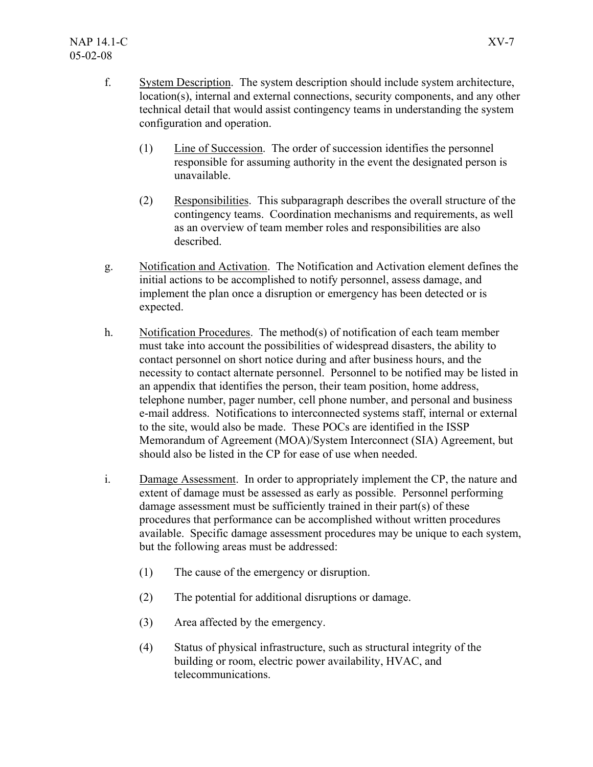- f. System Description. The system description should include system architecture, location(s), internal and external connections, security components, and any other technical detail that would assist contingency teams in understanding the system configuration and operation.
	- (1) Line of Succession. The order of succession identifies the personnel responsible for assuming authority in the event the designated person is unavailable.
	- (2) Responsibilities. This subparagraph describes the overall structure of the contingency teams. Coordination mechanisms and requirements, as well as an overview of team member roles and responsibilities are also described.
- g. Notification and Activation. The Notification and Activation element defines the initial actions to be accomplished to notify personnel, assess damage, and implement the plan once a disruption or emergency has been detected or is expected.
- h. Notification Procedures. The method(s) of notification of each team member must take into account the possibilities of widespread disasters, the ability to contact personnel on short notice during and after business hours, and the necessity to contact alternate personnel. Personnel to be notified may be listed in an appendix that identifies the person, their team position, home address, telephone number, pager number, cell phone number, and personal and business e-mail address. Notifications to interconnected systems staff, internal or external to the site, would also be made. These POCs are identified in the ISSP Memorandum of Agreement (MOA)/System Interconnect (SIA) Agreement, but should also be listed in the CP for ease of use when needed.
- i. Damage Assessment. In order to appropriately implement the CP, the nature and extent of damage must be assessed as early as possible. Personnel performing damage assessment must be sufficiently trained in their part(s) of these procedures that performance can be accomplished without written procedures available. Specific damage assessment procedures may be unique to each system, but the following areas must be addressed:
	- (1) The cause of the emergency or disruption.
	- (2) The potential for additional disruptions or damage.
	- (3) Area affected by the emergency.
	- (4) Status of physical infrastructure, such as structural integrity of the building or room, electric power availability, HVAC, and telecommunications.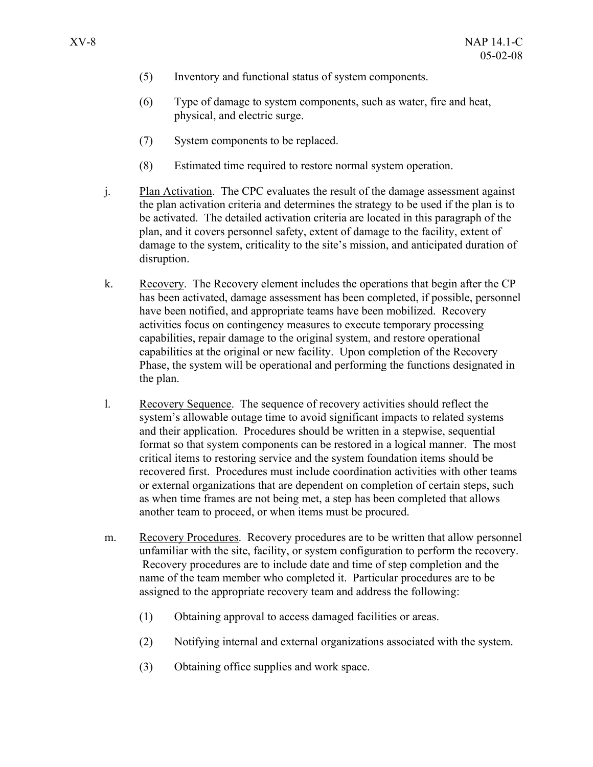- (5) Inventory and functional status of system components.
- (6) Type of damage to system components, such as water, fire and heat, physical, and electric surge.
- (7) System components to be replaced.
- (8) Estimated time required to restore normal system operation.
- j. Plan Activation. The CPC evaluates the result of the damage assessment against the plan activation criteria and determines the strategy to be used if the plan is to be activated. The detailed activation criteria are located in this paragraph of the plan, and it covers personnel safety, extent of damage to the facility, extent of damage to the system, criticality to the site's mission, and anticipated duration of disruption.
- k. Recovery. The Recovery element includes the operations that begin after the CP has been activated, damage assessment has been completed, if possible, personnel have been notified, and appropriate teams have been mobilized. Recovery activities focus on contingency measures to execute temporary processing capabilities, repair damage to the original system, and restore operational capabilities at the original or new facility. Upon completion of the Recovery Phase, the system will be operational and performing the functions designated in the plan.
- l. Recovery Sequence. The sequence of recovery activities should reflect the system's allowable outage time to avoid significant impacts to related systems and their application. Procedures should be written in a stepwise, sequential format so that system components can be restored in a logical manner. The most critical items to restoring service and the system foundation items should be recovered first. Procedures must include coordination activities with other teams or external organizations that are dependent on completion of certain steps, such as when time frames are not being met, a step has been completed that allows another team to proceed, or when items must be procured.
- m. Recovery Procedures. Recovery procedures are to be written that allow personnel unfamiliar with the site, facility, or system configuration to perform the recovery. Recovery procedures are to include date and time of step completion and the name of the team member who completed it. Particular procedures are to be assigned to the appropriate recovery team and address the following:
	- (1) Obtaining approval to access damaged facilities or areas.
	- (2) Notifying internal and external organizations associated with the system.
	- (3) Obtaining office supplies and work space.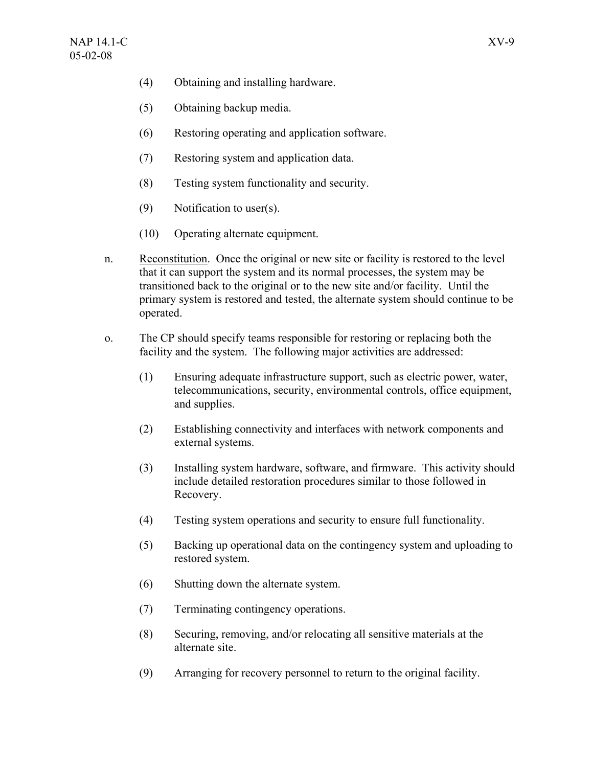- (5) Obtaining backup media.
- (6) Restoring operating and application software.
- (7) Restoring system and application data.
- (8) Testing system functionality and security.
- (9) Notification to user(s).
- (10) Operating alternate equipment.
- n. Reconstitution. Once the original or new site or facility is restored to the level that it can support the system and its normal processes, the system may be transitioned back to the original or to the new site and/or facility. Until the primary system is restored and tested, the alternate system should continue to be operated.
- o. The CP should specify teams responsible for restoring or replacing both the facility and the system. The following major activities are addressed:
	- (1) Ensuring adequate infrastructure support, such as electric power, water, telecommunications, security, environmental controls, office equipment, and supplies.
	- (2) Establishing connectivity and interfaces with network components and external systems.
	- (3) Installing system hardware, software, and firmware. This activity should include detailed restoration procedures similar to those followed in Recovery.
	- (4) Testing system operations and security to ensure full functionality.
	- (5) Backing up operational data on the contingency system and uploading to restored system.
	- (6) Shutting down the alternate system.
	- (7) Terminating contingency operations.
	- (8) Securing, removing, and/or relocating all sensitive materials at the alternate site.
	- (9) Arranging for recovery personnel to return to the original facility.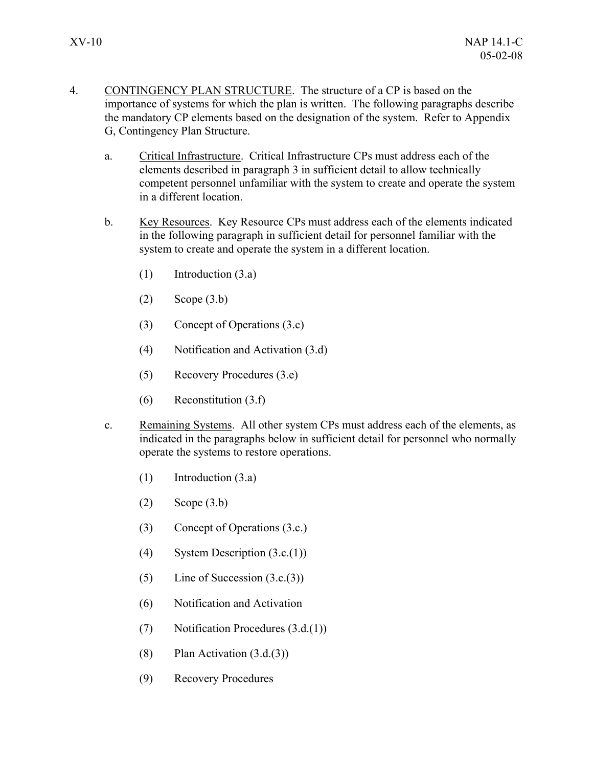- 4. CONTINGENCY PLAN STRUCTURE. The structure of a CP is based on the importance of systems for which the plan is written. The following paragraphs describe the mandatory CP elements based on the designation of the system. Refer to Appendix G, Contingency Plan Structure.
	- a. Critical Infrastructure. Critical Infrastructure CPs must address each of the elements described in paragraph 3 in sufficient detail to allow technically competent personnel unfamiliar with the system to create and operate the system in a different location.
	- b. Key Resources. Key Resource CPs must address each of the elements indicated in the following paragraph in sufficient detail for personnel familiar with the system to create and operate the system in a different location.
		- (1) Introduction (3.a)
		- (2) Scope (3.b)
		- (3) Concept of Operations (3.c)
		- (4) Notification and Activation (3.d)
		- (5) Recovery Procedures (3.e)
		- (6) Reconstitution (3.f)
	- c. Remaining Systems. All other system CPs must address each of the elements, as indicated in the paragraphs below in sufficient detail for personnel who normally operate the systems to restore operations.
		- (1) Introduction (3.a)
		- (2) Scope (3.b)
		- (3) Concept of Operations (3.c.)
		- (4) System Description (3.c.(1))
		- (5) Line of Succession (3.c.(3))
		- (6) Notification and Activation
		- (7) Notification Procedures (3.d.(1))
		- (8) Plan Activation (3.d.(3))
		- (9) Recovery Procedures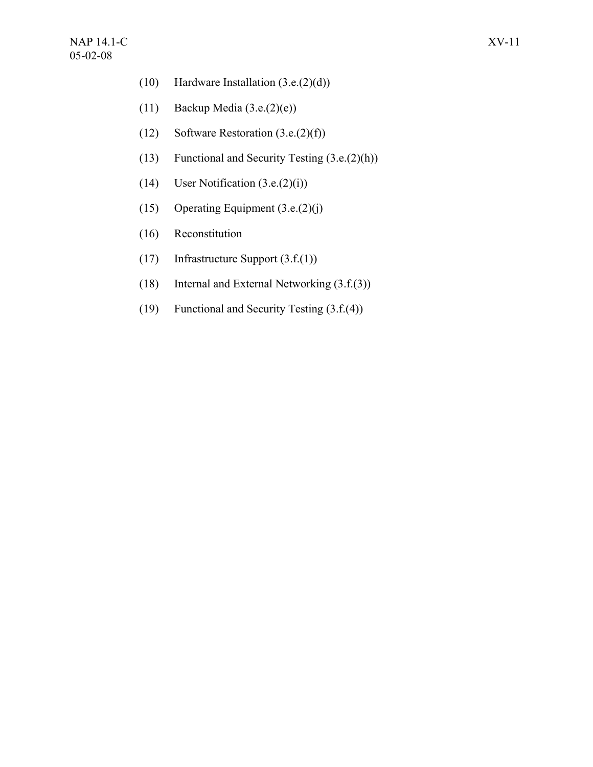- (10) Hardware Installation (3.e.(2)(d))
- (11) Backup Media (3.e.(2)(e))
- (12) Software Restoration (3.e.(2)(f))
- (13) Functional and Security Testing (3.e.(2)(h))
- (14) User Notification (3.e.(2)(i))
- (15) Operating Equipment (3.e.(2)(j)
- (16) Reconstitution
- (17) Infrastructure Support (3.f.(1))
- (18) Internal and External Networking (3.f.(3))
- (19) Functional and Security Testing (3.f.(4))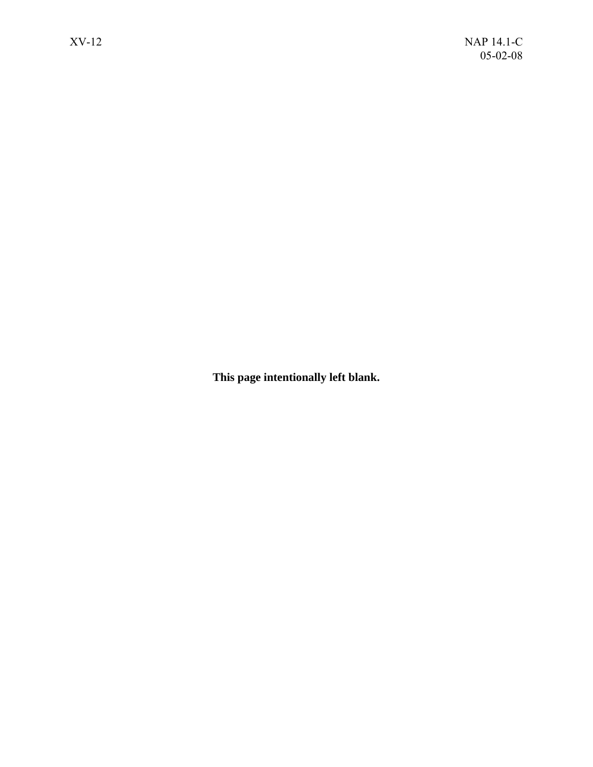**This page intentionally left blank.**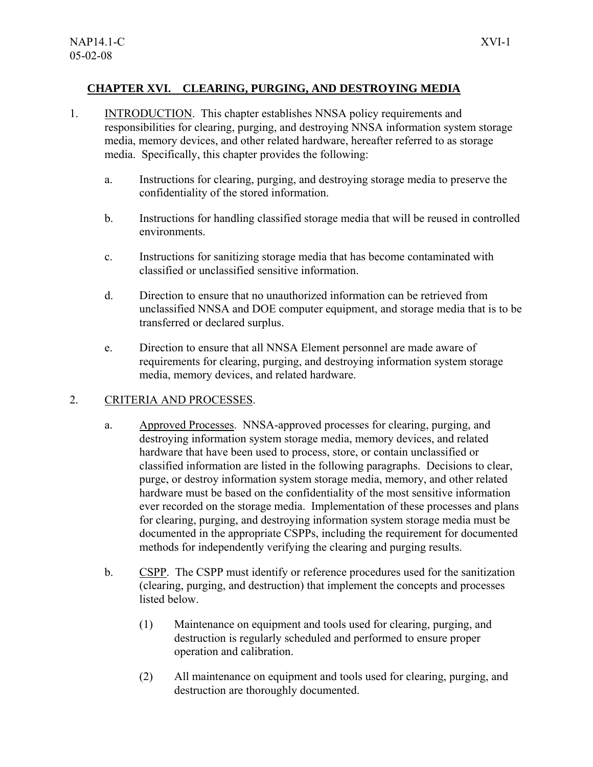# **CHAPTER XVI. CLEARING, PURGING, AND DESTROYING MEDIA**

- 1. INTRODUCTION. This chapter establishes NNSA policy requirements and responsibilities for clearing, purging, and destroying NNSA information system storage media, memory devices, and other related hardware, hereafter referred to as storage media. Specifically, this chapter provides the following:
	- a. Instructions for clearing, purging, and destroying storage media to preserve the confidentiality of the stored information.
	- b. Instructions for handling classified storage media that will be reused in controlled environments.
	- c. Instructions for sanitizing storage media that has become contaminated with classified or unclassified sensitive information.
	- d. Direction to ensure that no unauthorized information can be retrieved from unclassified NNSA and DOE computer equipment, and storage media that is to be transferred or declared surplus.
	- e. Direction to ensure that all NNSA Element personnel are made aware of requirements for clearing, purging, and destroying information system storage media, memory devices, and related hardware.

## 2. CRITERIA AND PROCESSES.

- a. Approved Processes. NNSA-approved processes for clearing, purging, and destroying information system storage media, memory devices, and related hardware that have been used to process, store, or contain unclassified or classified information are listed in the following paragraphs. Decisions to clear, purge, or destroy information system storage media, memory, and other related hardware must be based on the confidentiality of the most sensitive information ever recorded on the storage media. Implementation of these processes and plans for clearing, purging, and destroying information system storage media must be documented in the appropriate CSPPs, including the requirement for documented methods for independently verifying the clearing and purging results.
- b. CSPP. The CSPP must identify or reference procedures used for the sanitization (clearing, purging, and destruction) that implement the concepts and processes listed below.
	- (1) Maintenance on equipment and tools used for clearing, purging, and destruction is regularly scheduled and performed to ensure proper operation and calibration.
	- (2) All maintenance on equipment and tools used for clearing, purging, and destruction are thoroughly documented.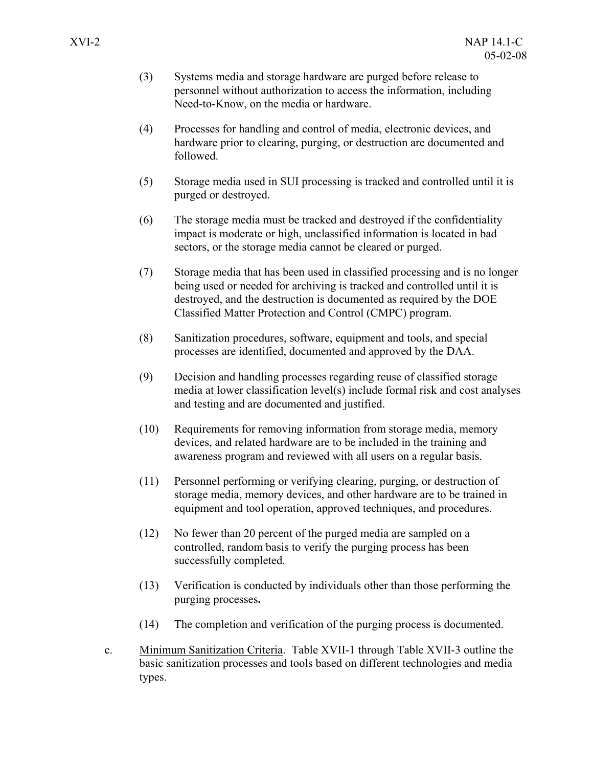- (3) Systems media and storage hardware are purged before release to personnel without authorization to access the information, including Need-to-Know, on the media or hardware.
- (4) Processes for handling and control of media, electronic devices, and hardware prior to clearing, purging, or destruction are documented and followed.
- (5) Storage media used in SUI processing is tracked and controlled until it is purged or destroyed.
- (6) The storage media must be tracked and destroyed if the confidentiality impact is moderate or high, unclassified information is located in bad sectors, or the storage media cannot be cleared or purged.
- (7) Storage media that has been used in classified processing and is no longer being used or needed for archiving is tracked and controlled until it is destroyed, and the destruction is documented as required by the DOE Classified Matter Protection and Control (CMPC) program.
- (8) Sanitization procedures, software, equipment and tools, and special processes are identified, documented and approved by the DAA.
- (9) Decision and handling processes regarding reuse of classified storage media at lower classification level(s) include formal risk and cost analyses and testing and are documented and justified.
- (10) Requirements for removing information from storage media, memory devices, and related hardware are to be included in the training and awareness program and reviewed with all users on a regular basis.
- (11) Personnel performing or verifying clearing, purging, or destruction of storage media, memory devices, and other hardware are to be trained in equipment and tool operation, approved techniques, and procedures.
- (12) No fewer than 20 percent of the purged media are sampled on a controlled, random basis to verify the purging process has been successfully completed.
- (13) Verification is conducted by individuals other than those performing the purging processes**.**
- (14) The completion and verification of the purging process is documented.
- c. Minimum Sanitization Criteria. Table XVII-1 through Table XVII-3 outline the basic sanitization processes and tools based on different technologies and media types.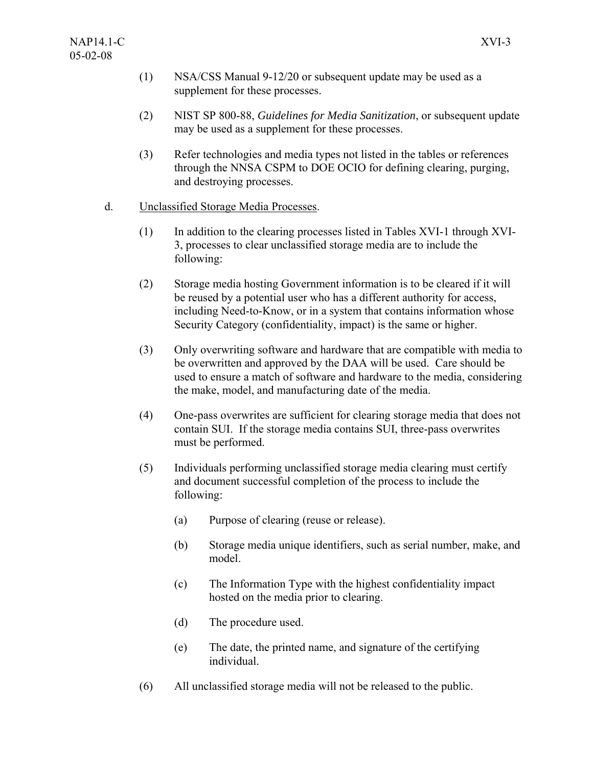- (1) NSA/CSS Manual 9-12/20 or subsequent update may be used as a supplement for these processes.
- (2) NIST SP 800-88, *Guidelines for Media Sanitization*, or subsequent update may be used as a supplement for these processes.
- (3) Refer technologies and media types not listed in the tables or references through the NNSA CSPM to DOE OCIO for defining clearing, purging, and destroying processes.
- d. Unclassified Storage Media Processes.
	- (1) In addition to the clearing processes listed in Tables XVI-1 through XVI-3, processes to clear unclassified storage media are to include the following:
	- (2) Storage media hosting Government information is to be cleared if it will be reused by a potential user who has a different authority for access, including Need-to-Know, or in a system that contains information whose Security Category (confidentiality, impact) is the same or higher.
	- (3) Only overwriting software and hardware that are compatible with media to be overwritten and approved by the DAA will be used. Care should be used to ensure a match of software and hardware to the media, considering the make, model, and manufacturing date of the media.
	- (4) One-pass overwrites are sufficient for clearing storage media that does not contain SUI. If the storage media contains SUI, three-pass overwrites must be performed.
	- (5) Individuals performing unclassified storage media clearing must certify and document successful completion of the process to include the following:
		- (a) Purpose of clearing (reuse or release).
		- (b) Storage media unique identifiers, such as serial number, make, and model.
		- (c) The Information Type with the highest confidentiality impact hosted on the media prior to clearing.
		- (d) The procedure used.
		- (e) The date, the printed name, and signature of the certifying individual.
	- (6) All unclassified storage media will not be released to the public.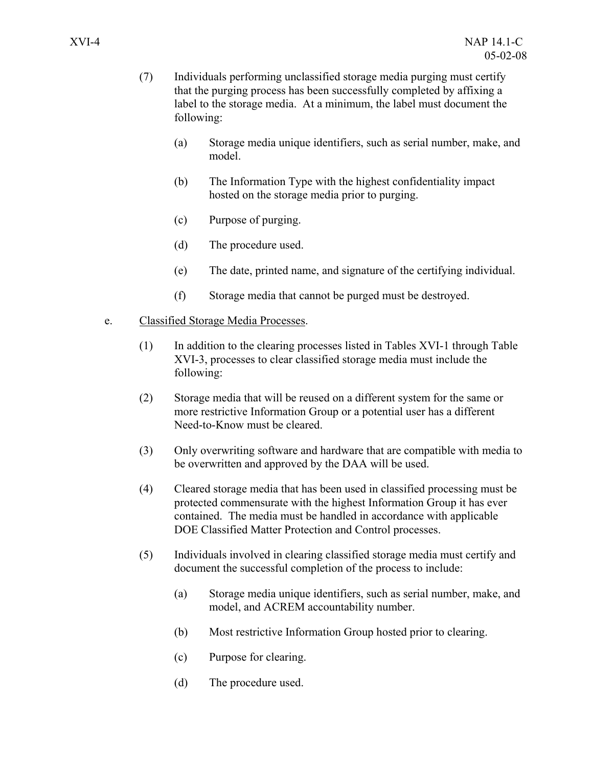- (7) Individuals performing unclassified storage media purging must certify that the purging process has been successfully completed by affixing a label to the storage media. At a minimum, the label must document the following:
	- (a) Storage media unique identifiers, such as serial number, make, and model.
	- (b) The Information Type with the highest confidentiality impact hosted on the storage media prior to purging.
	- (c) Purpose of purging.
	- (d) The procedure used.
	- (e) The date, printed name, and signature of the certifying individual.
	- (f) Storage media that cannot be purged must be destroyed.
- e. Classified Storage Media Processes.
	- (1) In addition to the clearing processes listed in Tables XVI-1 through Table XVI-3, processes to clear classified storage media must include the following:
	- (2) Storage media that will be reused on a different system for the same or more restrictive Information Group or a potential user has a different Need-to-Know must be cleared.
	- (3) Only overwriting software and hardware that are compatible with media to be overwritten and approved by the DAA will be used.
	- (4) Cleared storage media that has been used in classified processing must be protected commensurate with the highest Information Group it has ever contained. The media must be handled in accordance with applicable DOE Classified Matter Protection and Control processes.
	- (5) Individuals involved in clearing classified storage media must certify and document the successful completion of the process to include:
		- (a) Storage media unique identifiers, such as serial number, make, and model, and ACREM accountability number.
		- (b) Most restrictive Information Group hosted prior to clearing.
		- (c) Purpose for clearing.
		- (d) The procedure used.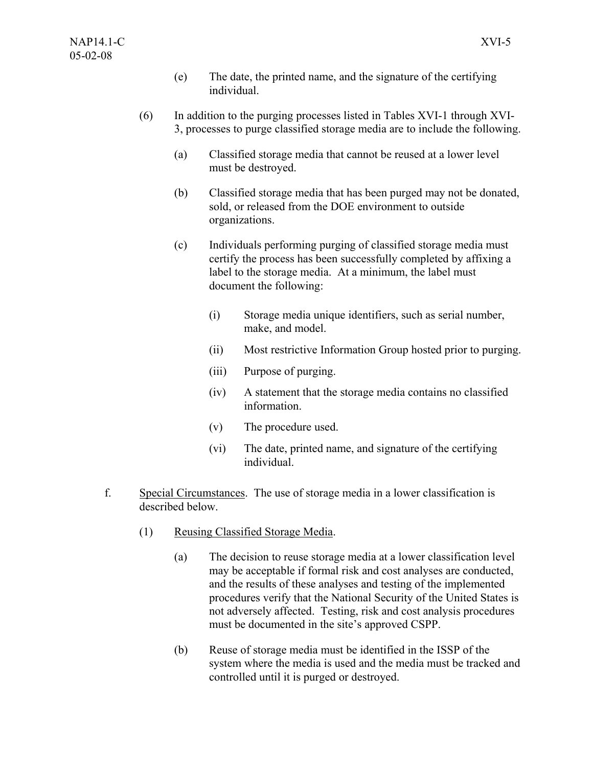- (e) The date, the printed name, and the signature of the certifying individual.
- (6) In addition to the purging processes listed in Tables XVI-1 through XVI-3, processes to purge classified storage media are to include the following.
	- (a) Classified storage media that cannot be reused at a lower level must be destroyed.
	- (b) Classified storage media that has been purged may not be donated, sold, or released from the DOE environment to outside organizations.
	- (c) Individuals performing purging of classified storage media must certify the process has been successfully completed by affixing a label to the storage media. At a minimum, the label must document the following:
		- (i) Storage media unique identifiers, such as serial number, make, and model.
		- (ii) Most restrictive Information Group hosted prior to purging.
		- (iii) Purpose of purging.
		- (iv) A statement that the storage media contains no classified information.
		- (v) The procedure used.
		- (vi) The date, printed name, and signature of the certifying individual.
- f. Special Circumstances. The use of storage media in a lower classification is described below.
	- (1) Reusing Classified Storage Media.
		- (a) The decision to reuse storage media at a lower classification level may be acceptable if formal risk and cost analyses are conducted, and the results of these analyses and testing of the implemented procedures verify that the National Security of the United States is not adversely affected. Testing, risk and cost analysis procedures must be documented in the site's approved CSPP.
		- (b) Reuse of storage media must be identified in the ISSP of the system where the media is used and the media must be tracked and controlled until it is purged or destroyed.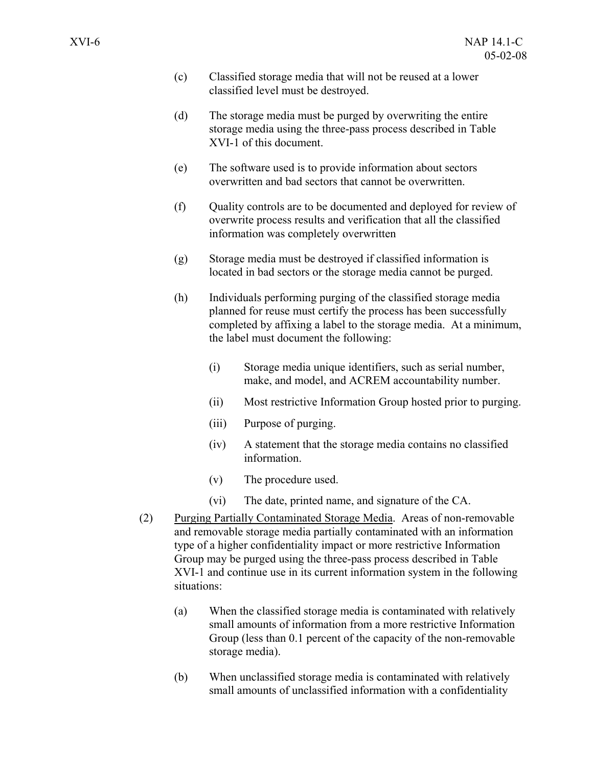- (c) Classified storage media that will not be reused at a lower classified level must be destroyed.
- (d) The storage media must be purged by overwriting the entire storage media using the three-pass process described in Table XVI-1 of this document.
- (e) The software used is to provide information about sectors overwritten and bad sectors that cannot be overwritten.
- (f) Quality controls are to be documented and deployed for review of overwrite process results and verification that all the classified information was completely overwritten
- (g) Storage media must be destroyed if classified information is located in bad sectors or the storage media cannot be purged.
- (h) Individuals performing purging of the classified storage media planned for reuse must certify the process has been successfully completed by affixing a label to the storage media. At a minimum, the label must document the following:
	- (i) Storage media unique identifiers, such as serial number, make, and model, and ACREM accountability number.
	- (ii) Most restrictive Information Group hosted prior to purging.
	- (iii) Purpose of purging.
	- (iv) A statement that the storage media contains no classified information.
	- (v) The procedure used.
	- (vi) The date, printed name, and signature of the CA.
- (2) Purging Partially Contaminated Storage Media. Areas of non-removable and removable storage media partially contaminated with an information type of a higher confidentiality impact or more restrictive Information Group may be purged using the three-pass process described in Table XVI-1 and continue use in its current information system in the following situations:
	- (a) When the classified storage media is contaminated with relatively small amounts of information from a more restrictive Information Group (less than 0.1 percent of the capacity of the non-removable storage media).
	- (b) When unclassified storage media is contaminated with relatively small amounts of unclassified information with a confidentiality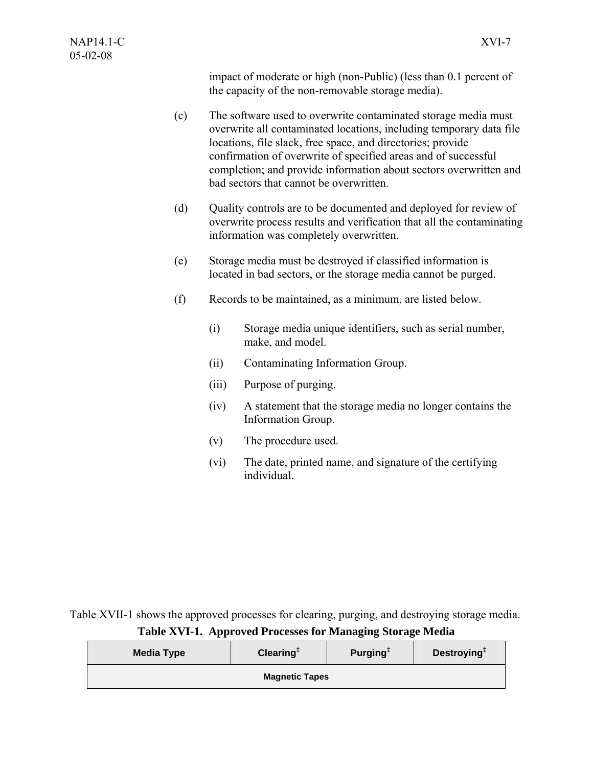impact of moderate or high (non-Public) (less than 0.1 percent of the capacity of the non-removable storage media).

- (c) The software used to overwrite contaminated storage media must overwrite all contaminated locations, including temporary data file locations, file slack, free space, and directories; provide confirmation of overwrite of specified areas and of successful completion; and provide information about sectors overwritten and bad sectors that cannot be overwritten.
- (d) Quality controls are to be documented and deployed for review of overwrite process results and verification that all the contaminating information was completely overwritten.
- (e) Storage media must be destroyed if classified information is located in bad sectors, or the storage media cannot be purged.
- (f) Records to be maintained, as a minimum, are listed below.
	- (i) Storage media unique identifiers, such as serial number, make, and model.
	- (ii) Contaminating Information Group.
	- (iii) Purpose of purging.
	- (iv) A statement that the storage media no longer contains the Information Group.
	- (v) The procedure used.
	- (vi) The date, printed name, and signature of the certifying individual.

Table XVII-1 shows the approved processes for clearing, purging, and destroying storage media. **Table XVI-1. Approved Processes for Managing Storage Media** 

| <b>Media Type</b>     | Clearing <sup><math>†</math></sup> | Purging <sup>‡</sup> | Destroying <sup>‡</sup> |  |
|-----------------------|------------------------------------|----------------------|-------------------------|--|
| <b>Magnetic Tapes</b> |                                    |                      |                         |  |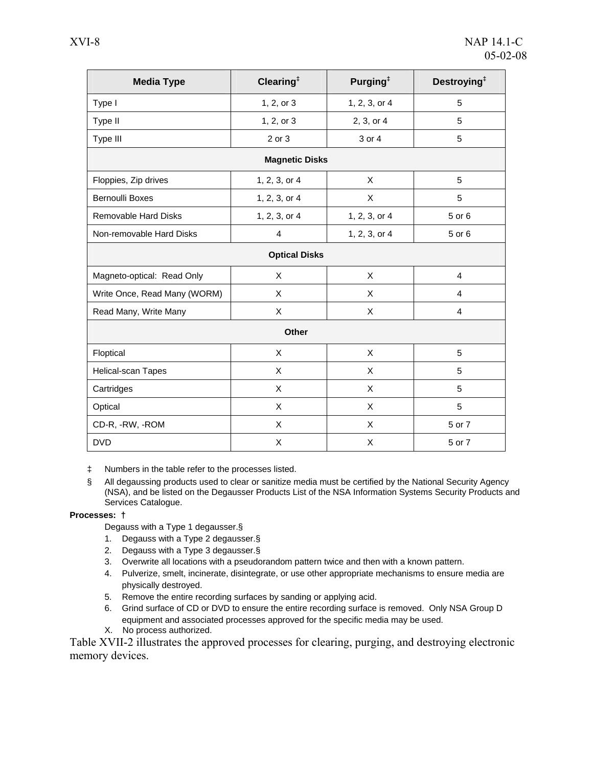| <b>Media Type</b>            | Clearing <sup><math>†</math></sup> | Purging <sup>†</sup> | Destroying <sup>#</sup> |  |  |
|------------------------------|------------------------------------|----------------------|-------------------------|--|--|
| Type I                       | 1, 2, or 3                         | 1, 2, 3, or 4        | 5                       |  |  |
| Type II                      | 1, 2, or 3                         | 2, 3, or 4           | 5                       |  |  |
| Type III                     | 2 or 3                             | 3 or 4               | 5                       |  |  |
|                              | <b>Magnetic Disks</b>              |                      |                         |  |  |
| Floppies, Zip drives         | 1, 2, 3, or 4                      | X                    | 5                       |  |  |
| <b>Bernoulli Boxes</b>       | 1, 2, 3, or 4                      | X                    | 5                       |  |  |
| Removable Hard Disks         | 1, 2, 3, or 4                      | 1, 2, 3, or 4        | 5 or 6                  |  |  |
| Non-removable Hard Disks     | $\overline{4}$                     | 1, 2, 3, or 4        | 5 or 6                  |  |  |
| <b>Optical Disks</b>         |                                    |                      |                         |  |  |
| Magneto-optical: Read Only   | X                                  | X                    | $\overline{4}$          |  |  |
| Write Once, Read Many (WORM) | X                                  | X                    | 4                       |  |  |
| Read Many, Write Many        | X                                  | X                    | 4                       |  |  |
| <b>Other</b>                 |                                    |                      |                         |  |  |
| Floptical                    | X                                  | X                    | 5                       |  |  |
| Helical-scan Tapes           | X                                  | X                    | 5                       |  |  |
| Cartridges                   | X                                  | X                    | 5                       |  |  |
| Optical                      | X                                  | X                    | 5                       |  |  |
| CD-R, -RW, -ROM              | X                                  | X                    | 5 or 7                  |  |  |
| <b>DVD</b>                   | X                                  | X                    | 5 or 7                  |  |  |

‡ Numbers in the table refer to the processes listed.

§ All degaussing products used to clear or sanitize media must be certified by the National Security Agency (NSA), and be listed on the Degausser Products List of the NSA Information Systems Security Products and Services Catalogue.

#### **Processes: †**

Degauss with a Type 1 degausser.§

- 1. Degauss with a Type 2 degausser.§
- 2. Degauss with a Type 3 degausser.§
- 3. Overwrite all locations with a pseudorandom pattern twice and then with a known pattern.
- 4. Pulverize, smelt, incinerate, disintegrate, or use other appropriate mechanisms to ensure media are physically destroyed.
- 5. Remove the entire recording surfaces by sanding or applying acid.
- 6. Grind surface of CD or DVD to ensure the entire recording surface is removed. Only NSA Group D equipment and associated processes approved for the specific media may be used.
- X. No process authorized.

Table XVII-2 illustrates the approved processes for clearing, purging, and destroying electronic memory devices.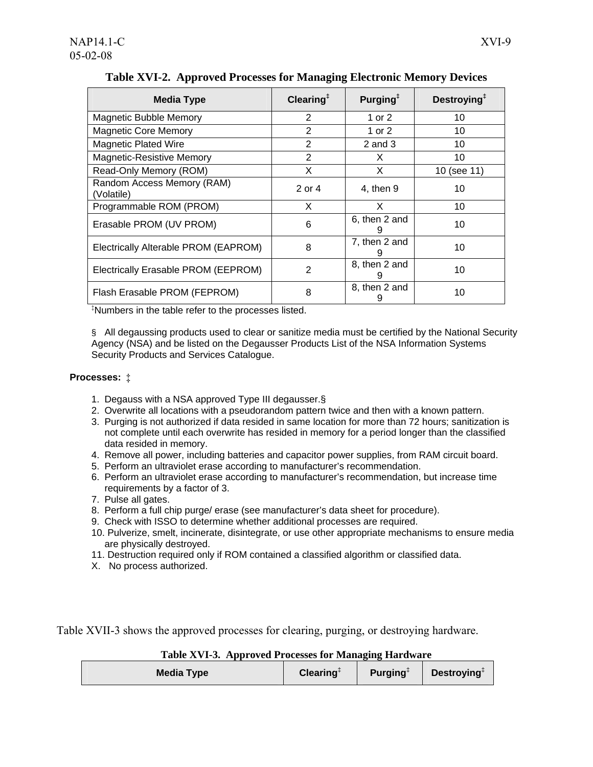| <b>Media Type</b>                        | Clearing <sup><math>†</math></sup> | Purging <sup><math>\ddagger</math></sup> | Destroying <sup>#</sup> |
|------------------------------------------|------------------------------------|------------------------------------------|-------------------------|
| Magnetic Bubble Memory                   | 2                                  | 1 or 2                                   | 10                      |
| <b>Magnetic Core Memory</b>              | 2                                  | 1 or $2$                                 | 10                      |
| <b>Magnetic Plated Wire</b>              | 2                                  | $2$ and $3$                              | 10                      |
| <b>Magnetic-Resistive Memory</b>         | 2                                  | X                                        | 10                      |
| Read-Only Memory (ROM)                   | X                                  | X                                        | 10 (see 11)             |
| Random Access Memory (RAM)<br>(Volatile) | 2 or 4                             | 4, then 9                                | 10                      |
| Programmable ROM (PROM)                  | X                                  | X                                        | 10                      |
| Erasable PROM (UV PROM)                  | 6                                  | 6, then 2 and                            | 10                      |
| Electrically Alterable PROM (EAPROM)     | 8                                  | 7, then 2 and                            | 10 <sup>1</sup>         |
| Electrically Erasable PROM (EEPROM)      | $\mathcal{P}$                      | 8, then 2 and<br>9                       | 10                      |
| Flash Erasable PROM (FEPROM)             | 8                                  | 8, then 2 and<br>9                       | 10                      |

**Table XVI-2. Approved Processes for Managing Electronic Memory Devices** 

‡ Numbers in the table refer to the processes listed.

§ All degaussing products used to clear or sanitize media must be certified by the National Security Agency (NSA) and be listed on the Degausser Products List of the NSA Information Systems Security Products and Services Catalogue.

#### **Processes:** ‡

- 1. Degauss with a NSA approved Type III degausser.§
- 2. Overwrite all locations with a pseudorandom pattern twice and then with a known pattern.
- 3. Purging is not authorized if data resided in same location for more than 72 hours; sanitization is not complete until each overwrite has resided in memory for a period longer than the classified data resided in memory.
- 4. Remove all power, including batteries and capacitor power supplies, from RAM circuit board.
- 5. Perform an ultraviolet erase according to manufacturer's recommendation.
- 6. Perform an ultraviolet erase according to manufacturer's recommendation, but increase time requirements by a factor of 3.
- 7. Pulse all gates.
- 8. Perform a full chip purge/ erase (see manufacturer's data sheet for procedure).
- 9. Check with ISSO to determine whether additional processes are required.
- 10. Pulverize, smelt, incinerate, disintegrate, or use other appropriate mechanisms to ensure media are physically destroyed.
- 11. Destruction required only if ROM contained a classified algorithm or classified data.
- X. No process authorized.

Table XVII-3 shows the approved processes for clearing, purging, or destroying hardware.

**Table XVI-3. Approved Processes for Managing Hardware** 

| <b>Media Type</b> | Clearing <sup><math>#</math></sup> | Purging $†$ | Destroying <sup><math>#</math></sup> |
|-------------------|------------------------------------|-------------|--------------------------------------|
|-------------------|------------------------------------|-------------|--------------------------------------|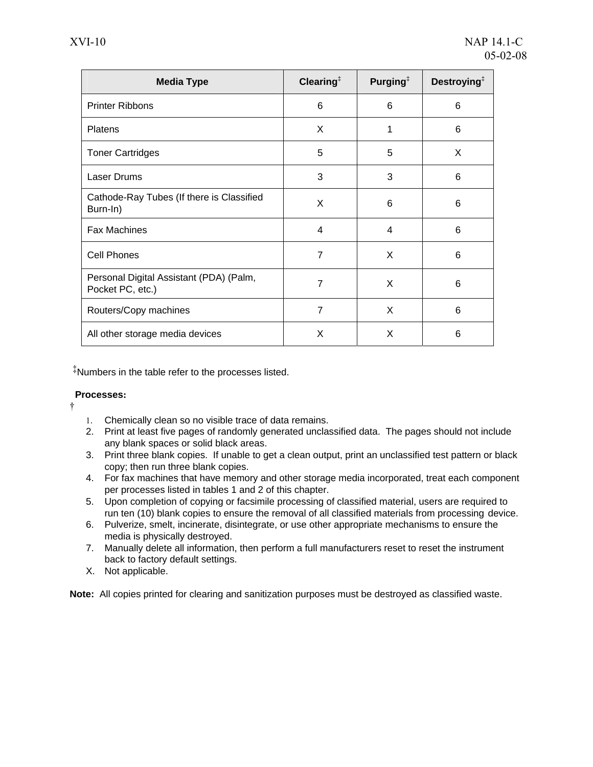| <b>Media Type</b>                                           | Clearing <sup><math>‡</math></sup> | Purging $†$ | Destroying <sup><math>‡</math></sup> |
|-------------------------------------------------------------|------------------------------------|-------------|--------------------------------------|
| <b>Printer Ribbons</b>                                      | 6                                  | 6           | 6                                    |
| <b>Platens</b>                                              | X                                  | 1           | 6                                    |
| <b>Toner Cartridges</b>                                     | 5                                  | 5           | X                                    |
| Laser Drums                                                 | 3                                  | 3           | 6                                    |
| Cathode-Ray Tubes (If there is Classified<br>Burn-In)       | X                                  | 6           | 6                                    |
| <b>Fax Machines</b>                                         | $\overline{\mathbf{4}}$            | 4           | 6                                    |
| Cell Phones                                                 | 7                                  | X           | 6                                    |
| Personal Digital Assistant (PDA) (Palm,<br>Pocket PC, etc.) | $\overline{7}$                     | X           | 6                                    |
| Routers/Copy machines                                       | 7                                  | X           | 6                                    |
| All other storage media devices                             | X                                  | X           | 6                                    |

‡Numbers in the table refer to the processes listed.

#### **Processes:**

- †
- 1. Chemically clean so no visible trace of data remains.
- 2. Print at least five pages of randomly generated unclassified data. The pages should not include any blank spaces or solid black areas.
- 3. Print three blank copies. If unable to get a clean output, print an unclassified test pattern or black copy; then run three blank copies.
- 4. For fax machines that have memory and other storage media incorporated, treat each component per processes listed in tables 1 and 2 of this chapter.
- 5. Upon completion of copying or facsimile processing of classified material, users are required to run ten (10) blank copies to ensure the removal of all classified materials from processing device.
- 6. Pulverize, smelt, incinerate, disintegrate, or use other appropriate mechanisms to ensure the media is physically destroyed.
- 7. Manually delete all information, then perform a full manufacturers reset to reset the instrument back to factory default settings.
- X. Not applicable.

**Note:** All copies printed for clearing and sanitization purposes must be destroyed as classified waste.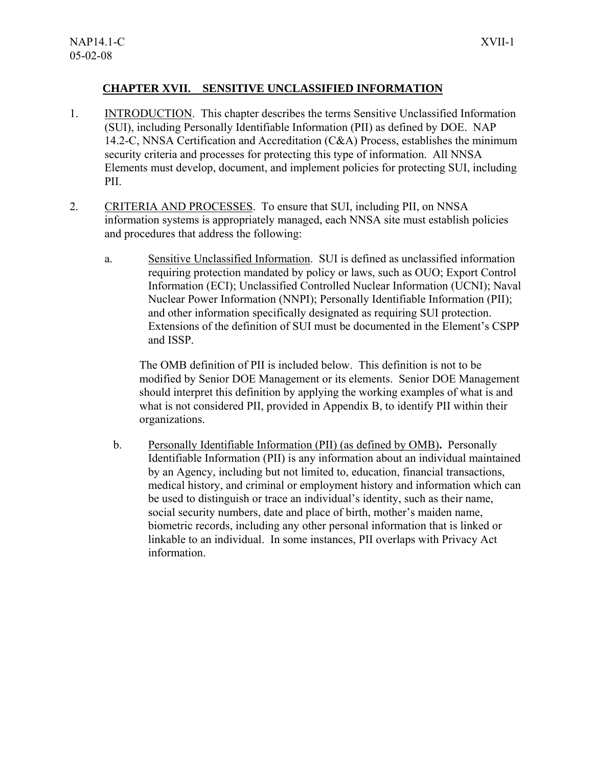# **CHAPTER XVII. SENSITIVE UNCLASSIFIED INFORMATION**

- 1. INTRODUCTION. This chapter describes the terms Sensitive Unclassified Information (SUI), including Personally Identifiable Information (PII) as defined by DOE. NAP 14.2-C, NNSA Certification and Accreditation (C&A) Process, establishes the minimum security criteria and processes for protecting this type of information. All NNSA Elements must develop, document, and implement policies for protecting SUI, including PII.
- 2. CRITERIA AND PROCESSES. To ensure that SUI, including PII, on NNSA information systems is appropriately managed, each NNSA site must establish policies and procedures that address the following:
	- a. Sensitive Unclassified Information. SUI is defined as unclassified information requiring protection mandated by policy or laws, such as OUO; Export Control Information (ECI); Unclassified Controlled Nuclear Information (UCNI); Naval Nuclear Power Information (NNPI); Personally Identifiable Information (PII); and other information specifically designated as requiring SUI protection. Extensions of the definition of SUI must be documented in the Element's CSPP and ISSP.

The OMB definition of PII is included below. This definition is not to be modified by Senior DOE Management or its elements. Senior DOE Management should interpret this definition by applying the working examples of what is and what is not considered PII, provided in Appendix B, to identify PII within their organizations.

b. Personally Identifiable Information (PII) (as defined by OMB)**.** Personally Identifiable Information (PII) is any information about an individual maintained by an Agency, including but not limited to, education, financial transactions, medical history, and criminal or employment history and information which can be used to distinguish or trace an individual's identity, such as their name, social security numbers, date and place of birth, mother's maiden name, biometric records, including any other personal information that is linked or linkable to an individual. In some instances, PII overlaps with Privacy Act information.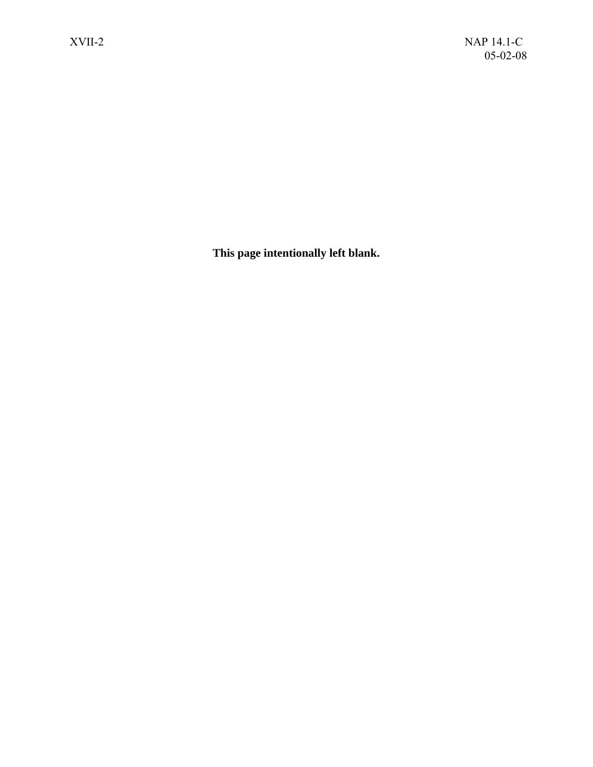**This page intentionally left blank.**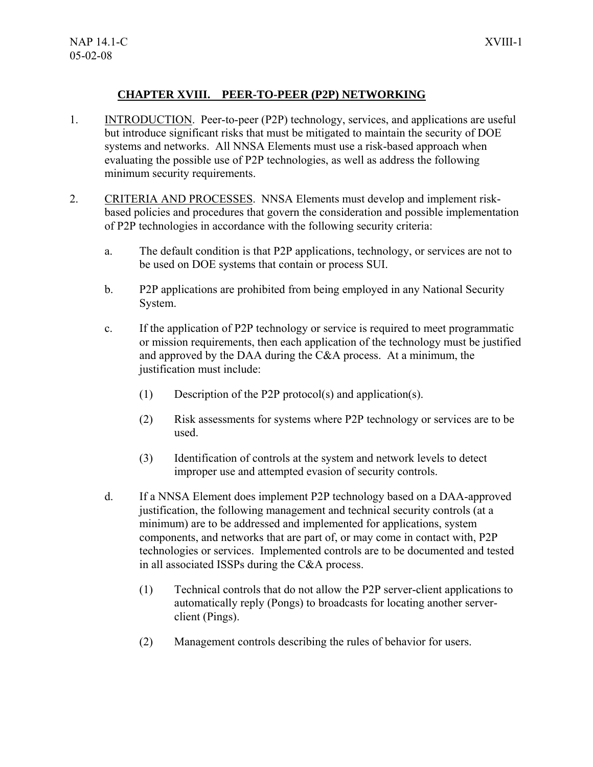## **CHAPTER XVIII. PEER-TO-PEER (P2P) NETWORKING**

- 1. INTRODUCTION. Peer-to-peer (P2P) technology, services, and applications are useful but introduce significant risks that must be mitigated to maintain the security of DOE systems and networks. All NNSA Elements must use a risk-based approach when evaluating the possible use of P2P technologies, as well as address the following minimum security requirements.
- 2. CRITERIA AND PROCESSES. NNSA Elements must develop and implement riskbased policies and procedures that govern the consideration and possible implementation of P2P technologies in accordance with the following security criteria:
	- a. The default condition is that P2P applications, technology, or services are not to be used on DOE systems that contain or process SUI.
	- b. P2P applications are prohibited from being employed in any National Security System.
	- c. If the application of P2P technology or service is required to meet programmatic or mission requirements, then each application of the technology must be justified and approved by the DAA during the C&A process. At a minimum, the justification must include:
		- (1) Description of the P2P protocol(s) and application(s).
		- (2) Risk assessments for systems where P2P technology or services are to be used.
		- (3) Identification of controls at the system and network levels to detect improper use and attempted evasion of security controls.
	- d. If a NNSA Element does implement P2P technology based on a DAA-approved justification, the following management and technical security controls (at a minimum) are to be addressed and implemented for applications, system components, and networks that are part of, or may come in contact with, P2P technologies or services. Implemented controls are to be documented and tested in all associated ISSPs during the C&A process.
		- (1) Technical controls that do not allow the P2P server-client applications to automatically reply (Pongs) to broadcasts for locating another serverclient (Pings).
		- (2) Management controls describing the rules of behavior for users.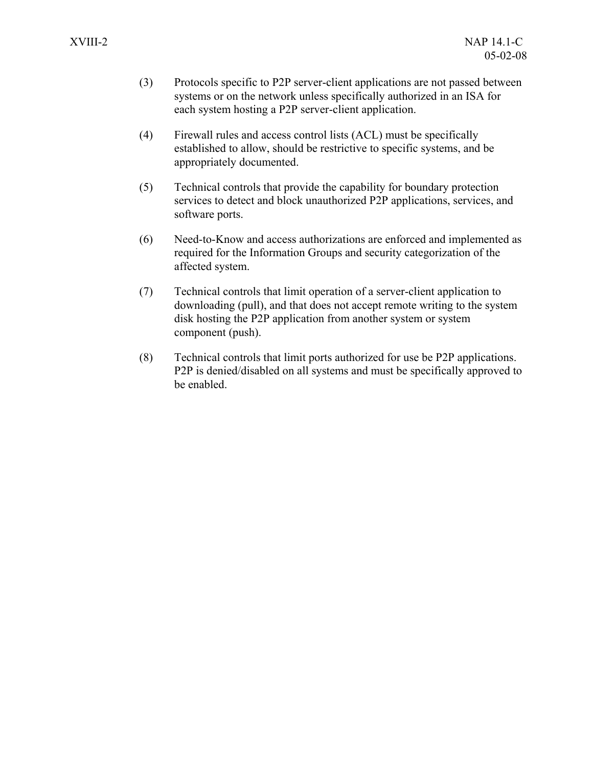- (3) Protocols specific to P2P server-client applications are not passed between systems or on the network unless specifically authorized in an ISA for each system hosting a P2P server-client application.
- (4) Firewall rules and access control lists (ACL) must be specifically established to allow, should be restrictive to specific systems, and be appropriately documented.
- (5) Technical controls that provide the capability for boundary protection services to detect and block unauthorized P2P applications, services, and software ports.
- (6) Need-to-Know and access authorizations are enforced and implemented as required for the Information Groups and security categorization of the affected system.
- (7) Technical controls that limit operation of a server-client application to downloading (pull), and that does not accept remote writing to the system disk hosting the P2P application from another system or system component (push).
- (8) Technical controls that limit ports authorized for use be P2P applications. P2P is denied/disabled on all systems and must be specifically approved to be enabled.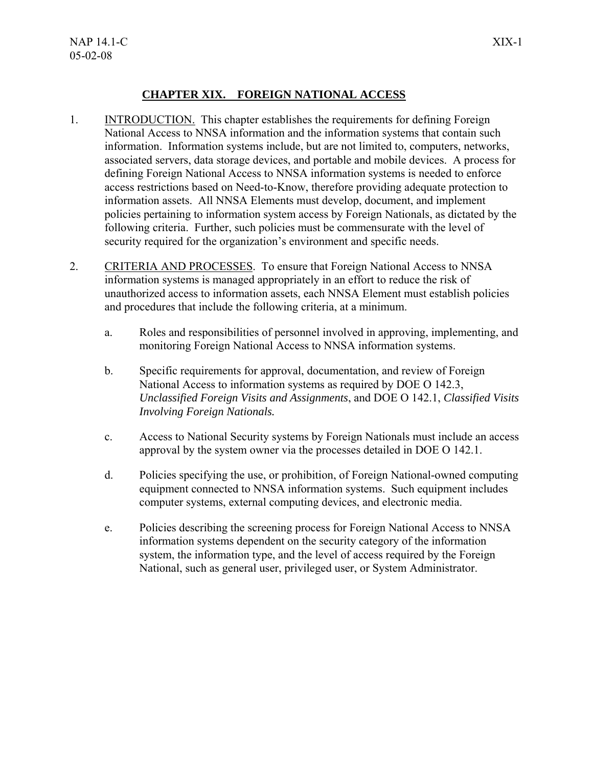### **CHAPTER XIX. FOREIGN NATIONAL ACCESS**

- 1. INTRODUCTION. This chapter establishes the requirements for defining Foreign National Access to NNSA information and the information systems that contain such information. Information systems include, but are not limited to, computers, networks, associated servers, data storage devices, and portable and mobile devices. A process for defining Foreign National Access to NNSA information systems is needed to enforce access restrictions based on Need-to-Know, therefore providing adequate protection to information assets. All NNSA Elements must develop, document, and implement policies pertaining to information system access by Foreign Nationals, as dictated by the following criteria. Further, such policies must be commensurate with the level of security required for the organization's environment and specific needs.
- 2. CRITERIA AND PROCESSES. To ensure that Foreign National Access to NNSA information systems is managed appropriately in an effort to reduce the risk of unauthorized access to information assets, each NNSA Element must establish policies and procedures that include the following criteria, at a minimum.
	- a. Roles and responsibilities of personnel involved in approving, implementing, and monitoring Foreign National Access to NNSA information systems.
	- b. Specific requirements for approval, documentation, and review of Foreign National Access to information systems as required by DOE O 142.3, *Unclassified Foreign Visits and Assignments*, and DOE O 142.1, *Classified Visits Involving Foreign Nationals.*
	- c. Access to National Security systems by Foreign Nationals must include an access approval by the system owner via the processes detailed in DOE O 142.1.
	- d. Policies specifying the use, or prohibition, of Foreign National-owned computing equipment connected to NNSA information systems. Such equipment includes computer systems, external computing devices, and electronic media.
	- e. Policies describing the screening process for Foreign National Access to NNSA information systems dependent on the security category of the information system, the information type, and the level of access required by the Foreign National, such as general user, privileged user, or System Administrator.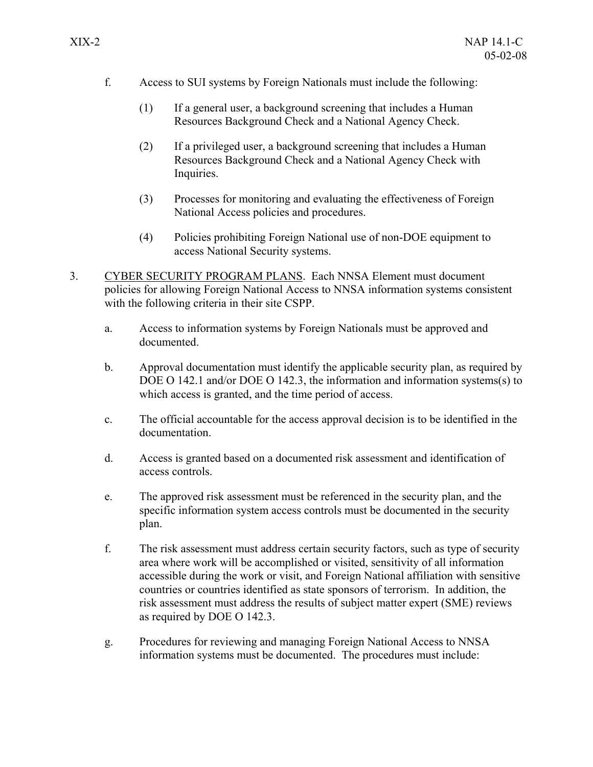- f. Access to SUI systems by Foreign Nationals must include the following:
	- (1) If a general user, a background screening that includes a Human Resources Background Check and a National Agency Check.
	- (2) If a privileged user, a background screening that includes a Human Resources Background Check and a National Agency Check with Inquiries.
	- (3) Processes for monitoring and evaluating the effectiveness of Foreign National Access policies and procedures.
	- (4) Policies prohibiting Foreign National use of non-DOE equipment to access National Security systems.
- 3. CYBER SECURITY PROGRAM PLANS. Each NNSA Element must document policies for allowing Foreign National Access to NNSA information systems consistent with the following criteria in their site CSPP.
	- a. Access to information systems by Foreign Nationals must be approved and documented.
	- b. Approval documentation must identify the applicable security plan, as required by DOE O 142.1 and/or DOE O 142.3, the information and information systems(s) to which access is granted, and the time period of access.
	- c. The official accountable for the access approval decision is to be identified in the documentation.
	- d. Access is granted based on a documented risk assessment and identification of access controls.
	- e. The approved risk assessment must be referenced in the security plan, and the specific information system access controls must be documented in the security plan.
	- f. The risk assessment must address certain security factors, such as type of security area where work will be accomplished or visited, sensitivity of all information accessible during the work or visit, and Foreign National affiliation with sensitive countries or countries identified as state sponsors of terrorism. In addition, the risk assessment must address the results of subject matter expert (SME) reviews as required by DOE O 142.3.
	- g. Procedures for reviewing and managing Foreign National Access to NNSA information systems must be documented. The procedures must include: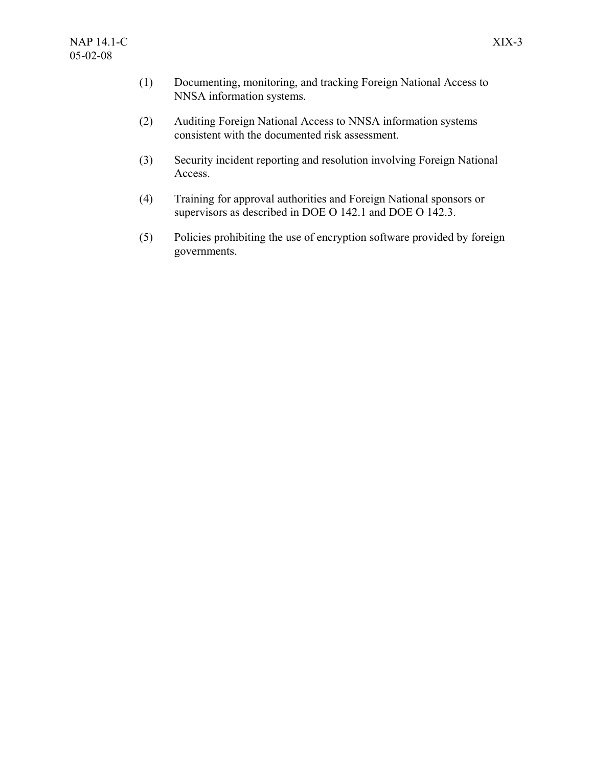- (1) Documenting, monitoring, and tracking Foreign National Access to NNSA information systems.
- (2) Auditing Foreign National Access to NNSA information systems consistent with the documented risk assessment.
- (3) Security incident reporting and resolution involving Foreign National Access.
- (4) Training for approval authorities and Foreign National sponsors or supervisors as described in DOE O 142.1 and DOE O 142.3.
- (5) Policies prohibiting the use of encryption software provided by foreign governments.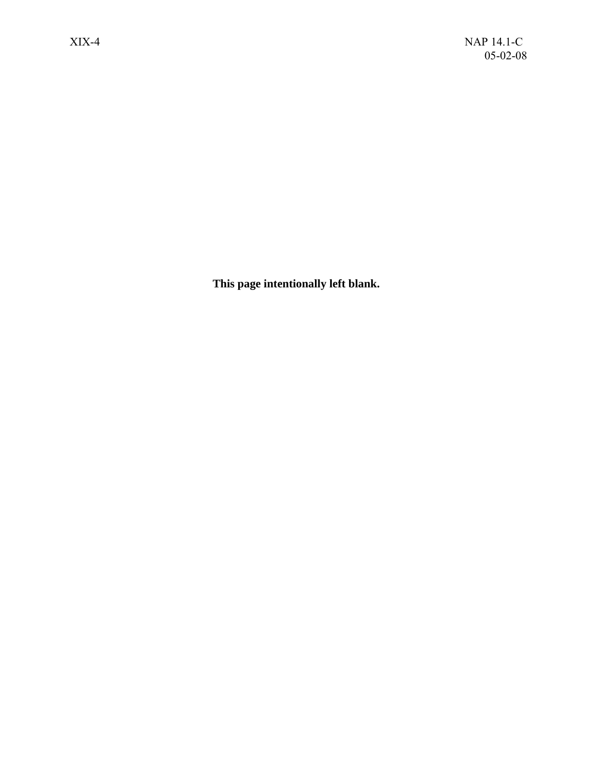**This page intentionally left blank.**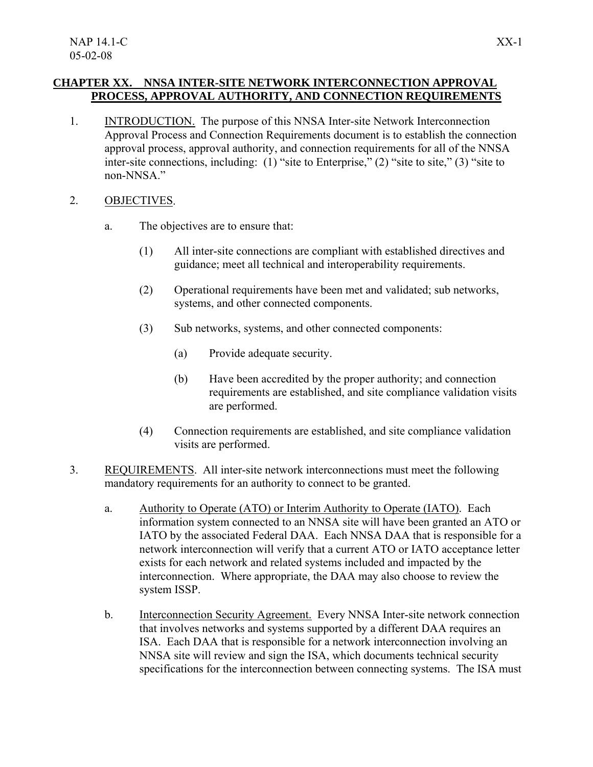### **CHAPTER XX. NNSA INTER-SITE NETWORK INTERCONNECTION APPROVAL PROCESS, APPROVAL AUTHORITY, AND CONNECTION REQUIREMENTS**

- 1. INTRODUCTION. The purpose of this NNSA Inter-site Network Interconnection Approval Process and Connection Requirements document is to establish the connection approval process, approval authority, and connection requirements for all of the NNSA inter-site connections, including: (1) "site to Enterprise," (2) "site to site," (3) "site to non-NNSA."
- 2. OBJECTIVES.
	- a. The objectives are to ensure that:
		- (1) All inter-site connections are compliant with established directives and guidance; meet all technical and interoperability requirements.
		- (2) Operational requirements have been met and validated; sub networks, systems, and other connected components.
		- (3) Sub networks, systems, and other connected components:
			- (a) Provide adequate security.
			- (b) Have been accredited by the proper authority; and connection requirements are established, and site compliance validation visits are performed.
		- (4) Connection requirements are established, and site compliance validation visits are performed.
- 3. REQUIREMENTS. All inter-site network interconnections must meet the following mandatory requirements for an authority to connect to be granted.
	- a. Authority to Operate (ATO) or Interim Authority to Operate (IATO). Each information system connected to an NNSA site will have been granted an ATO or IATO by the associated Federal DAA. Each NNSA DAA that is responsible for a network interconnection will verify that a current ATO or IATO acceptance letter exists for each network and related systems included and impacted by the interconnection. Where appropriate, the DAA may also choose to review the system ISSP.
	- b. Interconnection Security Agreement. Every NNSA Inter-site network connection that involves networks and systems supported by a different DAA requires an ISA. Each DAA that is responsible for a network interconnection involving an NNSA site will review and sign the ISA, which documents technical security specifications for the interconnection between connecting systems. The ISA must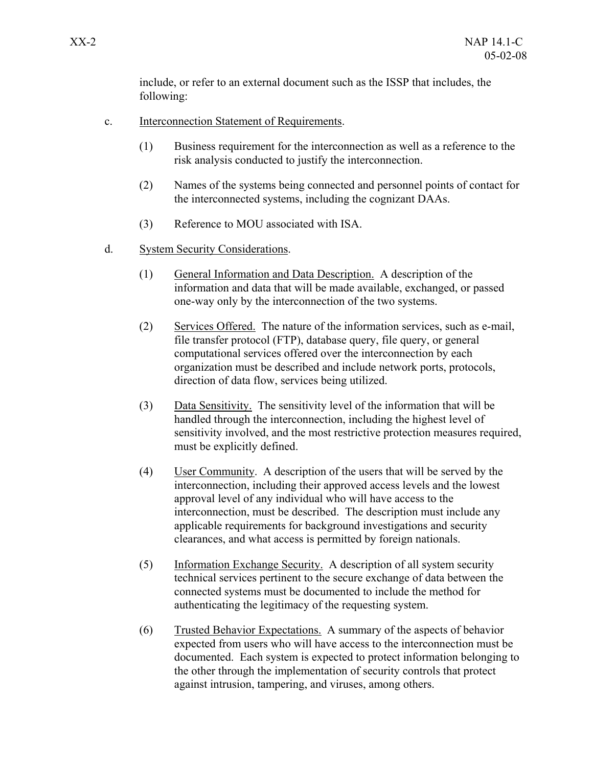include, or refer to an external document such as the ISSP that includes, the following:

- c. Interconnection Statement of Requirements.
	- (1) Business requirement for the interconnection as well as a reference to the risk analysis conducted to justify the interconnection.
	- (2) Names of the systems being connected and personnel points of contact for the interconnected systems, including the cognizant DAAs.
	- (3) Reference to MOU associated with ISA.
- d. System Security Considerations.
	- (1) General Information and Data Description. A description of the information and data that will be made available, exchanged, or passed one-way only by the interconnection of the two systems.
	- (2) Services Offered. The nature of the information services, such as e-mail, file transfer protocol (FTP), database query, file query, or general computational services offered over the interconnection by each organization must be described and include network ports, protocols, direction of data flow, services being utilized.
	- (3) Data Sensitivity. The sensitivity level of the information that will be handled through the interconnection, including the highest level of sensitivity involved, and the most restrictive protection measures required, must be explicitly defined.
	- (4) User Community. A description of the users that will be served by the interconnection, including their approved access levels and the lowest approval level of any individual who will have access to the interconnection, must be described. The description must include any applicable requirements for background investigations and security clearances, and what access is permitted by foreign nationals.
	- (5) Information Exchange Security. A description of all system security technical services pertinent to the secure exchange of data between the connected systems must be documented to include the method for authenticating the legitimacy of the requesting system.
	- (6) Trusted Behavior Expectations. A summary of the aspects of behavior expected from users who will have access to the interconnection must be documented. Each system is expected to protect information belonging to the other through the implementation of security controls that protect against intrusion, tampering, and viruses, among others.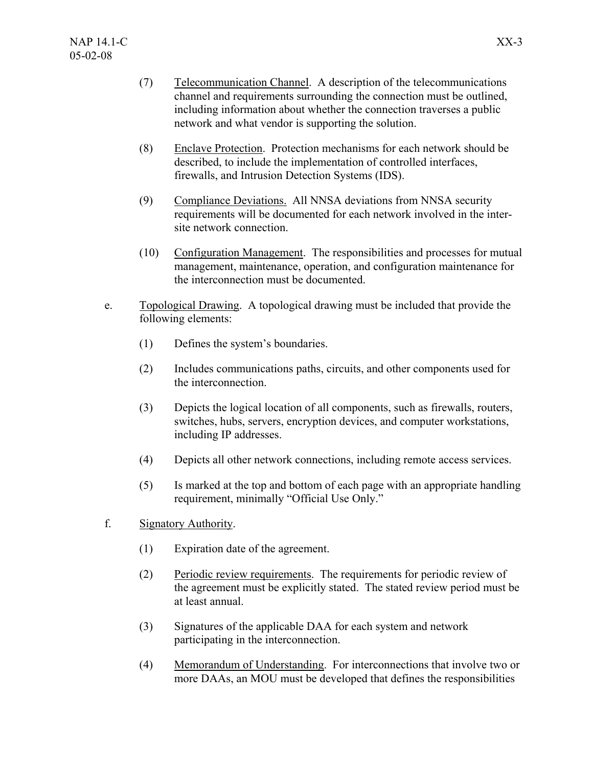- (7) Telecommunication Channel. A description of the telecommunications channel and requirements surrounding the connection must be outlined, including information about whether the connection traverses a public network and what vendor is supporting the solution.
- (8) Enclave Protection. Protection mechanisms for each network should be described, to include the implementation of controlled interfaces, firewalls, and Intrusion Detection Systems (IDS).
- (9) Compliance Deviations.All NNSA deviations from NNSA security requirements will be documented for each network involved in the intersite network connection.
- (10) Configuration Management.The responsibilities and processes for mutual management, maintenance, operation, and configuration maintenance for the interconnection must be documented.
- e. Topological Drawing. A topological drawing must be included that provide the following elements:
	- (1) Defines the system's boundaries.
	- (2) Includes communications paths, circuits, and other components used for the interconnection.
	- (3) Depicts the logical location of all components, such as firewalls, routers, switches, hubs, servers, encryption devices, and computer workstations, including IP addresses.
	- (4) Depicts all other network connections, including remote access services.
	- (5) Is marked at the top and bottom of each page with an appropriate handling requirement, minimally "Official Use Only."
- f. Signatory Authority.
	- (1) Expiration date of the agreement.
	- (2) Periodic review requirements. The requirements for periodic review of the agreement must be explicitly stated. The stated review period must be at least annual.
	- (3) Signatures of the applicable DAA for each system and network participating in the interconnection.
	- (4) Memorandum of Understanding. For interconnections that involve two or more DAAs, an MOU must be developed that defines the responsibilities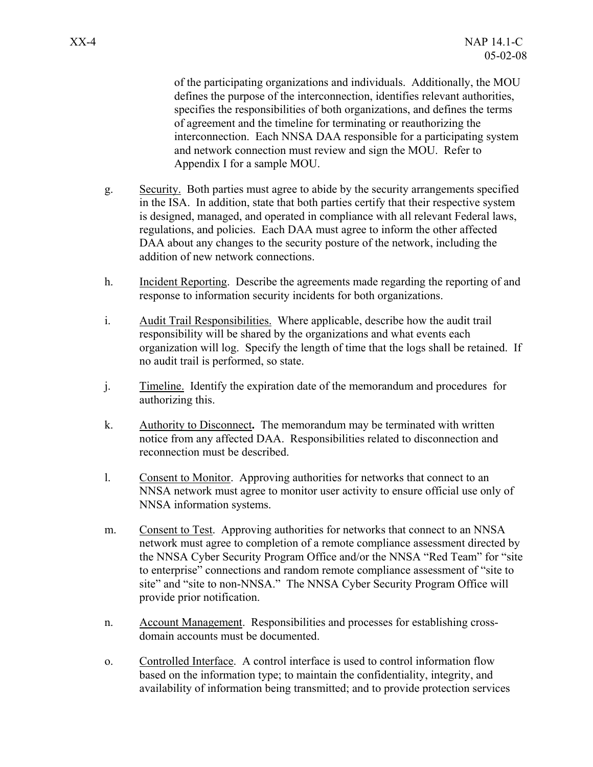of the participating organizations and individuals. Additionally, the MOU defines the purpose of the interconnection, identifies relevant authorities, specifies the responsibilities of both organizations, and defines the terms of agreement and the timeline for terminating or reauthorizing the interconnection. Each NNSA DAA responsible for a participating system and network connection must review and sign the MOU. Refer to Appendix I for a sample MOU.

- g. Security. Both parties must agree to abide by the security arrangements specified in the ISA. In addition, state that both parties certify that their respective system is designed, managed, and operated in compliance with all relevant Federal laws, regulations, and policies. Each DAA must agree to inform the other affected DAA about any changes to the security posture of the network, including the addition of new network connections.
- h. Incident Reporting. Describe the agreements made regarding the reporting of and response to information security incidents for both organizations.
- i. Audit Trail Responsibilities. Where applicable, describe how the audit trail responsibility will be shared by the organizations and what events each organization will log. Specify the length of time that the logs shall be retained. If no audit trail is performed, so state.
- j. Timeline. Identify the expiration date of the memorandum and procedures for authorizing this.
- k. Authority to Disconnect**.** The memorandum may be terminated with written notice from any affected DAA. Responsibilities related to disconnection and reconnection must be described.
- l. Consent to Monitor. Approving authorities for networks that connect to an NNSA network must agree to monitor user activity to ensure official use only of NNSA information systems.
- m. Consent to Test. Approving authorities for networks that connect to an NNSA network must agree to completion of a remote compliance assessment directed by the NNSA Cyber Security Program Office and/or the NNSA "Red Team" for "site to enterprise" connections and random remote compliance assessment of "site to site" and "site to non-NNSA." The NNSA Cyber Security Program Office will provide prior notification.
- n. Account Management. Responsibilities and processes for establishing crossdomain accounts must be documented.
- o. Controlled Interface. A control interface is used to control information flow based on the information type; to maintain the confidentiality, integrity, and availability of information being transmitted; and to provide protection services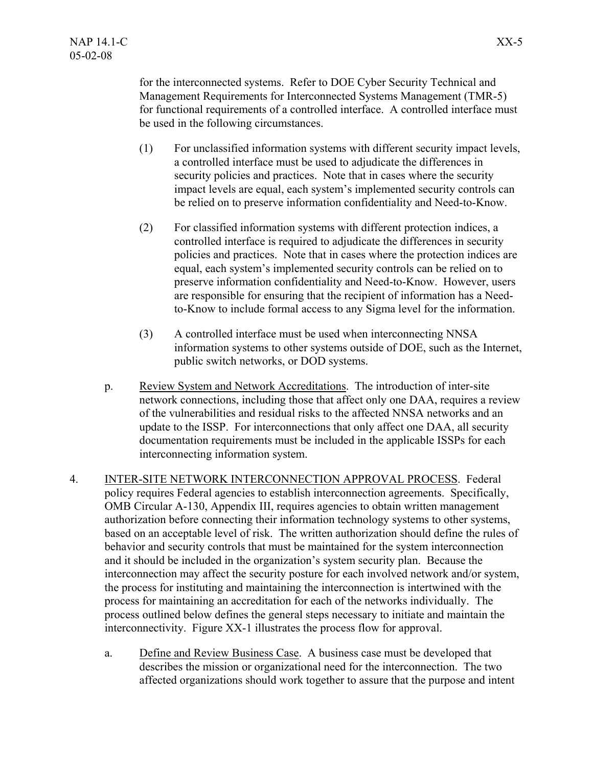for the interconnected systems. Refer to DOE Cyber Security Technical and Management Requirements for Interconnected Systems Management (TMR-5) for functional requirements of a controlled interface. A controlled interface must be used in the following circumstances.

- (1) For unclassified information systems with different security impact levels, a controlled interface must be used to adjudicate the differences in security policies and practices. Note that in cases where the security impact levels are equal, each system's implemented security controls can be relied on to preserve information confidentiality and Need-to-Know.
- (2) For classified information systems with different protection indices, a controlled interface is required to adjudicate the differences in security policies and practices. Note that in cases where the protection indices are equal, each system's implemented security controls can be relied on to preserve information confidentiality and Need-to-Know. However, users are responsible for ensuring that the recipient of information has a Needto-Know to include formal access to any Sigma level for the information.
- (3) A controlled interface must be used when interconnecting NNSA information systems to other systems outside of DOE, such as the Internet, public switch networks, or DOD systems.
- p. Review System and Network Accreditations. The introduction of inter-site network connections, including those that affect only one DAA, requires a review of the vulnerabilities and residual risks to the affected NNSA networks and an update to the ISSP. For interconnections that only affect one DAA, all security documentation requirements must be included in the applicable ISSPs for each interconnecting information system.
- 4. INTER-SITE NETWORK INTERCONNECTION APPROVAL PROCESS. Federal policy requires Federal agencies to establish interconnection agreements. Specifically, OMB Circular A-130, Appendix III, requires agencies to obtain written management authorization before connecting their information technology systems to other systems, based on an acceptable level of risk. The written authorization should define the rules of behavior and security controls that must be maintained for the system interconnection and it should be included in the organization's system security plan. Because the interconnection may affect the security posture for each involved network and/or system, the process for instituting and maintaining the interconnection is intertwined with the process for maintaining an accreditation for each of the networks individually. The process outlined below defines the general steps necessary to initiate and maintain the interconnectivity. Figure XX-1 illustrates the process flow for approval.
	- a. Define and Review Business Case. A business case must be developed that describes the mission or organizational need for the interconnection. The two affected organizations should work together to assure that the purpose and intent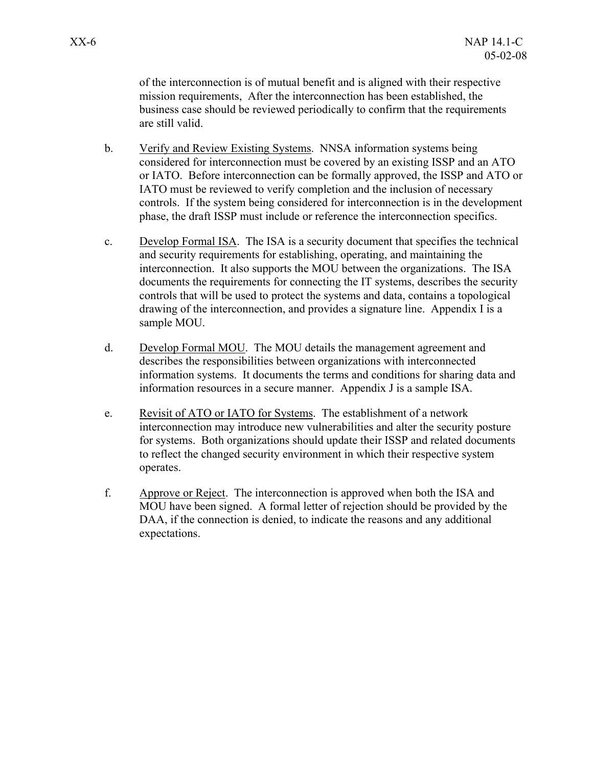of the interconnection is of mutual benefit and is aligned with their respective mission requirements, After the interconnection has been established, the business case should be reviewed periodically to confirm that the requirements are still valid.

- b. Verify and Review Existing Systems. NNSA information systems being considered for interconnection must be covered by an existing ISSP and an ATO or IATO. Before interconnection can be formally approved, the ISSP and ATO or IATO must be reviewed to verify completion and the inclusion of necessary controls. If the system being considered for interconnection is in the development phase, the draft ISSP must include or reference the interconnection specifics.
- c. Develop Formal ISA. The ISA is a security document that specifies the technical and security requirements for establishing, operating, and maintaining the interconnection. It also supports the MOU between the organizations. The ISA documents the requirements for connecting the IT systems, describes the security controls that will be used to protect the systems and data, contains a topological drawing of the interconnection, and provides a signature line. Appendix I is a sample MOU.
- d. Develop Formal MOU. The MOU details the management agreement and describes the responsibilities between organizations with interconnected information systems. It documents the terms and conditions for sharing data and information resources in a secure manner. Appendix J is a sample ISA.
- e. Revisit of ATO or IATO for Systems. The establishment of a network interconnection may introduce new vulnerabilities and alter the security posture for systems. Both organizations should update their ISSP and related documents to reflect the changed security environment in which their respective system operates.
- f. Approve or Reject. The interconnection is approved when both the ISA and MOU have been signed. A formal letter of rejection should be provided by the DAA, if the connection is denied, to indicate the reasons and any additional expectations.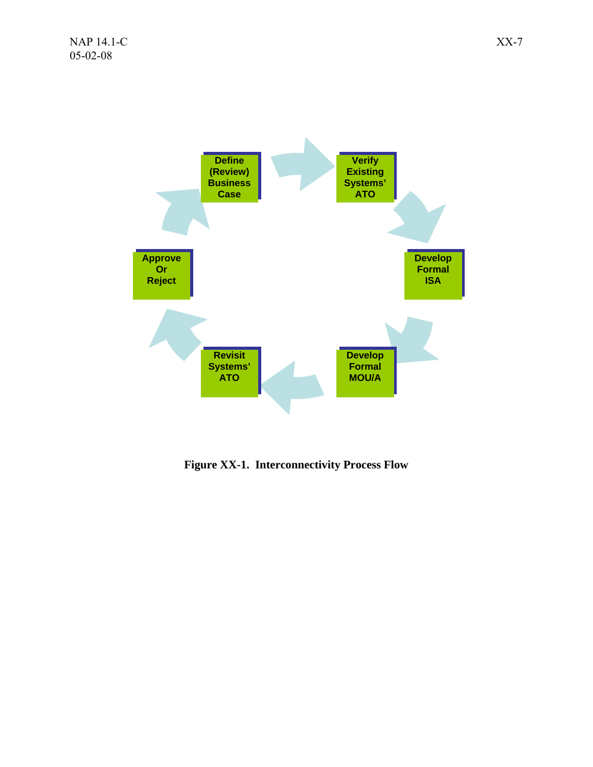

**Figure XX-1. Interconnectivity Process Flow**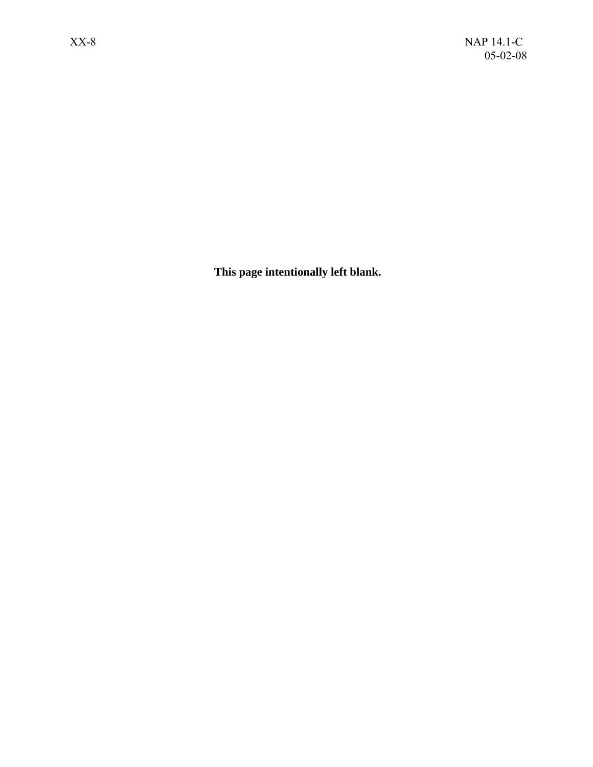**This page intentionally left blank.**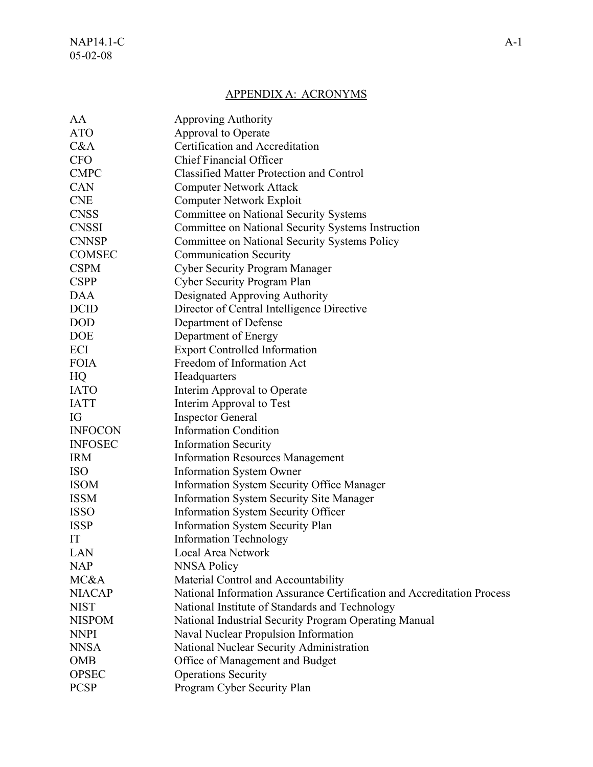## APPENDIX A: ACRONYMS

| AA             | <b>Approving Authority</b>                                             |
|----------------|------------------------------------------------------------------------|
| <b>ATO</b>     | Approval to Operate                                                    |
| C&A            | Certification and Accreditation                                        |
| <b>CFO</b>     | <b>Chief Financial Officer</b>                                         |
| <b>CMPC</b>    | <b>Classified Matter Protection and Control</b>                        |
| CAN            | <b>Computer Network Attack</b>                                         |
| <b>CNE</b>     | <b>Computer Network Exploit</b>                                        |
| <b>CNSS</b>    | <b>Committee on National Security Systems</b>                          |
| <b>CNSSI</b>   | Committee on National Security Systems Instruction                     |
| <b>CNNSP</b>   | Committee on National Security Systems Policy                          |
| COMSEC         | <b>Communication Security</b>                                          |
| <b>CSPM</b>    | <b>Cyber Security Program Manager</b>                                  |
| <b>CSPP</b>    | <b>Cyber Security Program Plan</b>                                     |
| <b>DAA</b>     | Designated Approving Authority                                         |
| <b>DCID</b>    | Director of Central Intelligence Directive                             |
| <b>DOD</b>     | Department of Defense                                                  |
| <b>DOE</b>     | Department of Energy                                                   |
| ECI            | <b>Export Controlled Information</b>                                   |
| <b>FOIA</b>    | Freedom of Information Act                                             |
| HQ             | Headquarters                                                           |
| <b>IATO</b>    | Interim Approval to Operate                                            |
| <b>IATT</b>    | Interim Approval to Test                                               |
| IG             | <b>Inspector General</b>                                               |
| <b>INFOCON</b> | <b>Information Condition</b>                                           |
| <b>INFOSEC</b> | <b>Information Security</b>                                            |
| <b>IRM</b>     | <b>Information Resources Management</b>                                |
| <b>ISO</b>     | <b>Information System Owner</b>                                        |
| <b>ISOM</b>    | <b>Information System Security Office Manager</b>                      |
| <b>ISSM</b>    | <b>Information System Security Site Manager</b>                        |
| <b>ISSO</b>    | <b>Information System Security Officer</b>                             |
| <b>ISSP</b>    | <b>Information System Security Plan</b>                                |
| IT             | <b>Information Technology</b>                                          |
| LAN            | Local Area Network                                                     |
| <b>NAP</b>     | <b>NNSA Policy</b>                                                     |
| MC&A           | Material Control and Accountability                                    |
| <b>NIACAP</b>  | National Information Assurance Certification and Accreditation Process |
| <b>NIST</b>    | National Institute of Standards and Technology                         |
| <b>NISPOM</b>  | National Industrial Security Program Operating Manual                  |
| <b>NNPI</b>    | Naval Nuclear Propulsion Information                                   |
| <b>NNSA</b>    | National Nuclear Security Administration                               |
| <b>OMB</b>     | Office of Management and Budget                                        |
| <b>OPSEC</b>   | <b>Operations Security</b>                                             |
| <b>PCSP</b>    | Program Cyber Security Plan                                            |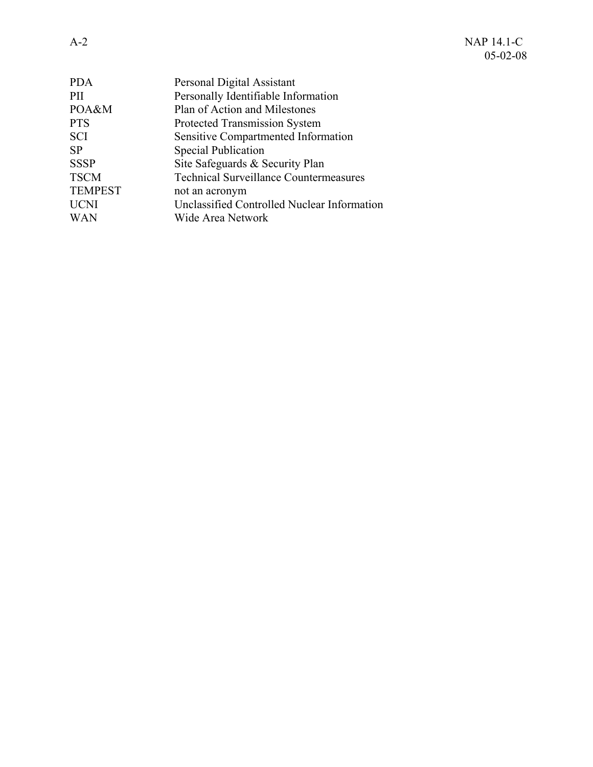| <b>PDA</b>     | Personal Digital Assistant                    |
|----------------|-----------------------------------------------|
| PII.           | Personally Identifiable Information           |
| POA&M          | Plan of Action and Milestones                 |
| <b>PTS</b>     | <b>Protected Transmission System</b>          |
| <b>SCI</b>     | Sensitive Compartmented Information           |
| <b>SP</b>      | <b>Special Publication</b>                    |
| <b>SSSP</b>    | Site Safeguards & Security Plan               |
| <b>TSCM</b>    | <b>Technical Surveillance Countermeasures</b> |
| <b>TEMPEST</b> | not an acronym                                |
| <b>UCNI</b>    | Unclassified Controlled Nuclear Information   |
| <b>WAN</b>     | Wide Area Network                             |
|                |                                               |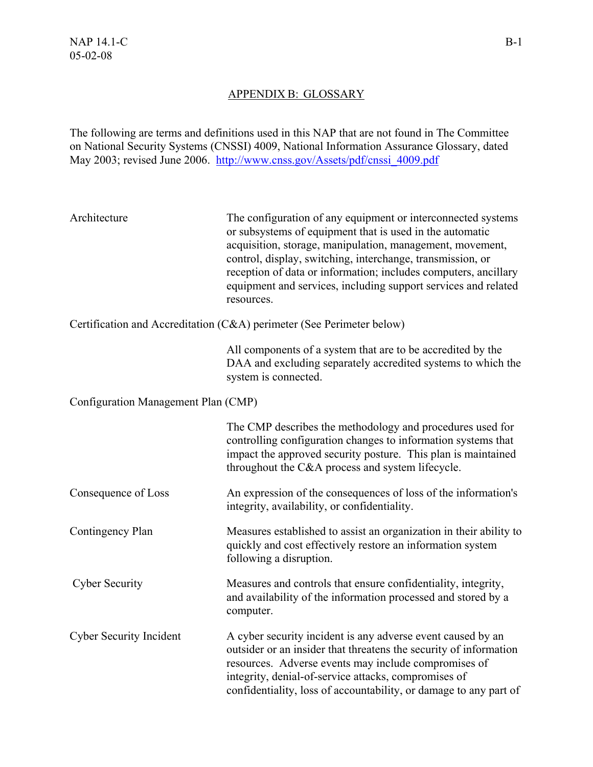## APPENDIX B: GLOSSARY

The following are terms and definitions used in this NAP that are not found in The Committee on National Security Systems (CNSSI) 4009, National Information Assurance Glossary, dated May 2003; revised June 2006. [http://www.cnss.gov/Assets/pdf/cnssi\\_4009.pdf](http://www.cnss.gov/Assets/pdf/cnssi_4009.pdf)

| Architecture                                                          | The configuration of any equipment or interconnected systems<br>or subsystems of equipment that is used in the automatic<br>acquisition, storage, manipulation, management, movement,<br>control, display, switching, interchange, transmission, or<br>reception of data or information; includes computers, ancillary<br>equipment and services, including support services and related<br>resources. |
|-----------------------------------------------------------------------|--------------------------------------------------------------------------------------------------------------------------------------------------------------------------------------------------------------------------------------------------------------------------------------------------------------------------------------------------------------------------------------------------------|
| Certification and Accreditation (C&A) perimeter (See Perimeter below) |                                                                                                                                                                                                                                                                                                                                                                                                        |
|                                                                       | All components of a system that are to be accredited by the<br>DAA and excluding separately accredited systems to which the<br>system is connected.                                                                                                                                                                                                                                                    |
| Configuration Management Plan (CMP)                                   |                                                                                                                                                                                                                                                                                                                                                                                                        |
|                                                                       | The CMP describes the methodology and procedures used for<br>controlling configuration changes to information systems that<br>impact the approved security posture. This plan is maintained<br>throughout the C&A process and system lifecycle.                                                                                                                                                        |
| Consequence of Loss                                                   | An expression of the consequences of loss of the information's<br>integrity, availability, or confidentiality.                                                                                                                                                                                                                                                                                         |
| Contingency Plan                                                      | Measures established to assist an organization in their ability to<br>quickly and cost effectively restore an information system<br>following a disruption.                                                                                                                                                                                                                                            |
| <b>Cyber Security</b>                                                 | Measures and controls that ensure confidentiality, integrity,<br>and availability of the information processed and stored by a<br>computer.                                                                                                                                                                                                                                                            |
| <b>Cyber Security Incident</b>                                        | A cyber security incident is any adverse event caused by an<br>outsider or an insider that threatens the security of information<br>resources. Adverse events may include compromises of<br>integrity, denial-of-service attacks, compromises of<br>confidentiality, loss of accountability, or damage to any part of                                                                                  |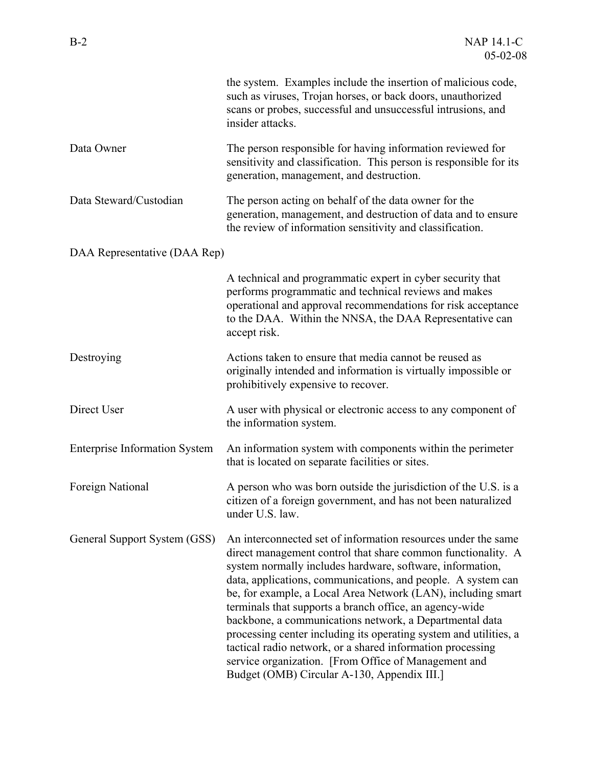|                                      | the system. Examples include the insertion of malicious code,<br>such as viruses, Trojan horses, or back doors, unauthorized<br>scans or probes, successful and unsuccessful intrusions, and<br>insider attacks.                                                                                                                                                                                                                                                                                                                                                                                                                                                                           |
|--------------------------------------|--------------------------------------------------------------------------------------------------------------------------------------------------------------------------------------------------------------------------------------------------------------------------------------------------------------------------------------------------------------------------------------------------------------------------------------------------------------------------------------------------------------------------------------------------------------------------------------------------------------------------------------------------------------------------------------------|
| Data Owner                           | The person responsible for having information reviewed for<br>sensitivity and classification. This person is responsible for its<br>generation, management, and destruction.                                                                                                                                                                                                                                                                                                                                                                                                                                                                                                               |
| Data Steward/Custodian               | The person acting on behalf of the data owner for the<br>generation, management, and destruction of data and to ensure<br>the review of information sensitivity and classification.                                                                                                                                                                                                                                                                                                                                                                                                                                                                                                        |
| DAA Representative (DAA Rep)         |                                                                                                                                                                                                                                                                                                                                                                                                                                                                                                                                                                                                                                                                                            |
|                                      | A technical and programmatic expert in cyber security that<br>performs programmatic and technical reviews and makes<br>operational and approval recommendations for risk acceptance<br>to the DAA. Within the NNSA, the DAA Representative can<br>accept risk.                                                                                                                                                                                                                                                                                                                                                                                                                             |
| Destroying                           | Actions taken to ensure that media cannot be reused as<br>originally intended and information is virtually impossible or<br>prohibitively expensive to recover.                                                                                                                                                                                                                                                                                                                                                                                                                                                                                                                            |
| Direct User                          | A user with physical or electronic access to any component of<br>the information system.                                                                                                                                                                                                                                                                                                                                                                                                                                                                                                                                                                                                   |
| <b>Enterprise Information System</b> | An information system with components within the perimeter<br>that is located on separate facilities or sites.                                                                                                                                                                                                                                                                                                                                                                                                                                                                                                                                                                             |
| Foreign National                     | A person who was born outside the jurisdiction of the U.S. is a<br>citizen of a foreign government, and has not been naturalized<br>under U.S. law.                                                                                                                                                                                                                                                                                                                                                                                                                                                                                                                                        |
| General Support System (GSS)         | An interconnected set of information resources under the same<br>direct management control that share common functionality. A<br>system normally includes hardware, software, information,<br>data, applications, communications, and people. A system can<br>be, for example, a Local Area Network (LAN), including smart<br>terminals that supports a branch office, an agency-wide<br>backbone, a communications network, a Departmental data<br>processing center including its operating system and utilities, a<br>tactical radio network, or a shared information processing<br>service organization. [From Office of Management and<br>Budget (OMB) Circular A-130, Appendix III.] |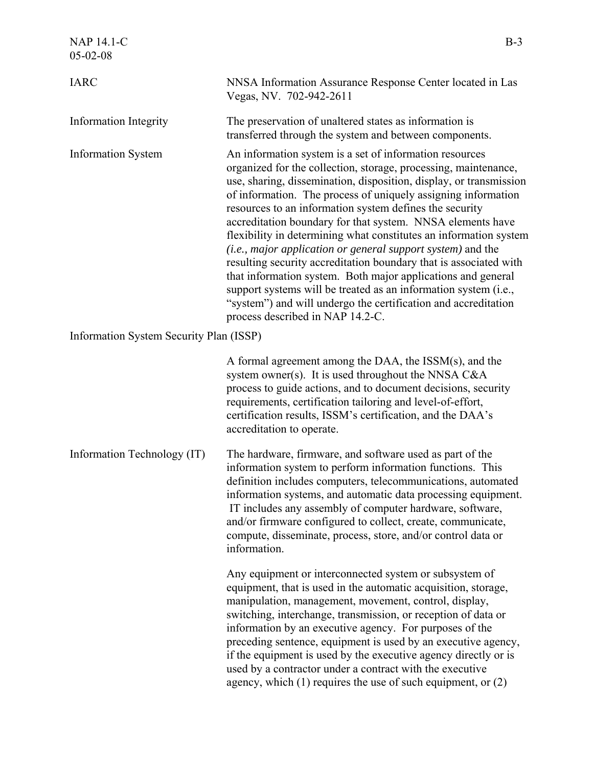| <b>IARC</b>                             | NNSA Information Assurance Response Center located in Las<br>Vegas, NV. 702-942-2611                                                                                                                                                                                                                                                                                                                                                                                                                                                                                                                                                                                                                                                                                                                                                         |
|-----------------------------------------|----------------------------------------------------------------------------------------------------------------------------------------------------------------------------------------------------------------------------------------------------------------------------------------------------------------------------------------------------------------------------------------------------------------------------------------------------------------------------------------------------------------------------------------------------------------------------------------------------------------------------------------------------------------------------------------------------------------------------------------------------------------------------------------------------------------------------------------------|
| Information Integrity                   | The preservation of unaltered states as information is<br>transferred through the system and between components.                                                                                                                                                                                                                                                                                                                                                                                                                                                                                                                                                                                                                                                                                                                             |
| <b>Information System</b>               | An information system is a set of information resources<br>organized for the collection, storage, processing, maintenance,<br>use, sharing, dissemination, disposition, display, or transmission<br>of information. The process of uniquely assigning information<br>resources to an information system defines the security<br>accreditation boundary for that system. NNSA elements have<br>flexibility in determining what constitutes an information system<br>(i.e., major application or general support system) and the<br>resulting security accreditation boundary that is associated with<br>that information system. Both major applications and general<br>support systems will be treated as an information system (i.e.,<br>"system") and will undergo the certification and accreditation<br>process described in NAP 14.2-C. |
| Information System Security Plan (ISSP) |                                                                                                                                                                                                                                                                                                                                                                                                                                                                                                                                                                                                                                                                                                                                                                                                                                              |
|                                         | A formal agreement among the DAA, the ISSM(s), and the<br>system owner(s). It is used throughout the NNSA C&A<br>process to guide actions, and to document decisions, security<br>requirements, certification tailoring and level-of-effort,<br>certification results, ISSM's certification, and the DAA's<br>accreditation to operate.                                                                                                                                                                                                                                                                                                                                                                                                                                                                                                      |
| Information Technology (IT)             | The hardware, firmware, and software used as part of the<br>information system to perform information functions. This<br>definition includes computers, telecommunications, automated<br>information systems, and automatic data processing equipment.<br>IT includes any assembly of computer hardware, software,<br>and/or firmware configured to collect, create, communicate,<br>compute, disseminate, process, store, and/or control data or<br>information.                                                                                                                                                                                                                                                                                                                                                                            |
|                                         | Any equipment or interconnected system or subsystem of<br>equipment, that is used in the automatic acquisition, storage,<br>manipulation, management, movement, control, display,<br>switching, interchange, transmission, or reception of data or<br>information by an executive agency. For purposes of the<br>preceding sentence, equipment is used by an executive agency,<br>if the equipment is used by the executive agency directly or is<br>used by a contractor under a contract with the executive<br>agency, which $(1)$ requires the use of such equipment, or $(2)$                                                                                                                                                                                                                                                            |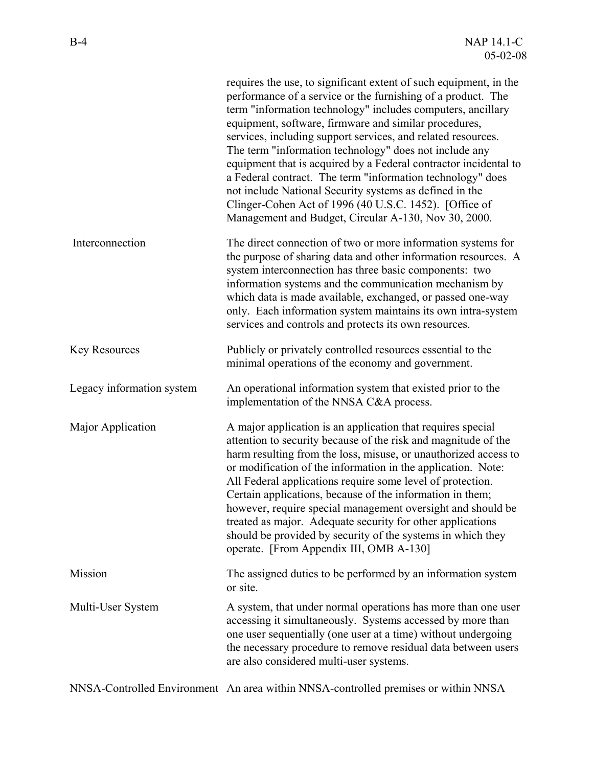|                           | requires the use, to significant extent of such equipment, in the<br>performance of a service or the furnishing of a product. The<br>term "information technology" includes computers, ancillary<br>equipment, software, firmware and similar procedures,<br>services, including support services, and related resources.<br>The term "information technology" does not include any<br>equipment that is acquired by a Federal contractor incidental to<br>a Federal contract. The term "information technology" does<br>not include National Security systems as defined in the<br>Clinger-Cohen Act of 1996 (40 U.S.C. 1452). [Office of<br>Management and Budget, Circular A-130, Nov 30, 2000. |
|---------------------------|----------------------------------------------------------------------------------------------------------------------------------------------------------------------------------------------------------------------------------------------------------------------------------------------------------------------------------------------------------------------------------------------------------------------------------------------------------------------------------------------------------------------------------------------------------------------------------------------------------------------------------------------------------------------------------------------------|
| Interconnection           | The direct connection of two or more information systems for<br>the purpose of sharing data and other information resources. A<br>system interconnection has three basic components: two<br>information systems and the communication mechanism by<br>which data is made available, exchanged, or passed one-way<br>only. Each information system maintains its own intra-system<br>services and controls and protects its own resources.                                                                                                                                                                                                                                                          |
| <b>Key Resources</b>      | Publicly or privately controlled resources essential to the<br>minimal operations of the economy and government.                                                                                                                                                                                                                                                                                                                                                                                                                                                                                                                                                                                   |
| Legacy information system | An operational information system that existed prior to the<br>implementation of the NNSA C&A process.                                                                                                                                                                                                                                                                                                                                                                                                                                                                                                                                                                                             |
| Major Application         | A major application is an application that requires special<br>attention to security because of the risk and magnitude of the<br>harm resulting from the loss, misuse, or unauthorized access to<br>or modification of the information in the application. Note:<br>All Federal applications require some level of protection.<br>Certain applications, because of the information in them;<br>however, require special management oversight and should be<br>treated as major. Adequate security for other applications<br>should be provided by security of the systems in which they<br>operate. [From Appendix III, OMB A-130]                                                                 |
| Mission                   | The assigned duties to be performed by an information system<br>or site.                                                                                                                                                                                                                                                                                                                                                                                                                                                                                                                                                                                                                           |
| Multi-User System         | A system, that under normal operations has more than one user<br>accessing it simultaneously. Systems accessed by more than<br>one user sequentially (one user at a time) without undergoing<br>the necessary procedure to remove residual data between users<br>are also considered multi-user systems.                                                                                                                                                                                                                                                                                                                                                                                           |
|                           | NNSA-Controlled Environment An area within NNSA-controlled premises or within NNSA                                                                                                                                                                                                                                                                                                                                                                                                                                                                                                                                                                                                                 |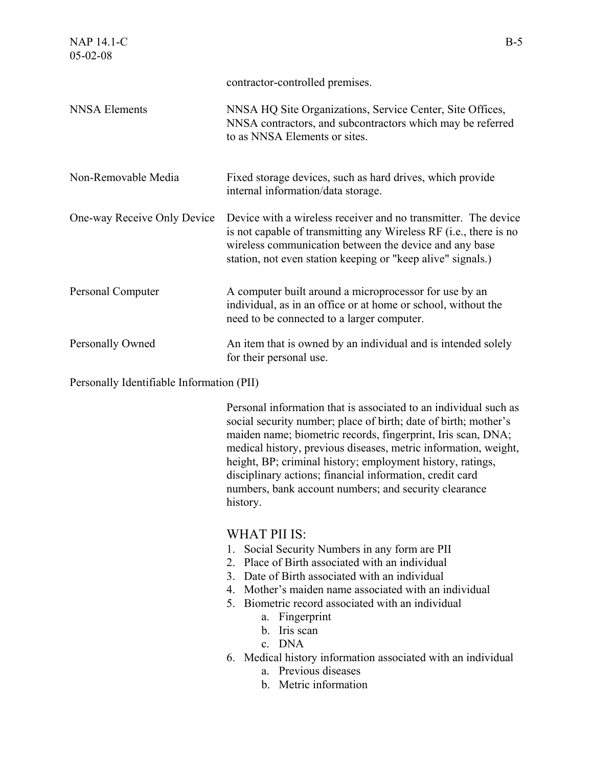|                             | contractor-controlled premises.                                                                                                                                                                                                                              |
|-----------------------------|--------------------------------------------------------------------------------------------------------------------------------------------------------------------------------------------------------------------------------------------------------------|
| <b>NNSA Elements</b>        | NNSA HQ Site Organizations, Service Center, Site Offices,<br>NNSA contractors, and subcontractors which may be referred<br>to as NNSA Elements or sites.                                                                                                     |
| Non-Removable Media         | Fixed storage devices, such as hard drives, which provide<br>internal information/data storage.                                                                                                                                                              |
| One-way Receive Only Device | Device with a wireless receiver and no transmitter. The device<br>is not capable of transmitting any Wireless RF (i.e., there is no<br>wireless communication between the device and any base<br>station, not even station keeping or "keep alive" signals.) |
| Personal Computer           | A computer built around a microprocessor for use by an<br>individual, as in an office or at home or school, without the<br>need to be connected to a larger computer.                                                                                        |
| Personally Owned            | An item that is owned by an individual and is intended solely<br>for their personal use.                                                                                                                                                                     |

Personally Identifiable Information (PII)

 Personal information that is associated to an individual such as social security number; place of birth; date of birth; mother's maiden name; biometric records, fingerprint, Iris scan, DNA; medical history, previous diseases, metric information, weight, height, BP; criminal history; employment history, ratings, disciplinary actions; financial information, credit card numbers, bank account numbers; and security clearance history.

# WHAT PII IS:

- 1. Social Security Numbers in any form are PII
- 2. Place of Birth associated with an individual
- 3. Date of Birth associated with an individual
- 4. Mother's maiden name associated with an individual
- 5. Biometric record associated with an individual
	- a. Fingerprint
	- b. Iris scan
	- c. DNA
- 6. Medical history information associated with an individual
	- a. Previous diseases
	- b. Metric information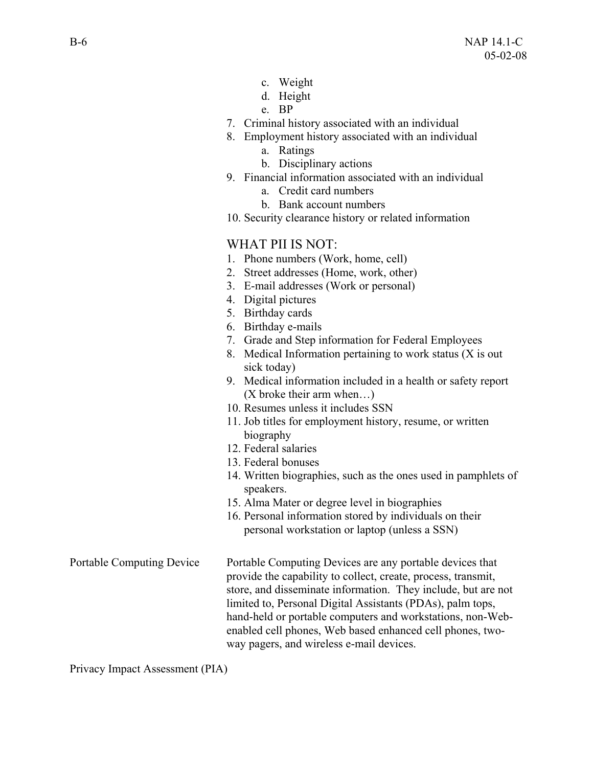- c. Weight
- d. Height
- e. BP
- 7. Criminal history associated with an individual
- 8. Employment history associated with an individual
	- a. Ratings
	- b. Disciplinary actions
- 9. Financial information associated with an individual
	- a. Credit card numbers
	- b. Bank account numbers
- 10. Security clearance history or related information

#### WHAT PII IS NOT:

- 1. Phone numbers (Work, home, cell)
- 2. Street addresses (Home, work, other)
- 3. E-mail addresses (Work or personal)
- 4. Digital pictures
- 5. Birthday cards
- 6. Birthday e-mails
- 7. Grade and Step information for Federal Employees
- 8. Medical Information pertaining to work status (X is out sick today)
- 9. Medical information included in a health or safety report (X broke their arm when…)
- 10. Resumes unless it includes SSN
- 11. Job titles for employment history, resume, or written biography
- 12. Federal salaries
- 13. Federal bonuses
- 14. Written biographies, such as the ones used in pamphlets of speakers.
- 15. Alma Mater or degree level in biographies
- 16. Personal information stored by individuals on their personal workstation or laptop (unless a SSN)

Portable Computing Device Portable Computing Devices are any portable devices that provide the capability to collect, create, process, transmit, store, and disseminate information. They include, but are not limited to, Personal Digital Assistants (PDAs), palm tops, hand-held or portable computers and workstations, non-Webenabled cell phones, Web based enhanced cell phones, twoway pagers, and wireless e-mail devices.

Privacy Impact Assessment (PIA)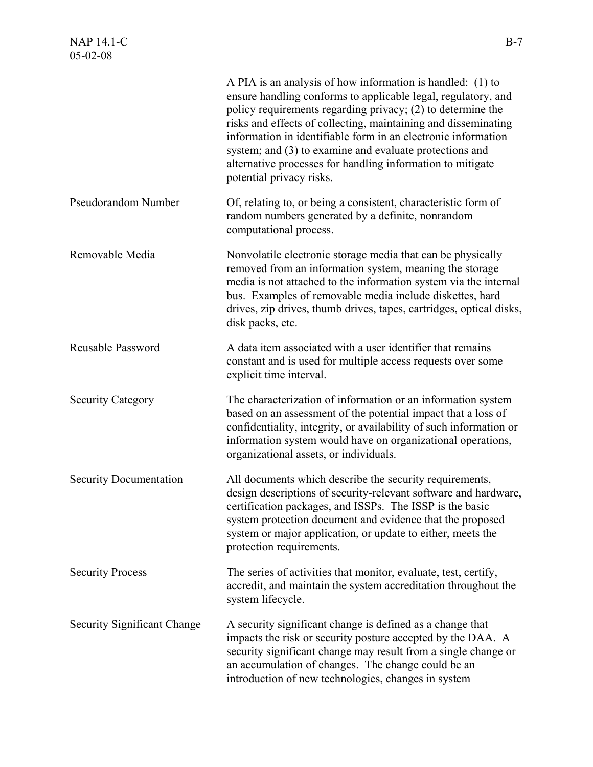|                                    | A PIA is an analysis of how information is handled: (1) to<br>ensure handling conforms to applicable legal, regulatory, and<br>policy requirements regarding privacy; (2) to determine the<br>risks and effects of collecting, maintaining and disseminating<br>information in identifiable form in an electronic information<br>system; and (3) to examine and evaluate protections and<br>alternative processes for handling information to mitigate<br>potential privacy risks. |
|------------------------------------|------------------------------------------------------------------------------------------------------------------------------------------------------------------------------------------------------------------------------------------------------------------------------------------------------------------------------------------------------------------------------------------------------------------------------------------------------------------------------------|
| <b>Pseudorandom Number</b>         | Of, relating to, or being a consistent, characteristic form of<br>random numbers generated by a definite, nonrandom<br>computational process.                                                                                                                                                                                                                                                                                                                                      |
| Removable Media                    | Nonvolatile electronic storage media that can be physically<br>removed from an information system, meaning the storage<br>media is not attached to the information system via the internal<br>bus. Examples of removable media include diskettes, hard<br>drives, zip drives, thumb drives, tapes, cartridges, optical disks,<br>disk packs, etc.                                                                                                                                  |
| Reusable Password                  | A data item associated with a user identifier that remains<br>constant and is used for multiple access requests over some<br>explicit time interval.                                                                                                                                                                                                                                                                                                                               |
| <b>Security Category</b>           | The characterization of information or an information system<br>based on an assessment of the potential impact that a loss of<br>confidentiality, integrity, or availability of such information or<br>information system would have on organizational operations,<br>organizational assets, or individuals.                                                                                                                                                                       |
| <b>Security Documentation</b>      | All documents which describe the security requirements,<br>design descriptions of security-relevant software and hardware,<br>certification packages, and ISSPs. The ISSP is the basic<br>system protection document and evidence that the proposed<br>system or major application, or update to either, meets the<br>protection requirements.                                                                                                                                     |
| <b>Security Process</b>            | The series of activities that monitor, evaluate, test, certify,<br>accredit, and maintain the system accreditation throughout the<br>system lifecycle.                                                                                                                                                                                                                                                                                                                             |
| <b>Security Significant Change</b> | A security significant change is defined as a change that<br>impacts the risk or security posture accepted by the DAA. A<br>security significant change may result from a single change or<br>an accumulation of changes. The change could be an<br>introduction of new technologies, changes in system                                                                                                                                                                            |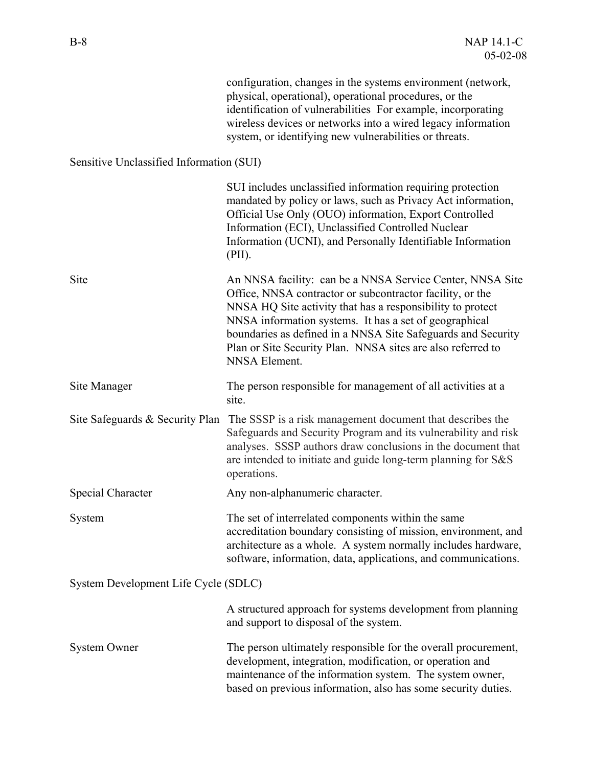configuration, changes in the systems environment (network, physical, operational), operational procedures, or the identification of vulnerabilities For example, incorporating wireless devices or networks into a wired legacy information system, or identifying new vulnerabilities or threats.

Sensitive Unclassified Information (SUI)

|                                      | SUI includes unclassified information requiring protection<br>mandated by policy or laws, such as Privacy Act information,<br>Official Use Only (OUO) information, Export Controlled<br>Information (ECI), Unclassified Controlled Nuclear<br>Information (UCNI), and Personally Identifiable Information<br>(PII).                                                                            |
|--------------------------------------|------------------------------------------------------------------------------------------------------------------------------------------------------------------------------------------------------------------------------------------------------------------------------------------------------------------------------------------------------------------------------------------------|
| Site                                 | An NNSA facility: can be a NNSA Service Center, NNSA Site<br>Office, NNSA contractor or subcontractor facility, or the<br>NNSA HQ Site activity that has a responsibility to protect<br>NNSA information systems. It has a set of geographical<br>boundaries as defined in a NNSA Site Safeguards and Security<br>Plan or Site Security Plan. NNSA sites are also referred to<br>NNSA Element. |
| Site Manager                         | The person responsible for management of all activities at a<br>site.                                                                                                                                                                                                                                                                                                                          |
| Site Safeguards & Security Plan      | The SSSP is a risk management document that describes the<br>Safeguards and Security Program and its vulnerability and risk<br>analyses. SSSP authors draw conclusions in the document that<br>are intended to initiate and guide long-term planning for S&S<br>operations.                                                                                                                    |
| <b>Special Character</b>             | Any non-alphanumeric character.                                                                                                                                                                                                                                                                                                                                                                |
| System                               | The set of interrelated components within the same<br>accreditation boundary consisting of mission, environment, and<br>architecture as a whole. A system normally includes hardware,<br>software, information, data, applications, and communications.                                                                                                                                        |
| System Development Life Cycle (SDLC) |                                                                                                                                                                                                                                                                                                                                                                                                |
|                                      | A structured approach for systems development from planning<br>and support to disposal of the system.                                                                                                                                                                                                                                                                                          |
| <b>System Owner</b>                  | The person ultimately responsible for the overall procurement,<br>development, integration, modification, or operation and<br>maintenance of the information system. The system owner,<br>based on previous information, also has some security duties.                                                                                                                                        |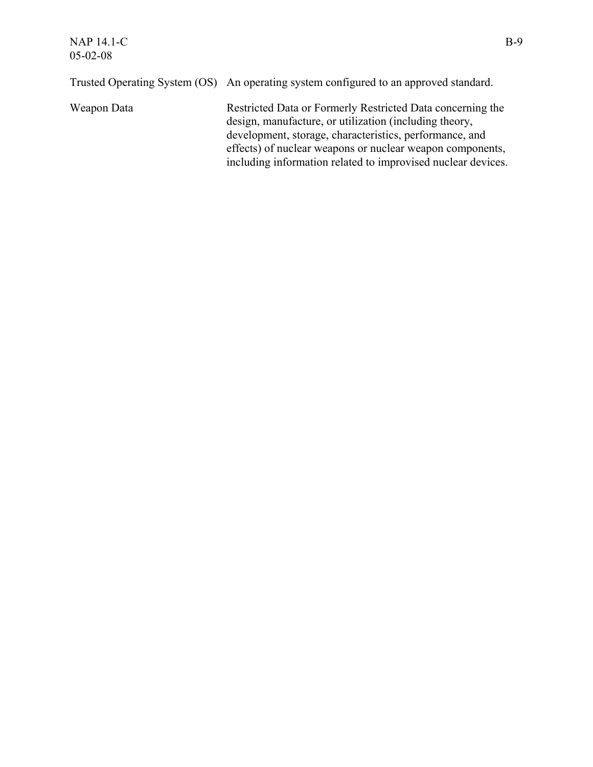Trusted Operating System (OS) An operating system configured to an approved standard. Weapon Data Restricted Data or Formerly Restricted Data concerning the design, manufacture, or utilization (including theory, development, storage, characteristics, performance, and effects) of nuclear weapons or nuclear weapon components, including information related to improvised nuclear devices.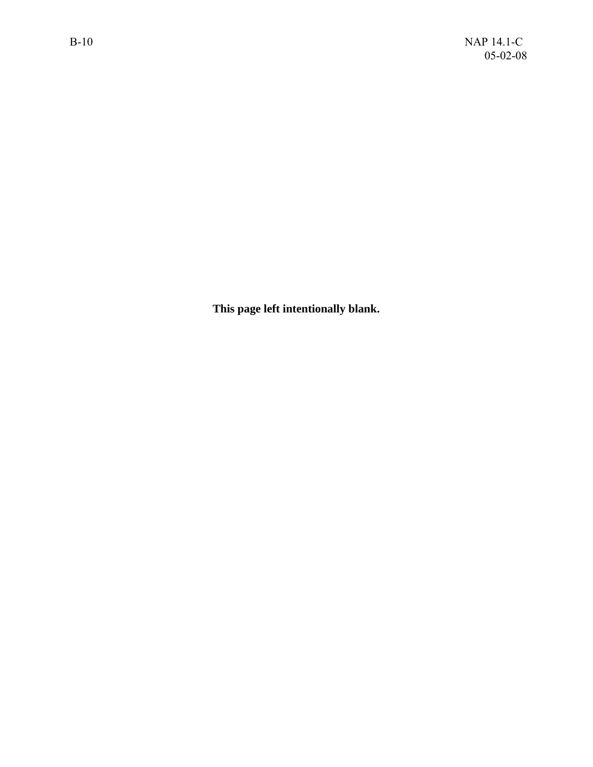**This page left intentionally blank.**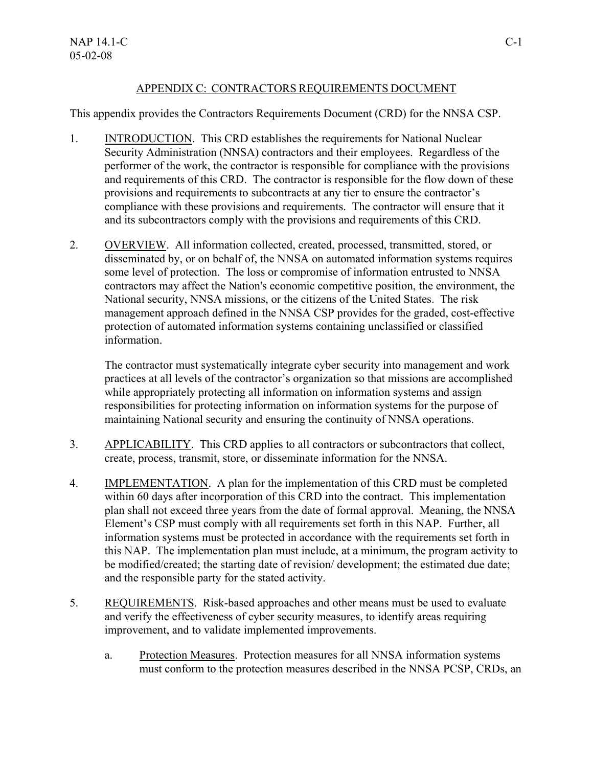### APPENDIX C: CONTRACTORS REQUIREMENTS DOCUMENT

This appendix provides the Contractors Requirements Document (CRD) for the NNSA CSP.

- 1. INTRODUCTION. This CRD establishes the requirements for National Nuclear Security Administration (NNSA) contractors and their employees. Regardless of the performer of the work, the contractor is responsible for compliance with the provisions and requirements of this CRD. The contractor is responsible for the flow down of these provisions and requirements to subcontracts at any tier to ensure the contractor's compliance with these provisions and requirements. The contractor will ensure that it and its subcontractors comply with the provisions and requirements of this CRD.
- 2. OVERVIEW. All information collected, created, processed, transmitted, stored, or disseminated by, or on behalf of, the NNSA on automated information systems requires some level of protection. The loss or compromise of information entrusted to NNSA contractors may affect the Nation's economic competitive position, the environment, the National security, NNSA missions, or the citizens of the United States. The risk management approach defined in the NNSA CSP provides for the graded, cost-effective protection of automated information systems containing unclassified or classified information.

The contractor must systematically integrate cyber security into management and work practices at all levels of the contractor's organization so that missions are accomplished while appropriately protecting all information on information systems and assign responsibilities for protecting information on information systems for the purpose of maintaining National security and ensuring the continuity of NNSA operations.

- 3. APPLICABILITY. This CRD applies to all contractors or subcontractors that collect, create, process, transmit, store, or disseminate information for the NNSA.
- 4. IMPLEMENTATION. A plan for the implementation of this CRD must be completed within 60 days after incorporation of this CRD into the contract. This implementation plan shall not exceed three years from the date of formal approval. Meaning, the NNSA Element's CSP must comply with all requirements set forth in this NAP. Further, all information systems must be protected in accordance with the requirements set forth in this NAP. The implementation plan must include, at a minimum, the program activity to be modified/created; the starting date of revision/ development; the estimated due date; and the responsible party for the stated activity.
- 5. REQUIREMENTS. Risk-based approaches and other means must be used to evaluate and verify the effectiveness of cyber security measures, to identify areas requiring improvement, and to validate implemented improvements.
	- a. Protection Measures. Protection measures for all NNSA information systems must conform to the protection measures described in the NNSA PCSP, CRDs, an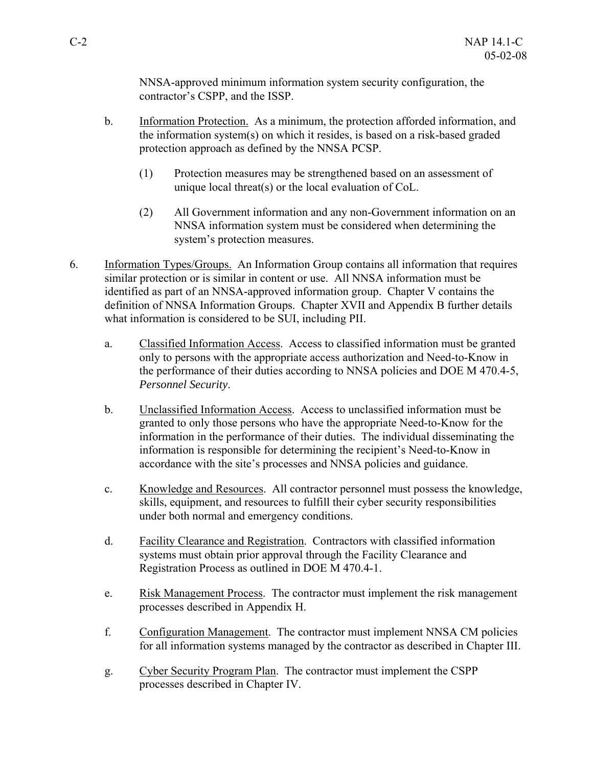NNSA-approved minimum information system security configuration, the contractor's CSPP, and the ISSP.

- b. Information Protection. As a minimum, the protection afforded information, and the information system(s) on which it resides, is based on a risk-based graded protection approach as defined by the NNSA PCSP.
	- (1) Protection measures may be strengthened based on an assessment of unique local threat(s) or the local evaluation of CoL.
	- (2) All Government information and any non-Government information on an NNSA information system must be considered when determining the system's protection measures.
- 6. Information Types/Groups. An Information Group contains all information that requires similar protection or is similar in content or use. All NNSA information must be identified as part of an NNSA-approved information group. Chapter V contains the definition of NNSA Information Groups. Chapter XVII and Appendix B further details what information is considered to be SUI, including PII.
	- a. Classified Information Access. Access to classified information must be granted only to persons with the appropriate access authorization and Need-to-Know in the performance of their duties according to NNSA policies and DOE M 470.4-5, *Personnel Security*.
	- b. Unclassified Information Access. Access to unclassified information must be granted to only those persons who have the appropriate Need-to-Know for the information in the performance of their duties. The individual disseminating the information is responsible for determining the recipient's Need-to-Know in accordance with the site's processes and NNSA policies and guidance.
	- c. Knowledge and Resources. All contractor personnel must possess the knowledge, skills, equipment, and resources to fulfill their cyber security responsibilities under both normal and emergency conditions.
	- d. Facility Clearance and Registration. Contractors with classified information systems must obtain prior approval through the Facility Clearance and Registration Process as outlined in DOE M 470.4-1.
	- e. Risk Management Process. The contractor must implement the risk management processes described in Appendix H.
	- f. Configuration Management. The contractor must implement NNSA CM policies for all information systems managed by the contractor as described in Chapter III.
	- g. Cyber Security Program Plan. The contractor must implement the CSPP processes described in Chapter IV.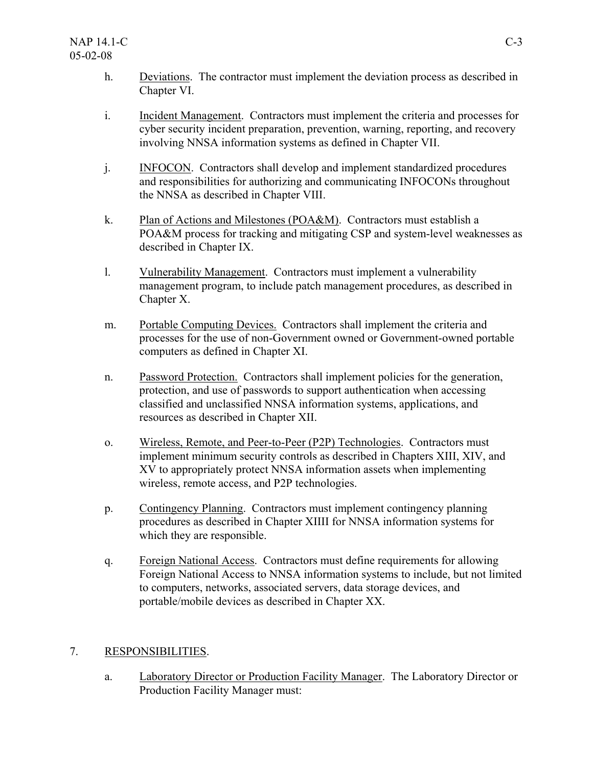- h. Deviations. The contractor must implement the deviation process as described in Chapter VI.
- i. Incident Management. Contractors must implement the criteria and processes for cyber security incident preparation, prevention, warning, reporting, and recovery involving NNSA information systems as defined in Chapter VII.
- j. INFOCON. Contractors shall develop and implement standardized procedures and responsibilities for authorizing and communicating INFOCONs throughout the NNSA as described in Chapter VIII.
- k. Plan of Actions and Milestones (POA&M). Contractors must establish a POA&M process for tracking and mitigating CSP and system-level weaknesses as described in Chapter IX.
- l. Vulnerability Management. Contractors must implement a vulnerability management program, to include patch management procedures, as described in Chapter X.
- m. Portable Computing Devices. Contractors shall implement the criteria and processes for the use of non-Government owned or Government-owned portable computers as defined in Chapter XI.
- n. Password Protection. Contractors shall implement policies for the generation, protection, and use of passwords to support authentication when accessing classified and unclassified NNSA information systems, applications, and resources as described in Chapter XII.
- o. Wireless, Remote, and Peer-to-Peer (P2P) Technologies. Contractors must implement minimum security controls as described in Chapters XIII, XIV, and XV to appropriately protect NNSA information assets when implementing wireless, remote access, and P2P technologies.
- p. Contingency Planning. Contractors must implement contingency planning procedures as described in Chapter XIIII for NNSA information systems for which they are responsible.
- q. Foreign National Access. Contractors must define requirements for allowing Foreign National Access to NNSA information systems to include, but not limited to computers, networks, associated servers, data storage devices, and portable/mobile devices as described in Chapter XX.

### 7. RESPONSIBILITIES.

a. Laboratory Director or Production Facility Manager. The Laboratory Director or Production Facility Manager must: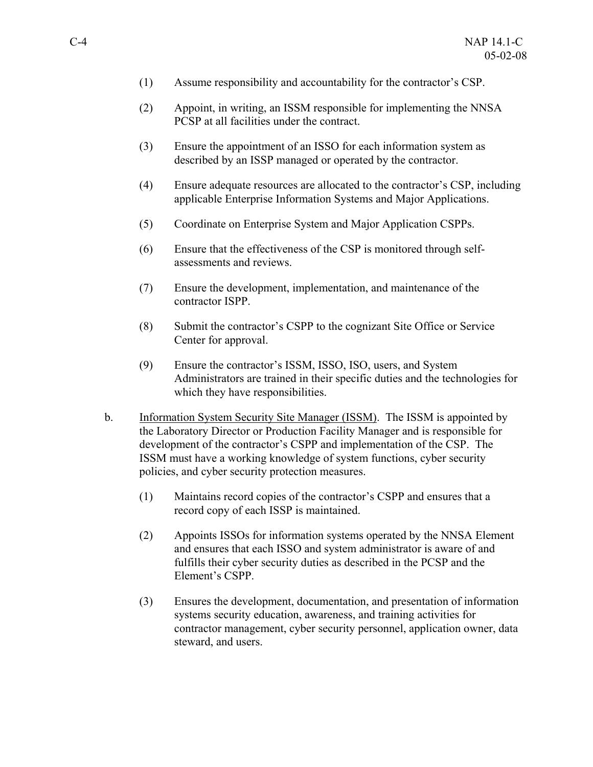- (1) Assume responsibility and accountability for the contractor's CSP.
- (2) Appoint, in writing, an ISSM responsible for implementing the NNSA PCSP at all facilities under the contract.
- (3) Ensure the appointment of an ISSO for each information system as described by an ISSP managed or operated by the contractor.
- (4) Ensure adequate resources are allocated to the contractor's CSP, including applicable Enterprise Information Systems and Major Applications.
- (5) Coordinate on Enterprise System and Major Application CSPPs.
- (6) Ensure that the effectiveness of the CSP is monitored through selfassessments and reviews.
- (7) Ensure the development, implementation, and maintenance of the contractor ISPP.
- (8) Submit the contractor's CSPP to the cognizant Site Office or Service Center for approval.
- (9) Ensure the contractor's ISSM, ISSO, ISO, users, and System Administrators are trained in their specific duties and the technologies for which they have responsibilities.
- b. Information System Security Site Manager (ISSM). The ISSM is appointed by the Laboratory Director or Production Facility Manager and is responsible for development of the contractor's CSPP and implementation of the CSP. The ISSM must have a working knowledge of system functions, cyber security policies, and cyber security protection measures.
	- (1) Maintains record copies of the contractor's CSPP and ensures that a record copy of each ISSP is maintained.
	- (2) Appoints ISSOs for information systems operated by the NNSA Element and ensures that each ISSO and system administrator is aware of and fulfills their cyber security duties as described in the PCSP and the Element's CSPP.
	- (3) Ensures the development, documentation, and presentation of information systems security education, awareness, and training activities for contractor management, cyber security personnel, application owner, data steward, and users.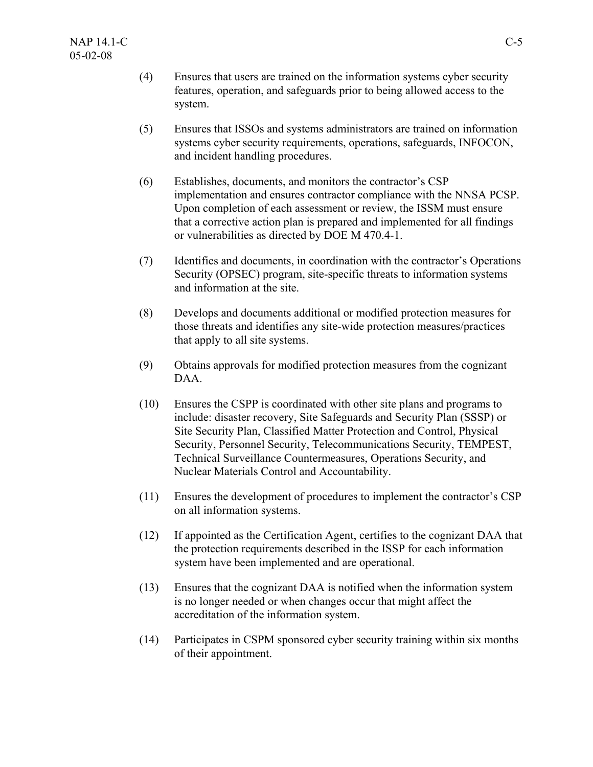- (4) Ensures that users are trained on the information systems cyber security features, operation, and safeguards prior to being allowed access to the system.
- (5) Ensures that ISSOs and systems administrators are trained on information systems cyber security requirements, operations, safeguards, INFOCON, and incident handling procedures.
- (6) Establishes, documents, and monitors the contractor's CSP implementation and ensures contractor compliance with the NNSA PCSP. Upon completion of each assessment or review, the ISSM must ensure that a corrective action plan is prepared and implemented for all findings or vulnerabilities as directed by DOE M 470.4-1.
- (7) Identifies and documents, in coordination with the contractor's Operations Security (OPSEC) program, site-specific threats to information systems and information at the site.
- (8) Develops and documents additional or modified protection measures for those threats and identifies any site-wide protection measures/practices that apply to all site systems.
- (9) Obtains approvals for modified protection measures from the cognizant DAA.
- (10) Ensures the CSPP is coordinated with other site plans and programs to include: disaster recovery, Site Safeguards and Security Plan (SSSP) or Site Security Plan, Classified Matter Protection and Control, Physical Security, Personnel Security, Telecommunications Security, TEMPEST, Technical Surveillance Countermeasures, Operations Security, and Nuclear Materials Control and Accountability.
- (11) Ensures the development of procedures to implement the contractor's CSP on all information systems.
- (12) If appointed as the Certification Agent, certifies to the cognizant DAA that the protection requirements described in the ISSP for each information system have been implemented and are operational.
- (13) Ensures that the cognizant DAA is notified when the information system is no longer needed or when changes occur that might affect the accreditation of the information system.
- (14) Participates in CSPM sponsored cyber security training within six months of their appointment.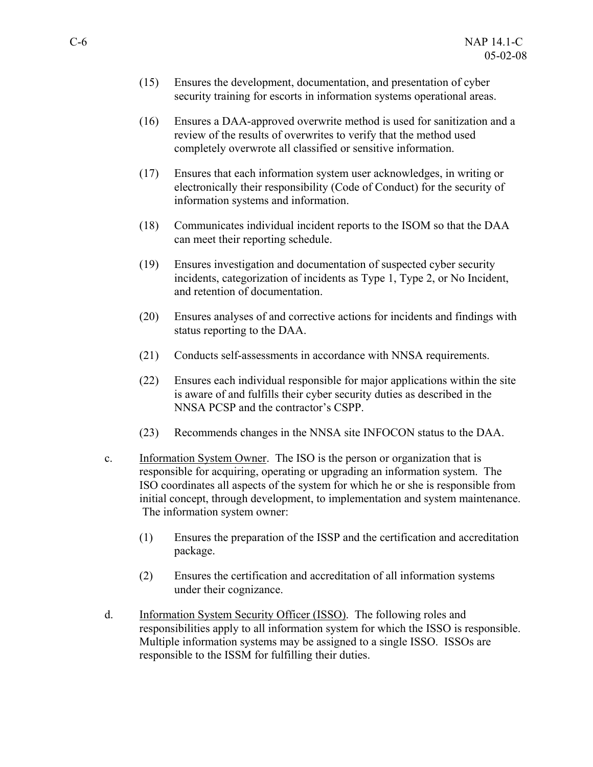- (15) Ensures the development, documentation, and presentation of cyber security training for escorts in information systems operational areas.
- (16) Ensures a DAA-approved overwrite method is used for sanitization and a review of the results of overwrites to verify that the method used completely overwrote all classified or sensitive information.
- (17) Ensures that each information system user acknowledges, in writing or electronically their responsibility (Code of Conduct) for the security of information systems and information.
- (18) Communicates individual incident reports to the ISOM so that the DAA can meet their reporting schedule.
- (19) Ensures investigation and documentation of suspected cyber security incidents, categorization of incidents as Type 1, Type 2, or No Incident, and retention of documentation.
- (20) Ensures analyses of and corrective actions for incidents and findings with status reporting to the DAA.
- (21) Conducts self-assessments in accordance with NNSA requirements.
- (22) Ensures each individual responsible for major applications within the site is aware of and fulfills their cyber security duties as described in the NNSA PCSP and the contractor's CSPP.
- (23) Recommends changes in the NNSA site INFOCON status to the DAA.
- c. Information System Owner. The ISO is the person or organization that is responsible for acquiring, operating or upgrading an information system. The ISO coordinates all aspects of the system for which he or she is responsible from initial concept, through development, to implementation and system maintenance. The information system owner:
	- (1) Ensures the preparation of the ISSP and the certification and accreditation package.
	- (2) Ensures the certification and accreditation of all information systems under their cognizance.
- d. Information System Security Officer (ISSO). The following roles and responsibilities apply to all information system for which the ISSO is responsible. Multiple information systems may be assigned to a single ISSO. ISSOs are responsible to the ISSM for fulfilling their duties.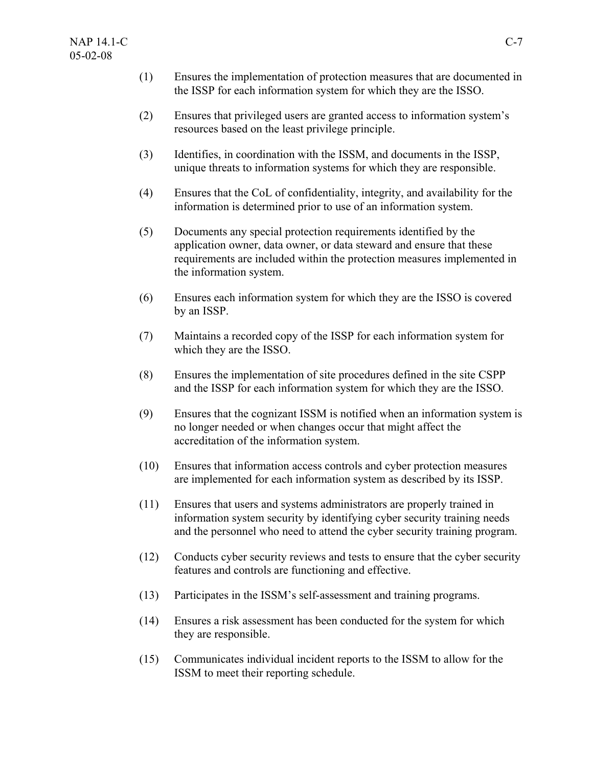- (1) Ensures the implementation of protection measures that are documented in the ISSP for each information system for which they are the ISSO.
- (2) Ensures that privileged users are granted access to information system's resources based on the least privilege principle.
- (3) Identifies, in coordination with the ISSM, and documents in the ISSP, unique threats to information systems for which they are responsible.
- (4) Ensures that the CoL of confidentiality, integrity, and availability for the information is determined prior to use of an information system.
- (5) Documents any special protection requirements identified by the application owner, data owner, or data steward and ensure that these requirements are included within the protection measures implemented in the information system.
- (6) Ensures each information system for which they are the ISSO is covered by an ISSP.
- (7) Maintains a recorded copy of the ISSP for each information system for which they are the ISSO.
- (8) Ensures the implementation of site procedures defined in the site CSPP and the ISSP for each information system for which they are the ISSO.
- (9) Ensures that the cognizant ISSM is notified when an information system is no longer needed or when changes occur that might affect the accreditation of the information system.
- (10) Ensures that information access controls and cyber protection measures are implemented for each information system as described by its ISSP.
- (11) Ensures that users and systems administrators are properly trained in information system security by identifying cyber security training needs and the personnel who need to attend the cyber security training program.
- (12) Conducts cyber security reviews and tests to ensure that the cyber security features and controls are functioning and effective.
- (13) Participates in the ISSM's self-assessment and training programs.
- (14) Ensures a risk assessment has been conducted for the system for which they are responsible.
- (15) Communicates individual incident reports to the ISSM to allow for the ISSM to meet their reporting schedule.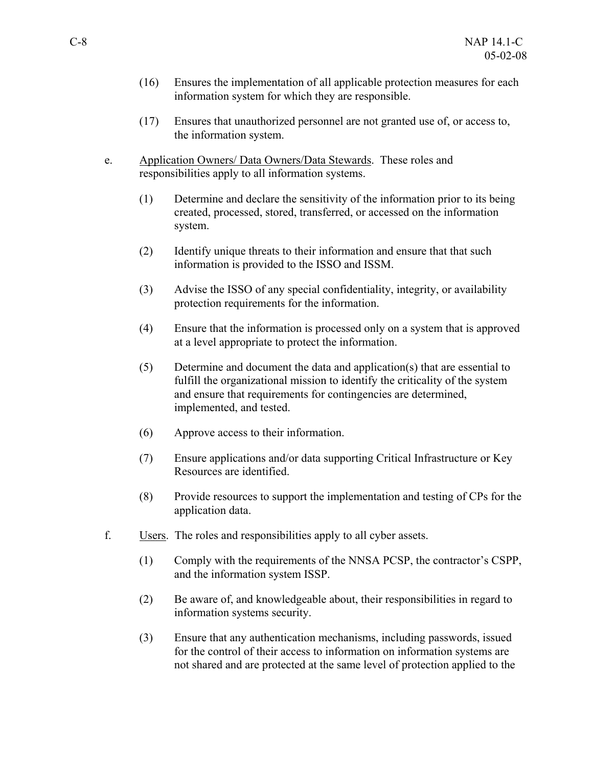- (16) Ensures the implementation of all applicable protection measures for each information system for which they are responsible.
- (17) Ensures that unauthorized personnel are not granted use of, or access to, the information system.
- e. Application Owners/ Data Owners/Data Stewards. These roles and responsibilities apply to all information systems.
	- (1) Determine and declare the sensitivity of the information prior to its being created, processed, stored, transferred, or accessed on the information system.
	- (2) Identify unique threats to their information and ensure that that such information is provided to the ISSO and ISSM.
	- (3) Advise the ISSO of any special confidentiality, integrity, or availability protection requirements for the information.
	- (4) Ensure that the information is processed only on a system that is approved at a level appropriate to protect the information.
	- (5) Determine and document the data and application(s) that are essential to fulfill the organizational mission to identify the criticality of the system and ensure that requirements for contingencies are determined, implemented, and tested.
	- (6) Approve access to their information.
	- (7) Ensure applications and/or data supporting Critical Infrastructure or Key Resources are identified.
	- (8) Provide resources to support the implementation and testing of CPs for the application data.
- f. Users. The roles and responsibilities apply to all cyber assets.
	- (1) Comply with the requirements of the NNSA PCSP, the contractor's CSPP, and the information system ISSP.
	- (2) Be aware of, and knowledgeable about, their responsibilities in regard to information systems security.
	- (3) Ensure that any authentication mechanisms, including passwords, issued for the control of their access to information on information systems are not shared and are protected at the same level of protection applied to the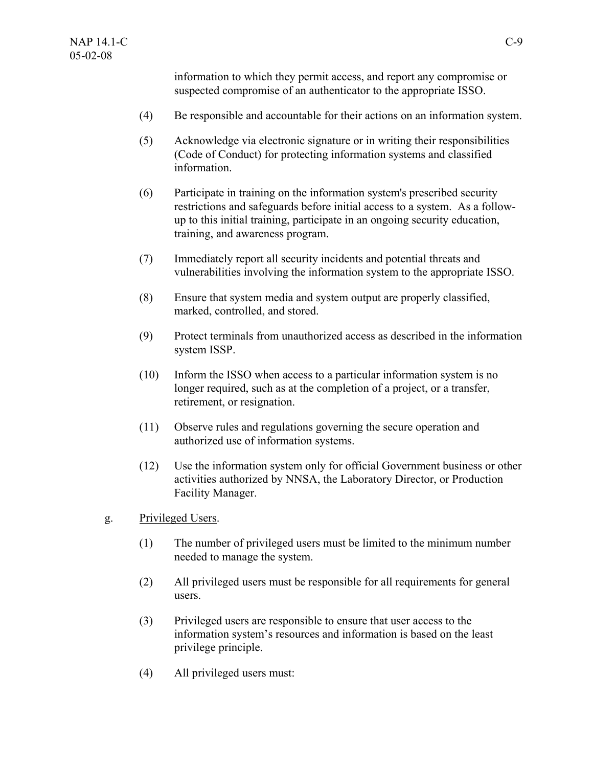information to which they permit access, and report any compromise or suspected compromise of an authenticator to the appropriate ISSO.

- (4) Be responsible and accountable for their actions on an information system.
- (5) Acknowledge via electronic signature or in writing their responsibilities (Code of Conduct) for protecting information systems and classified information.
- (6) Participate in training on the information system's prescribed security restrictions and safeguards before initial access to a system. As a followup to this initial training, participate in an ongoing security education, training, and awareness program.
- (7) Immediately report all security incidents and potential threats and vulnerabilities involving the information system to the appropriate ISSO.
- (8) Ensure that system media and system output are properly classified, marked, controlled, and stored.
- (9) Protect terminals from unauthorized access as described in the information system ISSP.
- (10) Inform the ISSO when access to a particular information system is no longer required, such as at the completion of a project, or a transfer, retirement, or resignation.
- (11) Observe rules and regulations governing the secure operation and authorized use of information systems.
- (12) Use the information system only for official Government business or other activities authorized by NNSA, the Laboratory Director, or Production Facility Manager.
- g. Privileged Users.
	- (1) The number of privileged users must be limited to the minimum number needed to manage the system.
	- (2) All privileged users must be responsible for all requirements for general users.
	- (3) Privileged users are responsible to ensure that user access to the information system's resources and information is based on the least privilege principle.
	- (4) All privileged users must: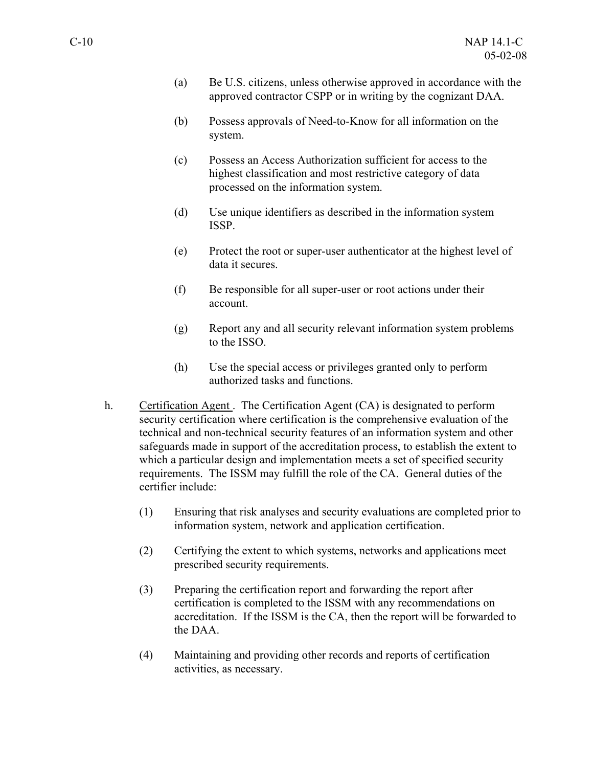- (a) Be U.S. citizens, unless otherwise approved in accordance with the approved contractor CSPP or in writing by the cognizant DAA.
- (b) Possess approvals of Need-to-Know for all information on the system.
- (c) Possess an Access Authorization sufficient for access to the highest classification and most restrictive category of data processed on the information system.
- (d) Use unique identifiers as described in the information system ISSP.
- (e) Protect the root or super-user authenticator at the highest level of data it secures.
- (f) Be responsible for all super-user or root actions under their account.
- (g) Report any and all security relevant information system problems to the ISSO.
- (h) Use the special access or privileges granted only to perform authorized tasks and functions.
- h. Certification Agent . The Certification Agent (CA) is designated to perform security certification where certification is the comprehensive evaluation of the technical and non-technical security features of an information system and other safeguards made in support of the accreditation process, to establish the extent to which a particular design and implementation meets a set of specified security requirements. The ISSM may fulfill the role of the CA. General duties of the certifier include:
	- (1) Ensuring that risk analyses and security evaluations are completed prior to information system, network and application certification.
	- (2) Certifying the extent to which systems, networks and applications meet prescribed security requirements.
	- (3) Preparing the certification report and forwarding the report after certification is completed to the ISSM with any recommendations on accreditation. If the ISSM is the CA, then the report will be forwarded to the DAA.
	- (4) Maintaining and providing other records and reports of certification activities, as necessary.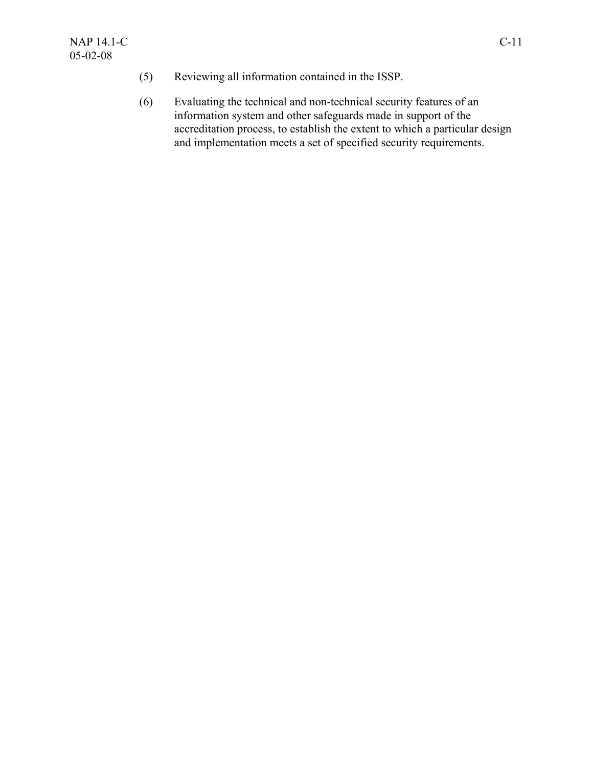- (5) Reviewing all information contained in the ISSP.
- (6) Evaluating the technical and non-technical security features of an information system and other safeguards made in support of the accreditation process, to establish the extent to which a particular design and implementation meets a set of specified security requirements.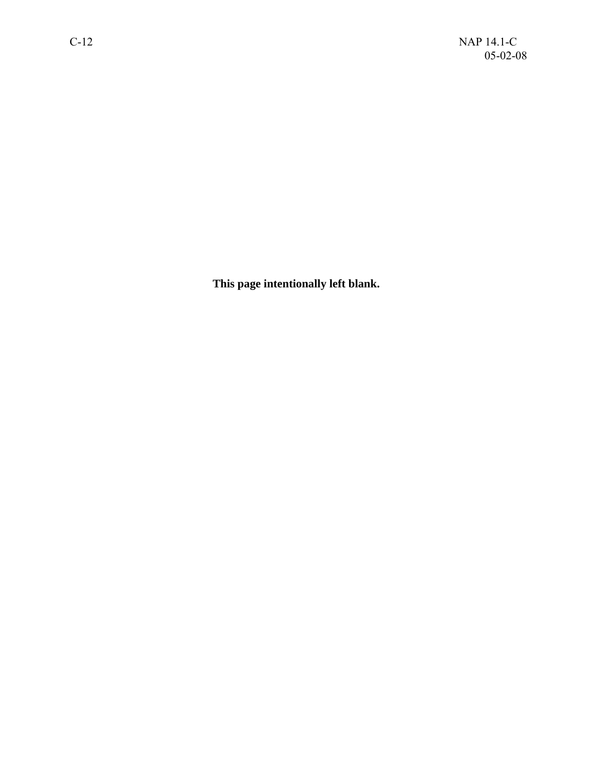**This page intentionally left blank.**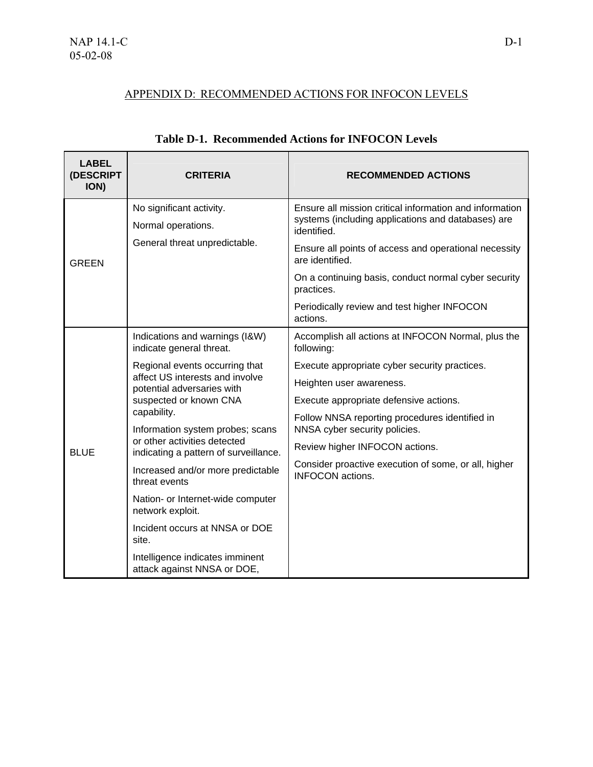#### APPENDIX D: RECOMMENDED ACTIONS FOR INFOCON LEVELS

| <b>LABEL</b><br>(DESCRIPT<br>ION) | <b>CRITERIA</b>                                                                                                                                                                                                                                                                                                                                                                                                                                                                                                                                 | <b>RECOMMENDED ACTIONS</b>                                                                                                                                                                                                                                                                                                                                                                      |
|-----------------------------------|-------------------------------------------------------------------------------------------------------------------------------------------------------------------------------------------------------------------------------------------------------------------------------------------------------------------------------------------------------------------------------------------------------------------------------------------------------------------------------------------------------------------------------------------------|-------------------------------------------------------------------------------------------------------------------------------------------------------------------------------------------------------------------------------------------------------------------------------------------------------------------------------------------------------------------------------------------------|
| <b>GREEN</b>                      | No significant activity.<br>Normal operations.<br>General threat unpredictable.                                                                                                                                                                                                                                                                                                                                                                                                                                                                 | Ensure all mission critical information and information<br>systems (including applications and databases) are<br>identified.<br>Ensure all points of access and operational necessity<br>are identified.<br>On a continuing basis, conduct normal cyber security<br>practices.<br>Periodically review and test higher INFOCON<br>actions.                                                       |
| <b>BLUE</b>                       | Indications and warnings (I&W)<br>indicate general threat.<br>Regional events occurring that<br>affect US interests and involve<br>potential adversaries with<br>suspected or known CNA<br>capability.<br>Information system probes; scans<br>or other activities detected<br>indicating a pattern of surveillance.<br>Increased and/or more predictable<br>threat events<br>Nation- or Internet-wide computer<br>network exploit.<br>Incident occurs at NNSA or DOE<br>site.<br>Intelligence indicates imminent<br>attack against NNSA or DOE, | Accomplish all actions at INFOCON Normal, plus the<br>following:<br>Execute appropriate cyber security practices.<br>Heighten user awareness.<br>Execute appropriate defensive actions.<br>Follow NNSA reporting procedures identified in<br>NNSA cyber security policies.<br>Review higher INFOCON actions.<br>Consider proactive execution of some, or all, higher<br><b>INFOCON</b> actions. |

### **Table D-1. Recommended Actions for INFOCON Levels**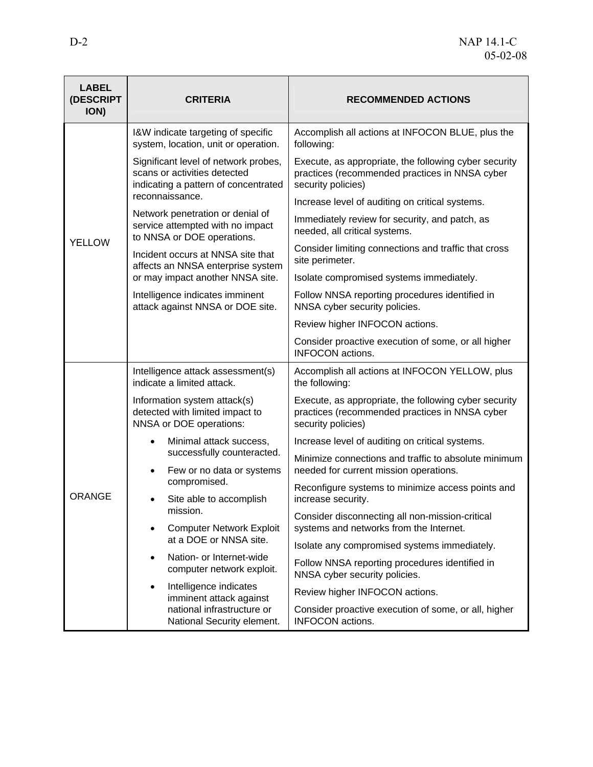| <b>LABEL</b><br>(DESCRIPT<br>ION) | <b>CRITERIA</b>                                                                                                                 | <b>RECOMMENDED ACTIONS</b>                                                                                                    |
|-----------------------------------|---------------------------------------------------------------------------------------------------------------------------------|-------------------------------------------------------------------------------------------------------------------------------|
|                                   | I&W indicate targeting of specific<br>system, location, unit or operation.                                                      | Accomplish all actions at INFOCON BLUE, plus the<br>following:                                                                |
|                                   | Significant level of network probes,<br>scans or activities detected<br>indicating a pattern of concentrated<br>reconnaissance. | Execute, as appropriate, the following cyber security<br>practices (recommended practices in NNSA cyber<br>security policies) |
|                                   | Network penetration or denial of                                                                                                | Increase level of auditing on critical systems.                                                                               |
| <b>YELLOW</b>                     | service attempted with no impact<br>to NNSA or DOE operations.                                                                  | Immediately review for security, and patch, as<br>needed, all critical systems.                                               |
|                                   | Incident occurs at NNSA site that<br>affects an NNSA enterprise system                                                          | Consider limiting connections and traffic that cross<br>site perimeter.                                                       |
|                                   | or may impact another NNSA site.                                                                                                | Isolate compromised systems immediately.                                                                                      |
|                                   | Intelligence indicates imminent<br>attack against NNSA or DOE site.                                                             | Follow NNSA reporting procedures identified in<br>NNSA cyber security policies.                                               |
|                                   |                                                                                                                                 | Review higher INFOCON actions.                                                                                                |
|                                   |                                                                                                                                 | Consider proactive execution of some, or all higher<br><b>INFOCON</b> actions.                                                |
|                                   | Intelligence attack assessment(s)<br>indicate a limited attack.                                                                 | Accomplish all actions at INFOCON YELLOW, plus<br>the following:                                                              |
|                                   | Information system attack(s)<br>detected with limited impact to<br>NNSA or DOE operations:                                      | Execute, as appropriate, the following cyber security<br>practices (recommended practices in NNSA cyber<br>security policies) |
|                                   | Minimal attack success,                                                                                                         | Increase level of auditing on critical systems.                                                                               |
|                                   | successfully counteracted.<br>Few or no data or systems<br>compromised.<br>Site able to accomplish                              | Minimize connections and traffic to absolute minimum<br>needed for current mission operations.                                |
| <b>ORANGE</b>                     |                                                                                                                                 | Reconfigure systems to minimize access points and<br>increase security.                                                       |
|                                   | mission.                                                                                                                        | Consider disconnecting all non-mission-critical                                                                               |
|                                   | <b>Computer Network Exploit</b><br>$\bullet$<br>at a DOE or NNSA site.                                                          | systems and networks from the Internet.<br>Isolate any compromised systems immediately.                                       |
|                                   | Nation- or Internet-wide<br>$\bullet$<br>computer network exploit.                                                              | Follow NNSA reporting procedures identified in<br>NNSA cyber security policies.                                               |
|                                   | Intelligence indicates<br>$\bullet$                                                                                             | Review higher INFOCON actions.                                                                                                |
|                                   | imminent attack against<br>national infrastructure or<br>National Security element.                                             | Consider proactive execution of some, or all, higher<br>INFOCON actions.                                                      |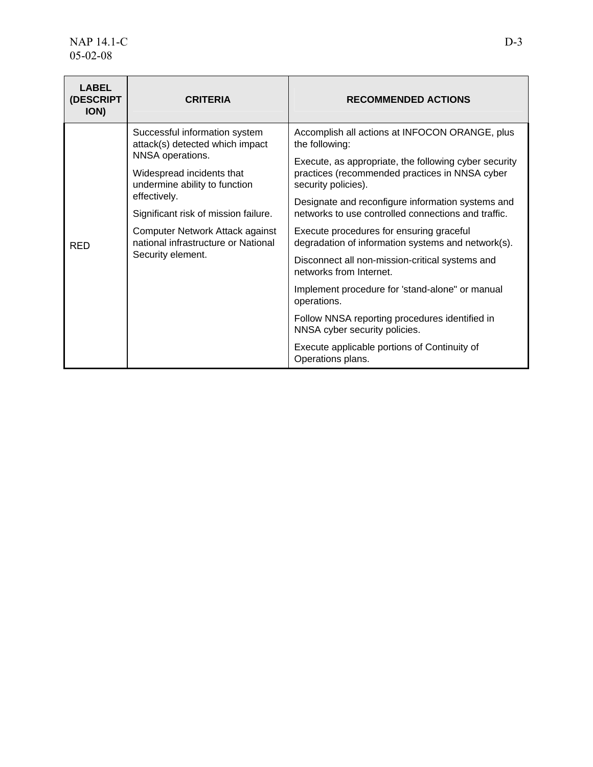| <b>LABEL</b><br>(DESCRIPT<br>ION) | <b>CRITERIA</b>                                                                                                                                                                                                                                                                                           | <b>RECOMMENDED ACTIONS</b>                                                                                                                                                                                                                                                                                                                                                                                                                                                                                                                                                                                                                                                                                               |
|-----------------------------------|-----------------------------------------------------------------------------------------------------------------------------------------------------------------------------------------------------------------------------------------------------------------------------------------------------------|--------------------------------------------------------------------------------------------------------------------------------------------------------------------------------------------------------------------------------------------------------------------------------------------------------------------------------------------------------------------------------------------------------------------------------------------------------------------------------------------------------------------------------------------------------------------------------------------------------------------------------------------------------------------------------------------------------------------------|
| <b>RED</b>                        | Successful information system<br>attack(s) detected which impact<br>NNSA operations.<br>Widespread incidents that<br>undermine ability to function<br>effectively.<br>Significant risk of mission failure.<br>Computer Network Attack against<br>national infrastructure or National<br>Security element. | Accomplish all actions at INFOCON ORANGE, plus<br>the following:<br>Execute, as appropriate, the following cyber security<br>practices (recommended practices in NNSA cyber<br>security policies).<br>Designate and reconfigure information systems and<br>networks to use controlled connections and traffic.<br>Execute procedures for ensuring graceful<br>degradation of information systems and network(s).<br>Disconnect all non-mission-critical systems and<br>networks from Internet.<br>Implement procedure for 'stand-alone" or manual<br>operations.<br>Follow NNSA reporting procedures identified in<br>NNSA cyber security policies.<br>Execute applicable portions of Continuity of<br>Operations plans. |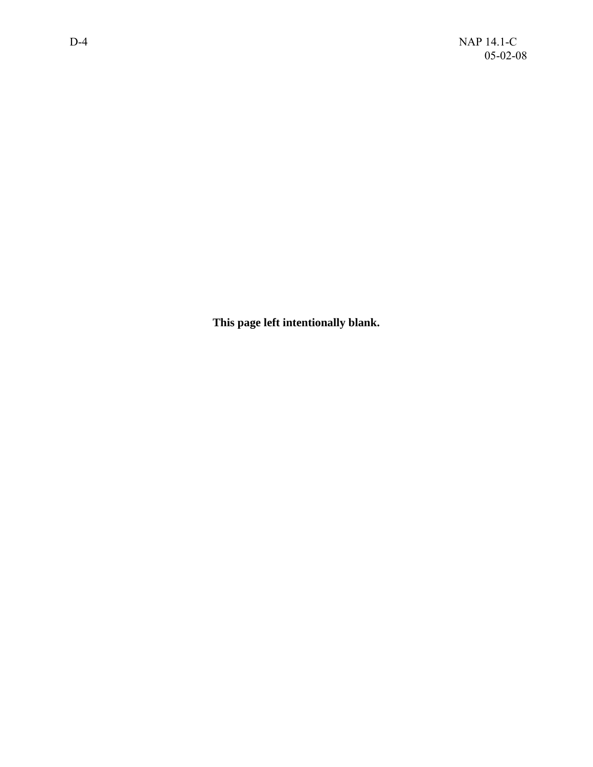**This page left intentionally blank.**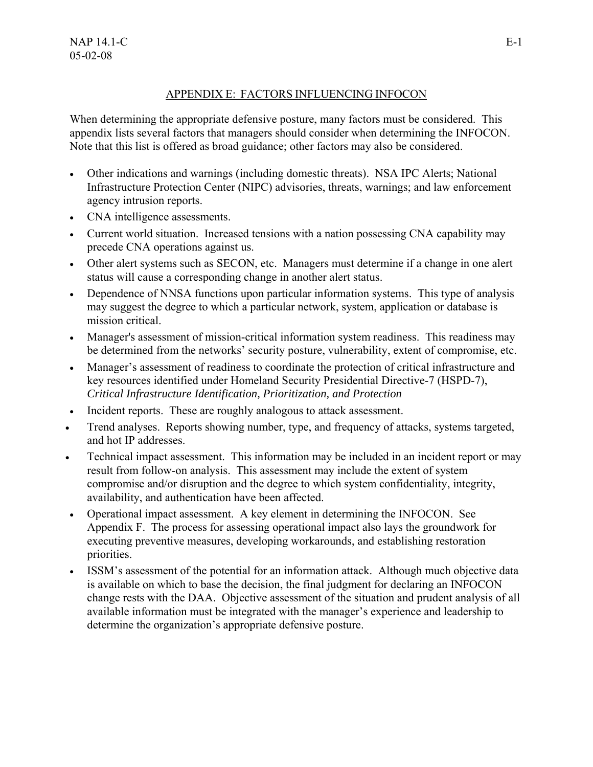#### APPENDIX E: FACTORS INFLUENCING INFOCON

When determining the appropriate defensive posture, many factors must be considered. This appendix lists several factors that managers should consider when determining the INFOCON. Note that this list is offered as broad guidance; other factors may also be considered.

- Other indications and warnings (including domestic threats). NSA IPC Alerts; National Infrastructure Protection Center (NIPC) advisories, threats, warnings; and law enforcement agency intrusion reports.
- CNA intelligence assessments.
- Current world situation. Increased tensions with a nation possessing CNA capability may precede CNA operations against us.
- Other alert systems such as SECON, etc. Managers must determine if a change in one alert status will cause a corresponding change in another alert status.
- Dependence of NNSA functions upon particular information systems. This type of analysis may suggest the degree to which a particular network, system, application or database is mission critical.
- Manager's assessment of mission-critical information system readiness. This readiness may be determined from the networks' security posture, vulnerability, extent of compromise, etc.
- Manager's assessment of readiness to coordinate the protection of critical infrastructure and key resources identified under Homeland Security Presidential Directive-7 (HSPD-7), *Critical Infrastructure Identification, Prioritization, and Protection*
- Incident reports. These are roughly analogous to attack assessment.
- Trend analyses. Reports showing number, type, and frequency of attacks, systems targeted, and hot IP addresses.
- Technical impact assessment. This information may be included in an incident report or may result from follow-on analysis. This assessment may include the extent of system compromise and/or disruption and the degree to which system confidentiality, integrity, availability, and authentication have been affected.
- Operational impact assessment. A key element in determining the INFOCON. See Appendix F. The process for assessing operational impact also lays the groundwork for executing preventive measures, developing workarounds, and establishing restoration priorities.
- ISSM's assessment of the potential for an information attack. Although much objective data is available on which to base the decision, the final judgment for declaring an INFOCON change rests with the DAA. Objective assessment of the situation and prudent analysis of all available information must be integrated with the manager's experience and leadership to determine the organization's appropriate defensive posture.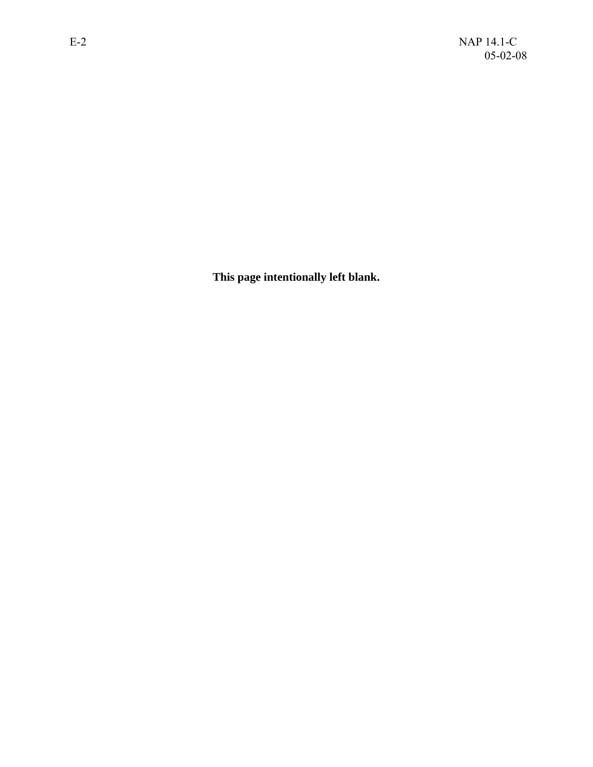**This page intentionally left blank.**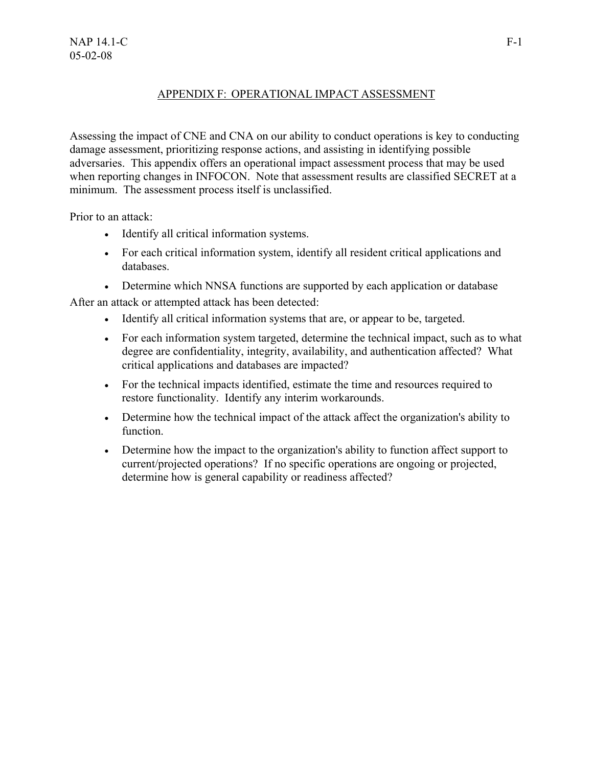#### APPENDIX F: OPERATIONAL IMPACT ASSESSMENT

Assessing the impact of CNE and CNA on our ability to conduct operations is key to conducting damage assessment, prioritizing response actions, and assisting in identifying possible adversaries. This appendix offers an operational impact assessment process that may be used when reporting changes in INFOCON. Note that assessment results are classified SECRET at a minimum. The assessment process itself is unclassified.

Prior to an attack:

- Identify all critical information systems.
- For each critical information system, identify all resident critical applications and databases.
- Determine which NNSA functions are supported by each application or database

After an attack or attempted attack has been detected:

- Identify all critical information systems that are, or appear to be, targeted.
- For each information system targeted, determine the technical impact, such as to what degree are confidentiality, integrity, availability, and authentication affected? What critical applications and databases are impacted?
- For the technical impacts identified, estimate the time and resources required to restore functionality. Identify any interim workarounds.
- Determine how the technical impact of the attack affect the organization's ability to function.
- Determine how the impact to the organization's ability to function affect support to current/projected operations? If no specific operations are ongoing or projected, determine how is general capability or readiness affected?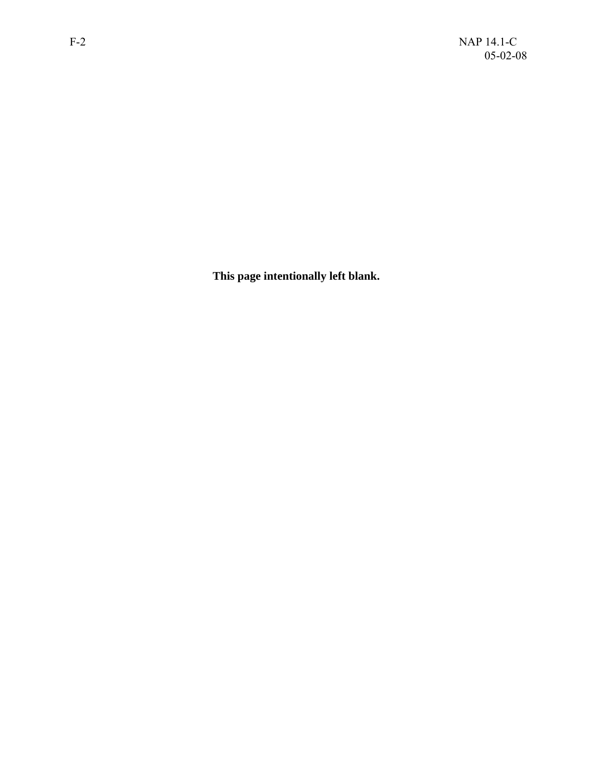**This page intentionally left blank.**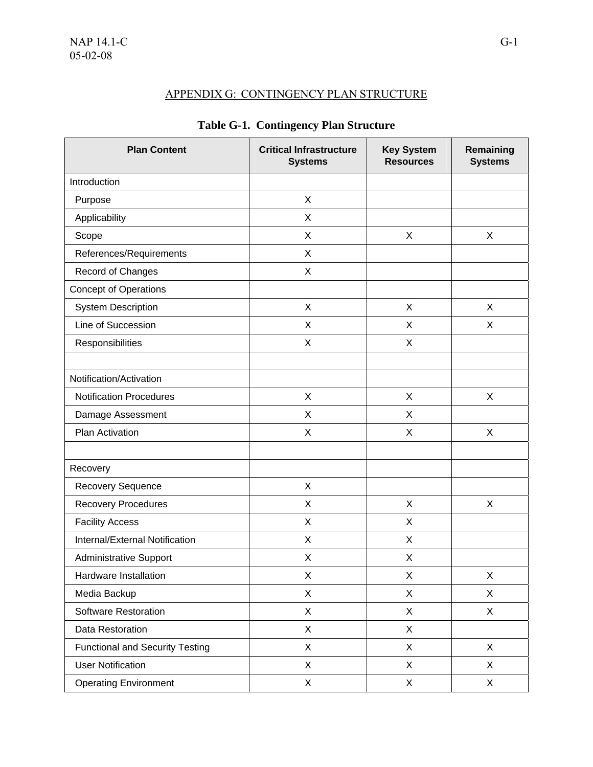#### APPENDIX G: CONTINGENCY PLAN STRUCTURE

| <b>Plan Content</b>                    | <b>Critical Infrastructure</b><br><b>Systems</b> | <b>Key System</b><br><b>Resources</b> | Remaining<br><b>Systems</b> |
|----------------------------------------|--------------------------------------------------|---------------------------------------|-----------------------------|
| Introduction                           |                                                  |                                       |                             |
| Purpose                                | X                                                |                                       |                             |
| Applicability                          | X                                                |                                       |                             |
| Scope                                  | X                                                | X                                     | X                           |
| References/Requirements                | X                                                |                                       |                             |
| Record of Changes                      | X                                                |                                       |                             |
| <b>Concept of Operations</b>           |                                                  |                                       |                             |
| <b>System Description</b>              | X                                                | X                                     | X                           |
| Line of Succession                     | X                                                | X                                     | X                           |
| Responsibilities                       | X                                                | X                                     |                             |
| Notification/Activation                |                                                  |                                       |                             |
| <b>Notification Procedures</b>         | X                                                | X                                     | X                           |
| Damage Assessment                      | X                                                | X                                     |                             |
| Plan Activation                        | X                                                | X                                     | X                           |
| Recovery                               |                                                  |                                       |                             |
| Recovery Sequence                      | X                                                |                                       |                             |
| <b>Recovery Procedures</b>             | X                                                | X                                     | X                           |
| <b>Facility Access</b>                 | X                                                | X                                     |                             |
| Internal/External Notification         | X                                                | X                                     |                             |
| <b>Administrative Support</b>          | X                                                | X                                     |                             |
| Hardware Installation                  | Χ                                                | Χ                                     | Χ                           |
| Media Backup                           | X                                                | $\boldsymbol{\mathsf{X}}$             | X                           |
| Software Restoration                   | X                                                | $\pmb{\times}$                        | X                           |
| Data Restoration                       | $\mathsf{X}$                                     | $\mathsf X$                           |                             |
| <b>Functional and Security Testing</b> | $\mathsf{X}$                                     | $\pmb{\times}$                        | $\mathsf{X}$                |
| <b>User Notification</b>               | $\mathsf{X}$                                     | $\mathsf{X}$                          | X                           |
| <b>Operating Environment</b>           | X                                                | X                                     | X                           |

## **Table G-1. Contingency Plan Structure**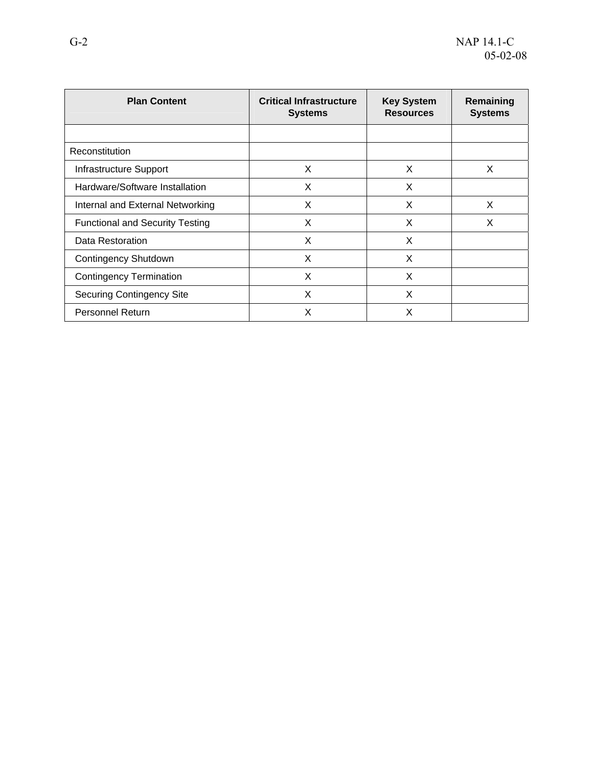| <b>Plan Content</b>                    | <b>Critical Infrastructure</b><br><b>Systems</b> | <b>Key System</b><br><b>Resources</b> | Remaining<br><b>Systems</b> |
|----------------------------------------|--------------------------------------------------|---------------------------------------|-----------------------------|
|                                        |                                                  |                                       |                             |
| Reconstitution                         |                                                  |                                       |                             |
| Infrastructure Support                 | X                                                | X                                     | X                           |
| Hardware/Software Installation         | X                                                | X                                     |                             |
| Internal and External Networking       | X                                                | X                                     | X                           |
| <b>Functional and Security Testing</b> | X                                                | X                                     | X                           |
| Data Restoration                       | X                                                | X                                     |                             |
| <b>Contingency Shutdown</b>            | X                                                | X                                     |                             |
| <b>Contingency Termination</b>         | X                                                | X                                     |                             |
| <b>Securing Contingency Site</b>       | X                                                | X                                     |                             |
| Personnel Return                       | X                                                | X                                     |                             |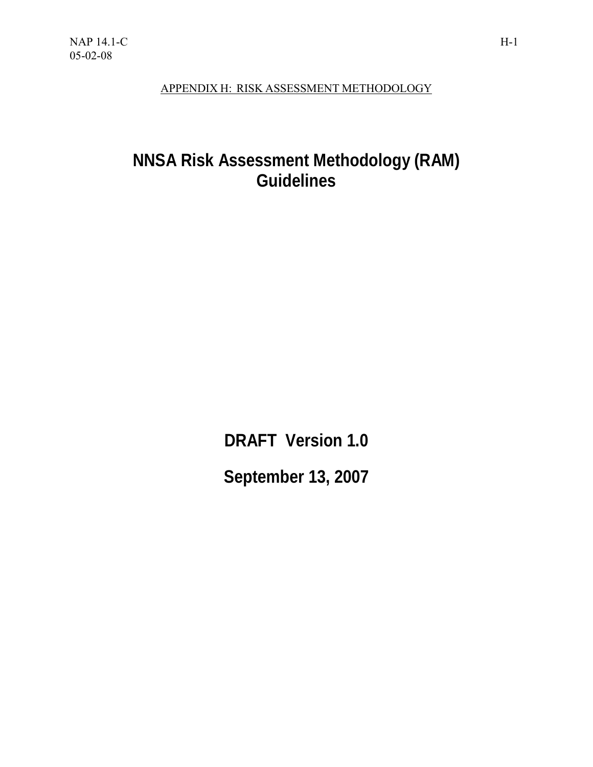APPENDIX H: RISK ASSESSMENT METHODOLOGY

# **NNSA Risk Assessment Methodology (RAM) Guidelines**

**DRAFT Version 1.0 September 13, 2007**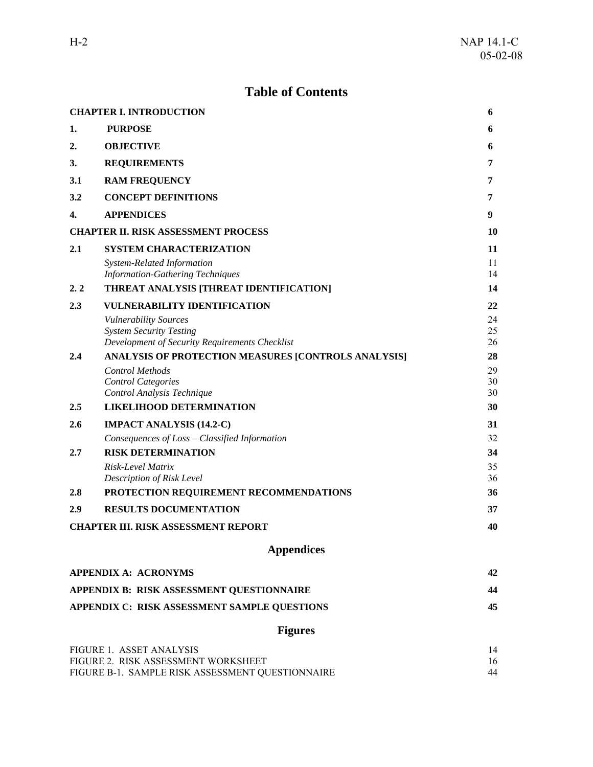# **Table of Contents**

| <b>CHAPTER I. INTRODUCTION</b>                | 6                                                                                                                                                                                                                                         |
|-----------------------------------------------|-------------------------------------------------------------------------------------------------------------------------------------------------------------------------------------------------------------------------------------------|
| <b>PURPOSE</b>                                | 6                                                                                                                                                                                                                                         |
| <b>OBJECTIVE</b>                              | 6                                                                                                                                                                                                                                         |
| <b>REQUIREMENTS</b>                           | 7                                                                                                                                                                                                                                         |
| <b>RAM FREQUENCY</b>                          | 7                                                                                                                                                                                                                                         |
| <b>CONCEPT DEFINITIONS</b>                    | 7                                                                                                                                                                                                                                         |
| <b>APPENDICES</b>                             | 9                                                                                                                                                                                                                                         |
| <b>CHAPTER II. RISK ASSESSMENT PROCESS</b>    | 10                                                                                                                                                                                                                                        |
| <b>SYSTEM CHARACTERIZATION</b>                | 11                                                                                                                                                                                                                                        |
| System-Related Information                    | 11                                                                                                                                                                                                                                        |
|                                               | 14                                                                                                                                                                                                                                        |
| THREAT ANALYSIS [THREAT IDENTIFICATION]       | 14                                                                                                                                                                                                                                        |
| <b>VULNERABILITY IDENTIFICATION</b>           | 22                                                                                                                                                                                                                                        |
| <b>Vulnerability Sources</b>                  | 24                                                                                                                                                                                                                                        |
|                                               | 25                                                                                                                                                                                                                                        |
|                                               | 26                                                                                                                                                                                                                                        |
|                                               | 28                                                                                                                                                                                                                                        |
|                                               | 29<br>30                                                                                                                                                                                                                                  |
| Control Analysis Technique                    | 30                                                                                                                                                                                                                                        |
| <b>LIKELIHOOD DETERMINATION</b>               | 30                                                                                                                                                                                                                                        |
| <b>IMPACT ANALYSIS (14.2-C)</b>               | 31                                                                                                                                                                                                                                        |
| Consequences of Loss - Classified Information | 32                                                                                                                                                                                                                                        |
| <b>RISK DETERMINATION</b>                     | 34                                                                                                                                                                                                                                        |
| Risk-Level Matrix                             | 35                                                                                                                                                                                                                                        |
| Description of Risk Level                     | 36                                                                                                                                                                                                                                        |
| PROTECTION REQUIREMENT RECOMMENDATIONS        | 36                                                                                                                                                                                                                                        |
| <b>RESULTS DOCUMENTATION</b>                  | 37                                                                                                                                                                                                                                        |
| <b>CHAPTER III. RISK ASSESSMENT REPORT</b>    | 40                                                                                                                                                                                                                                        |
| <b>Appendices</b>                             |                                                                                                                                                                                                                                           |
| <b>APPENDIX A: ACRONYMS</b>                   | 42                                                                                                                                                                                                                                        |
| APPENDIX B: RISK ASSESSMENT QUESTIONNAIRE     | 44                                                                                                                                                                                                                                        |
| APPENDIX C: RISK ASSESSMENT SAMPLE QUESTIONS  | 45                                                                                                                                                                                                                                        |
| <b>Figures</b>                                |                                                                                                                                                                                                                                           |
|                                               | <b>Information-Gathering Techniques</b><br><b>System Security Testing</b><br>Development of Security Requirements Checklist<br>ANALYSIS OF PROTECTION MEASURES [CONTROLS ANALYSIS]<br><b>Control Methods</b><br><b>Control Categories</b> |

| FIGURE 1. ASSET ANALYSIS                         | 14 |
|--------------------------------------------------|----|
| FIGURE 2. RISK ASSESSMENT WORKSHEET              | 16 |
| FIGURE B-1. SAMPLE RISK ASSESSMENT QUESTIONNAIRE | 44 |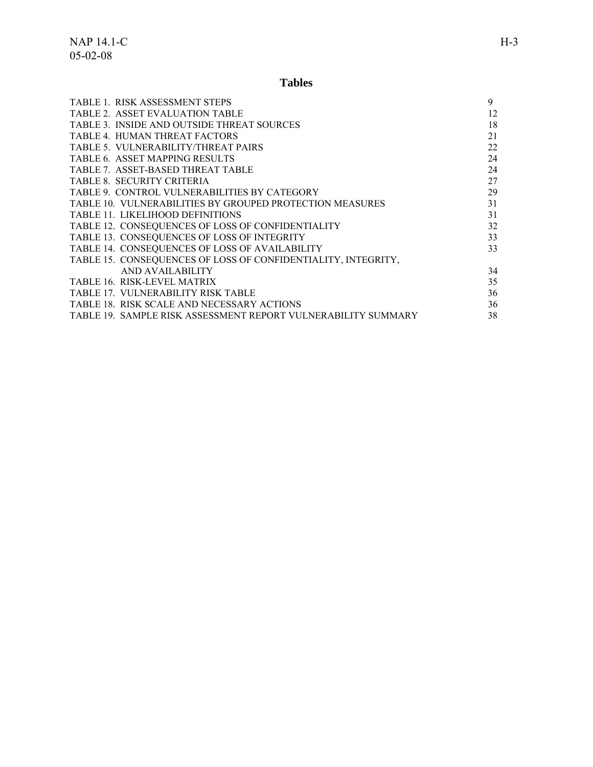NAP 14.1-C H-3 05-02-08

#### **Tables**

| <b>TABLE 1. RISK ASSESSMENT STEPS</b>                         | 9  |
|---------------------------------------------------------------|----|
| TABLE 2. ASSET EVALUATION TABLE                               | 12 |
| TABLE 3. INSIDE AND OUTSIDE THREAT SOURCES                    | 18 |
| TABLE 4. HUMAN THREAT FACTORS                                 | 21 |
| TABLE 5. VULNERABILITY/THREAT PAIRS                           | 22 |
| <b>TABLE 6. ASSET MAPPING RESULTS</b>                         | 24 |
| TABLE 7. ASSET-BASED THREAT TABLE                             | 24 |
| TABLE 8. SECURITY CRITERIA                                    | 27 |
| TABLE 9. CONTROL VULNERABILITIES BY CATEGORY                  | 29 |
| TABLE 10. VULNERABILITIES BY GROUPED PROTECTION MEASURES      | 31 |
| TABLE 11. LIKELIHOOD DEFINITIONS                              | 31 |
| TABLE 12. CONSEQUENCES OF LOSS OF CONFIDENTIALITY             | 32 |
| TABLE 13. CONSEQUENCES OF LOSS OF INTEGRITY                   | 33 |
| TABLE 14. CONSEQUENCES OF LOSS OF AVAILABILITY                | 33 |
| TABLE 15. CONSEQUENCES OF LOSS OF CONFIDENTIALITY, INTEGRITY, |    |
| AND AVAILABILITY                                              | 34 |
| TABLE 16. RISK-LEVEL MATRIX                                   | 35 |
| TABLE 17. VULNERABILITY RISK TABLE                            | 36 |
| TABLE 18. RISK SCALE AND NECESSARY ACTIONS                    | 36 |
| TABLE 19. SAMPLE RISK ASSESSMENT REPORT VULNERABILITY SUMMARY | 38 |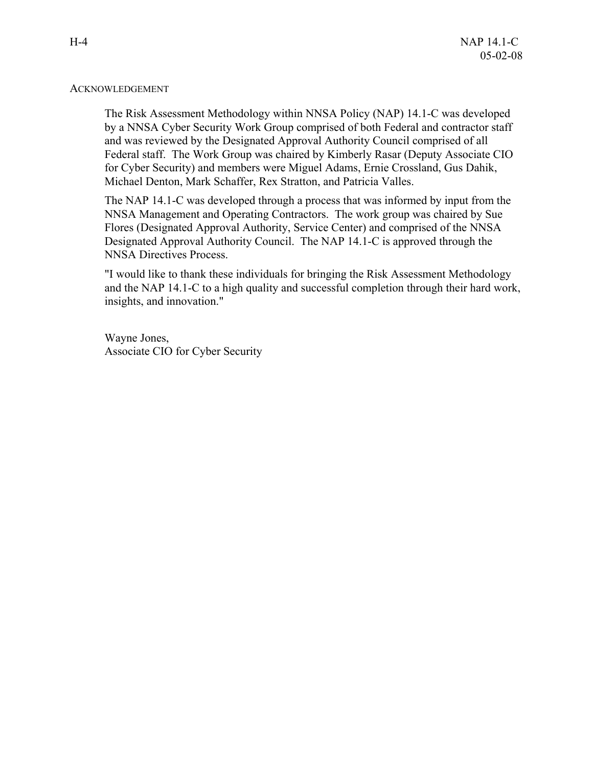#### ACKNOWLEDGEMENT

The Risk Assessment Methodology within NNSA Policy (NAP) 14.1-C was developed by a NNSA Cyber Security Work Group comprised of both Federal and contractor staff and was reviewed by the Designated Approval Authority Council comprised of all Federal staff. The Work Group was chaired by Kimberly Rasar (Deputy Associate CIO for Cyber Security) and members were Miguel Adams, Ernie Crossland, Gus Dahik, Michael Denton, Mark Schaffer, Rex Stratton, and Patricia Valles.

The NAP 14.1-C was developed through a process that was informed by input from the NNSA Management and Operating Contractors. The work group was chaired by Sue Flores (Designated Approval Authority, Service Center) and comprised of the NNSA Designated Approval Authority Council. The NAP 14.1-C is approved through the NNSA Directives Process.

"I would like to thank these individuals for bringing the Risk Assessment Methodology and the NAP 14.1-C to a high quality and successful completion through their hard work, insights, and innovation."

Wayne Jones, Associate CIO for Cyber Security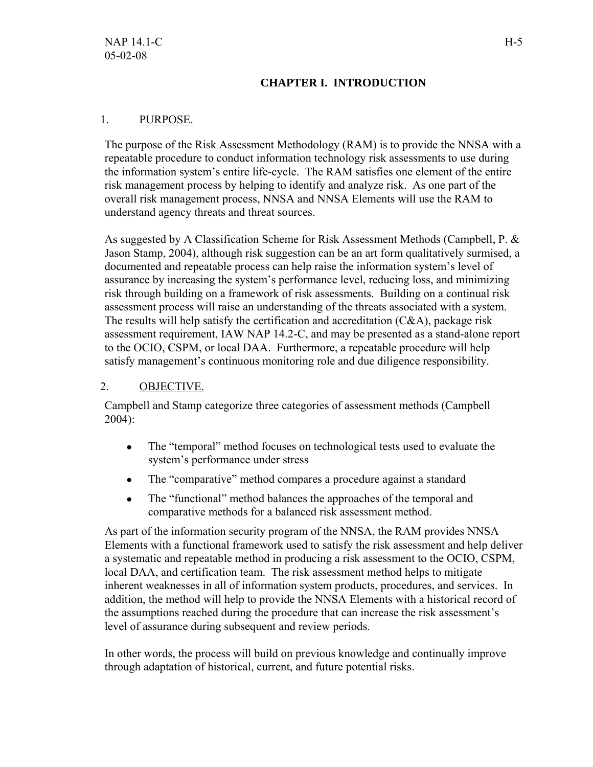#### **CHAPTER I. INTRODUCTION**

#### 1. PURPOSE.

The purpose of the Risk Assessment Methodology (RAM) is to provide the NNSA with a repeatable procedure to conduct information technology risk assessments to use during the information system's entire life-cycle. The RAM satisfies one element of the entire risk management process by helping to identify and analyze risk. As one part of the overall risk management process, NNSA and NNSA Elements will use the RAM to understand agency threats and threat sources.

As suggested by A Classification Scheme for Risk Assessment Methods (Campbell, P. & Jason Stamp, 2004), although risk suggestion can be an art form qualitatively surmised, a documented and repeatable process can help raise the information system's level of assurance by increasing the system's performance level, reducing loss, and minimizing risk through building on a framework of risk assessments. Building on a continual risk assessment process will raise an understanding of the threats associated with a system. The results will help satisfy the certification and accreditation (C&A), package risk assessment requirement, IAW NAP 14.2-C, and may be presented as a stand-alone report to the OCIO, CSPM, or local DAA. Furthermore, a repeatable procedure will help satisfy management's continuous monitoring role and due diligence responsibility.

#### 2. OBJECTIVE.

Campbell and Stamp categorize three categories of assessment methods (Campbell 2004):

- The "temporal" method focuses on technological tests used to evaluate the system's performance under stress
- The "comparative" method compares a procedure against a standard
- The "functional" method balances the approaches of the temporal and comparative methods for a balanced risk assessment method.

As part of the information security program of the NNSA, the RAM provides NNSA Elements with a functional framework used to satisfy the risk assessment and help deliver a systematic and repeatable method in producing a risk assessment to the OCIO, CSPM, local DAA, and certification team. The risk assessment method helps to mitigate inherent weaknesses in all of information system products, procedures, and services. In addition, the method will help to provide the NNSA Elements with a historical record of the assumptions reached during the procedure that can increase the risk assessment's level of assurance during subsequent and review periods.

In other words, the process will build on previous knowledge and continually improve through adaptation of historical, current, and future potential risks.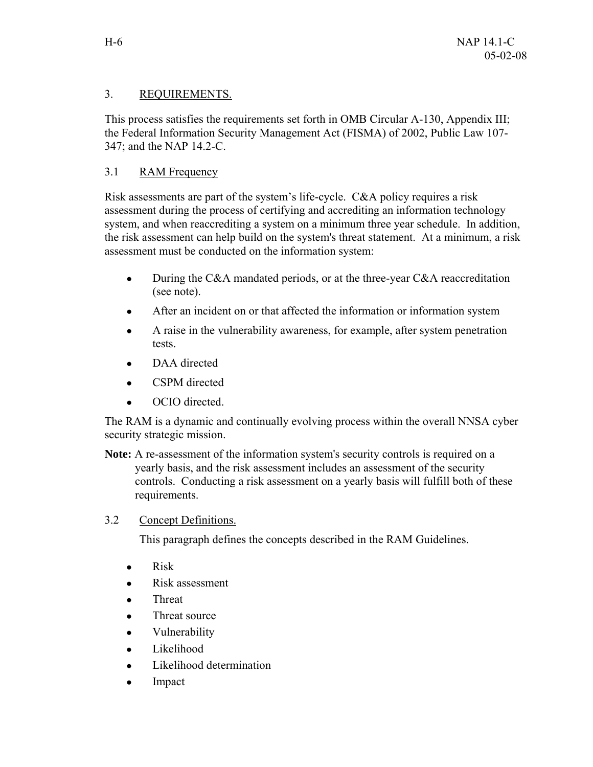#### 3. REQUIREMENTS.

This process satisfies the requirements set forth in OMB Circular A-130, Appendix III; the Federal Information Security Management Act (FISMA) of 2002, Public Law 107- 347; and the NAP 14.2-C.

#### 3.1 RAM Frequency

Risk assessments are part of the system's life-cycle. C&A policy requires a risk assessment during the process of certifying and accrediting an information technology system, and when reaccrediting a system on a minimum three year schedule. In addition, the risk assessment can help build on the system's threat statement. At a minimum, a risk assessment must be conducted on the information system:

- During the C&A mandated periods, or at the three-year C&A reaccreditation (see note).
- After an incident on or that affected the information or information system
- A raise in the vulnerability awareness, for example, after system penetration tests.
- DAA directed
- CSPM directed
- OCIO directed

The RAM is a dynamic and continually evolving process within the overall NNSA cyber security strategic mission.

**Note:** A re-assessment of the information system's security controls is required on a yearly basis, and the risk assessment includes an assessment of the security controls. Conducting a risk assessment on a yearly basis will fulfill both of these requirements.

#### 3.2 Concept Definitions.

This paragraph defines the concepts described in the RAM Guidelines.

- Risk
- Risk assessment
- Threat
- Threat source
- Vulnerability
- Likelihood
- Likelihood determination
- Impact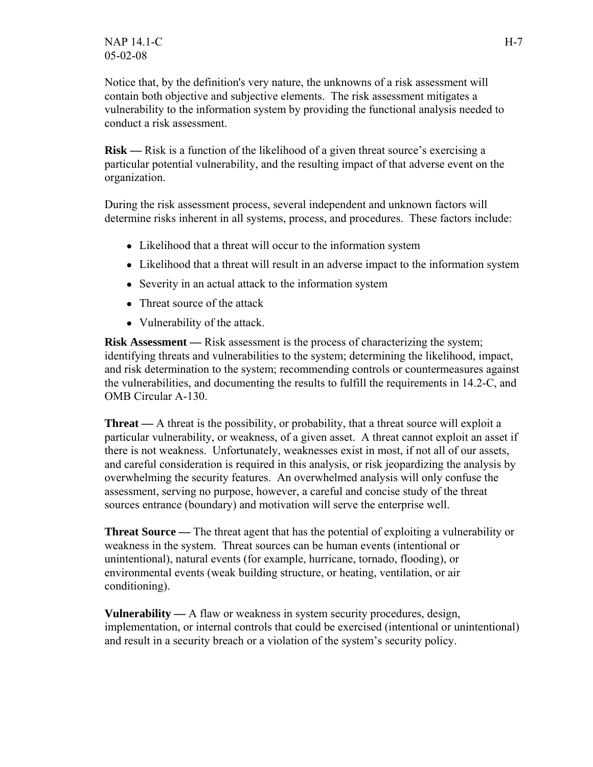Notice that, by the definition's very nature, the unknowns of a risk assessment will contain both objective and subjective elements. The risk assessment mitigates a vulnerability to the information system by providing the functional analysis needed to conduct a risk assessment.

**Risk —** Risk is a function of the likelihood of a given threat source's exercising a particular potential vulnerability, and the resulting impact of that adverse event on the organization.

During the risk assessment process, several independent and unknown factors will determine risks inherent in all systems, process, and procedures. These factors include:

- Likelihood that a threat will occur to the information system
- Likelihood that a threat will result in an adverse impact to the information system
- Severity in an actual attack to the information system
- Threat source of the attack
- Vulnerability of the attack.

**Risk Assessment** — Risk assessment is the process of characterizing the system; identifying threats and vulnerabilities to the system; determining the likelihood, impact, and risk determination to the system; recommending controls or countermeasures against the vulnerabilities, and documenting the results to fulfill the requirements in 14.2-C, and OMB Circular A-130.

**Threat** — A threat is the possibility, or probability, that a threat source will exploit a particular vulnerability, or weakness, of a given asset. A threat cannot exploit an asset if there is not weakness. Unfortunately, weaknesses exist in most, if not all of our assets, and careful consideration is required in this analysis, or risk jeopardizing the analysis by overwhelming the security features. An overwhelmed analysis will only confuse the assessment, serving no purpose, however, a careful and concise study of the threat sources entrance (boundary) and motivation will serve the enterprise well.

**Threat Source —** The threat agent that has the potential of exploiting a vulnerability or weakness in the system. Threat sources can be human events (intentional or unintentional), natural events (for example, hurricane, tornado, flooding), or environmental events (weak building structure, or heating, ventilation, or air conditioning).

**Vulnerability —** A flaw or weakness in system security procedures, design, implementation, or internal controls that could be exercised (intentional or unintentional) and result in a security breach or a violation of the system's security policy.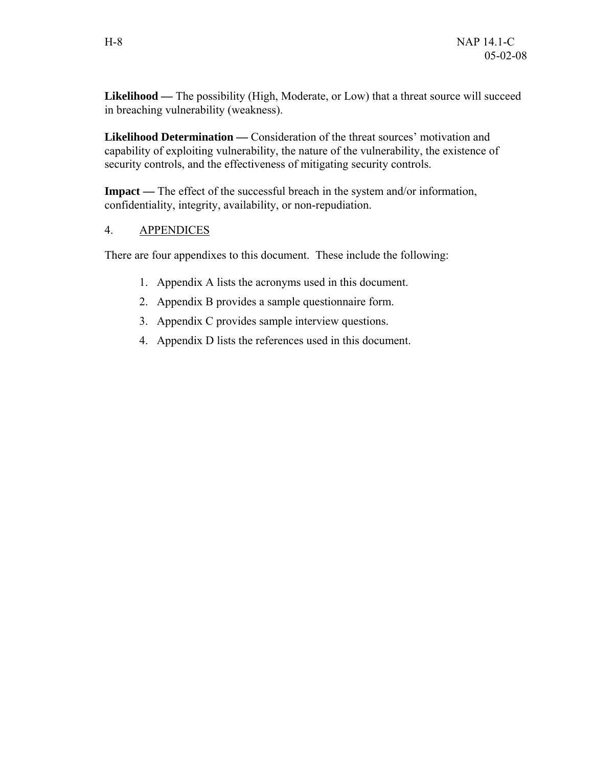**Likelihood —** The possibility (High, Moderate, or Low) that a threat source will succeed in breaching vulnerability (weakness).

Likelihood Determination — Consideration of the threat sources' motivation and capability of exploiting vulnerability, the nature of the vulnerability, the existence of security controls, and the effectiveness of mitigating security controls.

**Impact** — The effect of the successful breach in the system and/or information, confidentiality, integrity, availability, or non-repudiation.

#### 4. APPENDICES

There are four appendixes to this document. These include the following:

- 1. Appendix A lists the acronyms used in this document.
- 2. Appendix B provides a sample questionnaire form.
- 3. Appendix C provides sample interview questions.
- 4. Appendix D lists the references used in this document.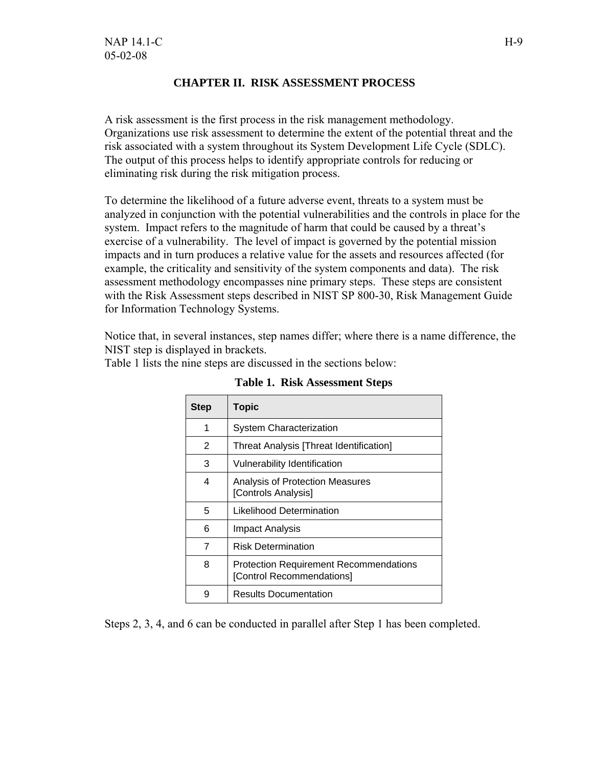#### **CHAPTER II. RISK ASSESSMENT PROCESS**

A risk assessment is the first process in the risk management methodology. Organizations use risk assessment to determine the extent of the potential threat and the risk associated with a system throughout its System Development Life Cycle (SDLC). The output of this process helps to identify appropriate controls for reducing or eliminating risk during the risk mitigation process.

To determine the likelihood of a future adverse event, threats to a system must be analyzed in conjunction with the potential vulnerabilities and the controls in place for the system. Impact refers to the magnitude of harm that could be caused by a threat's exercise of a vulnerability. The level of impact is governed by the potential mission impacts and in turn produces a relative value for the assets and resources affected (for example, the criticality and sensitivity of the system components and data). The risk assessment methodology encompasses nine primary steps. These steps are consistent with the Risk Assessment steps described in NIST SP 800-30, Risk Management Guide for Information Technology Systems.

Notice that, in several instances, step names differ; where there is a name difference, the NIST step is displayed in brackets.

Table 1 lists the nine steps are discussed in the sections below:

| <b>Step</b> | <b>Topic</b>                                                               |
|-------------|----------------------------------------------------------------------------|
| 1           | <b>System Characterization</b>                                             |
| 2           | <b>Threat Analysis [Threat Identification]</b>                             |
| 3           | Vulnerability Identification                                               |
| 4           | Analysis of Protection Measures<br>[Controls Analysis]                     |
| 5           | Likelihood Determination                                                   |
| 6           | Impact Analysis                                                            |
| 7           | <b>Risk Determination</b>                                                  |
| 8           | <b>Protection Requirement Recommendations</b><br>[Control Recommendations] |
| 9           | <b>Results Documentation</b>                                               |

**Table 1. Risk Assessment Steps** 

Steps 2, 3, 4, and 6 can be conducted in parallel after Step 1 has been completed.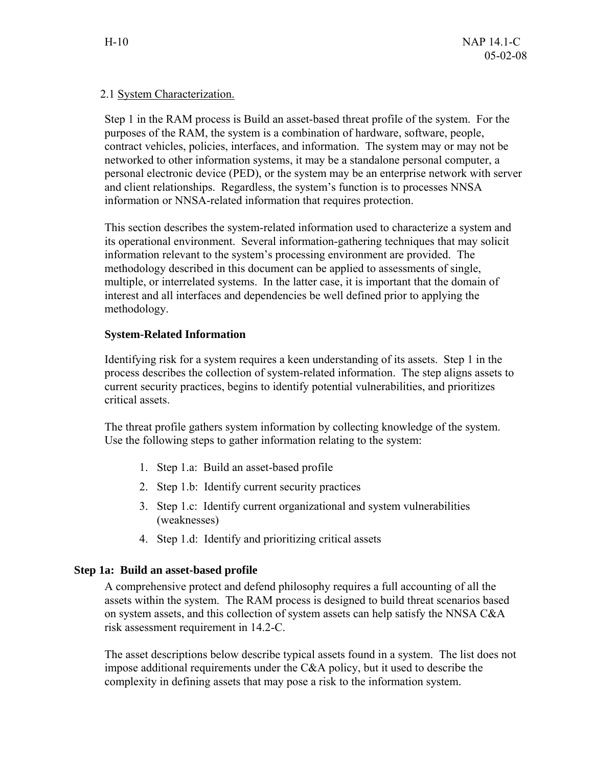#### 2.1 System Characterization.

Step 1 in the RAM process is Build an asset-based threat profile of the system. For the purposes of the RAM, the system is a combination of hardware, software, people, contract vehicles, policies, interfaces, and information. The system may or may not be networked to other information systems, it may be a standalone personal computer, a personal electronic device (PED), or the system may be an enterprise network with server and client relationships. Regardless, the system's function is to processes NNSA information or NNSA-related information that requires protection.

This section describes the system-related information used to characterize a system and its operational environment. Several information-gathering techniques that may solicit information relevant to the system's processing environment are provided. The methodology described in this document can be applied to assessments of single, multiple, or interrelated systems. In the latter case, it is important that the domain of interest and all interfaces and dependencies be well defined prior to applying the methodology.

#### **System-Related Information**

Identifying risk for a system requires a keen understanding of its assets. Step 1 in the process describes the collection of system-related information. The step aligns assets to current security practices, begins to identify potential vulnerabilities, and prioritizes critical assets.

The threat profile gathers system information by collecting knowledge of the system. Use the following steps to gather information relating to the system:

- 1. Step 1.a: Build an asset-based profile
- 2. Step 1.b: Identify current security practices
- 3. Step 1.c: Identify current organizational and system vulnerabilities (weaknesses)
- 4. Step 1.d: Identify and prioritizing critical assets

#### **Step 1a: Build an asset-based profile**

A comprehensive protect and defend philosophy requires a full accounting of all the assets within the system. The RAM process is designed to build threat scenarios based on system assets, and this collection of system assets can help satisfy the NNSA C&A risk assessment requirement in 14.2-C.

The asset descriptions below describe typical assets found in a system. The list does not impose additional requirements under the C&A policy, but it used to describe the complexity in defining assets that may pose a risk to the information system.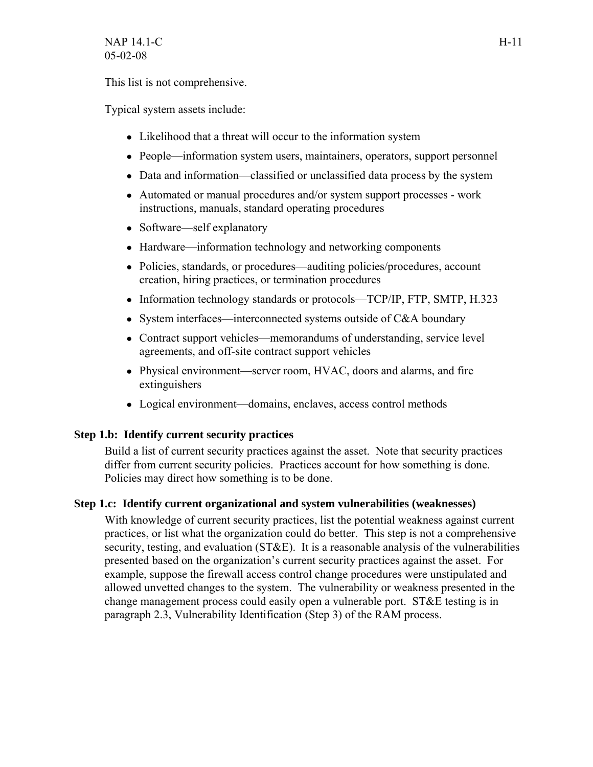#### NAP 14.1-C H-11 05-02-08

This list is not comprehensive.

Typical system assets include:

- Likelihood that a threat will occur to the information system
- People—information system users, maintainers, operators, support personnel
- Data and information—classified or unclassified data process by the system
- Automated or manual procedures and/or system support processes work instructions, manuals, standard operating procedures
- Software—self explanatory
- Hardware—information technology and networking components
- Policies, standards, or procedures—auditing policies/procedures, account creation, hiring practices, or termination procedures
- Information technology standards or protocols—TCP/IP, FTP, SMTP, H.323
- System interfaces—interconnected systems outside of C&A boundary
- Contract support vehicles—memorandums of understanding, service level agreements, and off-site contract support vehicles
- Physical environment—server room, HVAC, doors and alarms, and fire extinguishers
- Logical environment—domains, enclaves, access control methods

#### **Step 1.b: Identify current security practices**

Build a list of current security practices against the asset. Note that security practices differ from current security policies. Practices account for how something is done. Policies may direct how something is to be done.

#### **Step 1.c: Identify current organizational and system vulnerabilities (weaknesses)**

With knowledge of current security practices, list the potential weakness against current practices, or list what the organization could do better. This step is not a comprehensive security, testing, and evaluation (ST&E). It is a reasonable analysis of the vulnerabilities presented based on the organization's current security practices against the asset. For example, suppose the firewall access control change procedures were unstipulated and allowed unvetted changes to the system. The vulnerability or weakness presented in the change management process could easily open a vulnerable port. ST&E testing is in paragraph 2.3, Vulnerability Identification (Step 3) of the RAM process.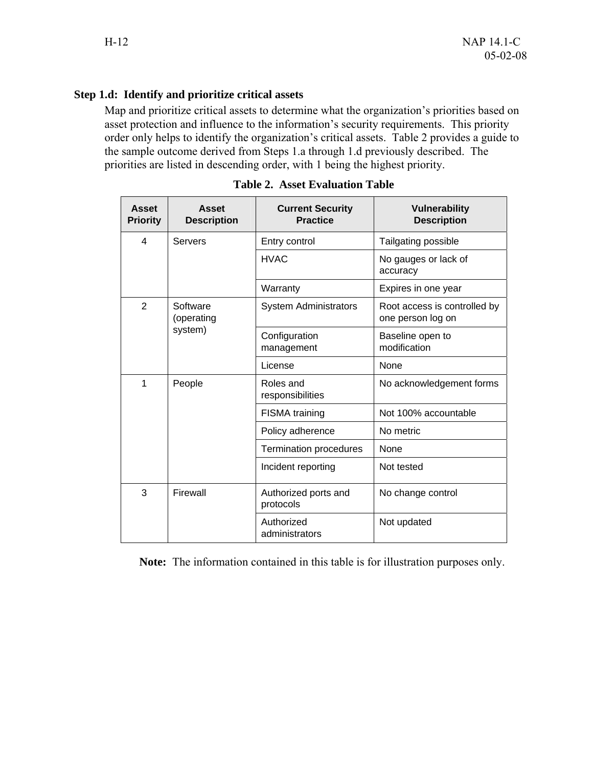#### **Step 1.d: Identify and prioritize critical assets**

Map and prioritize critical assets to determine what the organization's priorities based on asset protection and influence to the information's security requirements. This priority order only helps to identify the organization's critical assets. Table 2 provides a guide to the sample outcome derived from Steps 1.a through 1.d previously described. The priorities are listed in descending order, with 1 being the highest priority.

| <b>Asset</b><br><b>Priority</b> | <b>Asset</b><br><b>Description</b> | <b>Current Security</b><br><b>Practice</b> | <b>Vulnerability</b><br><b>Description</b>        |
|---------------------------------|------------------------------------|--------------------------------------------|---------------------------------------------------|
| 4                               | Servers                            | Entry control                              | Tailgating possible                               |
|                                 |                                    | <b>HVAC</b>                                | No gauges or lack of<br>accuracy                  |
|                                 |                                    | Warranty                                   | Expires in one year                               |
| 2                               | Software<br>(operating             | <b>System Administrators</b>               | Root access is controlled by<br>one person log on |
| system)                         |                                    | Configuration<br>management                | Baseline open to<br>modification                  |
|                                 |                                    | License                                    | <b>None</b>                                       |
| 1                               | People                             | Roles and<br>responsibilities              | No acknowledgement forms                          |
|                                 |                                    | <b>FISMA</b> training                      | Not 100% accountable                              |
|                                 |                                    | Policy adherence                           | No metric                                         |
|                                 |                                    | Termination procedures                     | <b>None</b>                                       |
|                                 |                                    | Incident reporting                         | Not tested                                        |
| 3                               | Firewall                           | Authorized ports and<br>protocols          | No change control                                 |
|                                 |                                    | Authorized<br>administrators               | Not updated                                       |

**Table 2. Asset Evaluation Table** 

**Note:** The information contained in this table is for illustration purposes only.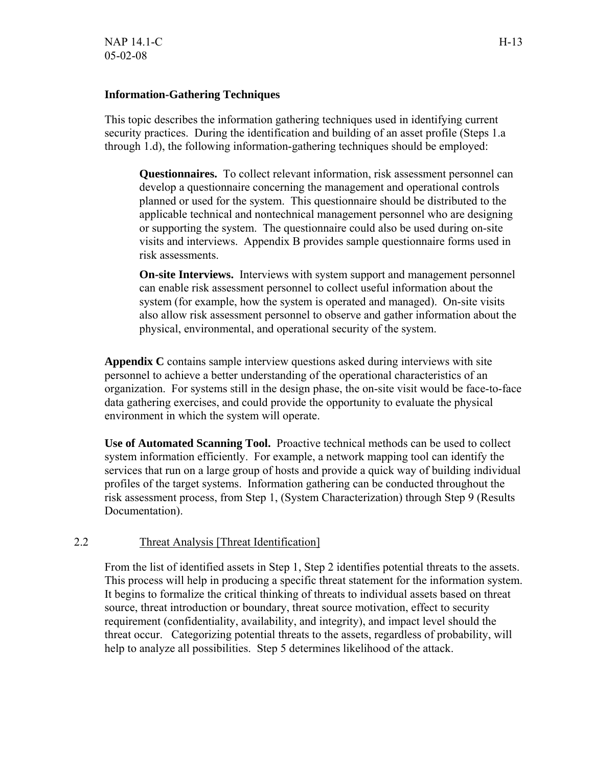#### **Information-Gathering Techniques**

This topic describes the information gathering techniques used in identifying current security practices. During the identification and building of an asset profile (Steps 1.a through 1.d), the following information-gathering techniques should be employed:

**Questionnaires.** To collect relevant information, risk assessment personnel can develop a questionnaire concerning the management and operational controls planned or used for the system. This questionnaire should be distributed to the applicable technical and nontechnical management personnel who are designing or supporting the system. The questionnaire could also be used during on-site visits and interviews. Appendix B provides sample questionnaire forms used in risk assessments.

**On-site Interviews.** Interviews with system support and management personnel can enable risk assessment personnel to collect useful information about the system (for example, how the system is operated and managed). On-site visits also allow risk assessment personnel to observe and gather information about the physical, environmental, and operational security of the system.

**Appendix C** contains sample interview questions asked during interviews with site personnel to achieve a better understanding of the operational characteristics of an organization. For systems still in the design phase, the on-site visit would be face-to-face data gathering exercises, and could provide the opportunity to evaluate the physical environment in which the system will operate.

**Use of Automated Scanning Tool.** Proactive technical methods can be used to collect system information efficiently. For example, a network mapping tool can identify the services that run on a large group of hosts and provide a quick way of building individual profiles of the target systems. Information gathering can be conducted throughout the risk assessment process, from Step 1, (System Characterization) through Step 9 (Results Documentation).

#### 2.2 Threat Analysis [Threat Identification]

From the list of identified assets in Step 1, Step 2 identifies potential threats to the assets. This process will help in producing a specific threat statement for the information system. It begins to formalize the critical thinking of threats to individual assets based on threat source, threat introduction or boundary, threat source motivation, effect to security requirement (confidentiality, availability, and integrity), and impact level should the threat occur. Categorizing potential threats to the assets, regardless of probability, will help to analyze all possibilities. Step 5 determines likelihood of the attack.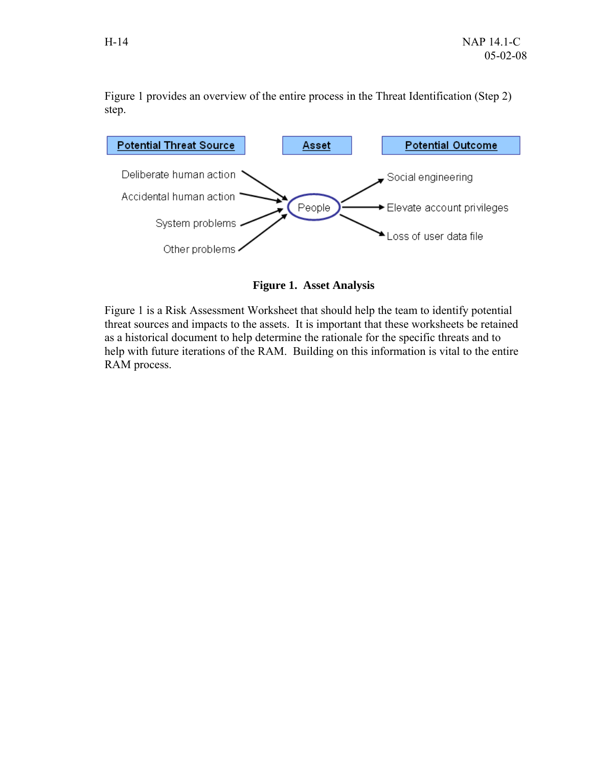Figure 1 provides an overview of the entire process in the Threat Identification (Step 2) step.



**Figure 1. Asset Analysis** 

Figure 1 is a Risk Assessment Worksheet that should help the team to identify potential threat sources and impacts to the assets. It is important that these worksheets be retained as a historical document to help determine the rationale for the specific threats and to help with future iterations of the RAM. Building on this information is vital to the entire RAM process.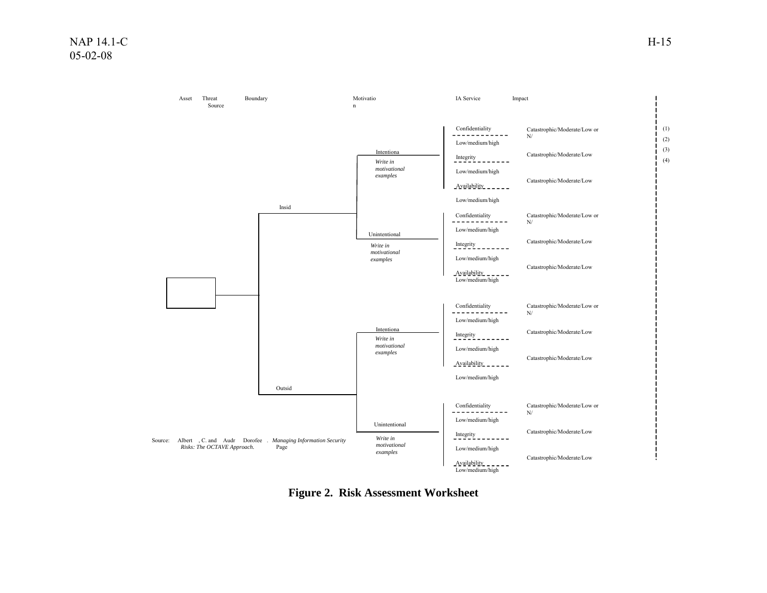

**Figure 2. Risk Assessment Worksheet**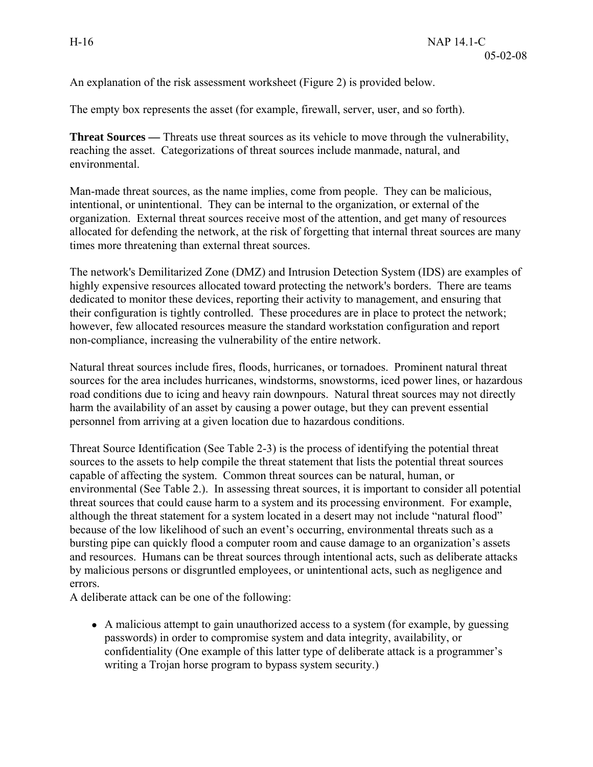An explanation of the risk assessment worksheet (Figure 2) is provided below.

The empty box represents the asset (for example, firewall, server, user, and so forth).

**Threat Sources** — Threats use threat sources as its vehicle to move through the vulnerability, reaching the asset. Categorizations of threat sources include manmade, natural, and environmental.

Man-made threat sources, as the name implies, come from people. They can be malicious, intentional, or unintentional. They can be internal to the organization, or external of the organization. External threat sources receive most of the attention, and get many of resources allocated for defending the network, at the risk of forgetting that internal threat sources are many times more threatening than external threat sources.

The network's Demilitarized Zone (DMZ) and Intrusion Detection System (IDS) are examples of highly expensive resources allocated toward protecting the network's borders. There are teams dedicated to monitor these devices, reporting their activity to management, and ensuring that their configuration is tightly controlled. These procedures are in place to protect the network; however, few allocated resources measure the standard workstation configuration and report non-compliance, increasing the vulnerability of the entire network.

Natural threat sources include fires, floods, hurricanes, or tornadoes. Prominent natural threat sources for the area includes hurricanes, windstorms, snowstorms, iced power lines, or hazardous road conditions due to icing and heavy rain downpours. Natural threat sources may not directly harm the availability of an asset by causing a power outage, but they can prevent essential personnel from arriving at a given location due to hazardous conditions.

Threat Source Identification (See Table 2-3) is the process of identifying the potential threat sources to the assets to help compile the threat statement that lists the potential threat sources capable of affecting the system. Common threat sources can be natural, human, or environmental (See Table 2.). In assessing threat sources, it is important to consider all potential threat sources that could cause harm to a system and its processing environment. For example, although the threat statement for a system located in a desert may not include "natural flood" because of the low likelihood of such an event's occurring, environmental threats such as a bursting pipe can quickly flood a computer room and cause damage to an organization's assets and resources. Humans can be threat sources through intentional acts, such as deliberate attacks by malicious persons or disgruntled employees, or unintentional acts, such as negligence and errors.

A deliberate attack can be one of the following:

● A malicious attempt to gain unauthorized access to a system (for example, by guessing passwords) in order to compromise system and data integrity, availability, or confidentiality (One example of this latter type of deliberate attack is a programmer's writing a Trojan horse program to bypass system security.)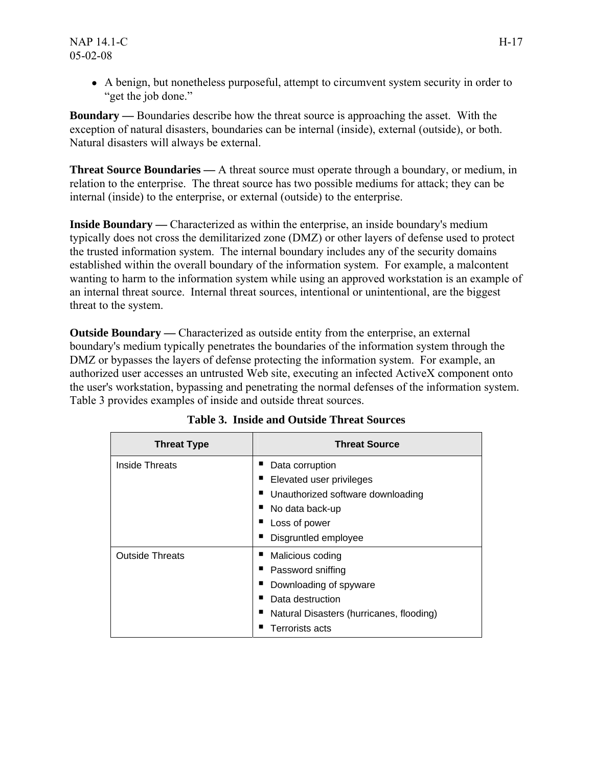• A benign, but nonetheless purposeful, attempt to circumvent system security in order to "get the job done."

**Boundary —** Boundaries describe how the threat source is approaching the asset. With the exception of natural disasters, boundaries can be internal (inside), external (outside), or both. Natural disasters will always be external.

**Threat Source Boundaries —** A threat source must operate through a boundary, or medium, in relation to the enterprise. The threat source has two possible mediums for attack; they can be internal (inside) to the enterprise, or external (outside) to the enterprise.

**Inside Boundary** — Characterized as within the enterprise, an inside boundary's medium typically does not cross the demilitarized zone (DMZ) or other layers of defense used to protect the trusted information system. The internal boundary includes any of the security domains established within the overall boundary of the information system. For example, a malcontent wanting to harm to the information system while using an approved workstation is an example of an internal threat source. Internal threat sources, intentional or unintentional, are the biggest threat to the system.

**Outside Boundary —** Characterized as outside entity from the enterprise, an external boundary's medium typically penetrates the boundaries of the information system through the DMZ or bypasses the layers of defense protecting the information system. For example, an authorized user accesses an untrusted Web site, executing an infected ActiveX component onto the user's workstation, bypassing and penetrating the normal defenses of the information system. Table 3 provides examples of inside and outside threat sources.

| <b>Threat Type</b>     | <b>Threat Source</b>                     |
|------------------------|------------------------------------------|
| Inside Threats         | Data corruption                          |
|                        | Elevated user privileges                 |
|                        | Unauthorized software downloading        |
|                        | No data back-up                          |
|                        | Loss of power                            |
|                        | Disgruntled employee                     |
| <b>Outside Threats</b> | Malicious coding                         |
|                        | Password sniffing                        |
|                        | Downloading of spyware                   |
|                        | Data destruction                         |
|                        | Natural Disasters (hurricanes, flooding) |
|                        | <b>Terrorists acts</b>                   |

**Table 3. Inside and Outside Threat Sources**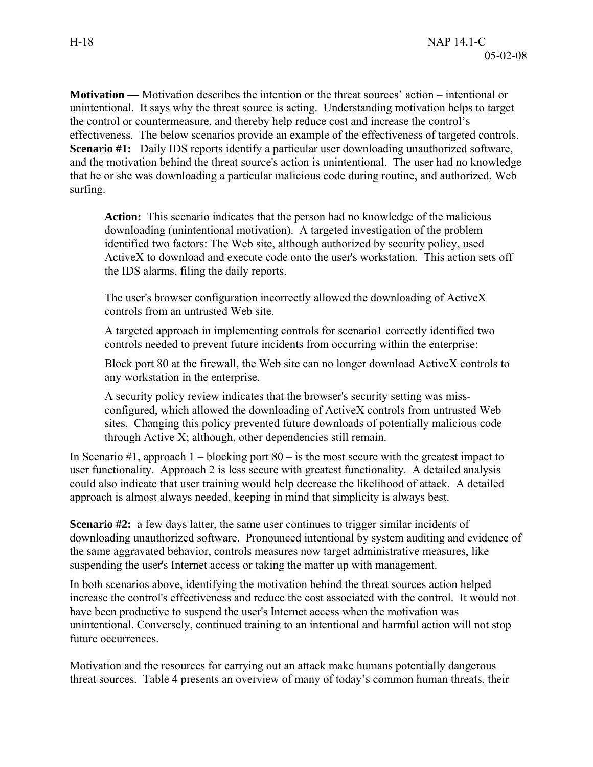**Motivation —** Motivation describes the intention or the threat sources' action – intentional or unintentional. It says why the threat source is acting. Understanding motivation helps to target the control or countermeasure, and thereby help reduce cost and increase the control's effectiveness. The below scenarios provide an example of the effectiveness of targeted controls. **Scenario #1:** Daily IDS reports identify a particular user downloading unauthorized software, and the motivation behind the threat source's action is unintentional. The user had no knowledge that he or she was downloading a particular malicious code during routine, and authorized, Web surfing.

**Action:** This scenario indicates that the person had no knowledge of the malicious downloading (unintentional motivation). A targeted investigation of the problem identified two factors: The Web site, although authorized by security policy, used ActiveX to download and execute code onto the user's workstation. This action sets off the IDS alarms, filing the daily reports.

The user's browser configuration incorrectly allowed the downloading of ActiveX controls from an untrusted Web site.

A targeted approach in implementing controls for scenario1 correctly identified two controls needed to prevent future incidents from occurring within the enterprise:

Block port 80 at the firewall, the Web site can no longer download ActiveX controls to any workstation in the enterprise.

A security policy review indicates that the browser's security setting was missconfigured, which allowed the downloading of ActiveX controls from untrusted Web sites. Changing this policy prevented future downloads of potentially malicious code through Active X; although, other dependencies still remain.

In Scenario  $#1$ , approach  $1 -$ blocking port  $80 -$  is the most secure with the greatest impact to user functionality. Approach 2 is less secure with greatest functionality. A detailed analysis could also indicate that user training would help decrease the likelihood of attack. A detailed approach is almost always needed, keeping in mind that simplicity is always best.

**Scenario #2:** a few days latter, the same user continues to trigger similar incidents of downloading unauthorized software. Pronounced intentional by system auditing and evidence of the same aggravated behavior, controls measures now target administrative measures, like suspending the user's Internet access or taking the matter up with management.

In both scenarios above, identifying the motivation behind the threat sources action helped increase the control's effectiveness and reduce the cost associated with the control. It would not have been productive to suspend the user's Internet access when the motivation was unintentional. Conversely, continued training to an intentional and harmful action will not stop future occurrences.

Motivation and the resources for carrying out an attack make humans potentially dangerous threat sources. Table 4 presents an overview of many of today's common human threats, their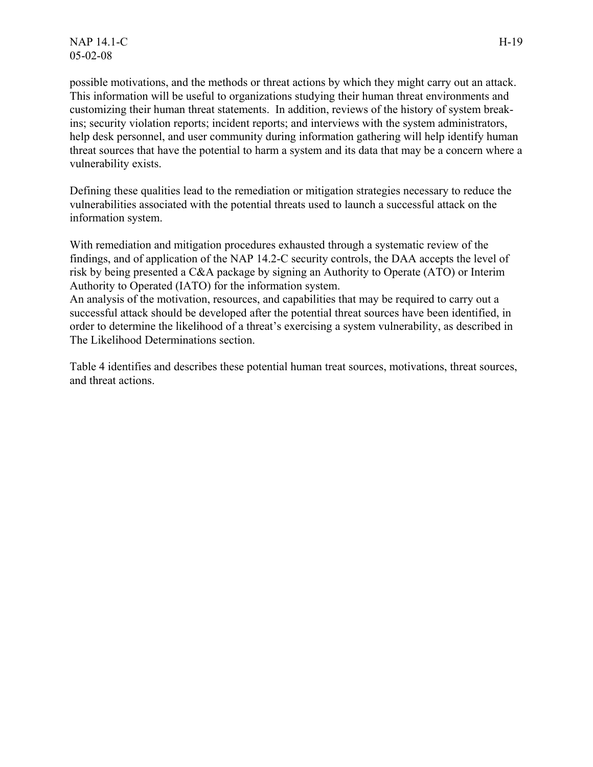NAP 14.1-C H-19 05-02-08

possible motivations, and the methods or threat actions by which they might carry out an attack. This information will be useful to organizations studying their human threat environments and customizing their human threat statements. In addition, reviews of the history of system breakins; security violation reports; incident reports; and interviews with the system administrators, help desk personnel, and user community during information gathering will help identify human threat sources that have the potential to harm a system and its data that may be a concern where a vulnerability exists.

Defining these qualities lead to the remediation or mitigation strategies necessary to reduce the vulnerabilities associated with the potential threats used to launch a successful attack on the information system.

With remediation and mitigation procedures exhausted through a systematic review of the findings, and of application of the NAP 14.2-C security controls, the DAA accepts the level of risk by being presented a C&A package by signing an Authority to Operate (ATO) or Interim Authority to Operated (IATO) for the information system.

An analysis of the motivation, resources, and capabilities that may be required to carry out a successful attack should be developed after the potential threat sources have been identified, in order to determine the likelihood of a threat's exercising a system vulnerability, as described in The Likelihood Determinations section.

Table 4 identifies and describes these potential human treat sources, motivations, threat sources, and threat actions.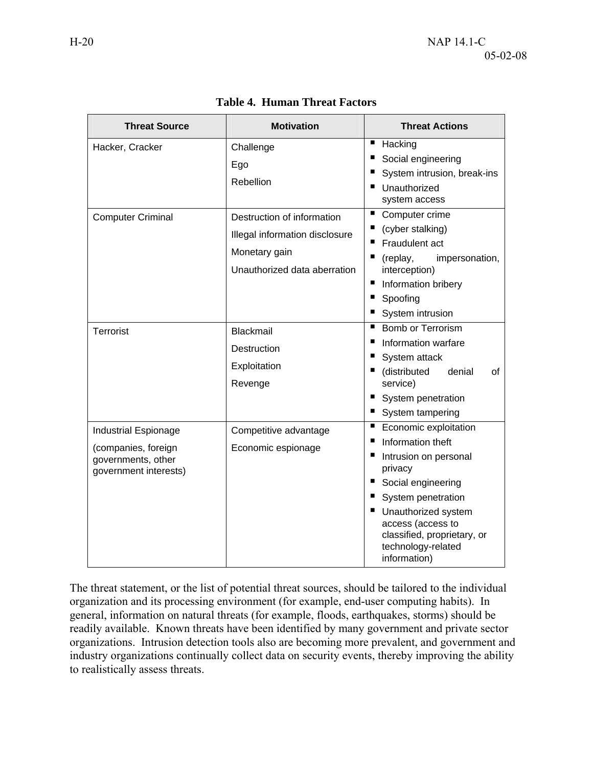| <b>Threat Source</b>                                                                              | <b>Motivation</b>                                                                                             | <b>Threat Actions</b>                                                                                                                                                                                                                                                     |
|---------------------------------------------------------------------------------------------------|---------------------------------------------------------------------------------------------------------------|---------------------------------------------------------------------------------------------------------------------------------------------------------------------------------------------------------------------------------------------------------------------------|
| Hacker, Cracker                                                                                   | Challenge<br>Ego<br>Rebellion                                                                                 | Hacking<br>ш<br>Social engineering<br>п<br>System intrusion, break-ins<br>Unauthorized<br>п<br>system access                                                                                                                                                              |
| <b>Computer Criminal</b>                                                                          | Destruction of information<br>Illegal information disclosure<br>Monetary gain<br>Unauthorized data aberration | п<br>Computer crime<br>(cyber stalking)<br>Fraudulent act<br>п<br>п<br>(replay,<br>impersonation,<br>interception)<br>п<br>Information bribery<br>Spoofing<br>П<br>System intrusion<br>ш                                                                                  |
| Terrorist                                                                                         | Blackmail<br>Destruction<br>Exploitation<br>Revenge                                                           | <b>Bomb or Terrorism</b><br>п<br>Information warfare<br>п<br>System attack<br>п<br>(distributed<br>denial<br>of<br>service)<br>System penetration<br>■ System tampering                                                                                                   |
| <b>Industrial Espionage</b><br>(companies, foreign<br>governments, other<br>government interests) | Competitive advantage<br>Economic espionage                                                                   | ш<br>Economic exploitation<br>Information theft<br>$\blacksquare$<br>ш<br>Intrusion on personal<br>privacy<br>Social engineering<br>System penetration<br>■ Unauthorized system<br>access (access to<br>classified, proprietary, or<br>technology-related<br>information) |

The threat statement, or the list of potential threat sources, should be tailored to the individual organization and its processing environment (for example, end-user computing habits). In general, information on natural threats (for example, floods, earthquakes, storms) should be readily available. Known threats have been identified by many government and private sector organizations. Intrusion detection tools also are becoming more prevalent, and government and industry organizations continually collect data on security events, thereby improving the ability to realistically assess threats.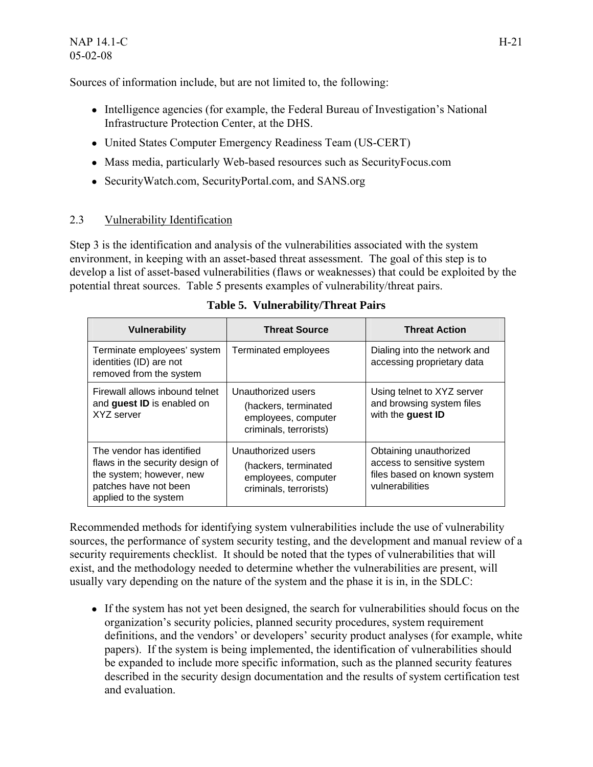Sources of information include, but are not limited to, the following:

- Intelligence agencies (for example, the Federal Bureau of Investigation's National Infrastructure Protection Center, at the DHS.
- United States Computer Emergency Readiness Team (US-CERT)
- Mass media, particularly Web-based resources such as SecurityFocus.com
- SecurityWatch.com, SecurityPortal.com, and SANS.org

#### 2.3 Vulnerability Identification

Step 3 is the identification and analysis of the vulnerabilities associated with the system environment, in keeping with an asset-based threat assessment. The goal of this step is to develop a list of asset-based vulnerabilities (flaws or weaknesses) that could be exploited by the potential threat sources. Table 5 presents examples of vulnerability/threat pairs.

| <b>Vulnerability</b>                                                                                                                       | <b>Threat Source</b>                                                                        | <b>Threat Action</b>                                                                                   |
|--------------------------------------------------------------------------------------------------------------------------------------------|---------------------------------------------------------------------------------------------|--------------------------------------------------------------------------------------------------------|
| Terminate employees' system<br>identities (ID) are not<br>removed from the system                                                          | Terminated employees                                                                        | Dialing into the network and<br>accessing proprietary data                                             |
| Firewall allows inbound telnet<br>and guest ID is enabled on<br>XYZ server                                                                 | Unauthorized users<br>(hackers, terminated<br>employees, computer<br>criminals, terrorists) | Using telnet to XYZ server<br>and browsing system files<br>with the guest ID                           |
| The vendor has identified<br>flaws in the security design of<br>the system; however, new<br>patches have not been<br>applied to the system | Unauthorized users<br>(hackers, terminated<br>employees, computer<br>criminals, terrorists) | Obtaining unauthorized<br>access to sensitive system<br>files based on known system<br>vulnerabilities |

**Table 5. Vulnerability/Threat Pairs** 

Recommended methods for identifying system vulnerabilities include the use of vulnerability sources, the performance of system security testing, and the development and manual review of a security requirements checklist. It should be noted that the types of vulnerabilities that will exist, and the methodology needed to determine whether the vulnerabilities are present, will usually vary depending on the nature of the system and the phase it is in, in the SDLC:

• If the system has not yet been designed, the search for vulnerabilities should focus on the organization's security policies, planned security procedures, system requirement definitions, and the vendors' or developers' security product analyses (for example, white papers). If the system is being implemented, the identification of vulnerabilities should be expanded to include more specific information, such as the planned security features described in the security design documentation and the results of system certification test and evaluation.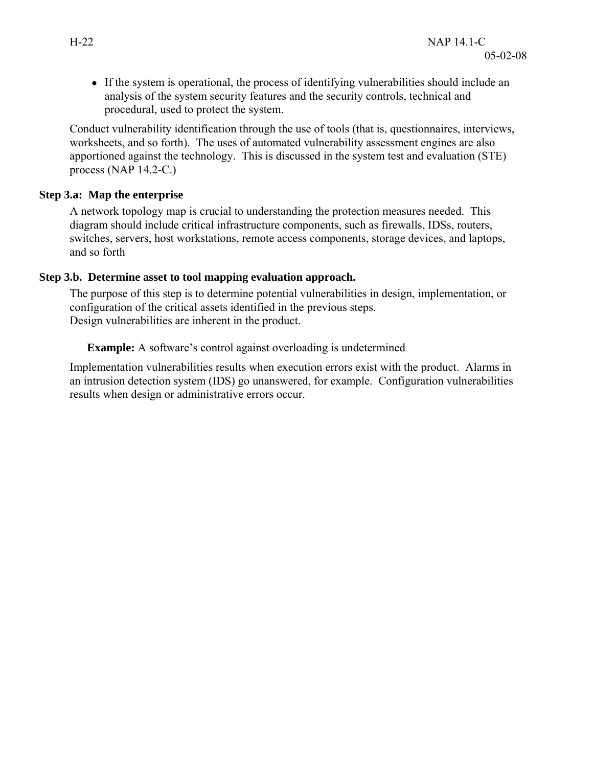• If the system is operational, the process of identifying vulnerabilities should include an analysis of the system security features and the security controls, technical and procedural, used to protect the system.

Conduct vulnerability identification through the use of tools (that is, questionnaires, interviews, worksheets, and so forth). The uses of automated vulnerability assessment engines are also apportioned against the technology. This is discussed in the system test and evaluation (STE) process (NAP 14.2-C.)

#### **Step 3.a: Map the enterprise**

A network topology map is crucial to understanding the protection measures needed. This diagram should include critical infrastructure components, such as firewalls, IDSs, routers, switches, servers, host workstations, remote access components, storage devices, and laptops, and so forth

#### **Step 3.b. Determine asset to tool mapping evaluation approach.**

The purpose of this step is to determine potential vulnerabilities in design, implementation, or configuration of the critical assets identified in the previous steps. Design vulnerabilities are inherent in the product.

#### **Example:** A software's control against overloading is undetermined

Implementation vulnerabilities results when execution errors exist with the product. Alarms in an intrusion detection system (IDS) go unanswered, for example. Configuration vulnerabilities results when design or administrative errors occur.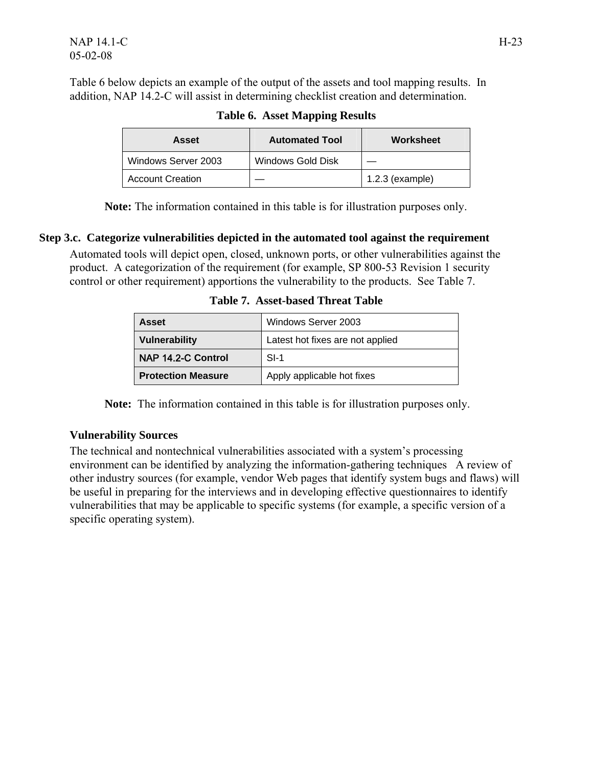Table 6 below depicts an example of the output of the assets and tool mapping results. In addition, NAP 14.2-C will assist in determining checklist creation and determination.

**Table 6. Asset Mapping Results** 

| Asset                   | <b>Automated Tool</b> | Worksheet         |
|-------------------------|-----------------------|-------------------|
| Windows Server 2003     | Windows Gold Disk     |                   |
| <b>Account Creation</b> |                       | $1.2.3$ (example) |

**Note:** The information contained in this table is for illustration purposes only.

#### **Step 3.c. Categorize vulnerabilities depicted in the automated tool against the requirement**

Automated tools will depict open, closed, unknown ports, or other vulnerabilities against the product. A categorization of the requirement (for example, SP 800-53 Revision 1 security control or other requirement) apportions the vulnerability to the products. See Table 7.

**Table 7. Asset-based Threat Table** 

| <b>Asset</b>              | Windows Server 2003              |  |
|---------------------------|----------------------------------|--|
| <b>Vulnerability</b>      | Latest hot fixes are not applied |  |
| NAP 14.2-C Control        | $SI-1$                           |  |
| <b>Protection Measure</b> | Apply applicable hot fixes       |  |

**Note:** The information contained in this table is for illustration purposes only.

#### **Vulnerability Sources**

The technical and nontechnical vulnerabilities associated with a system's processing environment can be identified by analyzing the information-gathering techniques A review of other industry sources (for example, vendor Web pages that identify system bugs and flaws) will be useful in preparing for the interviews and in developing effective questionnaires to identify vulnerabilities that may be applicable to specific systems (for example, a specific version of a specific operating system).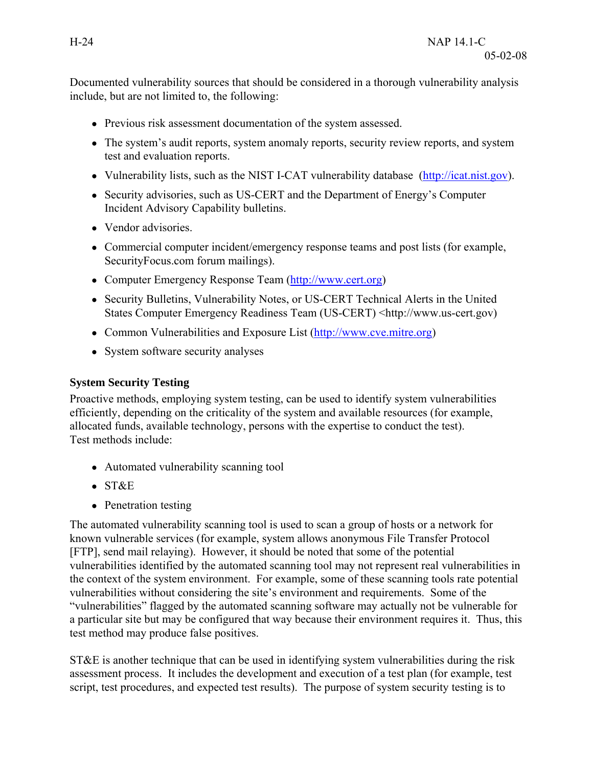Documented vulnerability sources that should be considered in a thorough vulnerability analysis include, but are not limited to, the following:

- Previous risk assessment documentation of the system assessed.
- The system's audit reports, system anomaly reports, security review reports, and system test and evaluation reports.
- Vulnerability lists, such as the NIST I-CAT vulnerability database ([http://icat.nist.gov](http://icat.nist.gov/)).
- Security advisories, such as US-CERT and the Department of Energy's Computer Incident Advisory Capability bulletins.
- Vendor advisories.
- Commercial computer incident/emergency response teams and post lists (for example, SecurityFocus.com forum mailings).
- Computer Emergency Response Team ([http://www.cert.org\)](http://www.cert.org/)
- Security Bulletins, Vulnerability Notes, or US-CERT Technical Alerts in the United States Computer Emergency Readiness Team (US-CERT) <http://www.us-cert.gov)
- Common Vulnerabilities and Exposure List [\(http://www.cve.mitre.org](http://www.cve.mitre.org/))
- System software security analyses

#### **System Security Testing**

Proactive methods, employing system testing, can be used to identify system vulnerabilities efficiently, depending on the criticality of the system and available resources (for example, allocated funds, available technology, persons with the expertise to conduct the test). Test methods include:

- Automated vulnerability scanning tool
- ST&E
- Penetration testing

The automated vulnerability scanning tool is used to scan a group of hosts or a network for known vulnerable services (for example, system allows anonymous File Transfer Protocol [FTP], send mail relaying). However, it should be noted that some of the potential vulnerabilities identified by the automated scanning tool may not represent real vulnerabilities in the context of the system environment. For example, some of these scanning tools rate potential vulnerabilities without considering the site's environment and requirements. Some of the "vulnerabilities" flagged by the automated scanning software may actually not be vulnerable for a particular site but may be configured that way because their environment requires it. Thus, this test method may produce false positives.

ST&E is another technique that can be used in identifying system vulnerabilities during the risk assessment process. It includes the development and execution of a test plan (for example, test script, test procedures, and expected test results). The purpose of system security testing is to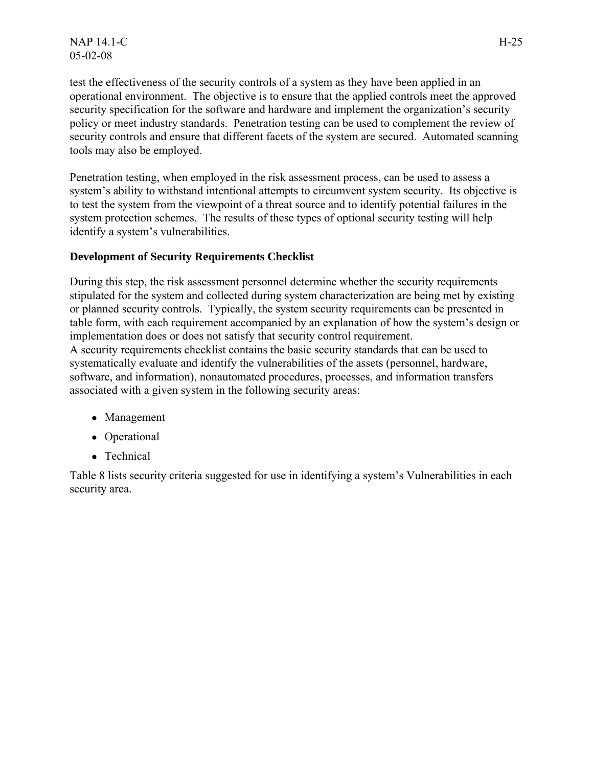NAP 14.1-C H-25 05-02-08

test the effectiveness of the security controls of a system as they have been applied in an operational environment. The objective is to ensure that the applied controls meet the approved security specification for the software and hardware and implement the organization's security policy or meet industry standards. Penetration testing can be used to complement the review of security controls and ensure that different facets of the system are secured. Automated scanning tools may also be employed.

Penetration testing, when employed in the risk assessment process, can be used to assess a system's ability to withstand intentional attempts to circumvent system security. Its objective is to test the system from the viewpoint of a threat source and to identify potential failures in the system protection schemes. The results of these types of optional security testing will help identify a system's vulnerabilities.

#### **Development of Security Requirements Checklist**

During this step, the risk assessment personnel determine whether the security requirements stipulated for the system and collected during system characterization are being met by existing or planned security controls. Typically, the system security requirements can be presented in table form, with each requirement accompanied by an explanation of how the system's design or implementation does or does not satisfy that security control requirement. A security requirements checklist contains the basic security standards that can be used to systematically evaluate and identify the vulnerabilities of the assets (personnel, hardware, software, and information), nonautomated procedures, processes, and information transfers associated with a given system in the following security areas:

- Management
- Operational
- Technical

Table 8 lists security criteria suggested for use in identifying a system's Vulnerabilities in each security area.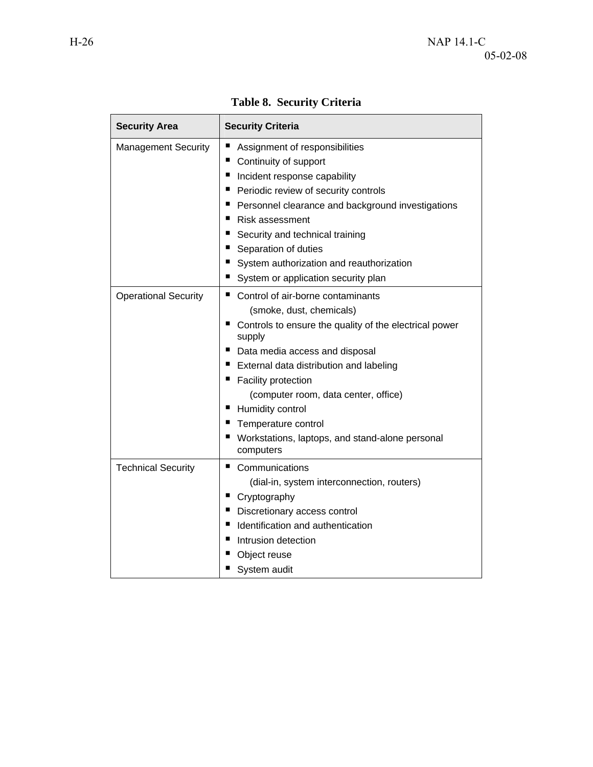| <b>Security Area</b>        | <b>Security Criteria</b>                                       |
|-----------------------------|----------------------------------------------------------------|
| <b>Management Security</b>  | Assignment of responsibilities                                 |
|                             | Continuity of support                                          |
|                             | ш<br>Incident response capability                              |
|                             | Periodic review of security controls                           |
|                             | Personnel clearance and background investigations              |
|                             | Risk assessment                                                |
|                             | Security and technical training                                |
|                             | Separation of duties                                           |
|                             | ■ System authorization and reauthorization                     |
|                             | System or application security plan                            |
| <b>Operational Security</b> | Control of air-borne contaminants<br>п                         |
|                             | (smoke, dust, chemicals)                                       |
|                             | Controls to ensure the quality of the electrical power         |
|                             | supply                                                         |
|                             | Data media access and disposal                                 |
|                             | External data distribution and labeling                        |
|                             | <b>Facility protection</b>                                     |
|                             | (computer room, data center, office)                           |
|                             | Humidity control                                               |
|                             | Temperature control                                            |
|                             | ■ Workstations, laptops, and stand-alone personal<br>computers |
| <b>Technical Security</b>   | п<br>Communications                                            |
|                             | (dial-in, system interconnection, routers)                     |
|                             | Cryptography                                                   |
|                             | Discretionary access control                                   |
|                             | Identification and authentication                              |
|                             | Intrusion detection                                            |
|                             | Object reuse                                                   |
|                             | System audit                                                   |

#### **Table 8. Security Criteria**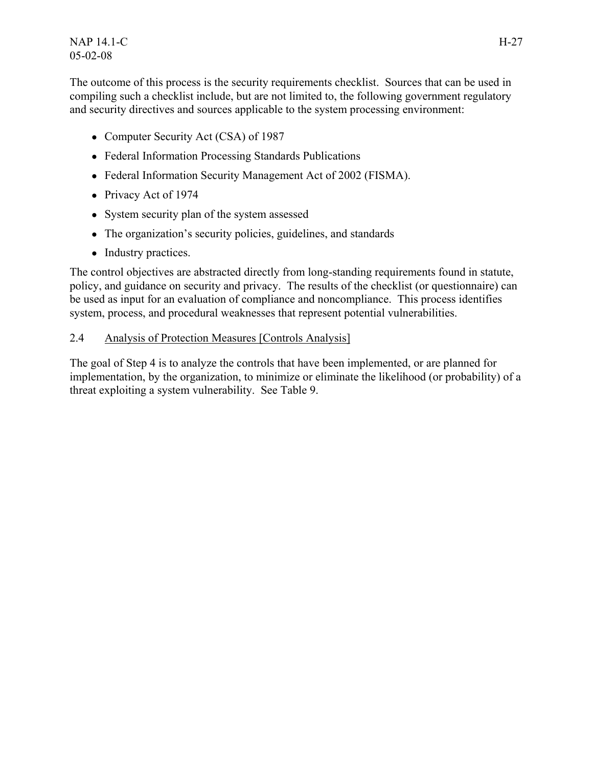## NAP 14.1-C H-27 05-02-08

The outcome of this process is the security requirements checklist. Sources that can be used in compiling such a checklist include, but are not limited to, the following government regulatory and security directives and sources applicable to the system processing environment:

- Computer Security Act (CSA) of 1987
- Federal Information Processing Standards Publications
- Federal Information Security Management Act of 2002 (FISMA).
- Privacy Act of 1974
- System security plan of the system assessed
- The organization's security policies, guidelines, and standards
- Industry practices.

The control objectives are abstracted directly from long-standing requirements found in statute, policy, and guidance on security and privacy. The results of the checklist (or questionnaire) can be used as input for an evaluation of compliance and noncompliance. This process identifies system, process, and procedural weaknesses that represent potential vulnerabilities.

## 2.4 Analysis of Protection Measures [Controls Analysis]

The goal of Step 4 is to analyze the controls that have been implemented, or are planned for implementation, by the organization, to minimize or eliminate the likelihood (or probability) of a threat exploiting a system vulnerability. See Table 9.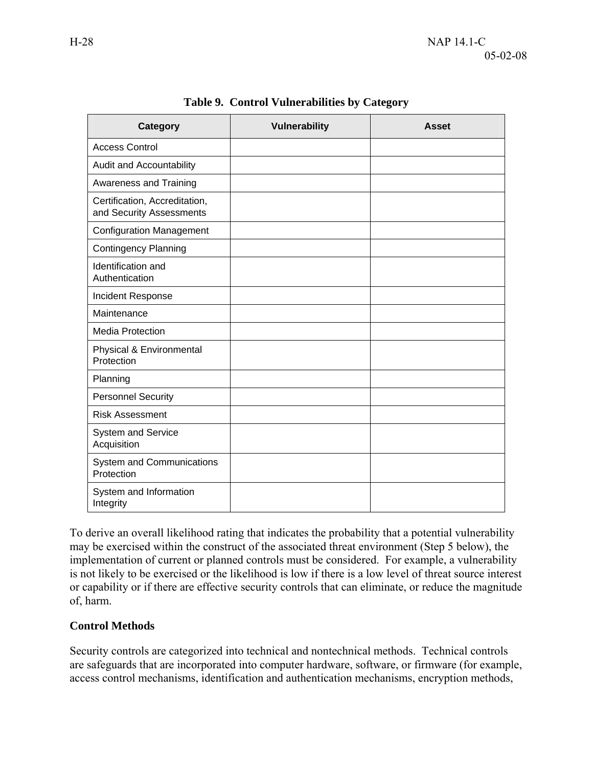| Category                                                  | <b>Vulnerability</b> | <b>Asset</b> |
|-----------------------------------------------------------|----------------------|--------------|
| <b>Access Control</b>                                     |                      |              |
| Audit and Accountability                                  |                      |              |
| Awareness and Training                                    |                      |              |
| Certification, Accreditation,<br>and Security Assessments |                      |              |
| <b>Configuration Management</b>                           |                      |              |
| <b>Contingency Planning</b>                               |                      |              |
| Identification and<br>Authentication                      |                      |              |
| Incident Response                                         |                      |              |
| Maintenance                                               |                      |              |
| <b>Media Protection</b>                                   |                      |              |
| Physical & Environmental<br>Protection                    |                      |              |
| Planning                                                  |                      |              |
| <b>Personnel Security</b>                                 |                      |              |
| <b>Risk Assessment</b>                                    |                      |              |
| System and Service<br>Acquisition                         |                      |              |
| <b>System and Communications</b><br>Protection            |                      |              |
| System and Information<br>Integrity                       |                      |              |

**Table 9. Control Vulnerabilities by Category** 

To derive an overall likelihood rating that indicates the probability that a potential vulnerability may be exercised within the construct of the associated threat environment (Step 5 below), the implementation of current or planned controls must be considered. For example, a vulnerability is not likely to be exercised or the likelihood is low if there is a low level of threat source interest or capability or if there are effective security controls that can eliminate, or reduce the magnitude of, harm.

## **Control Methods**

Security controls are categorized into technical and nontechnical methods. Technical controls are safeguards that are incorporated into computer hardware, software, or firmware (for example, access control mechanisms, identification and authentication mechanisms, encryption methods,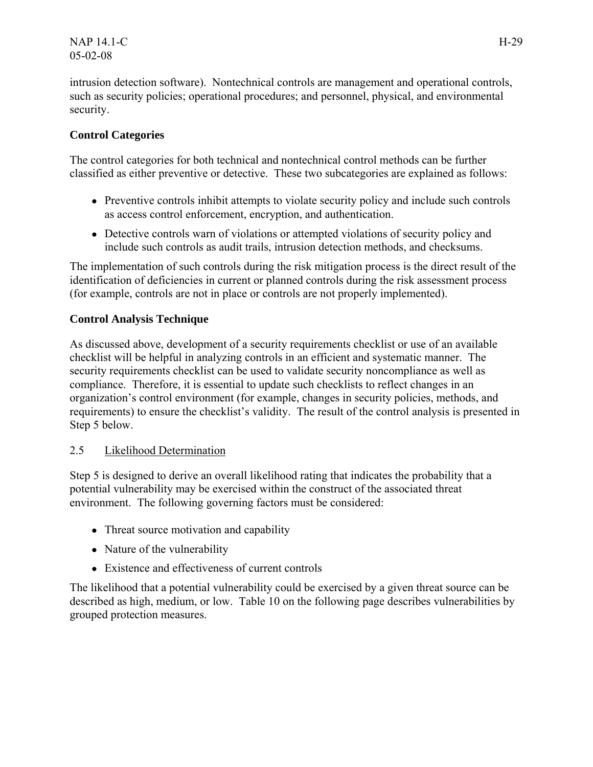# NAP 14.1-C H-29 05-02-08

intrusion detection software). Nontechnical controls are management and operational controls, such as security policies; operational procedures; and personnel, physical, and environmental security.

# **Control Categories**

The control categories for both technical and nontechnical control methods can be further classified as either preventive or detective. These two subcategories are explained as follows:

- Preventive controls inhibit attempts to violate security policy and include such controls as access control enforcement, encryption, and authentication.
- Detective controls warn of violations or attempted violations of security policy and include such controls as audit trails, intrusion detection methods, and checksums.

The implementation of such controls during the risk mitigation process is the direct result of the identification of deficiencies in current or planned controls during the risk assessment process (for example, controls are not in place or controls are not properly implemented).

# **Control Analysis Technique**

As discussed above, development of a security requirements checklist or use of an available checklist will be helpful in analyzing controls in an efficient and systematic manner. The security requirements checklist can be used to validate security noncompliance as well as compliance. Therefore, it is essential to update such checklists to reflect changes in an organization's control environment (for example, changes in security policies, methods, and requirements) to ensure the checklist's validity. The result of the control analysis is presented in Step 5 below.

# 2.5 Likelihood Determination

Step 5 is designed to derive an overall likelihood rating that indicates the probability that a potential vulnerability may be exercised within the construct of the associated threat environment. The following governing factors must be considered:

- Threat source motivation and capability
- Nature of the vulnerability
- Existence and effectiveness of current controls

The likelihood that a potential vulnerability could be exercised by a given threat source can be described as high, medium, or low. Table 10 on the following page describes vulnerabilities by grouped protection measures.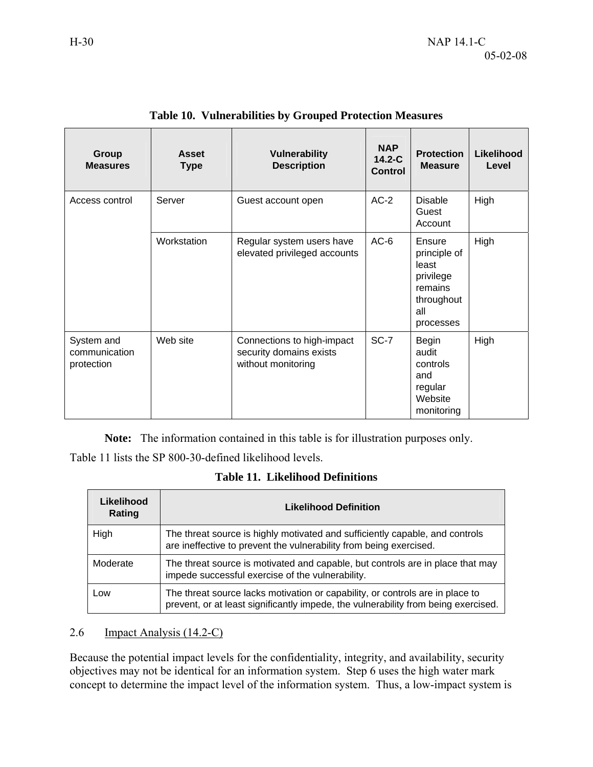| Group<br><b>Measures</b>                  | <b>Asset</b><br><b>Type</b> | <b>Vulnerability</b><br><b>Description</b>                                  | <b>NAP</b><br>$14.2 - C$<br><b>Control</b> | <b>Protection</b><br><b>Measure</b>                                                       | Likelihood<br>Level |
|-------------------------------------------|-----------------------------|-----------------------------------------------------------------------------|--------------------------------------------|-------------------------------------------------------------------------------------------|---------------------|
| Access control                            | Server                      | Guest account open                                                          | $AC-2$                                     | <b>Disable</b><br>Guest<br>Account                                                        | High                |
|                                           | Workstation                 | Regular system users have<br>elevated privileged accounts                   | $AC-6$                                     | Ensure<br>principle of<br>least<br>privilege<br>remains<br>throughout<br>all<br>processes | High                |
| System and<br>communication<br>protection | Web site                    | Connections to high-impact<br>security domains exists<br>without monitoring | $SC-7$                                     | <b>Begin</b><br>audit<br>controls<br>and<br>regular<br>Website<br>monitoring              | High                |

**Table 10. Vulnerabilities by Grouped Protection Measures** 

**Note:** The information contained in this table is for illustration purposes only. Table 11 lists the SP 800-30-defined likelihood levels.

|  | <b>Table 11. Likelihood Definitions</b> |  |
|--|-----------------------------------------|--|
|--|-----------------------------------------|--|

| Likelihood<br>Rating | <b>Likelihood Definition</b>                                                                                                                                        |
|----------------------|---------------------------------------------------------------------------------------------------------------------------------------------------------------------|
| High                 | The threat source is highly motivated and sufficiently capable, and controls<br>are ineffective to prevent the vulnerability from being exercised.                  |
| Moderate             | The threat source is motivated and capable, but controls are in place that may<br>impede successful exercise of the vulnerability.                                  |
| Low                  | The threat source lacks motivation or capability, or controls are in place to<br>prevent, or at least significantly impede, the vulnerability from being exercised. |

## 2.6 Impact Analysis (14.2-C)

Because the potential impact levels for the confidentiality, integrity, and availability, security objectives may not be identical for an information system. Step 6 uses the high water mark concept to determine the impact level of the information system. Thus, a low-impact system is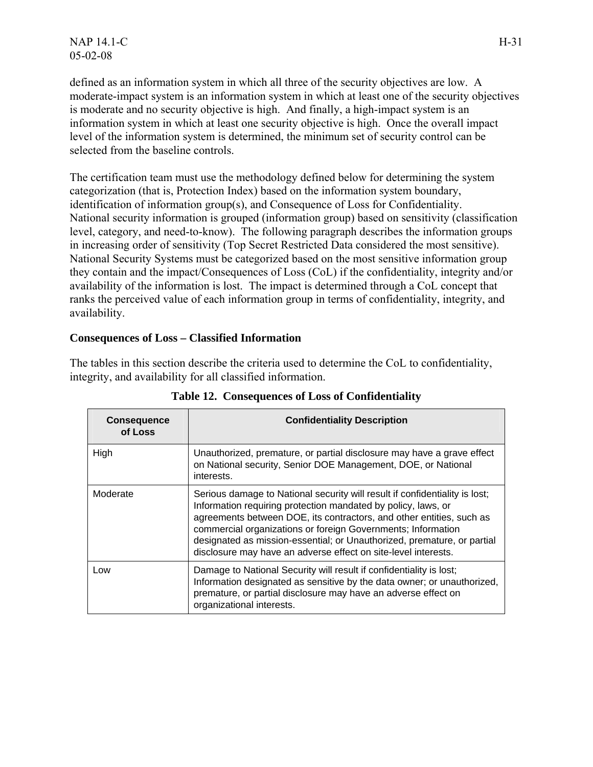defined as an information system in which all three of the security objectives are low. A moderate-impact system is an information system in which at least one of the security objectives is moderate and no security objective is high. And finally, a high-impact system is an information system in which at least one security objective is high. Once the overall impact level of the information system is determined, the minimum set of security control can be selected from the baseline controls.

The certification team must use the methodology defined below for determining the system categorization (that is, Protection Index) based on the information system boundary, identification of information group(s), and Consequence of Loss for Confidentiality. National security information is grouped (information group) based on sensitivity (classification level, category, and need-to-know). The following paragraph describes the information groups in increasing order of sensitivity (Top Secret Restricted Data considered the most sensitive). National Security Systems must be categorized based on the most sensitive information group they contain and the impact/Consequences of Loss (CoL) if the confidentiality, integrity and/or availability of the information is lost. The impact is determined through a CoL concept that ranks the perceived value of each information group in terms of confidentiality, integrity, and availability.

## **Consequences of Loss – Classified Information**

The tables in this section describe the criteria used to determine the CoL to confidentiality, integrity, and availability for all classified information.

| <b>Consequence</b><br>of Loss | <b>Confidentiality Description</b>                                                                                                                                                                                                                                                                                                                                                                                                |
|-------------------------------|-----------------------------------------------------------------------------------------------------------------------------------------------------------------------------------------------------------------------------------------------------------------------------------------------------------------------------------------------------------------------------------------------------------------------------------|
| High                          | Unauthorized, premature, or partial disclosure may have a grave effect<br>on National security, Senior DOE Management, DOE, or National<br>interests.                                                                                                                                                                                                                                                                             |
| Moderate                      | Serious damage to National security will result if confidentiality is lost;<br>Information requiring protection mandated by policy, laws, or<br>agreements between DOE, its contractors, and other entities, such as<br>commercial organizations or foreign Governments; Information<br>designated as mission-essential; or Unauthorized, premature, or partial<br>disclosure may have an adverse effect on site-level interests. |
| Low                           | Damage to National Security will result if confidentiality is lost;<br>Information designated as sensitive by the data owner; or unauthorized,<br>premature, or partial disclosure may have an adverse effect on<br>organizational interests.                                                                                                                                                                                     |

**Table 12. Consequences of Loss of Confidentiality**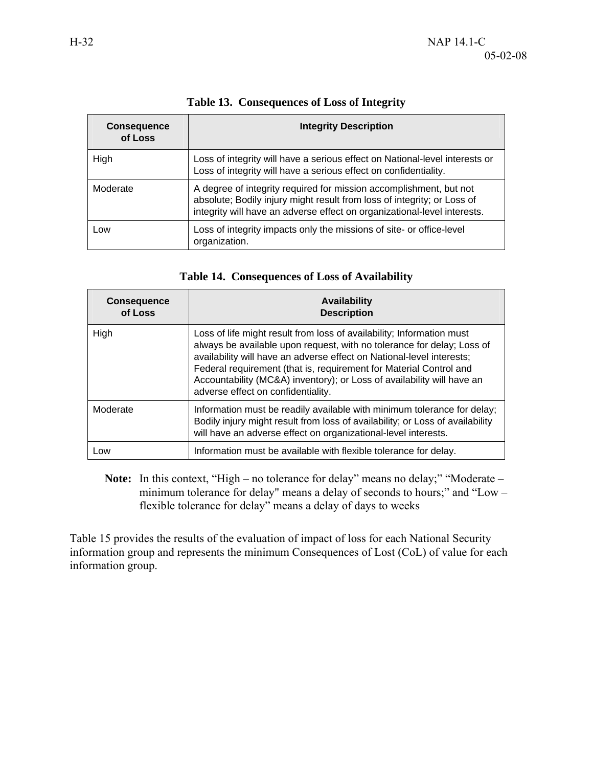| <b>Consequence</b><br>of Loss | <b>Integrity Description</b>                                                                                                                                                                                              |
|-------------------------------|---------------------------------------------------------------------------------------------------------------------------------------------------------------------------------------------------------------------------|
| High                          | Loss of integrity will have a serious effect on National-level interests or<br>Loss of integrity will have a serious effect on confidentiality.                                                                           |
| Moderate                      | A degree of integrity required for mission accomplishment, but not<br>absolute; Bodily injury might result from loss of integrity; or Loss of<br>integrity will have an adverse effect on organizational-level interests. |
| Low                           | Loss of integrity impacts only the missions of site- or office-level<br>organization.                                                                                                                                     |

# **Table 13. Consequences of Loss of Integrity**

| Tuble 1-6 Consequences of E0ss of Tryundship |                                                                                                                                                                                                                                                                                                                                                                                                                |  |
|----------------------------------------------|----------------------------------------------------------------------------------------------------------------------------------------------------------------------------------------------------------------------------------------------------------------------------------------------------------------------------------------------------------------------------------------------------------------|--|
| <b>Consequence</b><br>of Loss                | <b>Availability</b><br><b>Description</b>                                                                                                                                                                                                                                                                                                                                                                      |  |
| High                                         | Loss of life might result from loss of availability; Information must<br>always be available upon request, with no tolerance for delay; Loss of<br>availability will have an adverse effect on National-level interests;<br>Federal requirement (that is, requirement for Material Control and<br>Accountability (MC&A) inventory); or Loss of availability will have an<br>adverse effect on confidentiality. |  |
| Moderate                                     | Information must be readily available with minimum tolerance for delay;<br>Bodily injury might result from loss of availability; or Loss of availability                                                                                                                                                                                                                                                       |  |

## **Table 14. Consequences of Loss of Availability**

Note: In this context, "High – no tolerance for delay" means no delay;" "Moderate – minimum tolerance for delay" means a delay of seconds to hours;" and "Low – flexible tolerance for delay" means a delay of days to weeks

will have an adverse effect on organizational-level interests.

Table 15 provides the results of the evaluation of impact of loss for each National Security information group and represents the minimum Consequences of Lost (CoL) of value for each information group.

Low Information must be available with flexible tolerance for delay.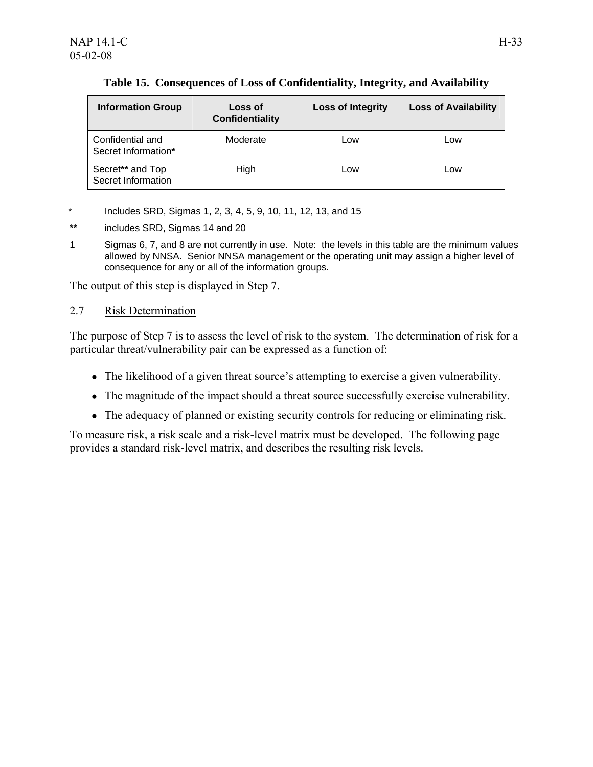| <b>Information Group</b>                | Loss of<br><b>Confidentiality</b> | <b>Loss of Integrity</b> | <b>Loss of Availability</b> |
|-----------------------------------------|-----------------------------------|--------------------------|-----------------------------|
| Confidential and<br>Secret Information* | Moderate                          | Low                      | Low                         |
| Secret** and Top<br>Secret Information  | High                              | ∟ow                      | Low                         |

**Table 15. Consequences of Loss of Confidentiality, Integrity, and Availability** 

- \* Includes SRD, Sigmas 1, 2, 3, 4, 5, 9, 10, 11, 12, 13, and 15
- \*\* includes SRD, Sigmas 14 and 20
- 1 Sigmas 6, 7, and 8 are not currently in use. Note: the levels in this table are the minimum values allowed by NNSA. Senior NNSA management or the operating unit may assign a higher level of consequence for any or all of the information groups.

The output of this step is displayed in Step 7.

#### 2.7 Risk Determination

The purpose of Step 7 is to assess the level of risk to the system. The determination of risk for a particular threat/vulnerability pair can be expressed as a function of:

- The likelihood of a given threat source's attempting to exercise a given vulnerability.
- The magnitude of the impact should a threat source successfully exercise vulnerability.
- The adequacy of planned or existing security controls for reducing or eliminating risk.

To measure risk, a risk scale and a risk-level matrix must be developed. The following page provides a standard risk-level matrix, and describes the resulting risk levels.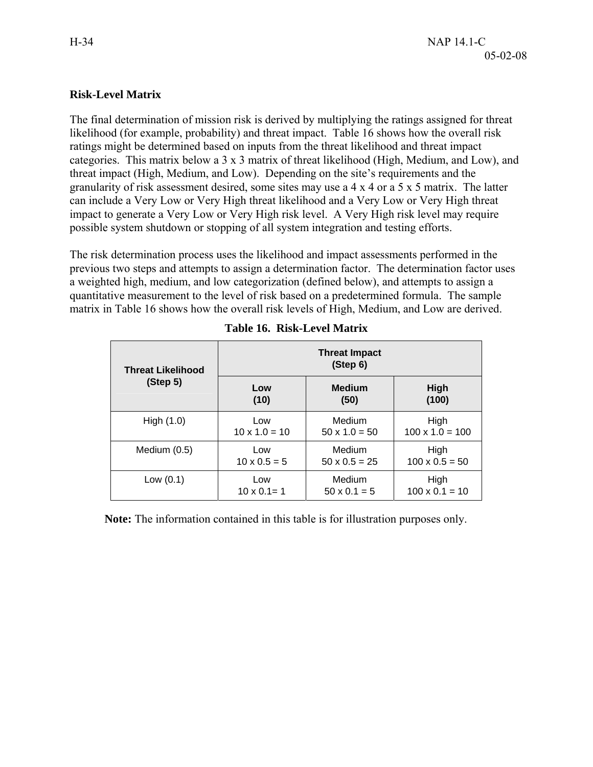## **Risk-Level Matrix**

The final determination of mission risk is derived by multiplying the ratings assigned for threat likelihood (for example, probability) and threat impact. Table 16 shows how the overall risk ratings might be determined based on inputs from the threat likelihood and threat impact categories. This matrix below a 3 x 3 matrix of threat likelihood (High, Medium, and Low), and threat impact (High, Medium, and Low). Depending on the site's requirements and the granularity of risk assessment desired, some sites may use a 4 x 4 or a 5 x 5 matrix. The latter can include a Very Low or Very High threat likelihood and a Very Low or Very High threat impact to generate a Very Low or Very High risk level. A Very High risk level may require possible system shutdown or stopping of all system integration and testing efforts.

The risk determination process uses the likelihood and impact assessments performed in the previous two steps and attempts to assign a determination factor. The determination factor uses a weighted high, medium, and low categorization (defined below), and attempts to assign a quantitative measurement to the level of risk based on a predetermined formula. The sample matrix in Table 16 shows how the overall risk levels of High, Medium, and Low are derived.

| <b>Threat Likelihood</b> | <b>Threat Impact</b><br>(Step 6) |                      |                        |  |
|--------------------------|----------------------------------|----------------------|------------------------|--|
| (Step 5)                 | Low                              | <b>Medium</b>        | High                   |  |
|                          | (10)                             | (50)                 | (100)                  |  |
| High $(1.0)$             | Low                              | Medium               | High                   |  |
|                          | $10 \times 1.0 = 10$             | $50 \times 1.0 = 50$ | $100 \times 1.0 = 100$ |  |
| Medium (0.5)             | Low                              | Medium               | High                   |  |
|                          | $10 \times 0.5 = 5$              | $50 \times 0.5 = 25$ | $100 \times 0.5 = 50$  |  |
| Low $(0.1)$              | Low                              | Medium               | High                   |  |
|                          | $10 \times 0.1 = 1$              | $50 \times 0.1 = 5$  | $100 \times 0.1 = 10$  |  |

**Note:** The information contained in this table is for illustration purposes only.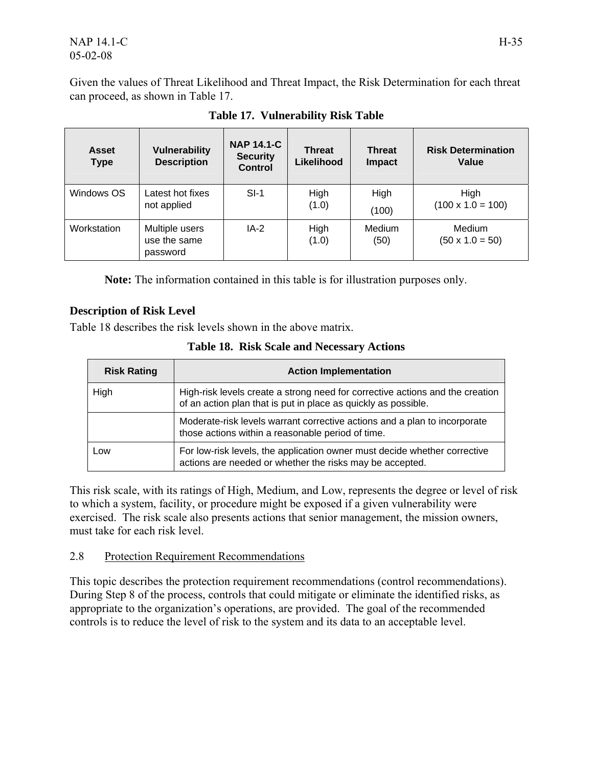Given the values of Threat Likelihood and Threat Impact, the Risk Determination for each threat can proceed, as shown in Table 17.

| Asset<br><b>Type</b> | <b>Vulnerability</b><br><b>Description</b> | <b>NAP 14.1-C</b><br><b>Security</b><br>Control | <b>Threat</b><br>Likelihood | <b>Threat</b><br><b>Impact</b> | <b>Risk Determination</b><br>Value |
|----------------------|--------------------------------------------|-------------------------------------------------|-----------------------------|--------------------------------|------------------------------------|
| Windows OS           | Latest hot fixes<br>not applied            | $SI-1$                                          | High<br>(1.0)               | High<br>(100)                  | High<br>$(100 \times 1.0 = 100)$   |
| Workstation          | Multiple users<br>use the same<br>password | $IA-2$                                          | High<br>(1.0)               | Medium<br>(50)                 | Medium<br>$(50 \times 1.0 = 50)$   |

**Table 17. Vulnerability Risk Table** 

**Note:** The information contained in this table is for illustration purposes only.

### **Description of Risk Level**

Table 18 describes the risk levels shown in the above matrix.

| <b>Risk Rating</b> | <b>Action Implementation</b>                                                                                                                    |
|--------------------|-------------------------------------------------------------------------------------------------------------------------------------------------|
| High               | High-risk levels create a strong need for corrective actions and the creation<br>of an action plan that is put in place as quickly as possible. |
|                    | Moderate-risk levels warrant corrective actions and a plan to incorporate<br>those actions within a reasonable period of time.                  |
| Low                | For low-risk levels, the application owner must decide whether corrective<br>actions are needed or whether the risks may be accepted.           |

**Table 18. Risk Scale and Necessary Actions** 

This risk scale, with its ratings of High, Medium, and Low, represents the degree or level of risk to which a system, facility, or procedure might be exposed if a given vulnerability were exercised. The risk scale also presents actions that senior management, the mission owners, must take for each risk level.

## 2.8 Protection Requirement Recommendations

This topic describes the protection requirement recommendations (control recommendations). During Step 8 of the process, controls that could mitigate or eliminate the identified risks, as appropriate to the organization's operations, are provided. The goal of the recommended controls is to reduce the level of risk to the system and its data to an acceptable level.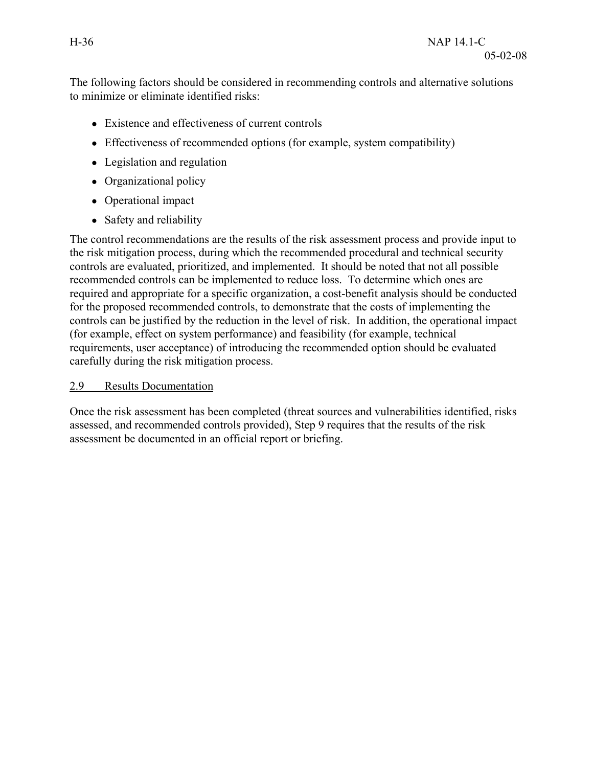The following factors should be considered in recommending controls and alternative solutions to minimize or eliminate identified risks:

- Existence and effectiveness of current controls
- Effectiveness of recommended options (for example, system compatibility)
- Legislation and regulation
- Organizational policy
- Operational impact
- Safety and reliability

The control recommendations are the results of the risk assessment process and provide input to the risk mitigation process, during which the recommended procedural and technical security controls are evaluated, prioritized, and implemented. It should be noted that not all possible recommended controls can be implemented to reduce loss. To determine which ones are required and appropriate for a specific organization, a cost-benefit analysis should be conducted for the proposed recommended controls, to demonstrate that the costs of implementing the controls can be justified by the reduction in the level of risk. In addition, the operational impact (for example, effect on system performance) and feasibility (for example, technical requirements, user acceptance) of introducing the recommended option should be evaluated carefully during the risk mitigation process.

# 2.9 Results Documentation

Once the risk assessment has been completed (threat sources and vulnerabilities identified, risks assessed, and recommended controls provided), Step 9 requires that the results of the risk assessment be documented in an official report or briefing.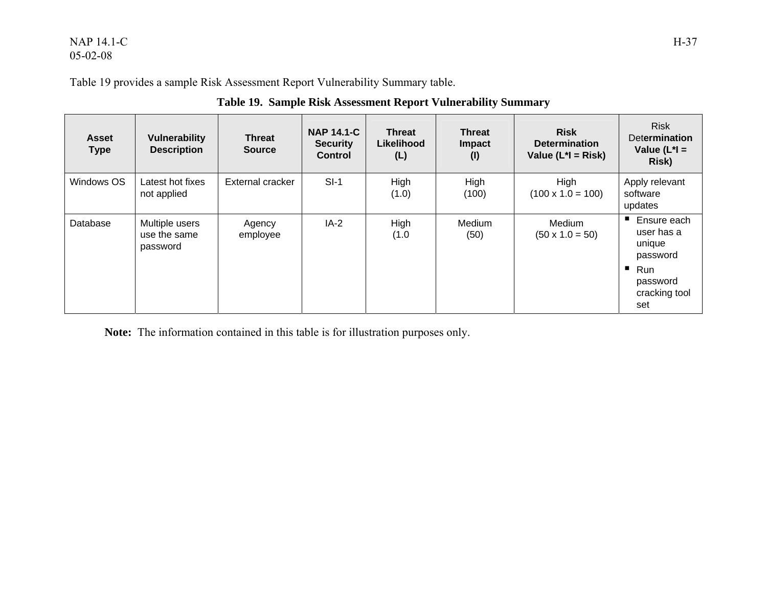## NAP 14.1-C H-37 05-02-08

Table 19 provides a sample Risk Assessment Report Vulnerability Summary table.

|  |  |  |  | Table 19. Sample Risk Assessment Report Vulnerability Summary |
|--|--|--|--|---------------------------------------------------------------|
|--|--|--|--|---------------------------------------------------------------|

| <b>Asset</b><br><b>Type</b> | <b>Vulnerability</b><br><b>Description</b> | <b>Threat</b><br><b>Source</b> | <b>NAP 14.1-C</b><br><b>Security</b><br><b>Control</b> | <b>Threat</b><br>Likelihood<br>(L) | <b>Threat</b><br><b>Impact</b><br>(1) | <b>Risk</b><br><b>Determination</b><br>Value $(L^*I = Risk)$ | <b>Risk</b><br>Determination<br>Value $(L^*I =$<br>Risk)                                        |
|-----------------------------|--------------------------------------------|--------------------------------|--------------------------------------------------------|------------------------------------|---------------------------------------|--------------------------------------------------------------|-------------------------------------------------------------------------------------------------|
| Windows OS                  | Latest hot fixes<br>not applied            | External cracker               | $SI-1$                                                 | High<br>(1.0)                      | High<br>(100)                         | High<br>$(100 \times 1.0 = 100)$                             | Apply relevant<br>software<br>updates                                                           |
| Database                    | Multiple users<br>use the same<br>password | Agency<br>employee             | $IA-2$                                                 | High<br>(1.0)                      | Medium<br>(50)                        | Medium<br>$(50 \times 1.0 = 50)$                             | Ensure each<br>user has a<br>unique<br>password<br>٠<br>Run<br>password<br>cracking tool<br>set |

**Note:** The information contained in this table is for illustration purposes only.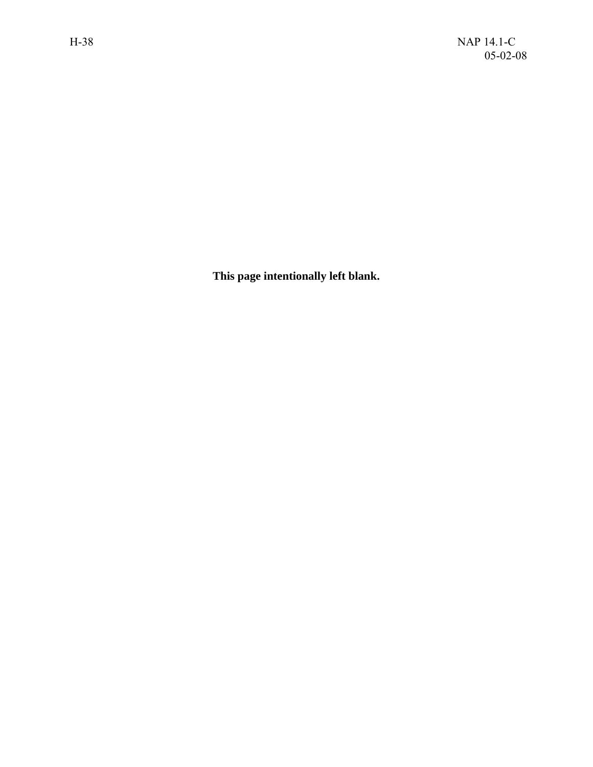**This page intentionally left blank.**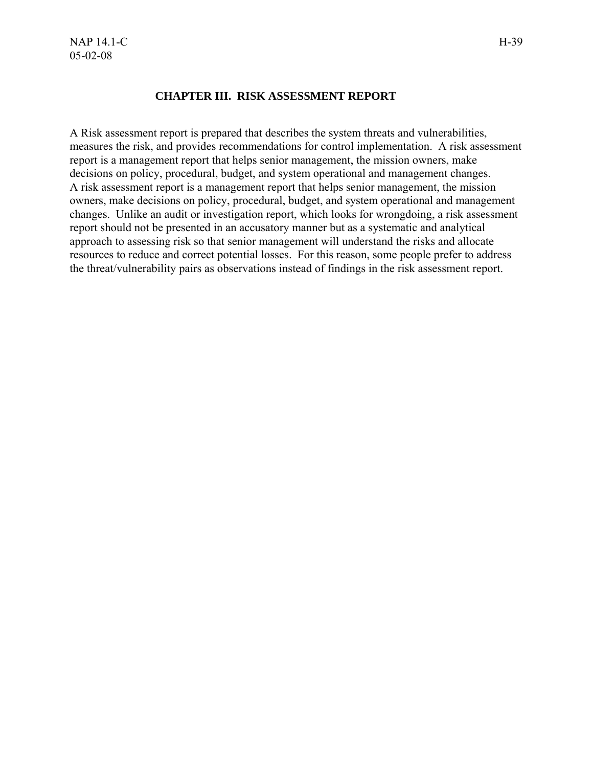NAP 14.1-C H-39 05-02-08

#### **CHAPTER III. RISK ASSESSMENT REPORT**

A Risk assessment report is prepared that describes the system threats and vulnerabilities, measures the risk, and provides recommendations for control implementation. A risk assessment report is a management report that helps senior management, the mission owners, make decisions on policy, procedural, budget, and system operational and management changes. A risk assessment report is a management report that helps senior management, the mission owners, make decisions on policy, procedural, budget, and system operational and management changes. Unlike an audit or investigation report, which looks for wrongdoing, a risk assessment report should not be presented in an accusatory manner but as a systematic and analytical approach to assessing risk so that senior management will understand the risks and allocate resources to reduce and correct potential losses. For this reason, some people prefer to address the threat/vulnerability pairs as observations instead of findings in the risk assessment report.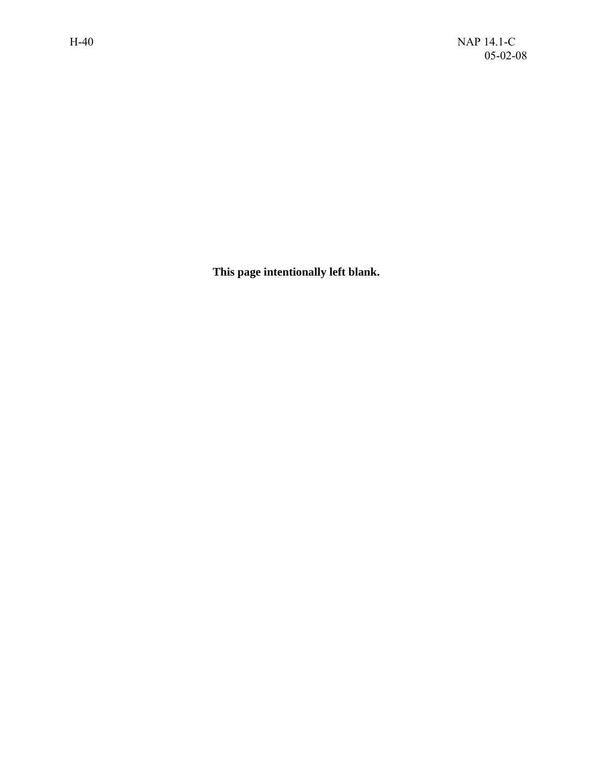**This page intentionally left blank.**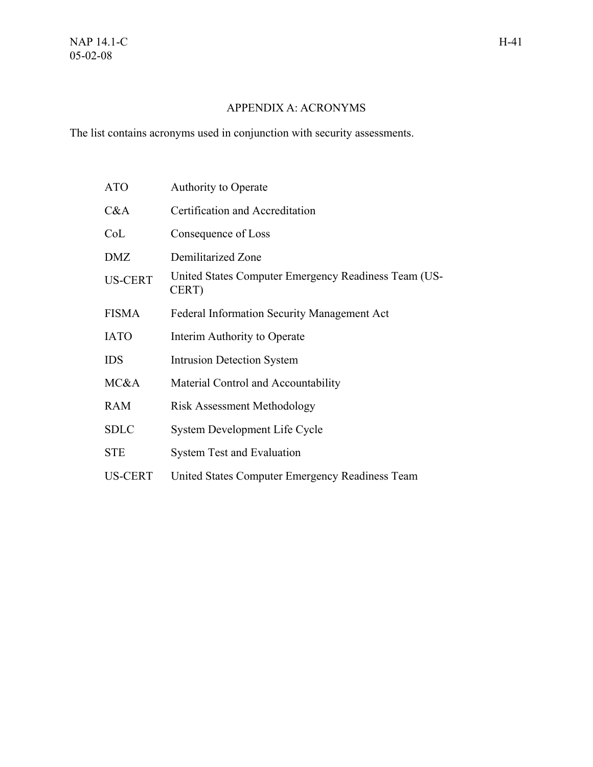# APPENDIX A: ACRONYMS

The list contains acronyms used in conjunction with security assessments.

| <b>ATO</b>     | <b>Authority to Operate</b>                                   |
|----------------|---------------------------------------------------------------|
| C&A            | Certification and Accreditation                               |
| CoL            | Consequence of Loss                                           |
| DMZ            | Demilitarized Zone                                            |
| <b>US-CERT</b> | United States Computer Emergency Readiness Team (US-<br>CERT) |
| <b>FISMA</b>   | <b>Federal Information Security Management Act</b>            |
| <b>IATO</b>    | Interim Authority to Operate                                  |
| <b>IDS</b>     | <b>Intrusion Detection System</b>                             |
| MC&A           | Material Control and Accountability                           |
| <b>RAM</b>     | <b>Risk Assessment Methodology</b>                            |
| <b>SDLC</b>    | System Development Life Cycle                                 |
| <b>STE</b>     | <b>System Test and Evaluation</b>                             |
| <b>US-CERT</b> | United States Computer Emergency Readiness Team               |
|                |                                                               |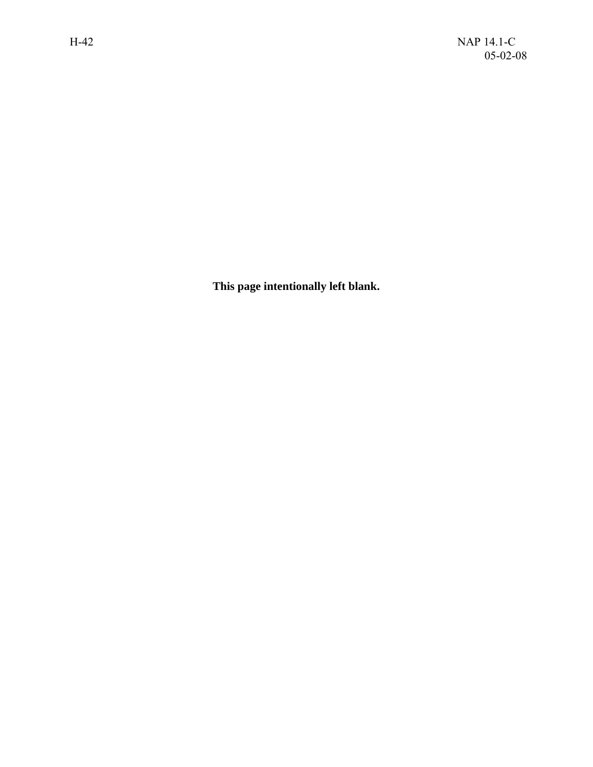**This page intentionally left blank.**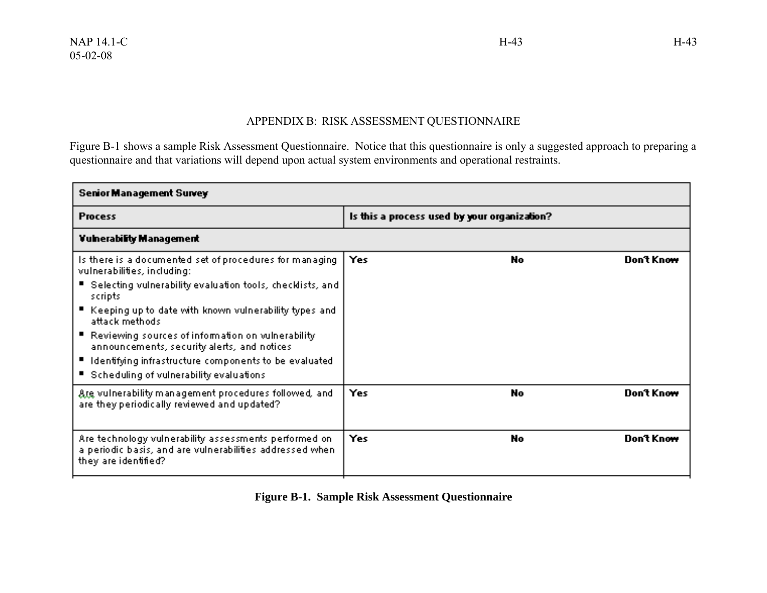### APPENDIX B: RISK ASSESSMENT QUESTIONNAIRE

Figure B-1 shows a sample Risk Assessment Questionnaire. Notice that this questionnaire is only a suggested approach to preparing a questionnaire and that variations will depend upon actual system environments and operational restraints.

| <b>Senior Management Survey</b>                                                                                                                                    |                                              |    |                        |  |  |
|--------------------------------------------------------------------------------------------------------------------------------------------------------------------|----------------------------------------------|----|------------------------|--|--|
| <b>Process</b>                                                                                                                                                     | Is this a process used by your organization? |    |                        |  |  |
| <b>Vulnerability Management</b>                                                                                                                                    |                                              |    |                        |  |  |
| Is there is a documented set of procedures for managing<br>vulnerabilities, including:<br>$\blacksquare$ Selecting vulnerability evaluation tools, checklists, and | Yes                                          | No | Don't Kno <del>w</del> |  |  |
| scripts                                                                                                                                                            |                                              |    |                        |  |  |
| $\blacksquare$ Keeping up to date with known vulnerability types and<br>attack methods                                                                             |                                              |    |                        |  |  |
| $\blacksquare$ Reviewing sources of information on vulnerability.<br>announcements, security alerts, and notices.                                                  |                                              |    |                        |  |  |
| ■ Identifying infrastructure components to be evaluated                                                                                                            |                                              |    |                        |  |  |
| $\blacksquare$ Scheduling of vulnerability evaluations.                                                                                                            |                                              |    |                        |  |  |
| Are vulnerability management procedures followed, and<br>are they periodically reviewed and updated?                                                               | Yes                                          | No | Don't Know             |  |  |
| Are technology vulnerability assessments performed on-<br>a periodic basis, and are vulnerabilities addressed when-<br>they are identified?                        | Yes                                          | No | Don't Know             |  |  |

# **Figure B-1. Sample Risk Assessment Questionnaire**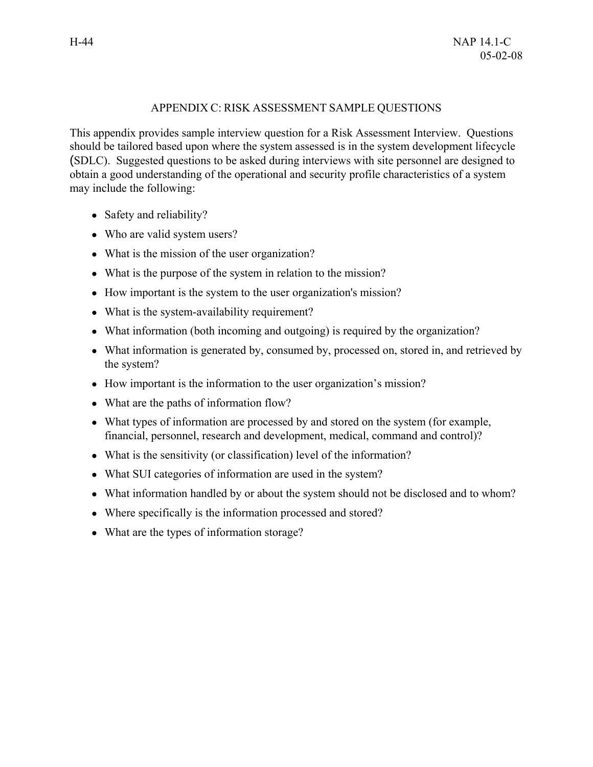### APPENDIX C: RISK ASSESSMENT SAMPLE QUESTIONS

This appendix provides sample interview question for a Risk Assessment Interview. Questions should be tailored based upon where the system assessed is in the system development lifecycle (SDLC). Suggested questions to be asked during interviews with site personnel are designed to obtain a good understanding of the operational and security profile characteristics of a system may include the following:

- Safety and reliability?
- Who are valid system users?
- What is the mission of the user organization?
- What is the purpose of the system in relation to the mission?
- How important is the system to the user organization's mission?
- What is the system-availability requirement?
- What information (both incoming and outgoing) is required by the organization?
- What information is generated by, consumed by, processed on, stored in, and retrieved by the system?
- How important is the information to the user organization's mission?
- What are the paths of information flow?
- What types of information are processed by and stored on the system (for example, financial, personnel, research and development, medical, command and control)?
- What is the sensitivity (or classification) level of the information?
- What SUI categories of information are used in the system?
- What information handled by or about the system should not be disclosed and to whom?
- Where specifically is the information processed and stored?
- What are the types of information storage?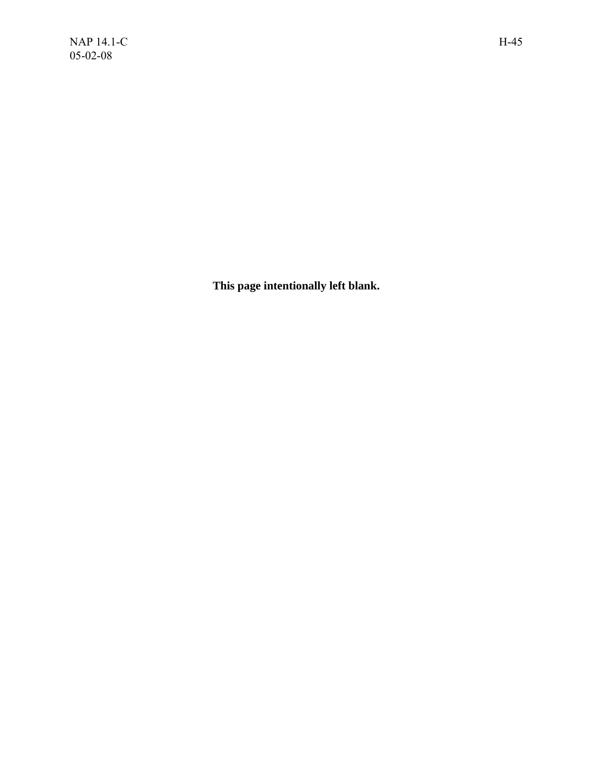**This page intentionally left blank.**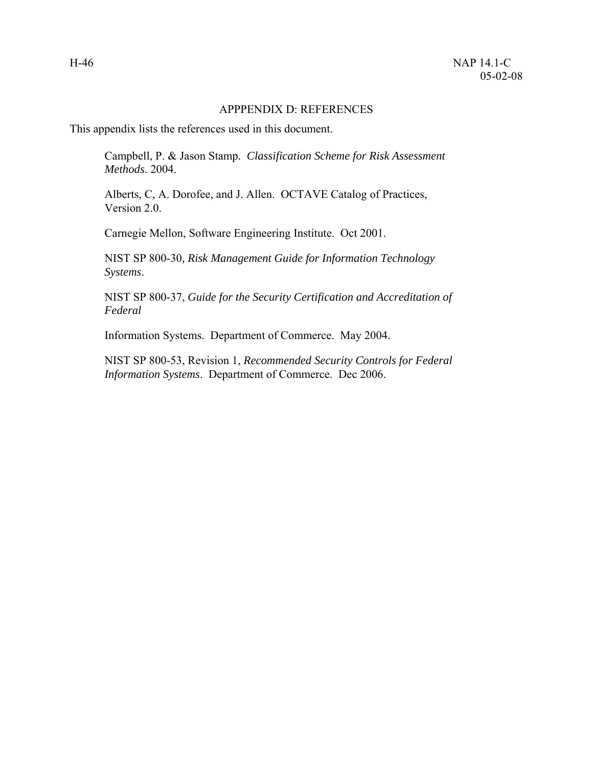#### APPPENDIX D: REFERENCES

This appendix lists the references used in this document.

Campbell, P. & Jason Stamp*. Classification Scheme for Risk Assessment Methods*. 2004.

Alberts, C, A. Dorofee, and J. Allen. OCTAVE Catalog of Practices, Version 2.0.

Carnegie Mellon, Software Engineering Institute. Oct 2001.

NIST SP 800-30*, Risk Management Guide for Information Technology Systems*.

NIST SP 800-37, *Guide for the Security Certification and Accreditation of Federal*

Information Systems. Department of Commerce. May 2004.

NIST SP 800-53, Revision 1, *Recommended Security Controls for Federal Information Systems*. Department of Commerce. Dec 2006.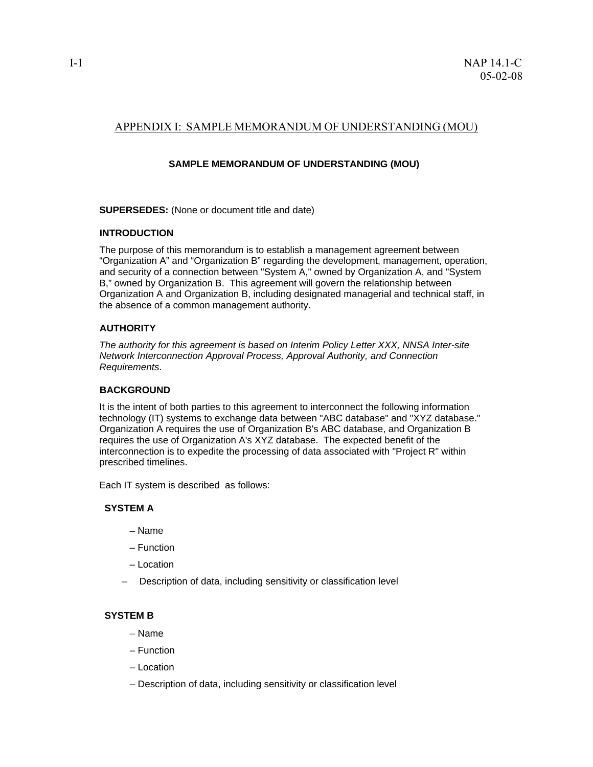#### APPENDIX I: SAMPLE MEMORANDUM OF UNDERSTANDING (MOU)

#### **SAMPLE MEMORANDUM OF UNDERSTANDING (MOU)**

**SUPERSEDES:** (None or document title and date)

#### **INTRODUCTION**

The purpose of this memorandum is to establish a management agreement between "Organization A" and "Organization B" regarding the development, management, operation, and security of a connection between "System A," owned by Organization A, and "System B," owned by Organization B. This agreement will govern the relationship between Organization A and Organization B, including designated managerial and technical staff, in the absence of a common management authority.

#### **AUTHORITY**

*The authority for this agreement is based on Interim Policy Letter XXX, NNSA Inter-site Network Interconnection Approval Process, Approval Authority, and Connection Requirements*.

#### **BACKGROUND**

It is the intent of both parties to this agreement to interconnect the following information technology (IT) systems to exchange data between "ABC database" and "XYZ database." Organization A requires the use of Organization B's ABC database, and Organization B requires the use of Organization A's XYZ database. The expected benefit of the interconnection is to expedite the processing of data associated with "Project R" within prescribed timelines.

Each IT system is described as follows:

#### **SYSTEM A**

- Name
- Function
- Location
- Description of data, including sensitivity or classification level

#### **SYSTEM B**

- Name
- Function
- Location
- Description of data, including sensitivity or classification level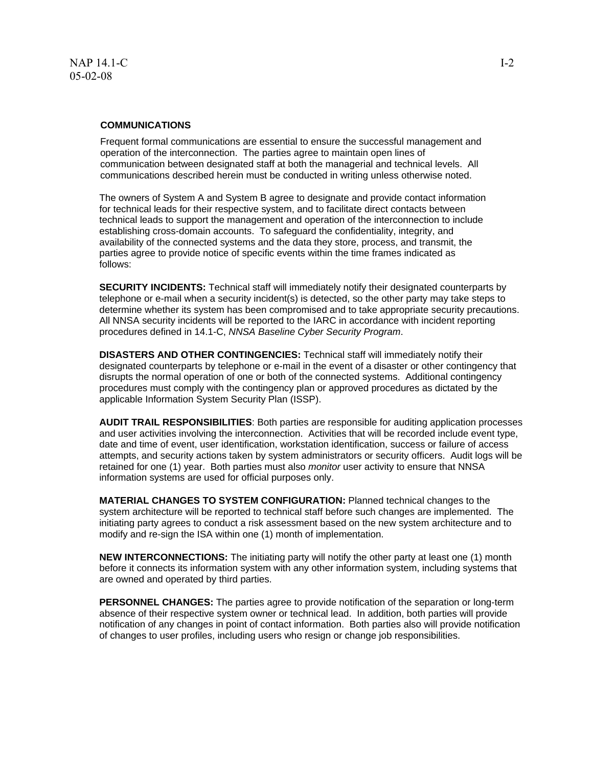#### **COMMUNICATIONS**

Frequent formal communications are essential to ensure the successful management and operation of the interconnection. The parties agree to maintain open lines of communication between designated staff at both the managerial and technical levels. All communications described herein must be conducted in writing unless otherwise noted.

The owners of System A and System B agree to designate and provide contact information for technical leads for their respective system, and to facilitate direct contacts between technical leads to support the management and operation of the interconnection to include establishing cross-domain accounts. To safeguard the confidentiality, integrity, and availability of the connected systems and the data they store, process, and transmit, the parties agree to provide notice of specific events within the time frames indicated as follows:

**SECURITY INCIDENTS:** Technical staff will immediately notify their designated counterparts by telephone or e-mail when a security incident(s) is detected, so the other party may take steps to determine whether its system has been compromised and to take appropriate security precautions. All NNSA security incidents will be reported to the IARC in accordance with incident reporting procedures defined in 14.1-C, *NNSA Baseline Cyber Security Program*.

**DISASTERS AND OTHER CONTINGENCIES:** Technical staff will immediately notify their designated counterparts by telephone or e-mail in the event of a disaster or other contingency that disrupts the normal operation of one or both of the connected systems. Additional contingency procedures must comply with the contingency plan or approved procedures as dictated by the applicable Information System Security Plan (ISSP).

**AUDIT TRAIL RESPONSIBILITIES**: Both parties are responsible for auditing application processes and user activities involving the interconnection. Activities that will be recorded include event type, date and time of event, user identification, workstation identification, success or failure of access attempts, and security actions taken by system administrators or security officers. Audit logs will be retained for one (1) year. Both parties must also *monitor* user activity to ensure that NNSA information systems are used for official purposes only.

**MATERIAL CHANGES TO SYSTEM CONFIGURATION:** Planned technical changes to the system architecture will be reported to technical staff before such changes are implemented. The initiating party agrees to conduct a risk assessment based on the new system architecture and to modify and re-sign the ISA within one (1) month of implementation.

**NEW INTERCONNECTIONS:** The initiating party will notify the other party at least one (1) month before it connects its information system with any other information system, including systems that are owned and operated by third parties.

**PERSONNEL CHANGES:** The parties agree to provide notification of the separation or long-term absence of their respective system owner or technical lead. In addition, both parties will provide notification of any changes in point of contact information. Both parties also will provide notification of changes to user profiles, including users who resign or change job responsibilities.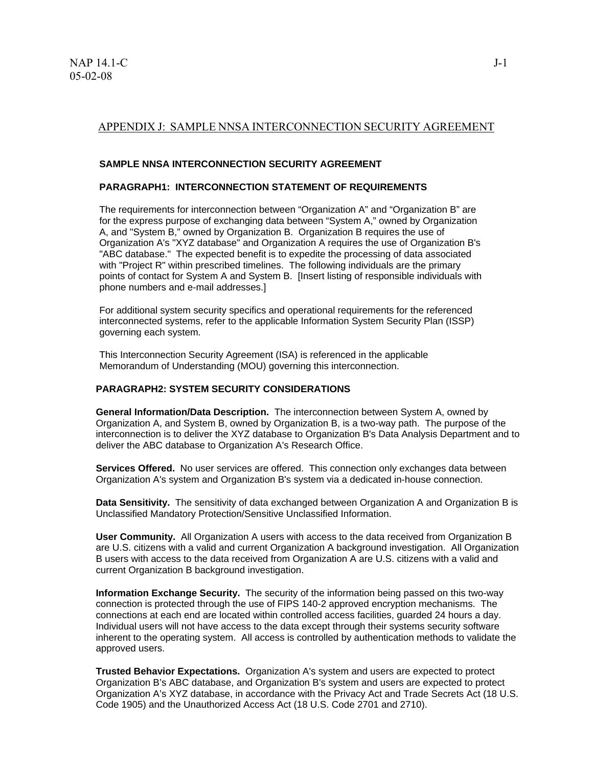#### APPENDIX J: SAMPLE NNSA INTERCONNECTION SECURITY AGREEMENT

#### **SAMPLE NNSA INTERCONNECTION SECURITY AGREEMENT**

#### **PARAGRAPH1: INTERCONNECTION STATEMENT OF REQUIREMENTS**

The requirements for interconnection between "Organization A" and "Organization B" are for the express purpose of exchanging data between "System A," owned by Organization A, and "System B," owned by Organization B. Organization B requires the use of Organization A's "XYZ database" and Organization A requires the use of Organization B's "ABC database." The expected benefit is to expedite the processing of data associated with "Project R" within prescribed timelines. The following individuals are the primary points of contact for System A and System B. [Insert listing of responsible individuals with phone numbers and e-mail addresses.]

For additional system security specifics and operational requirements for the referenced interconnected systems, refer to the applicable Information System Security Plan (ISSP) governing each system.

This Interconnection Security Agreement (ISA) is referenced in the applicable Memorandum of Understanding (MOU) governing this interconnection.

#### **PARAGRAPH2: SYSTEM SECURITY CONSIDERATIONS**

**General Information/Data Description.** The interconnection between System A, owned by Organization A, and System B, owned by Organization B, is a two-way path. The purpose of the interconnection is to deliver the XYZ database to Organization B's Data Analysis Department and to deliver the ABC database to Organization A's Research Office.

**Services Offered.** No user services are offered. This connection only exchanges data between Organization A's system and Organization B's system via a dedicated in-house connection.

**Data Sensitivity.** The sensitivity of data exchanged between Organization A and Organization B is Unclassified Mandatory Protection/Sensitive Unclassified Information.

**User Community.** All Organization A users with access to the data received from Organization B are U.S. citizens with a valid and current Organization A background investigation. All Organization B users with access to the data received from Organization A are U.S. citizens with a valid and current Organization B background investigation.

**Information Exchange Security.** The security of the information being passed on this two-way connection is protected through the use of FIPS 140-2 approved encryption mechanisms. The connections at each end are located within controlled access facilities, guarded 24 hours a day. Individual users will not have access to the data except through their systems security software inherent to the operating system. All access is controlled by authentication methods to validate the approved users.

**Trusted Behavior Expectations.** Organization A's system and users are expected to protect Organization B's ABC database, and Organization B's system and users are expected to protect Organization A's XYZ database, in accordance with the Privacy Act and Trade Secrets Act (18 U.S. Code 1905) and the Unauthorized Access Act (18 U.S. Code 2701 and 2710).